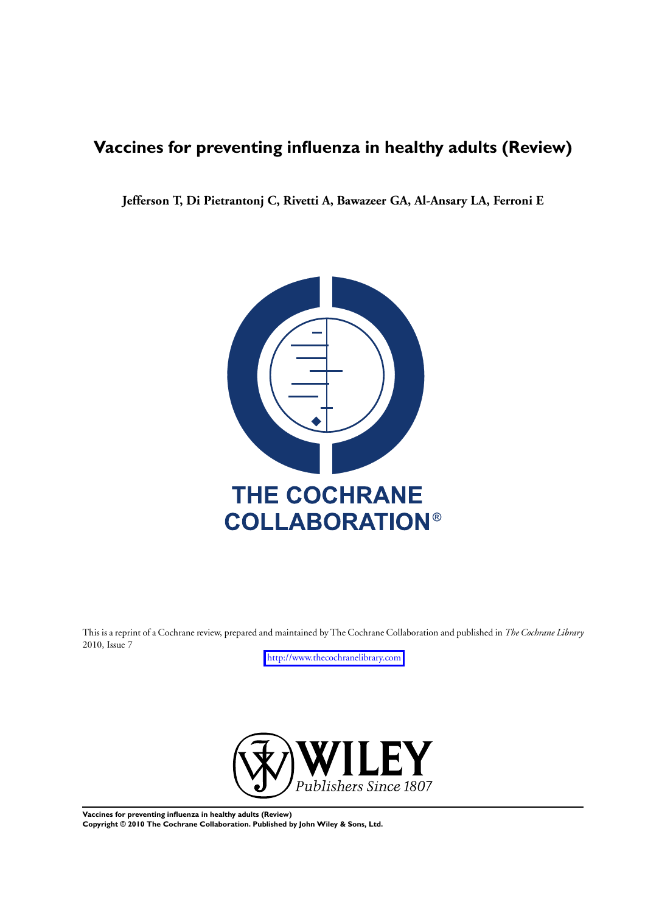# **Vaccines for preventing influenza in healthy adults (Review)**

**Jefferson T, Di Pietrantonj C, Rivetti A, Bawazeer GA, Al-Ansary LA, Ferroni E**



This is a reprint of a Cochrane review, prepared and maintained by The Cochrane Collaboration and published in *The Cochrane Library* 2010, Issue 7

<http://www.thecochranelibrary.com>



**Vaccines for preventing influenza in healthy adults (Review) Copyright © 2010 The Cochrane Collaboration. Published by John Wiley & Sons, Ltd.**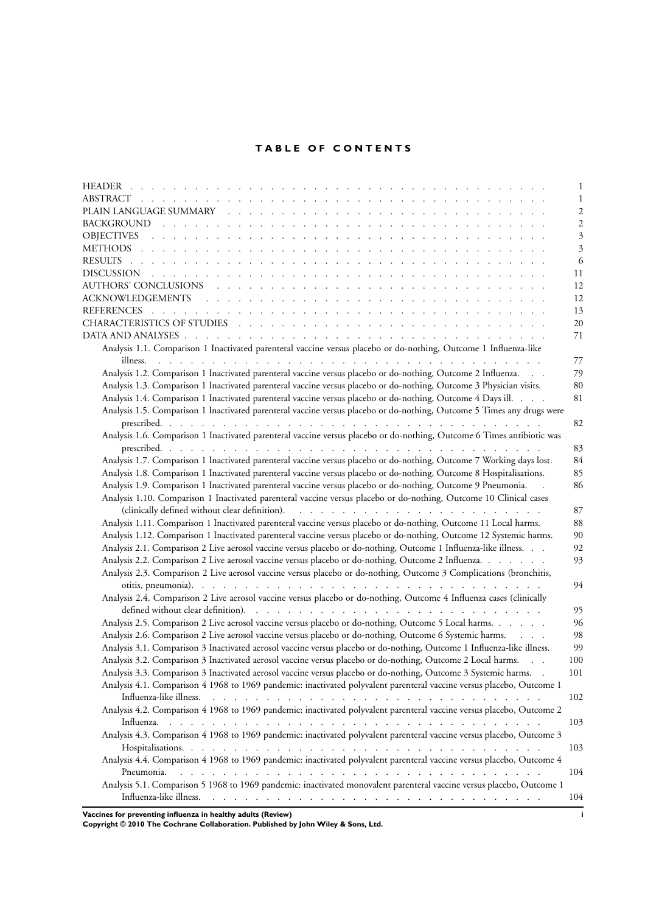## **TABLE OF CONTENTS**

| HEADER<br><u>na kara na kara na kara na kara</u>                                                                                     | 1              |
|--------------------------------------------------------------------------------------------------------------------------------------|----------------|
| ABSTRACT<br>والمتعاونة والمتعاونة والمتعاونة والمتعاونة والمتعاونة والمتعاونة والمتعاونة والمتعاونة والمتعاونة والمتعاونة            | 1              |
|                                                                                                                                      | $\overline{2}$ |
|                                                                                                                                      | $\overline{2}$ |
|                                                                                                                                      | 3              |
|                                                                                                                                      | 3              |
|                                                                                                                                      | 6              |
| DISCUSSION<br>فالمتحدث والمتحاول والمتحالة والمتحالة والمتحالة والمتحالة والمتحالة والمتحالة والمتحالة والمتحالة والمتحالة والمتحالة | 11             |
|                                                                                                                                      | 12             |
|                                                                                                                                      | 12             |
|                                                                                                                                      | 13             |
|                                                                                                                                      | 20             |
|                                                                                                                                      | 71             |
| Analysis 1.1. Comparison 1 Inactivated parenteral vaccine versus placebo or do-nothing, Outcome 1 Influenza-like                     |                |
|                                                                                                                                      | 77             |
| Analysis 1.2. Comparison 1 Inactivated parenteral vaccine versus placebo or do-nothing, Outcome 2 Influenza.                         | 79             |
| Analysis 1.3. Comparison 1 Inactivated parenteral vaccine versus placebo or do-nothing, Outcome 3 Physician visits.                  | 80             |
| Analysis 1.4. Comparison 1 Inactivated parenteral vaccine versus placebo or do-nothing, Outcome 4 Days ill.                          | 81             |
| Analysis 1.5. Comparison 1 Inactivated parenteral vaccine versus placebo or do-nothing, Outcome 5 Times any drugs were               |                |
|                                                                                                                                      | 82             |
| Analysis 1.6. Comparison 1 Inactivated parenteral vaccine versus placebo or do-nothing, Outcome 6 Times antibiotic was               |                |
|                                                                                                                                      |                |
|                                                                                                                                      | 83             |
| Analysis 1.7. Comparison 1 Inactivated parenteral vaccine versus placebo or do-nothing, Outcome 7 Working days lost.                 | 84             |
| Analysis 1.8. Comparison 1 Inactivated parenteral vaccine versus placebo or do-nothing, Outcome 8 Hospitalisations.                  | 85             |
| Analysis 1.9. Comparison 1 Inactivated parenteral vaccine versus placebo or do-nothing, Outcome 9 Pneumonia.                         | 86             |
| Analysis 1.10. Comparison 1 Inactivated parenteral vaccine versus placebo or do-nothing, Outcome 10 Clinical cases                   |                |
| (clinically defined without clear definition).<br>and a series of the contract of the contract of the contract of the                | 87             |
| Analysis 1.11. Comparison 1 Inactivated parenteral vaccine versus placebo or do-nothing, Outcome 11 Local harms.                     | 88             |
| Analysis 1.12. Comparison 1 Inactivated parenteral vaccine versus placebo or do-nothing, Outcome 12 Systemic harms.                  | 90             |
| Analysis 2.1. Comparison 2 Live aerosol vaccine versus placebo or do-nothing, Outcome 1 Influenza-like illness.                      | 92             |
| Analysis 2.2. Comparison 2 Live aerosol vaccine versus placebo or do-nothing, Outcome 2 Influenza.                                   | 93             |
| Analysis 2.3. Comparison 2 Live aerosol vaccine versus placebo or do-nothing, Outcome 3 Complications (bronchitis,                   |                |
|                                                                                                                                      | 94             |
| Analysis 2.4. Comparison 2 Live aerosol vaccine versus placebo or do-nothing, Outcome 4 Influenza cases (clinically                  |                |
|                                                                                                                                      | 95             |
| Analysis 2.5. Comparison 2 Live aerosol vaccine versus placebo or do-nothing, Outcome 5 Local harms.                                 | 96             |
| Analysis 2.6. Comparison 2 Live aerosol vaccine versus placebo or do-nothing, Outcome 6 Systemic harms.                              | 98             |
| Analysis 3.1. Comparison 3 Inactivated aerosol vaccine versus placebo or do-nothing, Outcome 1 Influenza-like illness.               | 99             |
| Analysis 3.2. Comparison 3 Inactivated aerosol vaccine versus placebo or do-nothing, Outcome 2 Local harms.                          | 100            |
| Analysis 3.3. Comparison 3 Inactivated aerosol vaccine versus placebo or do-nothing, Outcome 3 Systemic harms.                       | 101            |
| Analysis 4.1. Comparison 4 1968 to 1969 pandemic: inactivated polyvalent parenteral vaccine versus placebo, Outcome 1                |                |
|                                                                                                                                      | 102            |
| Analysis 4.2. Comparison 4 1968 to 1969 pandemic: inactivated polyvalent parenteral vaccine versus placebo, Outcome 2                |                |
|                                                                                                                                      | 103            |
| Analysis 4.3. Comparison 4 1968 to 1969 pandemic: inactivated polyvalent parenteral vaccine versus placebo, Outcome 3                |                |
|                                                                                                                                      | 103            |
| Analysis 4.4. Comparison 4 1968 to 1969 pandemic: inactivated polyvalent parenteral vaccine versus placebo, Outcome 4                |                |
|                                                                                                                                      | 104            |
| Analysis 5.1. Comparison 5 1968 to 1969 pandemic: inactivated monovalent parenteral vaccine versus placebo, Outcome 1                |                |
|                                                                                                                                      | 104            |
|                                                                                                                                      |                |
| Vaccines for preventing influenza in healthy adults (Review)                                                                         | -i             |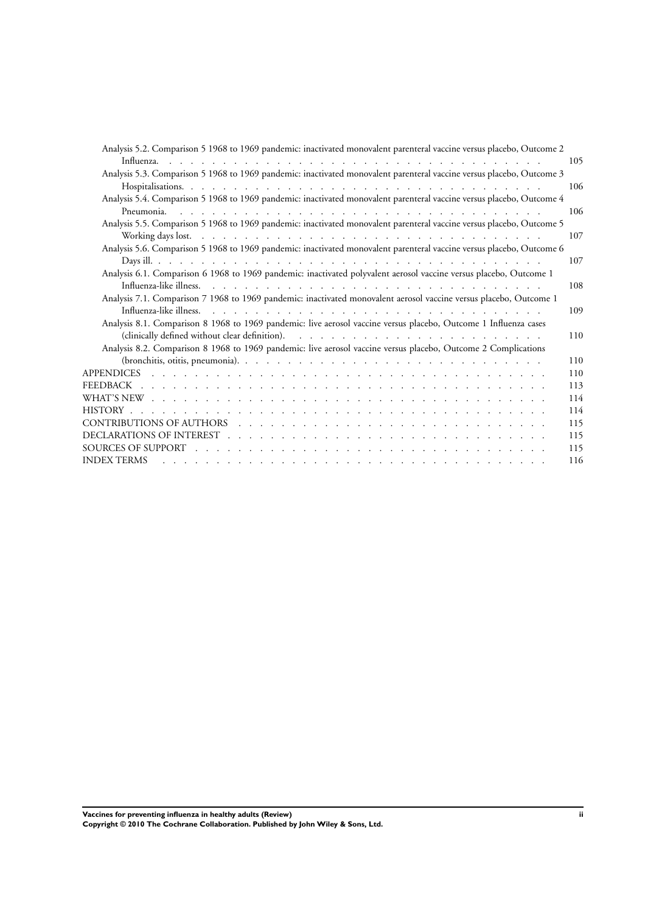| Analysis 5.2. Comparison 5 1968 to 1969 pandemic: inactivated monovalent parenteral vaccine versus placebo, Outcome 2                                                                                                                         | 105 |
|-----------------------------------------------------------------------------------------------------------------------------------------------------------------------------------------------------------------------------------------------|-----|
| Analysis 5.3. Comparison 5 1968 to 1969 pandemic: inactivated monovalent parenteral vaccine versus placebo, Outcome 3                                                                                                                         |     |
|                                                                                                                                                                                                                                               | 106 |
| Analysis 5.4. Comparison 5 1968 to 1969 pandemic: inactivated monovalent parenteral vaccine versus placebo, Outcome 4                                                                                                                         |     |
|                                                                                                                                                                                                                                               | 106 |
| Analysis 5.5. Comparison 5 1968 to 1969 pandemic: inactivated monovalent parenteral vaccine versus placebo, Outcome 5                                                                                                                         |     |
|                                                                                                                                                                                                                                               | 107 |
| Analysis 5.6. Comparison 5 1968 to 1969 pandemic: inactivated monovalent parenteral vaccine versus placebo, Outcome 6                                                                                                                         |     |
|                                                                                                                                                                                                                                               | 107 |
| Analysis 6.1. Comparison 6 1968 to 1969 pandemic: inactivated polyvalent aerosol vaccine versus placebo, Outcome 1                                                                                                                            |     |
|                                                                                                                                                                                                                                               | 108 |
| Analysis 7.1. Comparison 7 1968 to 1969 pandemic: inactivated monovalent aerosol vaccine versus placebo, Outcome 1                                                                                                                            |     |
|                                                                                                                                                                                                                                               | 109 |
| Analysis 8.1. Comparison 8 1968 to 1969 pandemic: live aerosol vaccine versus placebo, Outcome 1 Influenza cases                                                                                                                              |     |
|                                                                                                                                                                                                                                               | 110 |
| Analysis 8.2. Comparison 8 1968 to 1969 pandemic: live aerosol vaccine versus placebo, Outcome 2 Complications                                                                                                                                |     |
|                                                                                                                                                                                                                                               | 110 |
|                                                                                                                                                                                                                                               | 110 |
|                                                                                                                                                                                                                                               | 113 |
|                                                                                                                                                                                                                                               | 114 |
|                                                                                                                                                                                                                                               | 114 |
|                                                                                                                                                                                                                                               | 115 |
|                                                                                                                                                                                                                                               | 115 |
|                                                                                                                                                                                                                                               | 115 |
| INDEX TERMS<br>and the contract of the contract of the contract of the contract of the contract of the contract of the contract of the contract of the contract of the contract of the contract of the contract of the contract of the contra | 116 |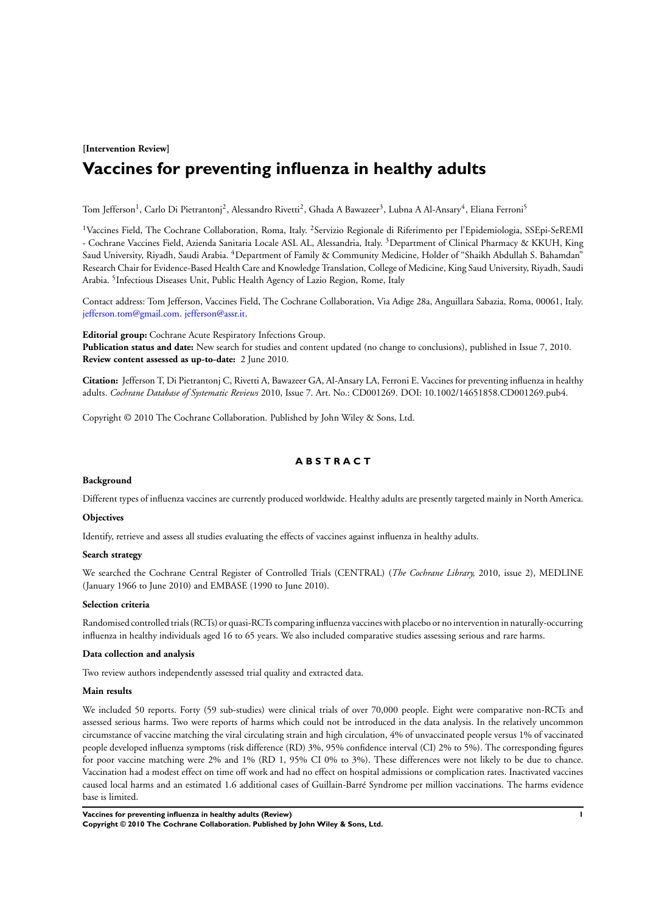**[Intervention Review]**

# **Vaccines for preventing influenza in healthy adults**

Tom Jefferson<sup>1</sup>, Carlo Di Pietrantonj<sup>2</sup>, Alessandro Rivetti<sup>2</sup>, Ghada A Bawazeer<sup>3</sup>, Lubna A Al-Ansary<sup>4</sup>, Eliana Ferroni<sup>5</sup>

<sup>1</sup>Vaccines Field, The Cochrane Collaboration, Roma, Italy. <sup>2</sup>Servizio Regionale di Riferimento per l'Epidemiologia, SSEpi-SeREMI - Cochrane Vaccines Field, Azienda Sanitaria Locale ASL AL, Alessandria, Italy. <sup>3</sup>Department of Clinical Pharmacy & KKUH, King Saud University, Riyadh, Saudi Arabia. <sup>4</sup>Department of Family & Community Medicine, Holder of "Shaikh Abdullah S. Bahamdan" Research Chair for Evidence-Based Health Care and Knowledge Translation, College of Medicine, King Saud University, Riyadh, Saudi Arabia. <sup>5</sup> Infectious Diseases Unit, Public Health Agency of Lazio Region, Rome, Italy

Contact address: Tom Jefferson, Vaccines Field, The Cochrane Collaboration, Via Adige 28a, Anguillara Sabazia, Roma, 00061, Italy. [jefferson.tom@gmail.com.](mailto:jefferson.tom@gmail.com) [jefferson@assr.it.](mailto:jefferson@assr.it)

**Editorial group:** Cochrane Acute Respiratory Infections Group. **Publication status and date:** New search for studies and content updated (no change to conclusions), published in Issue 7, 2010. **Review content assessed as up-to-date:** 2 June 2010.

**Citation:** Jefferson T, Di Pietrantonj C, Rivetti A, Bawazeer GA, Al-Ansary LA, Ferroni E. Vaccines for preventing influenza in healthy adults. *Cochrane Database of Systematic Reviews* 2010, Issue 7. Art. No.: CD001269. DOI: 10.1002/14651858.CD001269.pub4.

Copyright © 2010 The Cochrane Collaboration. Published by John Wiley & Sons, Ltd.

## **A B S T R A C T**

### **Background**

Different types of influenza vaccines are currently produced worldwide. Healthy adults are presently targeted mainly in North America.

### **Objectives**

Identify, retrieve and assess all studies evaluating the effects of vaccines against influenza in healthy adults.

#### **Search strategy**

We searched the Cochrane Central Register of Controlled Trials (CENTRAL) (*The Cochrane Library,* 2010, issue 2), MEDLINE (January 1966 to June 2010) and EMBASE (1990 to June 2010).

### **Selection criteria**

Randomised controlled trials (RCTs) or quasi-RCTs comparing influenza vaccines with placebo or no intervention in naturally-occurring influenza in healthy individuals aged 16 to 65 years. We also included comparative studies assessing serious and rare harms.

### **Data collection and analysis**

Two review authors independently assessed trial quality and extracted data.

### **Main results**

We included 50 reports. Forty (59 sub-studies) were clinical trials of over 70,000 people. Eight were comparative non-RCTs and assessed serious harms. Two were reports of harms which could not be introduced in the data analysis. In the relatively uncommon circumstance of vaccine matching the viral circulating strain and high circulation, 4% of unvaccinated people versus 1% of vaccinated people developed influenza symptoms (risk difference (RD) 3%, 95% confidence interval (CI) 2% to 5%). The corresponding figures for poor vaccine matching were 2% and 1% (RD 1, 95% CI 0% to 3%). These differences were not likely to be due to chance. Vaccination had a modest effect on time off work and had no effect on hospital admissions or complication rates. Inactivated vaccines caused local harms and an estimated 1.6 additional cases of Guillain-Barré Syndrome per million vaccinations. The harms evidence base is limited.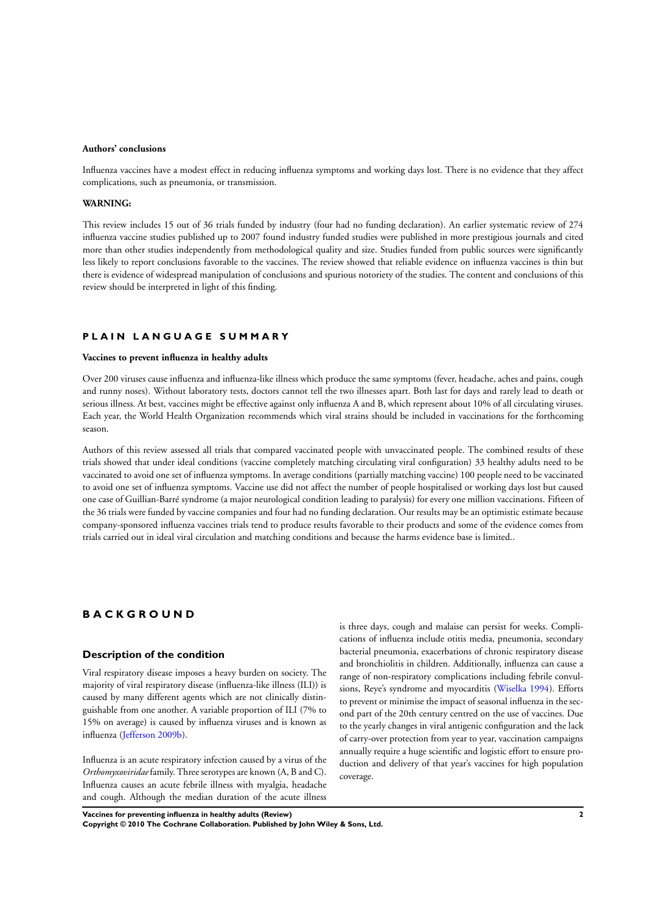### **Authors' conclusions**

Influenza vaccines have a modest effect in reducing influenza symptoms and working days lost. There is no evidence that they affect complications, such as pneumonia, or transmission.

### **WARNING:**

This review includes 15 out of 36 trials funded by industry (four had no funding declaration). An earlier systematic review of 274 influenza vaccine studies published up to 2007 found industry funded studies were published in more prestigious journals and cited more than other studies independently from methodological quality and size. Studies funded from public sources were significantly less likely to report conclusions favorable to the vaccines. The review showed that reliable evidence on influenza vaccines is thin but there is evidence of widespread manipulation of conclusions and spurious notoriety of the studies. The content and conclusions of this review should be interpreted in light of this finding.

### **P L A I N L A N G U A G E S U M M A R Y**

#### **Vaccines to prevent influenza in healthy adults**

Over 200 viruses cause influenza and influenza-like illness which produce the same symptoms (fever, headache, aches and pains, cough and runny noses). Without laboratory tests, doctors cannot tell the two illnesses apart. Both last for days and rarely lead to death or serious illness. At best, vaccines might be effective against only influenza A and B, which represent about 10% of all circulating viruses. Each year, the World Health Organization recommends which viral strains should be included in vaccinations for the forthcoming season.

Authors of this review assessed all trials that compared vaccinated people with unvaccinated people. The combined results of these trials showed that under ideal conditions (vaccine completely matching circulating viral configuration) 33 healthy adults need to be vaccinated to avoid one set of influenza symptoms. In average conditions (partially matching vaccine) 100 people need to be vaccinated to avoid one set of influenza symptoms. Vaccine use did not affect the number of people hospitalised or working days lost but caused one case of Guillian-Barré syndrome (a major neurological condition leading to paralysis) for every one million vaccinations. Fifteen of the 36 trials were funded by vaccine companies and four had no funding declaration. Our results may be an optimistic estimate because company-sponsored influenza vaccines trials tend to produce results favorable to their products and some of the evidence comes from trials carried out in ideal viral circulation and matching conditions and because the harms evidence base is limited..

## **B A C K G R O U N D**

### **Description of the condition**

Viral respiratory disease imposes a heavy burden on society. The majority of viral respiratory disease (influenza-like illness (ILI)) is caused by many different agents which are not clinically distinguishable from one another. A variable proportion of ILI (7% to 15% on average) is caused by influenza viruses and is known as influenza [\(Jefferson 2009b\)](#page-15-0).

Influenza is an acute respiratory infection caused by a virus of the *Orthomyxoviridae*family. Three serotypes are known (A, B and C). Influenza causes an acute febrile illness with myalgia, headache and cough. Although the median duration of the acute illness is three days, cough and malaise can persist for weeks. Complications of influenza include otitis media, pneumonia, secondary bacterial pneumonia, exacerbations of chronic respiratory disease and bronchiolitis in children. Additionally, influenza can cause a range of non-respiratory complications including febrile convulsions, Reye's syndrome and myocarditis [\(Wiselka 1994\)](#page-15-0). Efforts to prevent or minimise the impact of seasonal influenza in the second part of the 20th century centred on the use of vaccines. Due to the yearly changes in viral antigenic configuration and the lack of carry-over protection from year to year, vaccination campaigns annually require a huge scientific and logistic effort to ensure production and delivery of that year's vaccines for high population coverage.

**Vaccines for preventing influenza in healthy adults (Review) 2**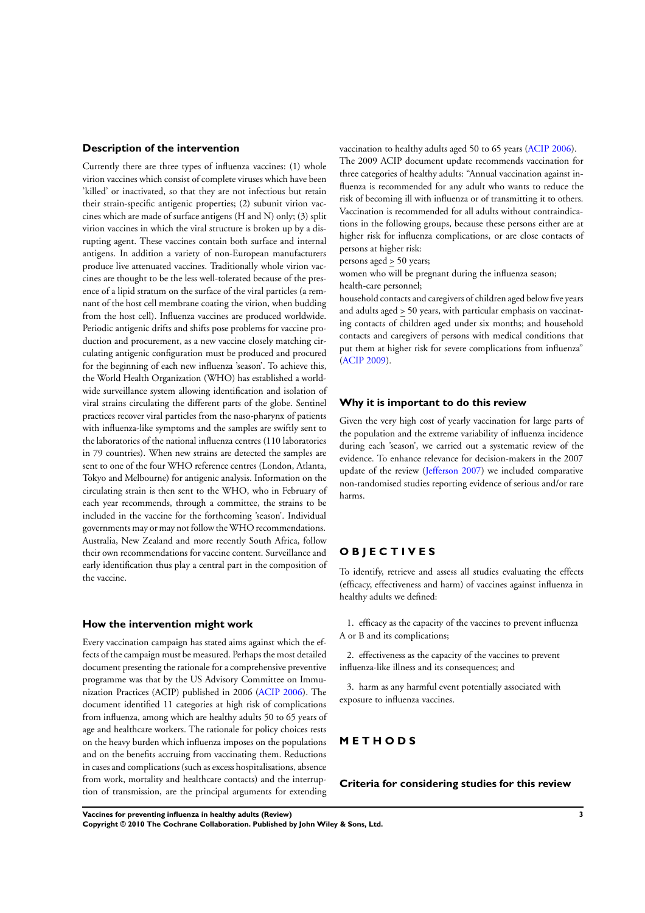### **Description of the intervention**

Currently there are three types of influenza vaccines: (1) whole virion vaccines which consist of complete viruses which have been 'killed' or inactivated, so that they are not infectious but retain their strain-specific antigenic properties; (2) subunit virion vaccines which are made of surface antigens (H and N) only; (3) split virion vaccines in which the viral structure is broken up by a disrupting agent. These vaccines contain both surface and internal antigens. In addition a variety of non-European manufacturers produce live attenuated vaccines. Traditionally whole virion vaccines are thought to be the less well-tolerated because of the presence of a lipid stratum on the surface of the viral particles (a remnant of the host cell membrane coating the virion, when budding from the host cell). Influenza vaccines are produced worldwide. Periodic antigenic drifts and shifts pose problems for vaccine production and procurement, as a new vaccine closely matching circulating antigenic configuration must be produced and procured for the beginning of each new influenza 'season'. To achieve this, the World Health Organization (WHO) has established a worldwide surveillance system allowing identification and isolation of viral strains circulating the different parts of the globe. Sentinel practices recover viral particles from the naso-pharynx of patients with influenza-like symptoms and the samples are swiftly sent to the laboratories of the national influenza centres (110 laboratories in 79 countries). When new strains are detected the samples are sent to one of the four WHO reference centres (London, Atlanta, Tokyo and Melbourne) for antigenic analysis. Information on the circulating strain is then sent to the WHO, who in February of each year recommends, through a committee, the strains to be included in the vaccine for the forthcoming 'season'. Individual governments may or may not follow the WHO recommendations. Australia, New Zealand and more recently South Africa, follow their own recommendations for vaccine content. Surveillance and early identification thus play a central part in the composition of the vaccine.

### **How the intervention might work**

Every vaccination campaign has stated aims against which the effects of the campaign must be measured. Perhaps the most detailed document presenting the rationale for a comprehensive preventive programme was that by the US Advisory Committee on Immunization Practices (ACIP) published in 2006 ([ACIP 2006](#page-15-0)). The document identified 11 categories at high risk of complications from influenza, among which are healthy adults 50 to 65 years of age and healthcare workers. The rationale for policy choices rests on the heavy burden which influenza imposes on the populations and on the benefits accruing from vaccinating them. Reductions in cases and complications (such as excess hospitalisations, absence from work, mortality and healthcare contacts) and the interruption of transmission, are the principal arguments for extending vaccination to healthy adults aged 50 to 65 years ([ACIP 2006](#page-15-0)). The 2009 ACIP document update recommends vaccination for three categories of healthy adults: "Annual vaccination against influenza is recommended for any adult who wants to reduce the risk of becoming ill with influenza or of transmitting it to others. Vaccination is recommended for all adults without contraindications in the following groups, because these persons either are at higher risk for influenza complications, or are close contacts of persons at higher risk:

persons aged > 50 years;

women who will be pregnant during the influenza season; health-care personnel;

household contacts and caregivers of children aged below five years and adults aged > 50 years, with particular emphasis on vaccinating contacts of children aged under six months; and household contacts and caregivers of persons with medical conditions that put them at higher risk for severe complications from influenza" [\(ACIP 2009](#page-15-0)).

### **Why it is important to do this review**

Given the very high cost of yearly vaccination for large parts of the population and the extreme variability of influenza incidence during each 'season', we carried out a systematic review of the evidence. To enhance relevance for decision-makers in the 2007 update of the review ([Jefferson 2007\)](#page-15-0) we included comparative non-randomised studies reporting evidence of serious and/or rare harms.

## **O B J E C T I V E S**

To identify, retrieve and assess all studies evaluating the effects (efficacy, effectiveness and harm) of vaccines against influenza in healthy adults we defined:

1. efficacy as the capacity of the vaccines to prevent influenza A or B and its complications;

2. effectiveness as the capacity of the vaccines to prevent influenza-like illness and its consequences; and

3. harm as any harmful event potentially associated with exposure to influenza vaccines.

## **M E T H O D S**

**Criteria for considering studies for this review**

**Vaccines for preventing influenza in healthy adults (Review) 3**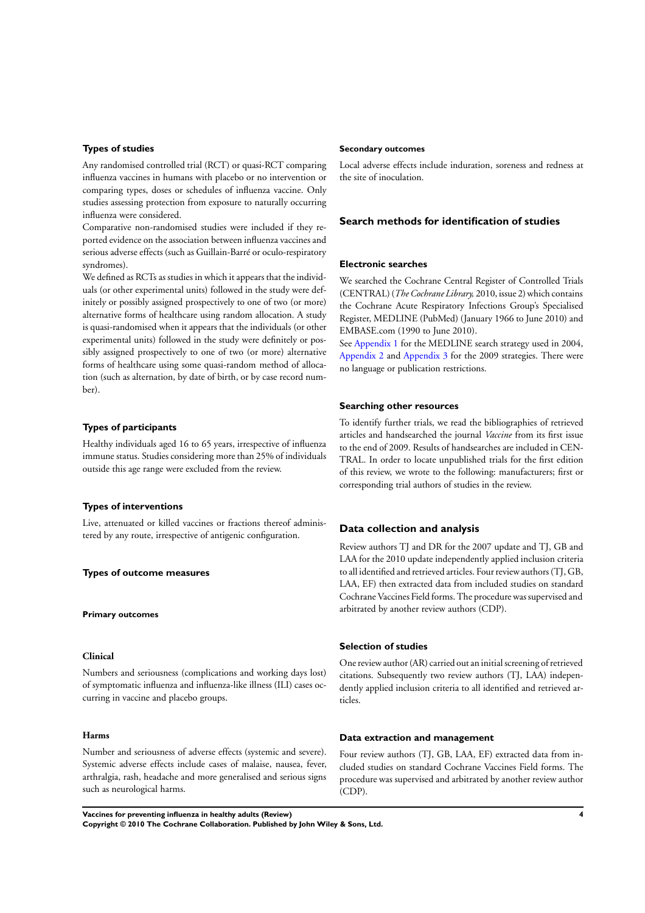### **Types of studies**

Any randomised controlled trial (RCT) or quasi-RCT comparing influenza vaccines in humans with placebo or no intervention or comparing types, doses or schedules of influenza vaccine. Only studies assessing protection from exposure to naturally occurring influenza were considered.

Comparative non-randomised studies were included if they reported evidence on the association between influenza vaccines and serious adverse effects (such as Guillain-Barré or oculo-respiratory syndromes).

We defined as RCTs as studies in which it appears that the individuals (or other experimental units) followed in the study were definitely or possibly assigned prospectively to one of two (or more) alternative forms of healthcare using random allocation. A study is quasi-randomised when it appears that the individuals (or other experimental units) followed in the study were definitely or possibly assigned prospectively to one of two (or more) alternative forms of healthcare using some quasi-random method of allocation (such as alternation, by date of birth, or by case record number).

### **Types of participants**

Healthy individuals aged 16 to 65 years, irrespective of influenza immune status. Studies considering more than 25% of individuals outside this age range were excluded from the review.

### **Types of interventions**

Live, attenuated or killed vaccines or fractions thereof administered by any route, irrespective of antigenic configuration.

#### **Types of outcome measures**

**Primary outcomes**

#### **Clinical**

Numbers and seriousness (complications and working days lost) of symptomatic influenza and influenza-like illness (ILI) cases occurring in vaccine and placebo groups.

#### **Harms**

Number and seriousness of adverse effects (systemic and severe). Systemic adverse effects include cases of malaise, nausea, fever, arthralgia, rash, headache and more generalised and serious signs such as neurological harms.

#### **Secondary outcomes**

Local adverse effects include induration, soreness and redness at the site of inoculation.

### **Search methods for identification of studies**

#### **Electronic searches**

We searched the Cochrane Central Register of Controlled Trials (CENTRAL) (*The Cochrane Library,* 2010, issue 2) which contains the Cochrane Acute Respiratory Infections Group's Specialised Register, MEDLINE (PubMed) (January 1966 to June 2010) and EMBASE.com (1990 to June 2010).

See [Appendix 1](#page-113-0) for the MEDLINE search strategy used in 2004, [Appendix 2](#page-113-0) and [Appendix 3](#page-114-0) for the 2009 strategies. There were no language or publication restrictions.

#### **Searching other resources**

To identify further trials, we read the bibliographies of retrieved articles and handsearched the journal *Vaccine* from its first issue to the end of 2009. Results of handsearches are included in CEN-TRAL. In order to locate unpublished trials for the first edition of this review, we wrote to the following: manufacturers; first or corresponding trial authors of studies in the review.

### **Data collection and analysis**

Review authors TJ and DR for the 2007 update and TJ, GB and LAA for the 2010 update independently applied inclusion criteria to all identified and retrieved articles. Four review authors(TJ, GB, LAA, EF) then extracted data from included studies on standard Cochrane Vaccines Field forms. The procedure was supervised and arbitrated by another review authors (CDP).

## **Selection of studies**

One review author (AR) carried out an initial screening of retrieved citations. Subsequently two review authors (TJ, LAA) independently applied inclusion criteria to all identified and retrieved articles.

#### **Data extraction and management**

Four review authors (TJ, GB, LAA, EF) extracted data from included studies on standard Cochrane Vaccines Field forms. The procedure was supervised and arbitrated by another review author (CDP).

**Vaccines for preventing influenza in healthy adults (Review) 4**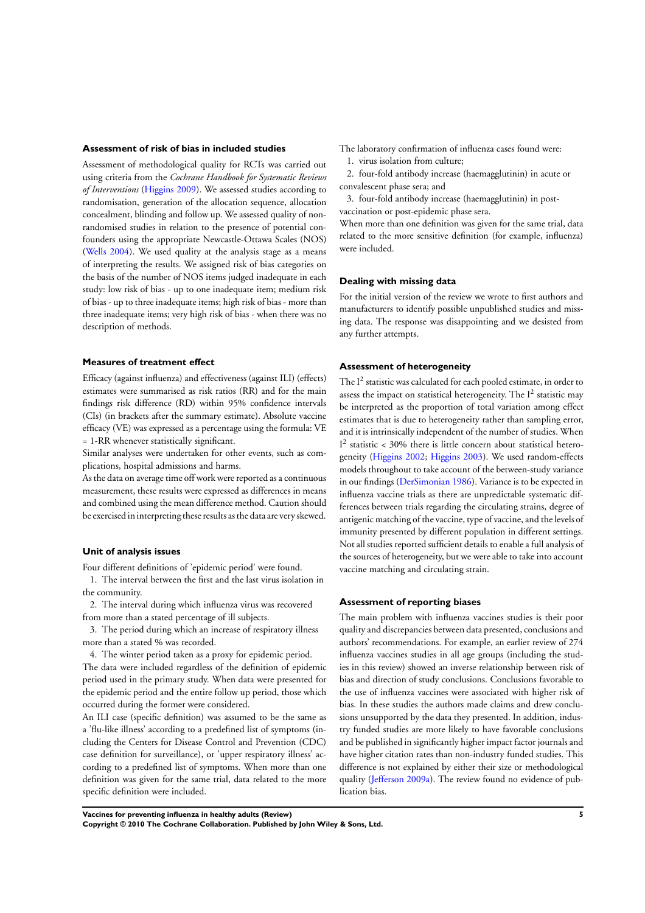### **Assessment of risk of bias in included studies**

Assessment of methodological quality for RCTs was carried out using criteria from the *Cochrane Handbook for Systematic Reviews of Interventions* [\(Higgins 2009\)](#page-15-0). We assessed studies according to randomisation, generation of the allocation sequence, allocation concealment, blinding and follow up. We assessed quality of nonrandomised studies in relation to the presence of potential confounders using the appropriate Newcastle-Ottawa Scales (NOS) [\(Wells 2004](#page-15-0)). We used quality at the analysis stage as a means of interpreting the results. We assigned risk of bias categories on the basis of the number of NOS items judged inadequate in each study: low risk of bias - up to one inadequate item; medium risk of bias - up to three inadequate items; high risk of bias - more than three inadequate items; very high risk of bias - when there was no description of methods.

### **Measures of treatment effect**

Efficacy (against influenza) and effectiveness (against ILI) (effects) estimates were summarised as risk ratios (RR) and for the main findings risk difference (RD) within 95% confidence intervals (CIs) (in brackets after the summary estimate). Absolute vaccine efficacy (VE) was expressed as a percentage using the formula: VE = 1-RR whenever statistically significant.

Similar analyses were undertaken for other events, such as complications, hospital admissions and harms.

As the data on average time off work were reported as a continuous measurement, these results were expressed as differences in means and combined using the mean difference method. Caution should be exercised in interpreting these results as the data are very skewed.

### **Unit of analysis issues**

Four different definitions of 'epidemic period' were found.

1. The interval between the first and the last virus isolation in the community.

2. The interval during which influenza virus was recovered from more than a stated percentage of ill subjects.

3. The period during which an increase of respiratory illness more than a stated % was recorded.

4. The winter period taken as a proxy for epidemic period. The data were included regardless of the definition of epidemic period used in the primary study. When data were presented for the epidemic period and the entire follow up period, those which occurred during the former were considered.

An ILI case (specific definition) was assumed to be the same as a 'flu-like illness' according to a predefined list of symptoms (including the Centers for Disease Control and Prevention (CDC) case definition for surveillance), or 'upper respiratory illness' according to a predefined list of symptoms. When more than one definition was given for the same trial, data related to the more specific definition were included.

The laboratory confirmation of influenza cases found were:

1. virus isolation from culture;

2. four-fold antibody increase (haemagglutinin) in acute or convalescent phase sera; and

3. four-fold antibody increase (haemagglutinin) in postvaccination or post-epidemic phase sera.

When more than one definition was given for the same trial, data related to the more sensitive definition (for example, influenza) were included.

### **Dealing with missing data**

For the initial version of the review we wrote to first authors and manufacturers to identify possible unpublished studies and missing data. The response was disappointing and we desisted from any further attempts.

#### **Assessment of heterogeneity**

The  $I^2$  statistic was calculated for each pooled estimate, in order to assess the impact on statistical heterogeneity. The  $I^2$  statistic may be interpreted as the proportion of total variation among effect estimates that is due to heterogeneity rather than sampling error, and it is intrinsically independent of the number of studies. When  $I<sup>2</sup>$  statistic < 30% there is little concern about statistical heterogeneity ([Higgins 2002](#page-15-0); [Higgins 2003](#page-15-0)). We used random-effects models throughout to take account of the between-study variance in our findings [\(DerSimonian 1986](#page-15-0)). Variance is to be expected in influenza vaccine trials as there are unpredictable systematic differences between trials regarding the circulating strains, degree of antigenic matching of the vaccine, type of vaccine, and the levels of immunity presented by different population in different settings. Not all studies reported sufficient details to enable a full analysis of the sources of heterogeneity, but we were able to take into account vaccine matching and circulating strain.

#### **Assessment of reporting biases**

The main problem with influenza vaccines studies is their poor quality and discrepancies between data presented, conclusions and authors' recommendations. For example, an earlier review of 274 influenza vaccines studies in all age groups (including the studies in this review) showed an inverse relationship between risk of bias and direction of study conclusions. Conclusions favorable to the use of influenza vaccines were associated with higher risk of bias. In these studies the authors made claims and drew conclusions unsupported by the data they presented. In addition, industry funded studies are more likely to have favorable conclusions and be published in significantly higher impact factor journals and have higher citation rates than non-industry funded studies. This difference is not explained by either their size or methodological quality [\(Jefferson 2009a\)](#page-15-0). The review found no evidence of publication bias.

**Vaccines for preventing influenza in healthy adults (Review) 5**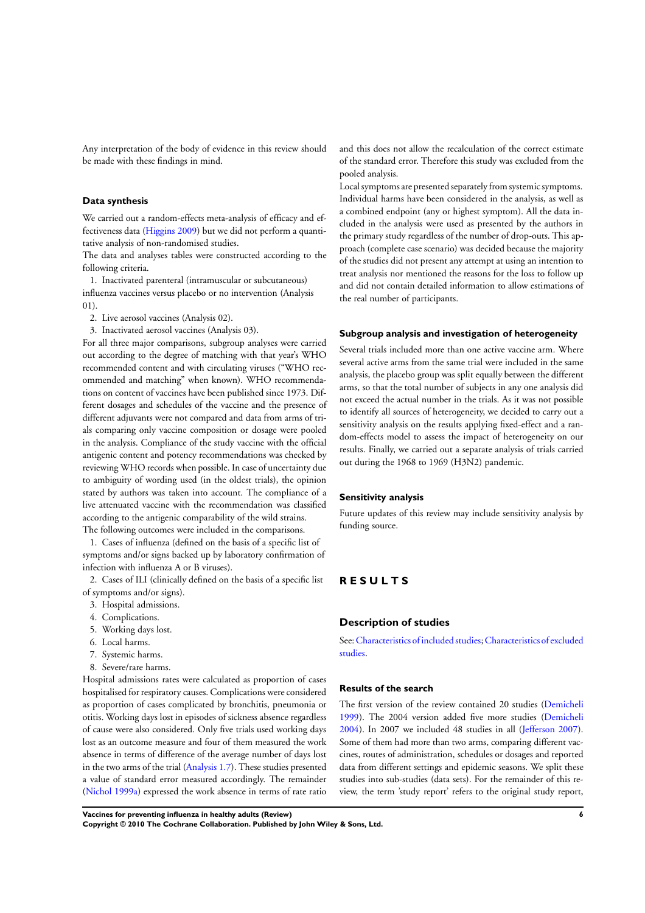Any interpretation of the body of evidence in this review should be made with these findings in mind.

### **Data synthesis**

We carried out a random-effects meta-analysis of efficacy and effectiveness data [\(Higgins 2009\)](#page-15-0) but we did not perform a quantitative analysis of non-randomised studies.

The data and analyses tables were constructed according to the following criteria.

1. Inactivated parenteral (intramuscular or subcutaneous) influenza vaccines versus placebo or no intervention (Analysis 01).

- 2. Live aerosol vaccines (Analysis 02).
- 3. Inactivated aerosol vaccines (Analysis 03).

For all three major comparisons, subgroup analyses were carried out according to the degree of matching with that year's WHO recommended content and with circulating viruses ("WHO recommended and matching" when known). WHO recommendations on content of vaccines have been published since 1973. Different dosages and schedules of the vaccine and the presence of different adjuvants were not compared and data from arms of trials comparing only vaccine composition or dosage were pooled in the analysis. Compliance of the study vaccine with the official antigenic content and potency recommendations was checked by reviewing WHO records when possible. In case of uncertainty due to ambiguity of wording used (in the oldest trials), the opinion stated by authors was taken into account. The compliance of a live attenuated vaccine with the recommendation was classified according to the antigenic comparability of the wild strains.

The following outcomes were included in the comparisons.

1. Cases of influenza (defined on the basis of a specific list of symptoms and/or signs backed up by laboratory confirmation of infection with influenza A or B viruses).

2. Cases of ILI (clinically defined on the basis of a specific list of symptoms and/or signs).

- 3. Hospital admissions.
- 4. Complications.
- 5. Working days lost.
- 6. Local harms.
- 7. Systemic harms.
- 8. Severe/rare harms.

Hospital admissions rates were calculated as proportion of cases hospitalised for respiratory causes. Complications were considered as proportion of cases complicated by bronchitis, pneumonia or otitis. Working days lost in episodes of sickness absence regardless of cause were also considered. Only five trials used working days lost as an outcome measure and four of them measured the work absence in terms of difference of the average number of days lost in the two arms of the trial ([Analysis 1.7](#page-86-0)). These studies presented a value of standard error measured accordingly. The remainder [\(Nichol 1999a](#page-15-0)) expressed the work absence in terms of rate ratio and this does not allow the recalculation of the correct estimate of the standard error. Therefore this study was excluded from the pooled analysis.

Local symptoms are presented separately from systemic symptoms. Individual harms have been considered in the analysis, as well as a combined endpoint (any or highest symptom). All the data included in the analysis were used as presented by the authors in the primary study regardless of the number of drop-outs. This approach (complete case scenario) was decided because the majority of the studies did not present any attempt at using an intention to treat analysis nor mentioned the reasons for the loss to follow up and did not contain detailed information to allow estimations of the real number of participants.

#### **Subgroup analysis and investigation of heterogeneity**

Several trials included more than one active vaccine arm. Where several active arms from the same trial were included in the same analysis, the placebo group was split equally between the different arms, so that the total number of subjects in any one analysis did not exceed the actual number in the trials. As it was not possible to identify all sources of heterogeneity, we decided to carry out a sensitivity analysis on the results applying fixed-effect and a random-effects model to assess the impact of heterogeneity on our results. Finally, we carried out a separate analysis of trials carried out during the 1968 to 1969 (H3N2) pandemic.

### **Sensitivity analysis**

Future updates of this review may include sensitivity analysis by funding source.

### **R E S U L T S**

## **Description of studies**

See:[Characteristics of included studies;](#page-23-0)[Characteristics of excluded](#page-67-0) [studies.](#page-67-0)

### **Results of the search**

The first version of the review contained 20 studies ([Demicheli](#page-15-0) [1999](#page-15-0)). The 2004 version added five more studies ([Demicheli](#page-15-0) [2004](#page-15-0)). In 2007 we included 48 studies in all ([Jefferson 2007](#page-15-0)). Some of them had more than two arms, comparing different vaccines, routes of administration, schedules or dosages and reported data from different settings and epidemic seasons. We split these studies into sub-studies (data sets). For the remainder of this review, the term 'study report' refers to the original study report,

**Vaccines for preventing influenza in healthy adults (Review) 6**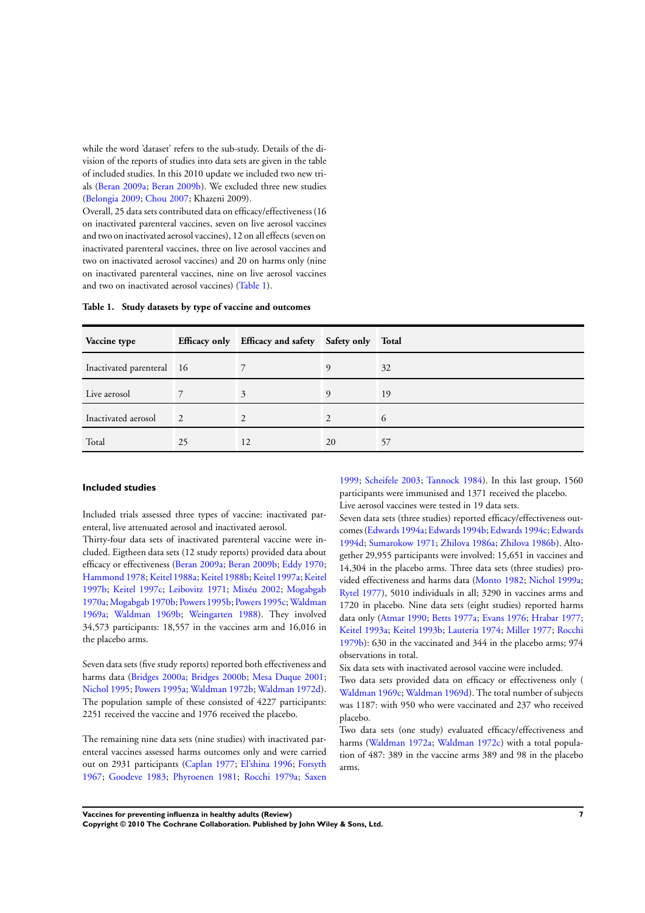while the word 'dataset' refers to the sub-study. Details of the division of the reports of studies into data sets are given in the table of included studies. In this 2010 update we included two new trials [\(Beran 2009a](#page-15-0); [Beran 2009b](#page-15-0)). We excluded three new studies [\(Belongia 2009;](#page-15-0) [Chou 2007](#page-15-0); Khazeni 2009).

Overall, 25 data sets contributed data on efficacy/effectiveness (16 on inactivated parenteral vaccines, seven on live aerosol vaccines and two on inactivated aerosol vaccines), 12 on all effects (seven on inactivated parenteral vaccines, three on live aerosol vaccines and two on inactivated aerosol vaccines) and 20 on harms only (nine on inactivated parenteral vaccines, nine on live aerosol vaccines and two on inactivated aerosol vaccines) (Table 1).

| Vaccine type              |    | Efficacy only Efficacy and safety Safety only Total |          |     |
|---------------------------|----|-----------------------------------------------------|----------|-----|
| Inactivated parenteral 16 |    |                                                     | Q        | 32  |
| Live aerosol              |    | $\mathcal{E}$                                       | $\Omega$ | -19 |
| Inactivated aerosol 2     |    | $\mathcal{L}$                                       |          | -6  |
| Total                     | 25 | 12                                                  | 20       | 57  |

**Table 1. Study datasets by type of vaccine and outcomes**

### **Included studies**

Included trials assessed three types of vaccine: inactivated parenteral, live attenuated aerosol and inactivated aerosol.

Thirty-four data sets of inactivated parenteral vaccine were included. Eigtheen data sets (12 study reports) provided data about efficacy or effectiveness ([Beran 2009a;](#page-15-0) [Beran 2009b;](#page-15-0) [Eddy 1970;](#page-15-0) [Hammond 1978](#page-15-0); [Keitel](#page-15-0) 1988a; Keitel 1988b; Keitel 1997a; Keitel [1997b;](#page-15-0) [Keitel 1997c](#page-15-0); [Leibovitz 1971](#page-15-0); [Mixéu 2002;](#page-15-0) [Mogabgab](#page-15-0) 1970a; Mogabgab 1970b; [Powers 1995b](#page-15-0); Powers 1995c; Waldman [1969a;](#page-15-0) [Waldman 1969b;](#page-15-0) [Weingarten 1988\)](#page-15-0). They involved 34,573 participants: 18,557 in the vaccines arm and 16,016 in the placebo arms.

Seven data sets (five study reports) reported both effectiveness and harms data ([Bridges 2000a](#page-15-0); [Bridges 2000b;](#page-15-0) [Mesa Duque 2001;](#page-15-0) [Nichol 1995](#page-15-0); [Powers 1995a;](#page-15-0) [Waldman 1972b;](#page-15-0) [Waldman 1972d](#page-15-0)). The population sample of these consisted of 4227 participants: 2251 received the vaccine and 1976 received the placebo.

The remaining nine data sets (nine studies) with inactivated parenteral vaccines assessed harms outcomes only and were carried out on 2931 participants ([Caplan 1977;](#page-15-0) [El'shina 1996;](#page-15-0) [Forsyth](#page-15-0) [1967](#page-15-0); [Goodeve 1983](#page-15-0); [Phyroenen 1981;](#page-15-0) [Rocchi 1979a;](#page-15-0) [Saxen](#page-15-0)

[1999](#page-15-0); [Scheifele 2003](#page-15-0); [Tannock 1984](#page-15-0)). In this last group, 1560 participants were immunised and 1371 received the placebo. Live aerosol vaccines were tested in 19 data sets.

Seven data sets (three studies) reported efficacy/effectiveness outcomes ([Edwards 1994a;](#page-15-0) [Edwards 1994b;](#page-15-0) [Edwards 1994c;](#page-15-0) [Edwards](#page-15-0) [1994d;](#page-15-0) [Sumarokow 1971;](#page-15-0) [Zhilova 1986a;](#page-15-0) [Zhilova 1986b](#page-15-0)). Altogether 29,955 participants were involved: 15,651 in vaccines and 14,304 in the placebo arms. Three data sets (three studies) provided effectiveness and harms data [\(Monto 1982](#page-15-0); [Nichol 1999a;](#page-15-0) [Rytel 1977\)](#page-15-0), 5010 individuals in all; 3290 in vaccines arms and 1720 in placebo. Nine data sets (eight studies) reported harms data only [\(Atmar 1990;](#page-15-0) [Betts 1977a](#page-15-0); [Evans 1976;](#page-15-0) [Hrabar 1977;](#page-15-0) [Keitel 1993a;](#page-15-0) [Keitel 1993b](#page-15-0); [Lauteria 1974](#page-15-0); [Miller 1977](#page-15-0); [Rocchi](#page-15-0) [1979b\)](#page-15-0): 630 in the vaccinated and 344 in the placebo arms; 974 observations in total.

Six data sets with inactivated aerosol vaccine were included.

Two data sets provided data on efficacy or effectiveness only ( [Waldman 1969c](#page-15-0); [Waldman 1969d\)](#page-15-0). The total number of subjects was 1187: with 950 who were vaccinated and 237 who received placebo.

Two data sets (one study) evaluated efficacy/effectiveness and harms [\(Waldman 1972a](#page-15-0); [Waldman 1972c\)](#page-15-0) with a total population of 487: 389 in the vaccine arms 389 and 98 in the placebo arms.

**Vaccines for preventing influenza in healthy adults (Review) 7**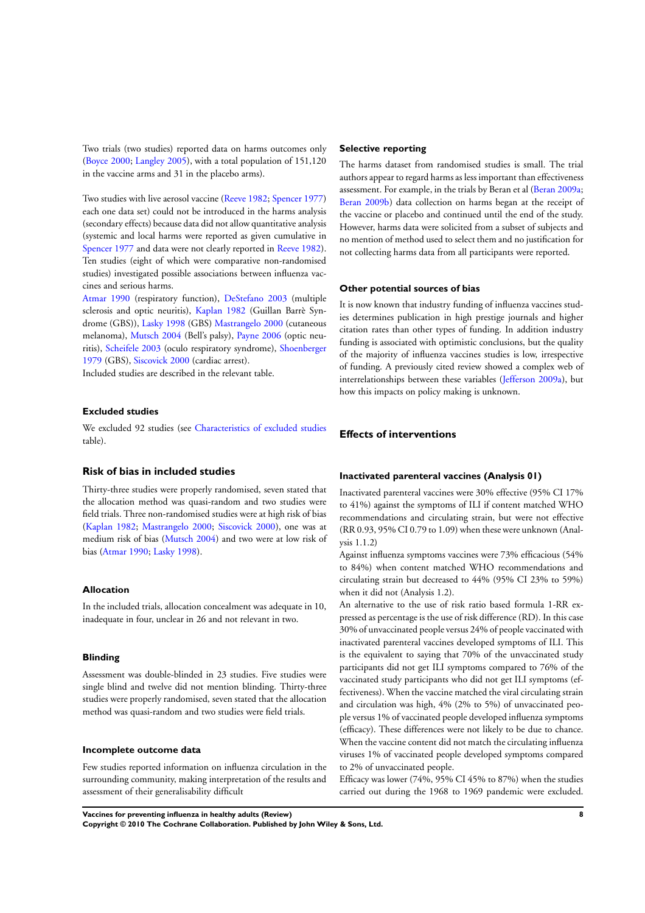Two trials (two studies) reported data on harms outcomes only [\(Boyce 2000](#page-15-0); [Langley 2005](#page-15-0)), with a total population of 151,120 in the vaccine arms and 31 in the placebo arms).

Two studies with live aerosol vaccine ([Reeve 1982;](#page-15-0) [Spencer 1977](#page-15-0)) each one data set) could not be introduced in the harms analysis (secondary effects) because data did not allow quantitative analysis (systemic and local harms were reported as given cumulative in [Spencer 1977](#page-15-0) and data were not clearly reported in [Reeve 1982](#page-15-0)). Ten studies (eight of which were comparative non-randomised studies) investigated possible associations between influenza vaccines and serious harms.

[Atmar 1990](#page-15-0) (respiratory function), [DeStefano 2003](#page-15-0) (multiple sclerosis and optic neuritis), [Kaplan 1982](#page-15-0) (Guillan Barrè Syndrome (GBS)), [Lasky 1998](#page-15-0) (GBS) [Mastrangelo 2000](#page-15-0) (cutaneous melanoma), [Mutsch 2004](#page-15-0) (Bell's palsy), [Payne 2006](#page-15-0) (optic neuritis), [Scheifele 2003](#page-15-0) (oculo respiratory syndrome), [Shoenberger](#page-15-0) [1979](#page-15-0) (GBS), [Siscovick 2000](#page-15-0) (cardiac arrest).

Included studies are described in the relevant table.

### **Excluded studies**

We excluded 92 studies (see [Characteristics of excluded studies](#page-67-0) table).

### **Risk of bias in included studies**

Thirty-three studies were properly randomised, seven stated that the allocation method was quasi-random and two studies were field trials. Three non-randomised studies were at high risk of bias [\(Kaplan 1982](#page-15-0); [Mastrangelo 2000](#page-15-0); [Siscovick 2000](#page-15-0)), one was at medium risk of bias [\(Mutsch 2004](#page-15-0)) and two were at low risk of bias ([Atmar 1990;](#page-15-0) [Lasky 1998\)](#page-15-0).

### **Allocation**

In the included trials, allocation concealment was adequate in 10, inadequate in four, unclear in 26 and not relevant in two.

### **Blinding**

Assessment was double-blinded in 23 studies. Five studies were single blind and twelve did not mention blinding. Thirty-three studies were properly randomised, seven stated that the allocation method was quasi-random and two studies were field trials.

### **Incomplete outcome data**

Few studies reported information on influenza circulation in the surrounding community, making interpretation of the results and assessment of their generalisability difficult

#### **Selective reporting**

The harms dataset from randomised studies is small. The trial authors appear to regard harms as less important than effectiveness assessment. For example, in the trials by Beran et al [\(Beran 2009a;](#page-15-0) [Beran 2009b](#page-15-0)) data collection on harms began at the receipt of the vaccine or placebo and continued until the end of the study. However, harms data were solicited from a subset of subjects and no mention of method used to select them and no justification for not collecting harms data from all participants were reported.

#### **Other potential sources of bias**

It is now known that industry funding of influenza vaccines studies determines publication in high prestige journals and higher citation rates than other types of funding. In addition industry funding is associated with optimistic conclusions, but the quality of the majority of influenza vaccines studies is low, irrespective of funding. A previously cited review showed a complex web of interrelationships between these variables ([Jefferson 2009a](#page-15-0)), but how this impacts on policy making is unknown.

### **Effects of interventions**

#### **Inactivated parenteral vaccines (Analysis 01)**

Inactivated parenteral vaccines were 30% effective (95% CI 17% to 41%) against the symptoms of ILI if content matched WHO recommendations and circulating strain, but were not effective (RR 0.93, 95% CI 0.79 to 1.09) when these were unknown (Analysis 1.1.2)

Against influenza symptoms vaccines were 73% efficacious (54% to 84%) when content matched WHO recommendations and circulating strain but decreased to 44% (95% CI 23% to 59%) when it did not (Analysis 1.2).

An alternative to the use of risk ratio based formula 1-RR expressed as percentage is the use of risk difference (RD). In this case 30% of unvaccinated people versus 24% of people vaccinated with inactivated parenteral vaccines developed symptoms of ILI. This is the equivalent to saying that 70% of the unvaccinated study participants did not get ILI symptoms compared to 76% of the vaccinated study participants who did not get ILI symptoms (effectiveness). When the vaccine matched the viral circulating strain and circulation was high, 4% (2% to 5%) of unvaccinated people versus 1% of vaccinated people developed influenza symptoms (efficacy). These differences were not likely to be due to chance. When the vaccine content did not match the circulating influenza viruses 1% of vaccinated people developed symptoms compared to 2% of unvaccinated people.

Efficacy was lower (74%, 95% CI 45% to 87%) when the studies carried out during the 1968 to 1969 pandemic were excluded.

**Vaccines for preventing influenza in healthy adults (Review) 8**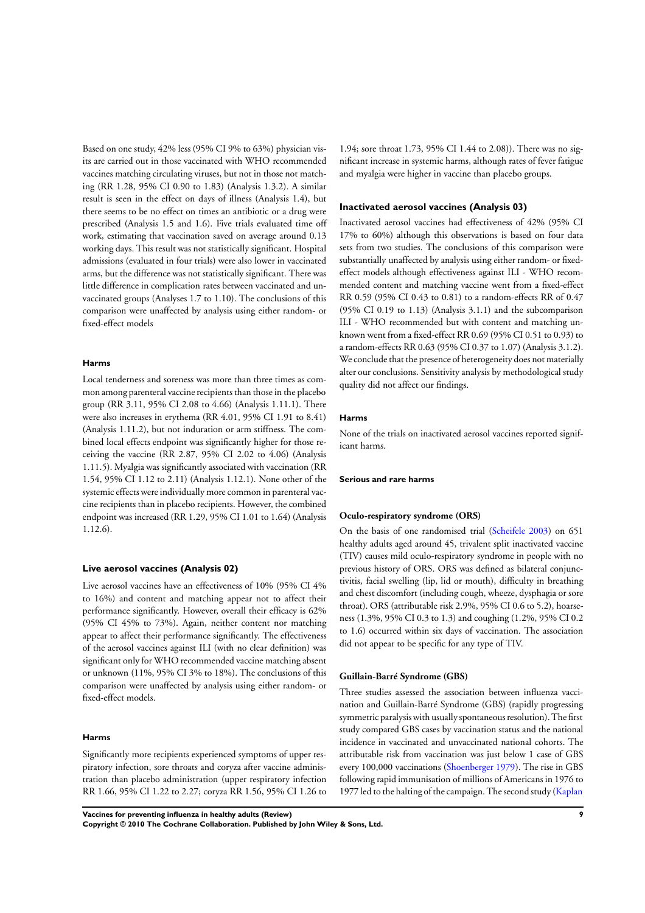Based on one study, 42% less (95% CI 9% to 63%) physician visits are carried out in those vaccinated with WHO recommended vaccines matching circulating viruses, but not in those not matching (RR 1.28, 95% CI 0.90 to 1.83) (Analysis 1.3.2). A similar result is seen in the effect on days of illness (Analysis 1.4), but there seems to be no effect on times an antibiotic or a drug were prescribed (Analysis 1.5 and 1.6). Five trials evaluated time off work, estimating that vaccination saved on average around 0.13 working days. This result was not statistically significant. Hospital admissions (evaluated in four trials) were also lower in vaccinated arms, but the difference was not statistically significant. There was little difference in complication rates between vaccinated and unvaccinated groups (Analyses 1.7 to 1.10). The conclusions of this comparison were unaffected by analysis using either random- or fixed-effect models

### **Harms**

Local tenderness and soreness was more than three times as common among parenteral vaccine recipients than those in the placebo group (RR 3.11, 95% CI 2.08 to 4.66) (Analysis 1.11.1). There were also increases in erythema (RR 4.01, 95% CI 1.91 to 8.41) (Analysis 1.11.2), but not induration or arm stiffness. The combined local effects endpoint was significantly higher for those receiving the vaccine (RR 2.87, 95% CI 2.02 to 4.06) (Analysis 1.11.5). Myalgia was significantly associated with vaccination (RR 1.54, 95% CI 1.12 to 2.11) (Analysis 1.12.1). None other of the systemic effects were individually more common in parenteral vaccine recipients than in placebo recipients. However, the combined endpoint was increased (RR 1.29, 95% CI 1.01 to 1.64) (Analysis 1.12.6).

### **Live aerosol vaccines (Analysis 02)**

Live aerosol vaccines have an effectiveness of 10% (95% CI 4% to 16%) and content and matching appear not to affect their performance significantly. However, overall their efficacy is 62% (95% CI 45% to 73%). Again, neither content nor matching appear to affect their performance significantly. The effectiveness of the aerosol vaccines against ILI (with no clear definition) was significant only for WHO recommended vaccine matching absent or unknown (11%, 95% CI 3% to 18%). The conclusions of this comparison were unaffected by analysis using either random- or fixed-effect models.

#### **Harms**

Significantly more recipients experienced symptoms of upper respiratory infection, sore throats and coryza after vaccine administration than placebo administration (upper respiratory infection RR 1.66, 95% CI 1.22 to 2.27; coryza RR 1.56, 95% CI 1.26 to

1.94; sore throat 1.73, 95% CI 1.44 to 2.08)). There was no significant increase in systemic harms, although rates of fever fatigue and myalgia were higher in vaccine than placebo groups.

### **Inactivated aerosol vaccines (Analysis 03)**

Inactivated aerosol vaccines had effectiveness of 42% (95% CI 17% to 60%) although this observations is based on four data sets from two studies. The conclusions of this comparison were substantially unaffected by analysis using either random- or fixedeffect models although effectiveness against ILI - WHO recommended content and matching vaccine went from a fixed-effect RR 0.59 (95% CI 0.43 to 0.81) to a random-effects RR of 0.47 (95% CI 0.19 to 1.13) (Analysis 3.1.1) and the subcomparison ILI - WHO recommended but with content and matching unknown went from a fixed-effect RR 0.69 (95% CI 0.51 to 0.93) to a random-effects RR 0.63 (95% CI 0.37 to 1.07) (Analysis 3.1.2). We conclude that the presence of heterogeneity does not materially alter our conclusions. Sensitivity analysis by methodological study quality did not affect our findings.

#### **Harms**

None of the trials on inactivated aerosol vaccines reported significant harms.

### **Serious and rare harms**

### **Oculo-respiratory syndrome (ORS)**

On the basis of one randomised trial ([Scheifele 2003\)](#page-15-0) on 651 healthy adults aged around 45, trivalent split inactivated vaccine (TIV) causes mild oculo-respiratory syndrome in people with no previous history of ORS. ORS was defined as bilateral conjunctivitis, facial swelling (lip, lid or mouth), difficulty in breathing and chest discomfort (including cough, wheeze, dysphagia or sore throat). ORS (attributable risk 2.9%, 95% CI 0.6 to 5.2), hoarseness (1.3%, 95% CI 0.3 to 1.3) and coughing (1.2%, 95% CI 0.2 to 1.6) occurred within six days of vaccination. The association did not appear to be specific for any type of TIV.

### **Guillain-Barré Syndrome (GBS)**

Three studies assessed the association between influenza vaccination and Guillain-Barré Syndrome (GBS) (rapidly progressing symmetric paralysis with usually spontaneous resolution).The first study compared GBS cases by vaccination status and the national incidence in vaccinated and unvaccinated national cohorts. The attributable risk from vaccination was just below 1 case of GBS every 100,000 vaccinations ([Shoenberger 1979](#page-15-0)). The rise in GBS following rapid immunisation of millions of Americans in 1976 to 1977 led to the halting of the campaign. The second study ([Kaplan](#page-15-0)

**Vaccines for preventing influenza in healthy adults (Review) 9**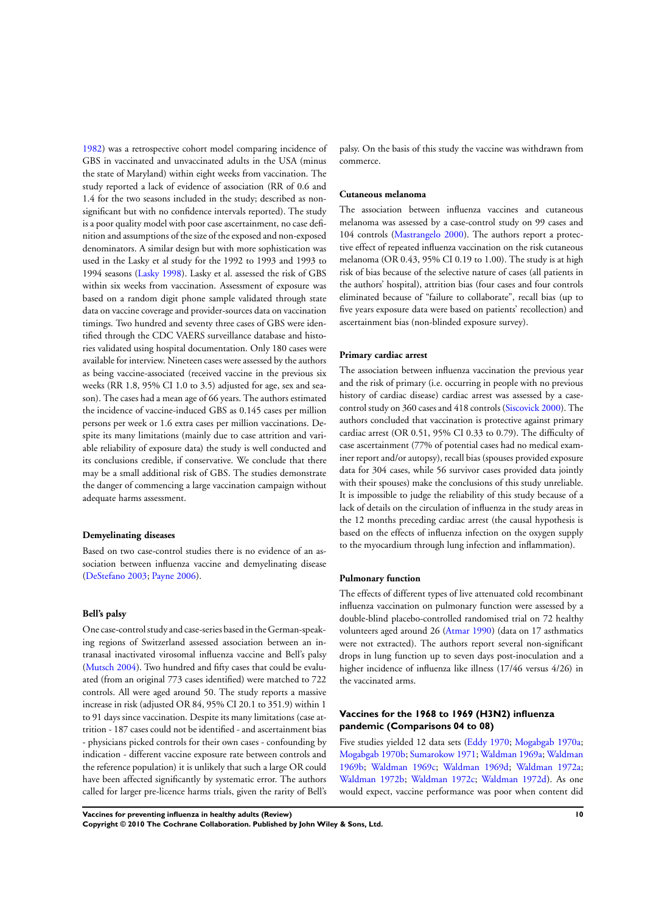[1982](#page-15-0)) was a retrospective cohort model comparing incidence of GBS in vaccinated and unvaccinated adults in the USA (minus the state of Maryland) within eight weeks from vaccination. The study reported a lack of evidence of association (RR of 0.6 and 1.4 for the two seasons included in the study; described as nonsignificant but with no confidence intervals reported). The study is a poor quality model with poor case ascertainment, no case definition and assumptions of the size of the exposed and non-exposed denominators. A similar design but with more sophistication was used in the Lasky et al study for the 1992 to 1993 and 1993 to 1994 seasons [\(Lasky 1998\)](#page-15-0). Lasky et al. assessed the risk of GBS within six weeks from vaccination. Assessment of exposure was based on a random digit phone sample validated through state data on vaccine coverage and provider-sources data on vaccination timings. Two hundred and seventy three cases of GBS were identified through the CDC VAERS surveillance database and histories validated using hospital documentation. Only 180 cases were available for interview. Nineteen cases were assessed by the authors as being vaccine-associated (received vaccine in the previous six weeks (RR 1.8, 95% CI 1.0 to 3.5) adjusted for age, sex and season). The cases had a mean age of 66 years. The authors estimated the incidence of vaccine-induced GBS as 0.145 cases per million persons per week or 1.6 extra cases per million vaccinations. Despite its many limitations (mainly due to case attrition and variable reliability of exposure data) the study is well conducted and its conclusions credible, if conservative. We conclude that there may be a small additional risk of GBS. The studies demonstrate the danger of commencing a large vaccination campaign without adequate harms assessment.

### **Demyelinating diseases**

Based on two case-control studies there is no evidence of an association between influenza vaccine and demyelinating disease [\(DeStefano 2003;](#page-15-0) [Payne 2006\)](#page-15-0).

### **Bell's palsy**

One case-control study and case-series based in the German-speaking regions of Switzerland assessed association between an intranasal inactivated virosomal influenza vaccine and Bell's palsy [\(Mutsch 2004\)](#page-15-0). Two hundred and fifty cases that could be evaluated (from an original 773 cases identified) were matched to 722 controls. All were aged around 50. The study reports a massive increase in risk (adjusted OR 84, 95% CI 20.1 to 351.9) within 1 to 91 days since vaccination. Despite its many limitations (case attrition - 187 cases could not be identified - and ascertainment bias - physicians picked controls for their own cases - confounding by indication - different vaccine exposure rate between controls and the reference population) it is unlikely that such a large OR could have been affected significantly by systematic error. The authors called for larger pre-licence harms trials, given the rarity of Bell's palsy. On the basis of this study the vaccine was withdrawn from commerce.

### **Cutaneous melanoma**

The association between influenza vaccines and cutaneous melanoma was assessed by a case-control study on 99 cases and 104 controls ([Mastrangelo 2000\)](#page-15-0). The authors report a protective effect of repeated influenza vaccination on the risk cutaneous melanoma (OR 0.43, 95% CI 0.19 to 1.00). The study is at high risk of bias because of the selective nature of cases (all patients in the authors' hospital), attrition bias (four cases and four controls eliminated because of "failure to collaborate", recall bias (up to five years exposure data were based on patients' recollection) and ascertainment bias (non-blinded exposure survey).

### **Primary cardiac arrest**

The association between influenza vaccination the previous year and the risk of primary (i.e. occurring in people with no previous history of cardiac disease) cardiac arrest was assessed by a casecontrol study on 360 cases and 418 controls [\(Siscovick 2000](#page-15-0)). The authors concluded that vaccination is protective against primary cardiac arrest (OR 0.51, 95% CI 0.33 to 0.79). The difficulty of case ascertainment (77% of potential cases had no medical examiner report and/or autopsy), recall bias (spouses provided exposure data for 304 cases, while 56 survivor cases provided data jointly with their spouses) make the conclusions of this study unreliable. It is impossible to judge the reliability of this study because of a lack of details on the circulation of influenza in the study areas in the 12 months preceding cardiac arrest (the causal hypothesis is based on the effects of influenza infection on the oxygen supply to the myocardium through lung infection and inflammation).

### **Pulmonary function**

The effects of different types of live attenuated cold recombinant influenza vaccination on pulmonary function were assessed by a double-blind placebo-controlled randomised trial on 72 healthy volunteers aged around 26 [\(Atmar 1990\)](#page-15-0) (data on 17 asthmatics were not extracted). The authors report several non-significant drops in lung function up to seven days post-inoculation and a higher incidence of influenza like illness (17/46 versus 4/26) in the vaccinated arms.

### **Vaccines for the 1968 to 1969 (H3N2) influenza pandemic (Comparisons 04 to 08)**

Five studies yielded 12 data sets ([Eddy 1970;](#page-15-0) [Mogabgab 1970a;](#page-15-0) [Mogabgab 1970b](#page-15-0); [Sumarokow 1971](#page-15-0); [Waldman 1969a](#page-15-0); [Waldman](#page-15-0) [1969b;](#page-15-0) [Waldman 1969c](#page-15-0); [Waldman 1969d](#page-15-0); [Waldman 1972a;](#page-15-0) [Waldman 1972b](#page-15-0); [Waldman 1972c](#page-15-0); [Waldman 1972d](#page-15-0)). As one would expect, vaccine performance was poor when content did

**Vaccines for preventing influenza in healthy adults (Review) 10**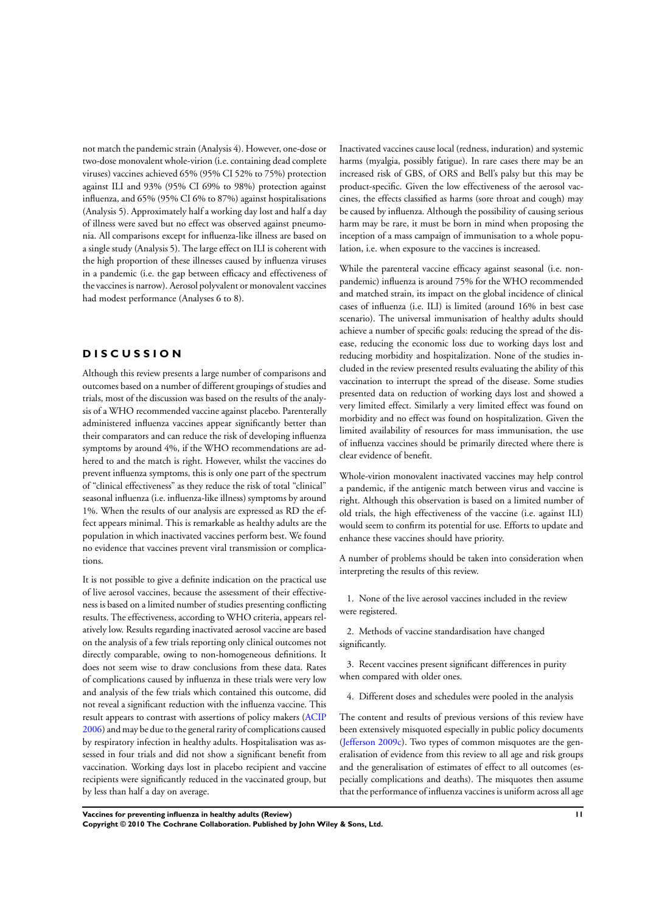not match the pandemic strain (Analysis 4). However, one-dose or two-dose monovalent whole-virion (i.e. containing dead complete viruses) vaccines achieved 65% (95% CI 52% to 75%) protection against ILI and 93% (95% CI 69% to 98%) protection against influenza, and 65% (95% CI 6% to 87%) against hospitalisations (Analysis 5). Approximately half a working day lost and half a day of illness were saved but no effect was observed against pneumonia. All comparisons except for influenza-like illness are based on a single study (Analysis 5). The large effect on ILI is coherent with the high proportion of these illnesses caused by influenza viruses in a pandemic (i.e. the gap between efficacy and effectiveness of the vaccines is narrow). Aerosol polyvalent or monovalent vaccines had modest performance (Analyses 6 to 8).

## **D I S C U S S I O N**

Although this review presents a large number of comparisons and outcomes based on a number of different groupings of studies and trials, most of the discussion was based on the results of the analysis of a WHO recommended vaccine against placebo. Parenterally administered influenza vaccines appear significantly better than their comparators and can reduce the risk of developing influenza symptoms by around 4%, if the WHO recommendations are adhered to and the match is right. However, whilst the vaccines do prevent influenza symptoms, this is only one part of the spectrum of "clinical effectiveness" as they reduce the risk of total "clinical" seasonal influenza (i.e. influenza-like illness) symptoms by around 1%. When the results of our analysis are expressed as RD the effect appears minimal. This is remarkable as healthy adults are the population in which inactivated vaccines perform best. We found no evidence that vaccines prevent viral transmission or complications.

It is not possible to give a definite indication on the practical use of live aerosol vaccines, because the assessment of their effectiveness is based on a limited number of studies presenting conflicting results. The effectiveness, according to WHO criteria, appears relatively low. Results regarding inactivated aerosol vaccine are based on the analysis of a few trials reporting only clinical outcomes not directly comparable, owing to non-homogeneous definitions. It does not seem wise to draw conclusions from these data. Rates of complications caused by influenza in these trials were very low and analysis of the few trials which contained this outcome, did not reveal a significant reduction with the influenza vaccine. This result appears to contrast with assertions of policy makers [\(ACIP](#page-15-0) [2006](#page-15-0)) and may be due to the general rarity of complications caused by respiratory infection in healthy adults. Hospitalisation was assessed in four trials and did not show a significant benefit from vaccination. Working days lost in placebo recipient and vaccine recipients were significantly reduced in the vaccinated group, but by less than half a day on average.

Inactivated vaccines cause local (redness, induration) and systemic harms (myalgia, possibly fatigue). In rare cases there may be an increased risk of GBS, of ORS and Bell's palsy but this may be product-specific. Given the low effectiveness of the aerosol vaccines, the effects classified as harms (sore throat and cough) may be caused by influenza. Although the possibility of causing serious harm may be rare, it must be born in mind when proposing the inception of a mass campaign of immunisation to a whole population, i.e. when exposure to the vaccines is increased.

While the parenteral vaccine efficacy against seasonal (i.e. nonpandemic) influenza is around 75% for the WHO recommended and matched strain, its impact on the global incidence of clinical cases of influenza (i.e. ILI) is limited (around 16% in best case scenario). The universal immunisation of healthy adults should achieve a number of specific goals: reducing the spread of the disease, reducing the economic loss due to working days lost and reducing morbidity and hospitalization. None of the studies included in the review presented results evaluating the ability of this vaccination to interrupt the spread of the disease. Some studies presented data on reduction of working days lost and showed a very limited effect. Similarly a very limited effect was found on morbidity and no effect was found on hospitalization. Given the limited availability of resources for mass immunisation, the use of influenza vaccines should be primarily directed where there is clear evidence of benefit.

Whole-virion monovalent inactivated vaccines may help control a pandemic, if the antigenic match between virus and vaccine is right. Although this observation is based on a limited number of old trials, the high effectiveness of the vaccine (i.e. against ILI) would seem to confirm its potential for use. Efforts to update and enhance these vaccines should have priority.

A number of problems should be taken into consideration when interpreting the results of this review.

1. None of the live aerosol vaccines included in the review were registered.

2. Methods of vaccine standardisation have changed significantly.

3. Recent vaccines present significant differences in purity when compared with older ones.

4. Different doses and schedules were pooled in the analysis

The content and results of previous versions of this review have been extensively misquoted especially in public policy documents [\(Jefferson 2009c](#page-15-0)). Two types of common misquotes are the generalisation of evidence from this review to all age and risk groups and the generalisation of estimates of effect to all outcomes (especially complications and deaths). The misquotes then assume that the performance of influenza vaccines is uniform across all age

**Vaccines for preventing influenza in healthy adults (Review) 11**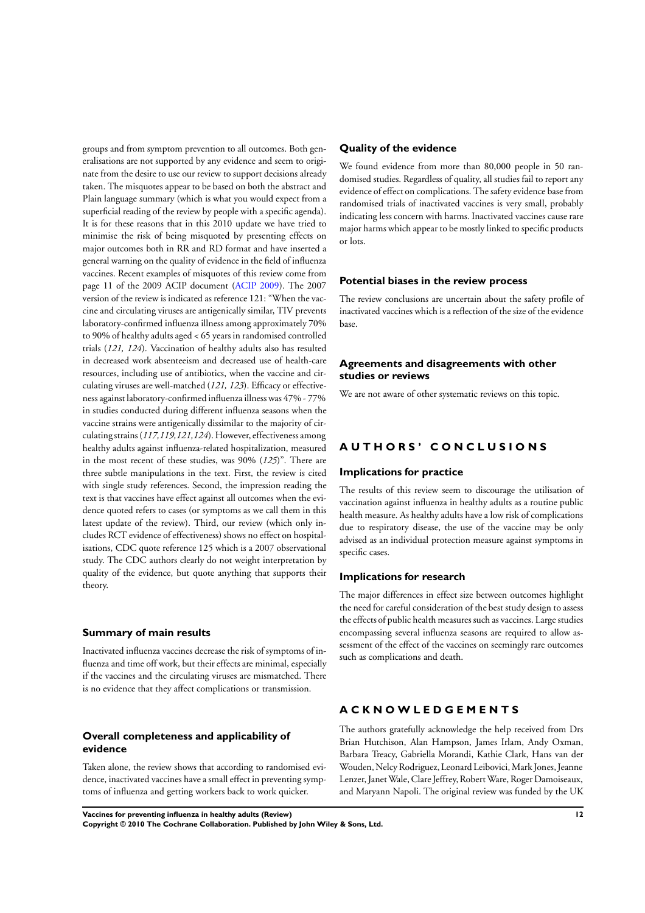groups and from symptom prevention to all outcomes. Both generalisations are not supported by any evidence and seem to originate from the desire to use our review to support decisions already taken. The misquotes appear to be based on both the abstract and Plain language summary (which is what you would expect from a superficial reading of the review by people with a specific agenda). It is for these reasons that in this 2010 update we have tried to minimise the risk of being misquoted by presenting effects on major outcomes both in RR and RD format and have inserted a general warning on the quality of evidence in the field of influenza vaccines. Recent examples of misquotes of this review come from page 11 of the 2009 ACIP document ([ACIP 2009\)](#page-15-0). The 2007 version of the review is indicated as reference 121: "When the vaccine and circulating viruses are antigenically similar, TIV prevents laboratory-confirmed influenza illness among approximately 70% to 90% of healthy adults aged < 65 years in randomised controlled trials (*121, 124*). Vaccination of healthy adults also has resulted in decreased work absenteeism and decreased use of health-care resources, including use of antibiotics, when the vaccine and circulating viruses are well-matched (*121, 123*). Efficacy or effectiveness against laboratory-confirmed influenza illness was 47% - 77% in studies conducted during different influenza seasons when the vaccine strains were antigenically dissimilar to the majority of circulating strains (*117,119,121,124*). However, effectiveness among healthy adults against influenza-related hospitalization, measured in the most recent of these studies, was 90% (*125*)". There are three subtle manipulations in the text. First, the review is cited with single study references. Second, the impression reading the text is that vaccines have effect against all outcomes when the evidence quoted refers to cases (or symptoms as we call them in this latest update of the review). Third, our review (which only includes RCT evidence of effectiveness) shows no effect on hospitalisations, CDC quote reference 125 which is a 2007 observational study. The CDC authors clearly do not weight interpretation by quality of the evidence, but quote anything that supports their theory.

### **Summary of main results**

Inactivated influenza vaccines decrease the risk of symptoms of influenza and time off work, but their effects are minimal, especially if the vaccines and the circulating viruses are mismatched. There is no evidence that they affect complications or transmission.

## **Overall completeness and applicability of evidence**

Taken alone, the review shows that according to randomised evidence, inactivated vaccines have a small effect in preventing symptoms of influenza and getting workers back to work quicker.

## **Quality of the evidence**

We found evidence from more than 80,000 people in 50 randomised studies. Regardless of quality, all studies fail to report any evidence of effect on complications. The safety evidence base from randomised trials of inactivated vaccines is very small, probably indicating less concern with harms. Inactivated vaccines cause rare major harms which appear to be mostly linked to specific products or lots.

### **Potential biases in the review process**

The review conclusions are uncertain about the safety profile of inactivated vaccines which is a reflection of the size of the evidence base.

## **Agreements and disagreements with other studies or reviews**

We are not aware of other systematic reviews on this topic.

## **A U T H O R S ' C O N C L U S I O N S**

### **Implications for practice**

The results of this review seem to discourage the utilisation of vaccination against influenza in healthy adults as a routine public health measure. As healthy adults have a low risk of complications due to respiratory disease, the use of the vaccine may be only advised as an individual protection measure against symptoms in specific cases.

### **Implications for research**

The major differences in effect size between outcomes highlight the need for careful consideration of the best study design to assess the effects of public health measures such as vaccines. Large studies encompassing several influenza seasons are required to allow assessment of the effect of the vaccines on seemingly rare outcomes such as complications and death.

## **A C K N O W L E D G E M E N T S**

The authors gratefully acknowledge the help received from Drs Brian Hutchison, Alan Hampson, James Irlam, Andy Oxman, Barbara Treacy, Gabriella Morandi, Kathie Clark, Hans van der Wouden, Nelcy Rodriguez, Leonard Leibovici, Mark Jones, Jeanne Lenzer, Janet Wale, Clare Jeffrey, Robert Ware, Roger Damoiseaux, and Maryann Napoli. The original review was funded by the UK

**Vaccines for preventing influenza in healthy adults (Review) 12**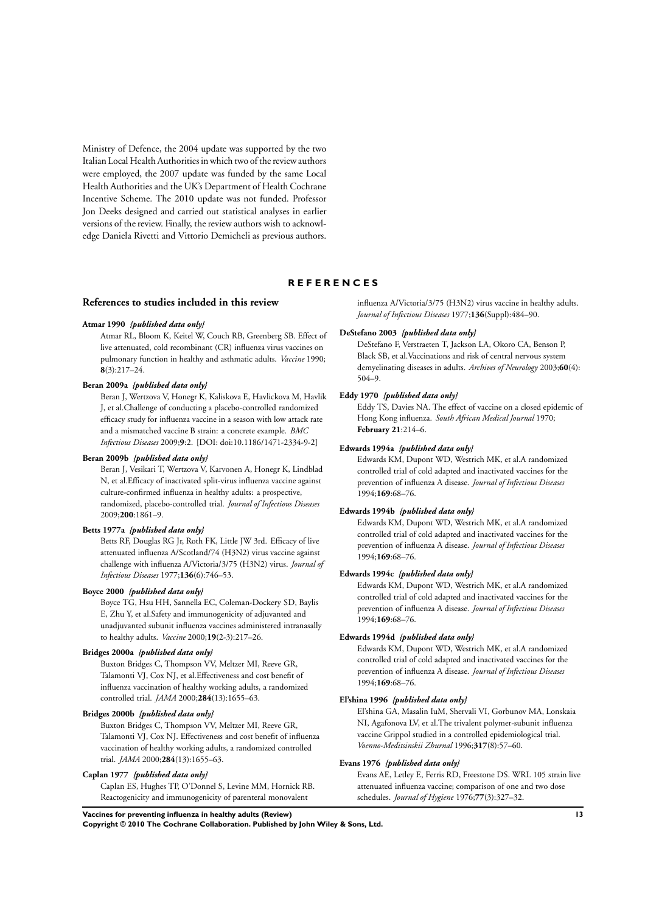<span id="page-15-0"></span>Ministry of Defence, the 2004 update was supported by the two Italian Local Health Authorities in which two of the review authors were employed, the 2007 update was funded by the same Local Health Authorities and the UK's Department of Health Cochrane Incentive Scheme. The 2010 update was not funded. Professor Jon Deeks designed and carried out statistical analyses in earlier versions of the review. Finally, the review authors wish to acknowledge Daniela Rivetti and Vittorio Demicheli as previous authors.

### **R E F E R E N C E S**

### **References to studies included in this review**

#### **Atmar 1990** *{published data only}*

Atmar RL, Bloom K, Keitel W, Couch RB, Greenberg SB. Effect of live attenuated, cold recombinant (CR) influenza virus vaccines on pulmonary function in healthy and asthmatic adults. *Vaccine* 1990; **8**(3):217–24.

### **Beran 2009a** *{published data only}*

Beran J, Wertzova V, Honegr K, Kaliskova E, Havlickova M, Havlik J, et al.Challenge of conducting a placebo-controlled randomized efficacy study for influenza vaccine in a season with low attack rate and a mismatched vaccine B strain: a concrete example. *BMC Infectious Diseases* 2009;**9**:2. [DOI: doi:10.1186/1471-2334-9-2]

### **Beran 2009b** *{published data only}*

Beran J, Vesikari T, Wertzova V, Karvonen A, Honegr K, Lindblad N, et al.Efficacy of inactivated split-virus influenza vaccine against culture-confirmed influenza in healthy adults: a prospective, randomized, placebo-controlled trial. *Journal of Infectious Diseases* 2009;**200**:1861–9.

### **Betts 1977a** *{published data only}*

Betts RF, Douglas RG Jr, Roth FK, Little JW 3rd. Efficacy of live attenuated influenza A/Scotland/74 (H3N2) virus vaccine against challenge with influenza A/Victoria/3/75 (H3N2) virus. *Journal of Infectious Diseases* 1977;**136**(6):746–53.

### **Boyce 2000** *{published data only}*

Boyce TG, Hsu HH, Sannella EC, Coleman-Dockery SD, Baylis E, Zhu Y, et al.Safety and immunogenicity of adjuvanted and unadjuvanted subunit influenza vaccines administered intranasally to healthy adults. *Vaccine* 2000;**19**(2-3):217–26.

### **Bridges 2000a** *{published data only}*

Buxton Bridges C, Thompson VV, Meltzer MI, Reeve GR, Talamonti VJ, Cox NJ, et al.Effectiveness and cost benefit of influenza vaccination of healthy working adults, a randomized controlled trial. *JAMA* 2000;**284**(13):1655–63.

### **Bridges 2000b** *{published data only}*

Buxton Bridges C, Thompson VV, Meltzer MI, Reeve GR, Talamonti VJ, Cox NJ. Effectiveness and cost benefit of influenza vaccination of healthy working adults, a randomized controlled trial. *JAMA* 2000;**284**(13):1655–63.

#### **Caplan 1977** *{published data only}*

Caplan ES, Hughes TP, O'Donnel S, Levine MM, Hornick RB. Reactogenicity and immunogenicity of parenteral monovalent

influenza A/Victoria/3/75 (H3N2) virus vaccine in healthy adults. *Journal of Infectious Diseases* 1977;**136**(Suppl):484–90.

#### **DeStefano 2003** *{published data only}*

DeStefano F, Verstraeten T, Jackson LA, Okoro CA, Benson P, Black SB, et al.Vaccinations and risk of central nervous system demyelinating diseases in adults. *Archives of Neurology* 2003;**60**(4): 504–9.

#### **Eddy 1970** *{published data only}*

Eddy TS, Davies NA. The effect of vaccine on a closed epidemic of Hong Kong influenza. *South African Medical Journal* 1970; **February 21**:214–6.

#### **Edwards 1994a** *{published data only}*

Edwards KM, Dupont WD, Westrich MK, et al.A randomized controlled trial of cold adapted and inactivated vaccines for the prevention of influenza A disease. *Journal of Infectious Diseases* 1994;**169**:68–76.

### **Edwards 1994b** *{published data only}*

Edwards KM, Dupont WD, Westrich MK, et al.A randomized controlled trial of cold adapted and inactivated vaccines for the prevention of influenza A disease. *Journal of Infectious Diseases* 1994;**169**:68–76.

### **Edwards 1994c** *{published data only}*

Edwards KM, Dupont WD, Westrich MK, et al.A randomized controlled trial of cold adapted and inactivated vaccines for the prevention of influenza A disease. *Journal of Infectious Diseases* 1994;**169**:68–76.

### **Edwards 1994d** *{published data only}*

Edwards KM, Dupont WD, Westrich MK, et al.A randomized controlled trial of cold adapted and inactivated vaccines for the prevention of influenza A disease. *Journal of Infectious Diseases* 1994;**169**:68–76.

### **El'shina 1996** *{published data only}*

El'shina GA, Masalin IuM, Shervali VI, Gorbunov MA, Lonskaia NI, Agafonova LV, et al.The trivalent polymer-subunit influenza vaccine Grippol studied in a controlled epidemiological trial. *Voenno-Meditsinskii Zhurnal* 1996;**317**(8):57–60.

#### **Evans 1976** *{published data only}*

Evans AE, Letley E, Ferris RD, Freestone DS. WRL 105 strain live attenuated influenza vaccine; comparison of one and two dose schedules. *Journal of Hygiene* 1976;**77**(3):327–32.

**Vaccines for preventing influenza in healthy adults (Review) 13**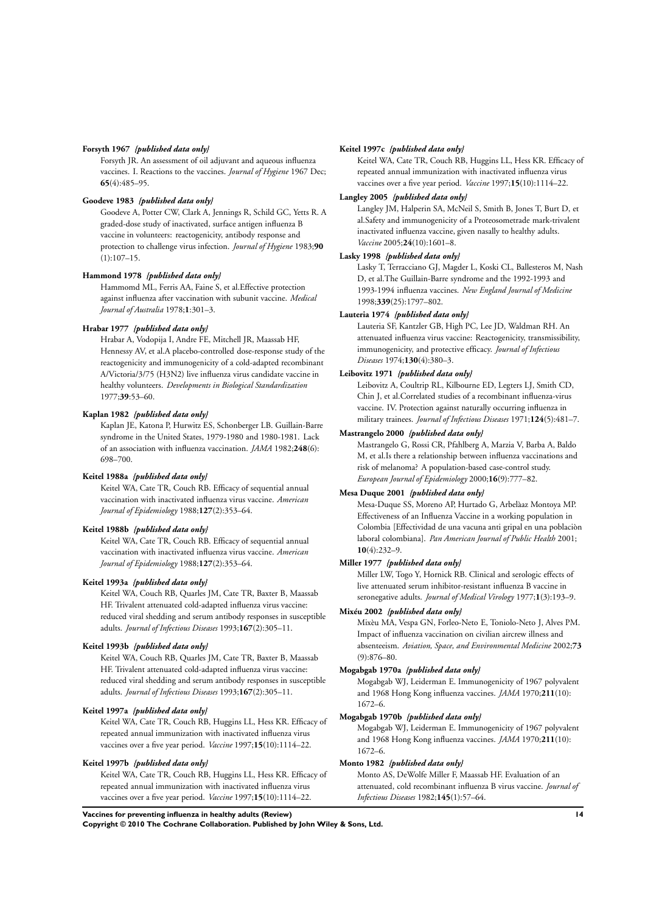### **Forsyth 1967** *{published data only}*

Forsyth JR. An assessment of oil adjuvant and aqueous influenza vaccines. I. Reactions to the vaccines. *Journal of Hygiene* 1967 Dec; **65**(4):485–95.

### **Goodeve 1983** *{published data only}*

Goodeve A, Potter CW, Clark A, Jennings R, Schild GC, Yetts R. A graded-dose study of inactivated, surface antigen influenza B vaccine in volunteers: reactogenicity, antibody response and protection to challenge virus infection. *Journal of Hygiene* 1983;**90** (1):107–15.

#### **Hammond 1978** *{published data only}*

Hammomd ML, Ferris AA, Faine S, et al.Effective protection against influenza after vaccination with subunit vaccine. *Medical Journal of Australia* 1978;**1**:301–3.

### **Hrabar 1977** *{published data only}*

Hrabar A, Vodopija I, Andre FE, Mitchell JR, Maassab HF, Hennessy AV, et al.A placebo-controlled dose-response study of the reactogenicity and immunogenicity of a cold-adapted recombinant A/Victoria/3/75 (H3N2) live influenza virus candidate vaccine in healthy volunteers. *Developments in Biological Standardization* 1977;**39**:53–60.

### **Kaplan 1982** *{published data only}*

Kaplan JE, Katona P, Hurwitz ES, Schonberger LB. Guillain-Barre syndrome in the United States, 1979-1980 and 1980-1981. Lack of an association with influenza vaccination. *JAMA* 1982;**248**(6): 698–700.

#### **Keitel 1988a** *{published data only}*

Keitel WA, Cate TR, Couch RB. Efficacy of sequential annual vaccination with inactivated influenza virus vaccine. *American Journal of Epidemiology* 1988;**127**(2):353–64.

### **Keitel 1988b** *{published data only}*

Keitel WA, Cate TR, Couch RB. Efficacy of sequential annual vaccination with inactivated influenza virus vaccine. *American Journal of Epidemiology* 1988;**127**(2):353–64.

#### **Keitel 1993a** *{published data only}*

Keitel WA, Couch RB, Quarles JM, Cate TR, Baxter B, Maassab HF. Trivalent attenuated cold-adapted influenza virus vaccine: reduced viral shedding and serum antibody responses in susceptible adults. *Journal of Infectious Diseases* 1993;**167**(2):305–11.

### **Keitel 1993b** *{published data only}*

Keitel WA, Couch RB, Quarles JM, Cate TR, Baxter B, Maassab HF. Trivalent attenuated cold-adapted influenza virus vaccine: reduced viral shedding and serum antibody responses in susceptible adults. *Journal of Infectious Diseases* 1993;**167**(2):305–11.

#### **Keitel 1997a** *{published data only}*

Keitel WA, Cate TR, Couch RB, Huggins LL, Hess KR. Efficacy of repeated annual immunization with inactivated influenza virus vaccines over a five year period. *Vaccine* 1997;**15**(10):1114–22.

#### **Keitel 1997b** *{published data only}*

Keitel WA, Cate TR, Couch RB, Huggins LL, Hess KR. Efficacy of repeated annual immunization with inactivated influenza virus vaccines over a five year period. *Vaccine* 1997;**15**(10):1114–22.

#### **Keitel 1997c** *{published data only}*

Keitel WA, Cate TR, Couch RB, Huggins LL, Hess KR. Efficacy of repeated annual immunization with inactivated influenza virus vaccines over a five year period. *Vaccine* 1997;**15**(10):1114–22.

### **Langley 2005** *{published data only}*

Langley JM, Halperin SA, McNeil S, Smith B, Jones T, Burt D, et al.Safety and immunogenicity of a Proteosometrade mark-trivalent inactivated influenza vaccine, given nasally to healthy adults. *Vaccine* 2005;**24**(10):1601–8.

### **Lasky 1998** *{published data only}*

Lasky T, Terracciano GJ, Magder L, Koski CL, Ballesteros M, Nash D, et al.The Guillain-Barre syndrome and the 1992-1993 and 1993-1994 influenza vaccines. *New England Journal of Medicine* 1998;**339**(25):1797–802.

### **Lauteria 1974** *{published data only}*

Lauteria SF, Kantzler GB, High PC, Lee JD, Waldman RH. An attenuated influenza virus vaccine: Reactogenicity, transmissibility, immunogenicity, and protective efficacy. *Journal of Infectious Diseases* 1974;**130**(4):380–3.

### **Leibovitz 1971** *{published data only}*

Leibovitz A, Coultrip RL, Kilbourne ED, Legters LJ, Smith CD, Chin J, et al.Correlated studies of a recombinant influenza-virus vaccine. IV. Protection against naturally occurring influenza in military trainees. *Journal of Infectious Diseases* 1971;**124**(5):481–7.

### **Mastrangelo 2000** *{published data only}*

Mastrangelo G, Rossi CR, Pfahlberg A, Marzia V, Barba A, Baldo M, et al.Is there a relationship between influenza vaccinations and risk of melanoma? A population-based case-control study. *European Journal of Epidemiology* 2000;**16**(9):777–82.

### **Mesa Duque 2001** *{published data only}*

Mesa-Duque SS, Moreno AP, Hurtado G, Arbelàaz Montoya MP. Effectiveness of an Influenza Vaccine in a working population in Colombia [Effectividad de una vacuna anti gripal en una poblaciòn laboral colombiana]. *Pan American Journal of Public Health* 2001; **10**(4):232–9.

#### **Miller 1977** *{published data only}*

Miller LW, Togo Y, Hornick RB. Clinical and serologic effects of live attenuated serum inhibitor-resistant influenza B vaccine in seronegative adults. *Journal of Medical Virology* 1977;**1**(3):193–9.

### **Mixéu 2002** *{published data only}*

Mixèu MA, Vespa GN, Forleo-Neto E, Toniolo-Neto J, Alves PM. Impact of influenza vaccination on civilian aircrew illness and absenteeism. *Aviation, Space, and Environmental Medicine* 2002;**73** (9):876–80.

### **Mogabgab 1970a** *{published data only}*

Mogabgab WJ, Leiderman E. Immunogenicity of 1967 polyvalent and 1968 Hong Kong influenza vaccines. *JAMA* 1970;**211**(10): 1672–6.

### **Mogabgab 1970b** *{published data only}*

Mogabgab WJ, Leiderman E. Immunogenicity of 1967 polyvalent and 1968 Hong Kong influenza vaccines. *JAMA* 1970;**211**(10): 1672–6.

### **Monto 1982** *{published data only}*

Monto AS, DeWolfe Miller F, Maassab HF. Evaluation of an attenuated, cold recombinant influenza B virus vaccine. *Journal of Infectious Diseases* 1982;**145**(1):57–64.

**Vaccines for preventing influenza in healthy adults (Review) 14**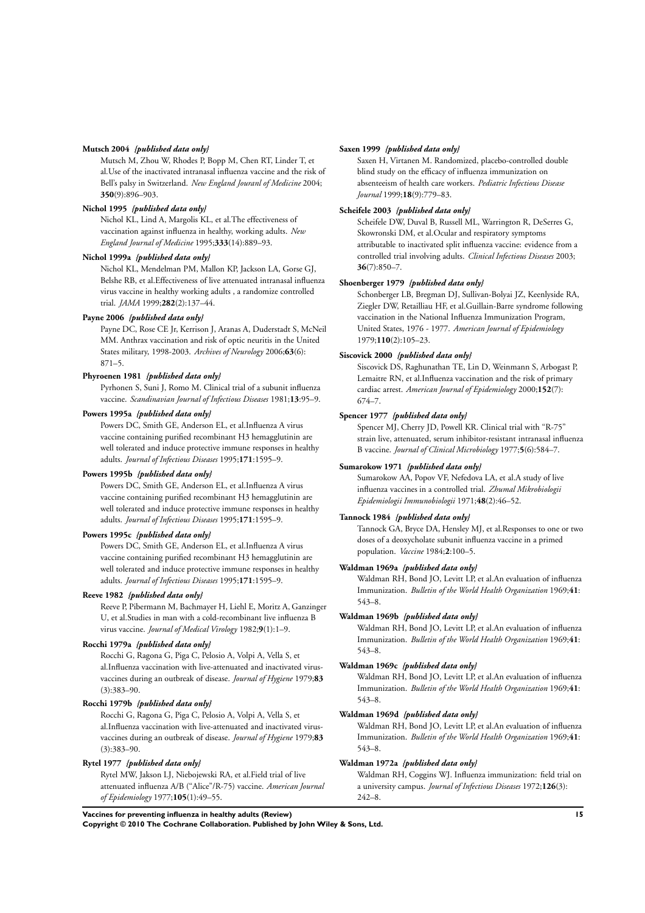### **Mutsch 2004** *{published data only}*

Mutsch M, Zhou W, Rhodes P, Bopp M, Chen RT, Linder T, et al.Use of the inactivated intranasal influenza vaccine and the risk of Bell's palsy in Switzerland. *New England Jouranl of Medicine* 2004; **350**(9):896–903.

## **Nichol 1995** *{published data only}*

Nichol KL, Lind A, Margolis KL, et al.The effectiveness of vaccination against influenza in healthy, working adults. *New England Journal of Medicine* 1995;**333**(14):889–93.

### **Nichol 1999a** *{published data only}*

Nichol KL, Mendelman PM, Mallon KP, Jackson LA, Gorse GJ, Belshe RB, et al.Effectiveness of live attenuated intranasal influenza virus vaccine in healthy working adults , a randomize controlled trial. *JAMA* 1999;**282**(2):137–44.

### **Payne 2006** *{published data only}*

Payne DC, Rose CE Jr, Kerrison J, Aranas A, Duderstadt S, McNeil MM. Anthrax vaccination and risk of optic neuritis in the United States military, 1998-2003. *Archives of Neurology* 2006;**63**(6): 871–5.

#### **Phyroenen 1981** *{published data only}*

Pyrhonen S, Suni J, Romo M. Clinical trial of a subunit influenza vaccine. *Scandinavian Journal of Infectious Diseases* 1981;**13**:95–9.

### **Powers 1995a** *{published data only}*

Powers DC, Smith GE, Anderson EL, et al.Influenza A virus vaccine containing purified recombinant H3 hemagglutinin are well tolerated and induce protective immune responses in healthy adults. *Journal of Infectious Diseases* 1995;**171**:1595–9.

### **Powers 1995b** *{published data only}*

Powers DC, Smith GE, Anderson EL, et al.Influenza A virus vaccine containing purified recombinant H3 hemagglutinin are well tolerated and induce protective immune responses in healthy adults. *Journal of Infectious Diseases* 1995;**171**:1595–9.

### **Powers 1995c** *{published data only}*

Powers DC, Smith GE, Anderson EL, et al.Influenza A virus vaccine containing purified recombinant H3 hemagglutinin are well tolerated and induce protective immune responses in healthy adults. *Journal of Infectious Diseases* 1995;**171**:1595–9.

#### **Reeve 1982** *{published data only}*

Reeve P, Pibermann M, Bachmayer H, Liehl E, Moritz A, Ganzinger U, et al.Studies in man with a cold-recombinant live influenza B virus vaccine. *Journal of Medical Virology* 1982;**9**(1):1–9.

### **Rocchi 1979a** *{published data only}*

Rocchi G, Ragona G, Piga C, Pelosio A, Volpi A, Vella S, et al.Influenza vaccination with live-attenuated and inactivated virusvaccines during an outbreak of disease. *Journal of Hygiene* 1979;**83** (3):383–90.

### **Rocchi 1979b** *{published data only}*

Rocchi G, Ragona G, Piga C, Pelosio A, Volpi A, Vella S, et al.Influenza vaccination with live-attenuated and inactivated virusvaccines during an outbreak of disease. *Journal of Hygiene* 1979;**83** (3):383–90.

### **Rytel 1977** *{published data only}*

Rytel MW, Jakson LJ, Niebojewski RA, et al.Field trial of live attenuated influenza A/B ("Alice"/R-75) vaccine. *American Journal of Epidemiology* 1977;**105**(1):49–55.

#### **Saxen 1999** *{published data only}*

Saxen H, Virtanen M. Randomized, placebo-controlled double blind study on the efficacy of influenza immunization on absenteeism of health care workers. *Pediatric Infectious Disease Journal* 1999;**18**(9):779–83.

### **Scheifele 2003** *{published data only}*

Scheifele DW, Duval B, Russell ML, Warrington R, DeSerres G, Skowronski DM, et al.Ocular and respiratory symptoms attributable to inactivated split influenza vaccine: evidence from a controlled trial involving adults. *Clinical Infectious Diseases* 2003; **36**(7):850–7.

### **Shoenberger 1979** *{published data only}*

Schonberger LB, Bregman DJ, Sullivan-Bolyai JZ, Keenlyside RA, Ziegler DW, Retailliau HF, et al.Guillain-Barre syndrome following vaccination in the National Influenza Immunization Program, United States, 1976 - 1977. *American Journal of Epidemiology* 1979;**110**(2):105–23.

### **Siscovick 2000** *{published data only}*

Siscovick DS, Raghunathan TE, Lin D, Weinmann S, Arbogast P, Lemaitre RN, et al.Influenza vaccination and the risk of primary cardiac arrest. *American Journal of Epidemiology* 2000;**152**(7): 674–7.

#### **Spencer 1977** *{published data only}*

Spencer MJ, Cherry JD, Powell KR. Clinical trial with "R-75" strain live, attenuated, serum inhibitor-resistant intranasal influenza B vaccine. *Journal of Clinical Microbiology* 1977;**5**(6):584–7.

### **Sumarokow 1971** *{published data only}*

Sumarokow AA, Popov VF, Nefedova LA, et al.A study of live influenza vaccines in a controlled trial. *Zhumal Mikrobiologii Epidemiologii Immunobiologii* 1971;**48**(2):46–52.

## **Tannock 1984** *{published data only}*

Tannock GA, Bryce DA, Hensley MJ, et al.Responses to one or two doses of a deoxycholate subunit influenza vaccine in a primed population. *Vaccine* 1984;**2**:100–5.

#### **Waldman 1969a** *{published data only}*

Waldman RH, Bond JO, Levitt LP, et al.An evaluation of influenza Immunization. *Bulletin of the World Health Organization* 1969;**41**: 543–8.

#### **Waldman 1969b** *{published data only}*

Waldman RH, Bond JO, Levitt LP, et al.An evaluation of influenza Immunization. *Bulletin of the World Health Organization* 1969;**41**: 543–8.

#### **Waldman 1969c** *{published data only}*

Waldman RH, Bond JO, Levitt LP, et al.An evaluation of influenza Immunization. *Bulletin of the World Health Organization* 1969;**41**: 543–8.

#### **Waldman 1969d** *{published data only}*

Waldman RH, Bond JO, Levitt LP, et al.An evaluation of influenza Immunization. *Bulletin of the World Health Organization* 1969;**41**: 543–8.

### **Waldman 1972a** *{published data only}*

Waldman RH, Coggins WJ. Influenza immunization: field trial on a university campus. *Journal of Infectious Diseases* 1972;**126**(3): 242–8.

**Vaccines for preventing influenza in healthy adults (Review) 15**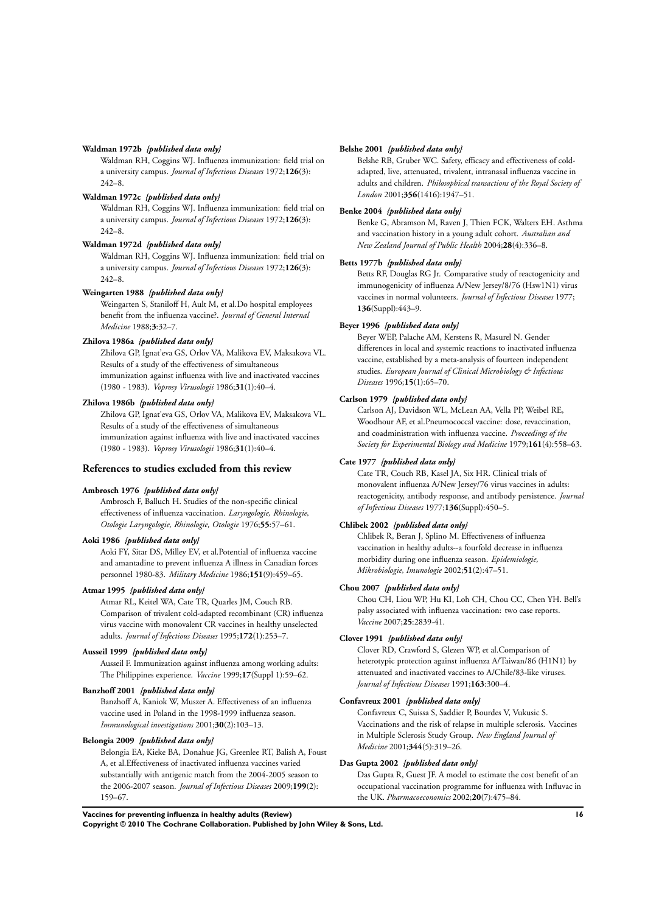### **Waldman 1972b** *{published data only}*

Waldman RH, Coggins WJ. Influenza immunization: field trial on a university campus. *Journal of Infectious Diseases* 1972;**126**(3): 242–8.

### **Waldman 1972c** *{published data only}*

Waldman RH, Coggins WJ. Influenza immunization: field trial on a university campus. *Journal of Infectious Diseases* 1972;**126**(3): 242–8.

#### **Waldman 1972d** *{published data only}*

Waldman RH, Coggins WJ. Influenza immunization: field trial on a university campus. *Journal of Infectious Diseases* 1972;**126**(3): 242–8.

#### **Weingarten 1988** *{published data only}*

Weingarten S, Staniloff H, Ault M, et al.Do hospital employees benefit from the influenza vaccine?. *Journal of General Internal Medicine* 1988;**3**:32–7.

### **Zhilova 1986a** *{published data only}*

Zhilova GP, Ignat'eva GS, Orlov VA, Malikova EV, Maksakova VL. Results of a study of the effectiveness of simultaneous immunization against influenza with live and inactivated vaccines (1980 - 1983). *Voprosy Virusologii* 1986;**31**(1):40–4.

### **Zhilova 1986b** *{published data only}*

Zhilova GP, Ignat'eva GS, Orlov VA, Malikova EV, Maksakova VL. Results of a study of the effectiveness of simultaneous immunization against influenza with live and inactivated vaccines (1980 - 1983). *Voprosy Virusologii* 1986;**31**(1):40–4.

### **References to studies excluded from this review**

### **Ambrosch 1976** *{published data only}*

Ambrosch F, Balluch H. Studies of the non-specific clinical effectiveness of influenza vaccination. *Laryngologie, Rhinologie, Otologie Laryngologie, Rhinologie, Otologie* 1976;**55**:57–61.

### **Aoki 1986** *{published data only}*

Aoki FY, Sitar DS, Milley EV, et al.Potential of influenza vaccine and amantadine to prevent influenza A illness in Canadian forces personnel 1980-83. *Military Medicine* 1986;**151**(9):459–65.

#### **Atmar 1995** *{published data only}*

Atmar RL, Keitel WA, Cate TR, Quarles JM, Couch RB. Comparison of trivalent cold-adapted recombinant (CR) influenza virus vaccine with monovalent CR vaccines in healthy unselected adults. *Journal of Infectious Diseases* 1995;**172**(1):253–7.

### **Ausseil 1999** *{published data only}*

Ausseil F. Immunization against influenza among working adults: The Philippines experience. *Vaccine* 1999;**17**(Suppl 1):59–62.

### **Banzhoff 2001** *{published data only}*

Banzhoff A, Kaniok W, Muszer A. Effectiveness of an influenza vaccine used in Poland in the 1998-1999 influenza season. *Immunological investigations* 2001;**30**(2):103–13.

### **Belongia 2009** *{published data only}*

Belongia EA, Kieke BA, Donahue JG, Greenlee RT, Balish A, Foust A, et al.Effectiveness of inactivated influenza vaccines varied substantially with antigenic match from the 2004-2005 season to the 2006-2007 season. *Journal of Infectious Diseases* 2009;**199**(2): 159–67.

#### **Belshe 2001** *{published data only}*

Belshe RB, Gruber WC. Safety, efficacy and effectiveness of coldadapted, live, attenuated, trivalent, intranasal influenza vaccine in adults and children. *Philosophical transactions of the Royal Society of London* 2001;**356**(1416):1947–51.

### **Benke 2004** *{published data only}*

Benke G, Abramson M, Raven J, Thien FCK, Walters EH. Asthma and vaccination history in a young adult cohort. *Australian and New Zealand Journal of Public Health* 2004;**28**(4):336–8.

#### **Betts 1977b** *{published data only}*

Betts RF, Douglas RG Jr. Comparative study of reactogenicity and immunogenicity of influenza A/New Jersey/8/76 (Hsw1N1) virus vaccines in normal volunteers. *Journal of Infectious Diseases* 1977; **136**(Suppl):443–9.

### **Beyer 1996** *{published data only}*

Beyer WEP, Palache AM, Kerstens R, Masurel N. Gender differences in local and systemic reactions to inactivated influenza vaccine, established by a meta-analysis of fourteen independent studies. *European Journal of Clinical Microbiology & Infectious Diseases* 1996;**15**(1):65–70.

### **Carlson 1979** *{published data only}*

Carlson AJ, Davidson WL, McLean AA, Vella PP, Weibel RE, Woodhour AF, et al.Pneumococcal vaccine: dose, revaccination, and coadministration with influenza vaccine. *Proceedings of the Society for Experimental Biology and Medicine* 1979;**161**(4):558–63.

### **Cate 1977** *{published data only}*

Cate TR, Couch RB, Kasel JA, Six HR. Clinical trials of monovalent influenza A/New Jersey/76 virus vaccines in adults: reactogenicity, antibody response, and antibody persistence. *Journal of Infectious Diseases* 1977;**136**(Suppl):450–5.

### **Chlibek 2002** *{published data only}*

Chlibek R, Beran J, Splino M. Effectiveness of influenza vaccination in healthy adults--a fourfold decrease in influenza morbidity during one influenza season. *Epidemiologie, Mikrobiologie, Imunologie* 2002;**51**(2):47–51.

#### **Chou 2007** *{published data only}*

Chou CH, Liou WP, Hu KI, Loh CH, Chou CC, Chen YH. Bell's palsy associated with influenza vaccination: two case reports. *Vaccine* 2007;**25**:2839-41.

#### **Clover 1991** *{published data only}*

Clover RD, Crawford S, Glezen WP, et al.Comparison of heterotypic protection against influenza A/Taiwan/86 (H1N1) by attenuated and inactivated vaccines to A/Chile/83-like viruses. *Journal of Infectious Diseases* 1991;**163**:300–4.

#### **Confavreux 2001** *{published data only}*

Confavreux C, Suissa S, Saddier P, Bourdes V, Vukusic S. Vaccinations and the risk of relapse in multiple sclerosis. Vaccines in Multiple Sclerosis Study Group. *New England Journal of Medicine* 2001;**344**(5):319–26.

#### **Das Gupta 2002** *{published data only}*

Das Gupta R, Guest JF. A model to estimate the cost benefit of an occupational vaccination programme for influenza with Influvac in the UK. *Pharmacoeconomics* 2002;**20**(7):475–84.

**Vaccines for preventing influenza in healthy adults (Review) 16**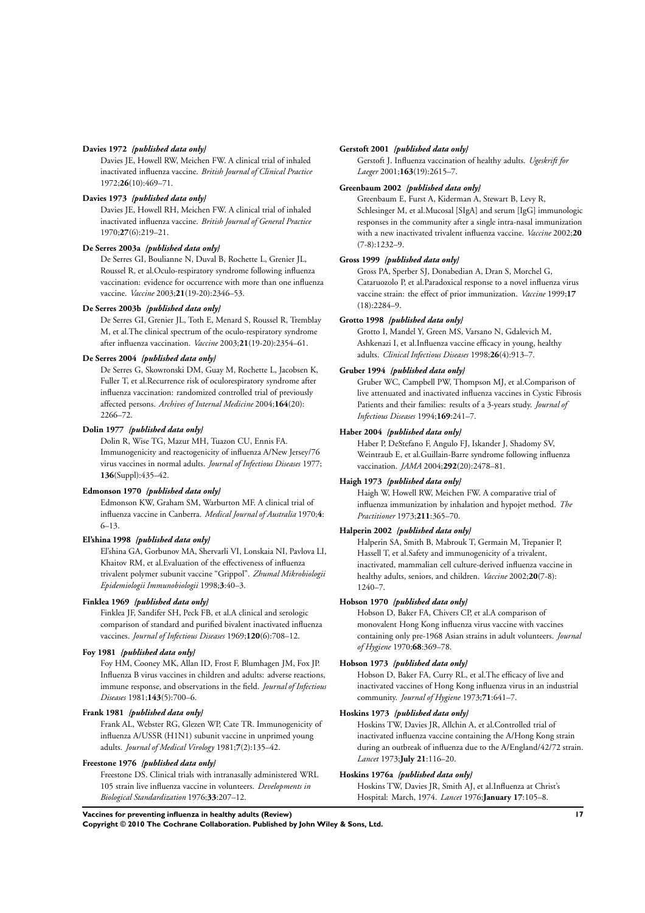### **Davies 1972** *{published data only}*

Davies JE, Howell RW, Meichen FW. A clinical trial of inhaled inactivated influenza vaccine. *British Journal of Clinical Practice* 1972;**26**(10):469–71.

### **Davies 1973** *{published data only}*

Davies JE, Howell RH, Meichen FW. A clinical trial of inhaled inactivated influenza vaccine. *British Journal of General Practice* 1970;**27**(6):219–21.

#### **De Serres 2003a** *{published data only}*

De Serres GI, Boulianne N, Duval B, Rochette L, Grenier JL, Roussel R, et al.Oculo-respiratory syndrome following influenza vaccination: evidence for occurrence with more than one influenza vaccine. *Vaccine* 2003;**21**(19-20):2346–53.

### **De Serres 2003b** *{published data only}*

De Serres GI, Grenier JL, Toth E, Menard S, Roussel R, Tremblay M, et al.The clinical spectrum of the oculo-respiratory syndrome after influenza vaccination. *Vaccine* 2003;**21**(19-20):2354–61.

#### **De Serres 2004** *{published data only}*

De Serres G, Skowronski DM, Guay M, Rochette L, Jacobsen K, Fuller T, et al.Recurrence risk of oculorespiratory syndrome after influenza vaccination: randomized controlled trial of previously affected persons. *Archives of Internal Medicine* 2004;**164**(20): 2266–72.

### **Dolin 1977** *{published data only}*

Dolin R, Wise TG, Mazur MH, Tuazon CU, Ennis FA. Immunogenicity and reactogenicity of influenza A/New Jersey/76 virus vaccines in normal adults. *Journal of Infectious Diseases* 1977; **136**(Suppl):435–42.

### **Edmonson 1970** *{published data only}*

Edmonson KW, Graham SM, Warburton MF. A clinical trial of influenza vaccine in Canberra. *Medical Journal of Australia* 1970;**4**: 6–13.

### **El'shina 1998** *{published data only}*

El'shina GA, Gorbunov MA, Shervarli VI, Lonskaia NI, Pavlova LI, Khaitov RM, et al.Evaluation of the effectiveness of influenza trivalent polymer subunit vaccine "Grippol". *Zhumal Mikrobiologii Epidemiologii Immunobiologii* 1998;**3**:40–3.

### **Finklea 1969** *{published data only}*

Finklea JF, Sandifer SH, Peck FB, et al.A clinical and serologic comparison of standard and purified bivalent inactivated influenza vaccines. *Journal of Infectious Diseases* 1969;**120**(6):708–12.

## **Foy 1981** *{published data only}*

Foy HM, Cooney MK, Allan ID, Frost F, Blumhagen JM, Fox JP. Influenza B virus vaccines in children and adults: adverse reactions, immune response, and observations in the field. *Journal of Infectious Diseases* 1981;**143**(5):700–6.

#### **Frank 1981** *{published data only}*

Frank AL, Webster RG, Glezen WP, Cate TR. Immunogenicity of influenza A/USSR (H1N1) subunit vaccine in unprimed young adults. *Journal of Medical Virology* 1981;**7**(2):135–42.

### **Freestone 1976** *{published data only}*

Freestone DS. Clinical trials with intranasally administered WRL 105 strain live influenza vaccine in volunteers. *Developments in Biological Standardization* 1976;**33**:207–12.

#### **Gerstoft 2001** *{published data only}*

Gerstoft J. Influenza vaccination of healthy adults. *Ugeskrift for Laeger* 2001;**163**(19):2615–7.

### **Greenbaum 2002** *{published data only}*

Greenbaum E, Furst A, Kiderman A, Stewart B, Levy R, Schlesinger M, et al.Mucosal [SIgA] and serum [IgG] immunologic responses in the community after a single intra-nasal immunization with a new inactivated trivalent influenza vaccine. *Vaccine* 2002;**20** (7-8):1232–9.

#### **Gross 1999** *{published data only}*

Gross PA, Sperber SJ, Donabedian A, Dran S, Morchel G, Cataruozolo P, et al.Paradoxical response to a novel influenza virus vaccine strain: the effect of prior immunization. *Vaccine* 1999;**17** (18):2284–9.

#### **Grotto 1998** *{published data only}*

Grotto I, Mandel Y, Green MS, Varsano N, Gdalevich M, Ashkenazi I, et al.Influenza vaccine efficacy in young, healthy adults. *Clinical Infectious Diseases* 1998;**26**(4):913–7.

#### **Gruber 1994** *{published data only}*

Gruber WC, Campbell PW, Thompson MJ, et al.Comparison of live attenuated and inactivated influenza vaccines in Cystic Fibrosis Patients and their families: results of a 3-years study. *Journal of Infectious Diseases* 1994;**169**:241–7.

### **Haber 2004** *{published data only}*

Haber P, DeStefano F, Angulo FJ, Iskander J, Shadomy SV, Weintraub E, et al.Guillain-Barre syndrome following influenza vaccination. *JAMA* 2004;**292**(20):2478–81.

### **Haigh 1973** *{published data only}*

Haigh W, Howell RW, Meichen FW. A comparative trial of influenza immunization by inhalation and hypojet method. *The Practitioner* 1973;**211**:365–70.

## **Halperin 2002** *{published data only}*

Halperin SA, Smith B, Mabrouk T, Germain M, Trepanier P, Hassell T, et al.Safety and immunogenicity of a trivalent, inactivated, mammalian cell culture-derived influenza vaccine in healthy adults, seniors, and children. *Vaccine* 2002;**20**(7-8): 1240–7.

#### **Hobson 1970** *{published data only}*

Hobson D, Baker FA, Chivers CP, et al.A comparison of monovalent Hong Kong influenza virus vaccine with vaccines containing only pre-1968 Asian strains in adult volunteers. *Journal of Hygiene* 1970;**68**:369–78.

### **Hobson 1973** *{published data only}*

Hobson D, Baker FA, Curry RL, et al.The efficacy of live and inactivated vaccines of Hong Kong influenza virus in an industrial community. *Journal of Hygiene* 1973;**71**:641–7.

#### **Hoskins 1973** *{published data only}*

Hoskins TW, Davies JR, Allchin A, et al.Controlled trial of inactivated influenza vaccine containing the A/Hong Kong strain during an outbreak of influenza due to the A/England/42/72 strain. *Lancet* 1973;**July 21**:116–20.

## **Hoskins 1976a** *{published data only}*

Hoskins TW, Davies JR, Smith AJ, et al.Influenza at Christ's Hospital: March, 1974. *Lancet* 1976;**January 17**:105–8.

**Vaccines for preventing influenza in healthy adults (Review) 17**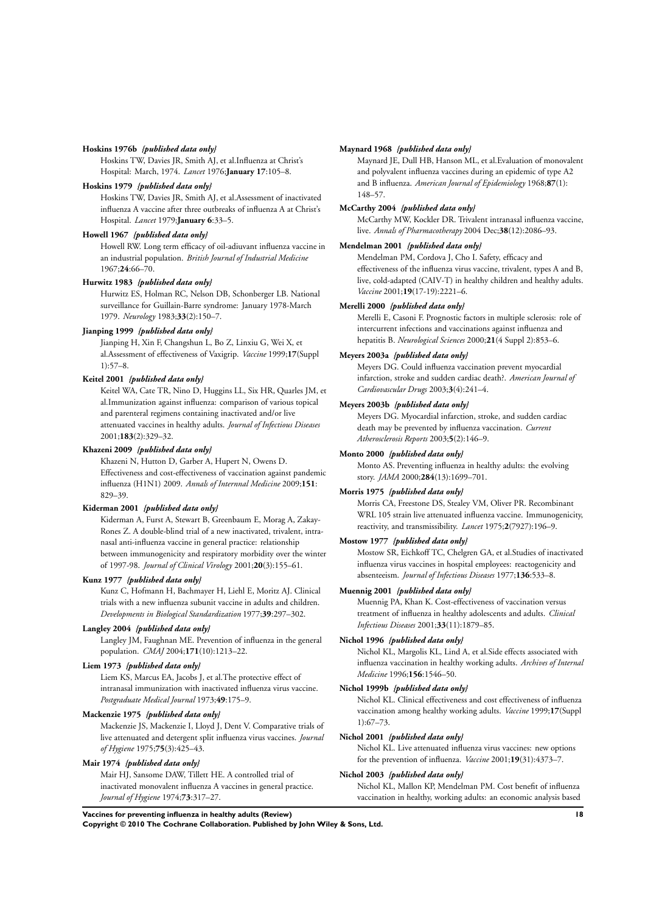#### **Hoskins 1976b** *{published data only}*

Hoskins TW, Davies JR, Smith AJ, et al.Influenza at Christ's Hospital: March, 1974. *Lancet* 1976;**January 17**:105–8.

### **Hoskins 1979** *{published data only}*

Hoskins TW, Davies JR, Smith AJ, et al.Assessment of inactivated influenza A vaccine after three outbreaks of influenza A at Christ's Hospital. *Lancet* 1979;**January 6**:33–5.

### **Howell 1967** *{published data only}*

Howell RW. Long term efficacy of oil-adiuvant influenza vaccine in an industrial population. *British Journal of Industrial Medicine* 1967;**24**:66–70.

#### **Hurwitz 1983** *{published data only}*

Hurwitz ES, Holman RC, Nelson DB, Schonberger LB. National surveillance for Guillain-Barre syndrome: January 1978-March 1979. *Neurology* 1983;**33**(2):150–7.

### **Jianping 1999** *{published data only}*

Jianping H, Xin F, Changshun L, Bo Z, Linxiu G, Wei X, et al.Assessment of effectiveness of Vaxigrip. *Vaccine* 1999;**17**(Suppl 1):57–8.

### **Keitel 2001** *{published data only}*

Keitel WA, Cate TR, Nino D, Huggins LL, Six HR, Quarles JM, et al.Immunization against influenza: comparison of various topical and parenteral regimens containing inactivated and/or live attenuated vaccines in healthy adults. *Journal of Infectious Diseases* 2001;**183**(2):329–32.

### **Khazeni 2009** *{published data only}*

Khazeni N, Hutton D, Garber A, Hupert N, Owens D. Effectiveness and cost-effectiveness of vaccination against pandemic influenza (H1N1) 2009. *Annals of Internnal Medicine* 2009;**151**: 829–39.

### **Kiderman 2001** *{published data only}*

Kiderman A, Furst A, Stewart B, Greenbaum E, Morag A, Zakay-Rones Z. A double-blind trial of a new inactivated, trivalent, intranasal anti-influenza vaccine in general practice: relationship between immunogenicity and respiratory morbidity over the winter of 1997-98. *Journal of Clinical Virology* 2001;**20**(3):155–61.

#### **Kunz 1977** *{published data only}*

Kunz C, Hofmann H, Bachmayer H, Liehl E, Moritz AJ. Clinical trials with a new influenza subunit vaccine in adults and children. *Developments in Biological Standardization* 1977;**39**:297–302.

### **Langley 2004** *{published data only}*

Langley JM, Faughnan ME. Prevention of influenza in the general population. *CMAJ* 2004;**171**(10):1213–22.

#### **Liem 1973** *{published data only}*

Liem KS, Marcus EA, Jacobs J, et al.The protective effect of intranasal immunization with inactivated influenza virus vaccine. *Postgraduate Medical Journal* 1973;**49**:175–9.

#### **Mackenzie 1975** *{published data only}*

Mackenzie JS, Mackenzie I, Lloyd J, Dent V. Comparative trials of live attenuated and detergent split influenza virus vaccines. *Journal of Hygiene* 1975;**75**(3):425–43.

#### **Mair 1974** *{published data only}*

Mair HJ, Sansome DAW, Tillett HE. A controlled trial of inactivated monovalent influenza A vaccines in general practice. *Journal of Hygiene* 1974;**73**:317–27.

#### **Maynard 1968** *{published data only}*

Maynard JE, Dull HB, Hanson ML, et al.Evaluation of monovalent and polyvalent influenza vaccines during an epidemic of type A2 and B influenza. *American Journal of Epidemiology* 1968;**87**(1): 148–57.

## **McCarthy 2004** *{published data only}*

McCarthy MW, Kockler DR. Trivalent intranasal influenza vaccine, live. *Annals of Pharmacotherapy* 2004 Dec;**38**(12):2086–93.

### **Mendelman 2001** *{published data only}*

Mendelman PM, Cordova J, Cho I. Safety, efficacy and effectiveness of the influenza virus vaccine, trivalent, types A and B, live, cold-adapted (CAIV-T) in healthy children and healthy adults. *Vaccine* 2001;**19**(17-19):2221–6.

### **Merelli 2000** *{published data only}*

Merelli E, Casoni F. Prognostic factors in multiple sclerosis: role of intercurrent infections and vaccinations against influenza and hepatitis B. *Neurological Sciences* 2000;**21**(4 Suppl 2):853–6.

### **Meyers 2003a** *{published data only}*

Meyers DG. Could influenza vaccination prevent myocardial infarction, stroke and sudden cardiac death?. *American Journal of Cardiovascular Drugs* 2003;**3**(4):241–4.

### **Meyers 2003b** *{published data only}*

Meyers DG. Myocardial infarction, stroke, and sudden cardiac death may be prevented by influenza vaccination. *Current Atherosclerosis Reports* 2003;**5**(2):146–9.

#### **Monto 2000** *{published data only}*

Monto AS. Preventing influenza in healthy adults: the evolving story. *JAMA* 2000;**284**(13):1699–701.

### **Morris 1975** *{published data only}*

Morris CA, Freestone DS, Stealey VM, Oliver PR. Recombinant WRL 105 strain live attenuated influenza vaccine. Immunogenicity, reactivity, and transmissibility. *Lancet* 1975;**2**(7927):196–9.

#### **Mostow 1977** *{published data only}*

Mostow SR, Eichkoff TC, Chelgren GA, et al.Studies of inactivated influenza virus vaccines in hospital employees: reactogenicity and absenteeism. *Journal of Infectious Diseases* 1977;**136**:533–8.

### **Muennig 2001** *{published data only}*

Muennig PA, Khan K. Cost-effectiveness of vaccination versus treatment of influenza in healthy adolescents and adults. *Clinical Infectious Diseases* 2001;**33**(11):1879–85.

### **Nichol 1996** *{published data only}*

Nichol KL, Margolis KL, Lind A, et al.Side effects associated with influenza vaccination in healthy working adults. *Archives of Internal Medicine* 1996;**156**:1546–50.

### **Nichol 1999b** *{published data only}*

Nichol KL. Clinical effectiveness and cost effectiveness of influenza vaccination among healthy working adults. *Vaccine* 1999;**17**(Suppl 1):67–73.

### **Nichol 2001** *{published data only}*

Nichol KL. Live attenuated influenza virus vaccines: new options for the prevention of influenza. *Vaccine* 2001;**19**(31):4373–7.

#### **Nichol 2003** *{published data only}*

Nichol KL, Mallon KP, Mendelman PM. Cost benefit of influenza vaccination in healthy, working adults: an economic analysis based

**Vaccines for preventing influenza in healthy adults (Review) 18**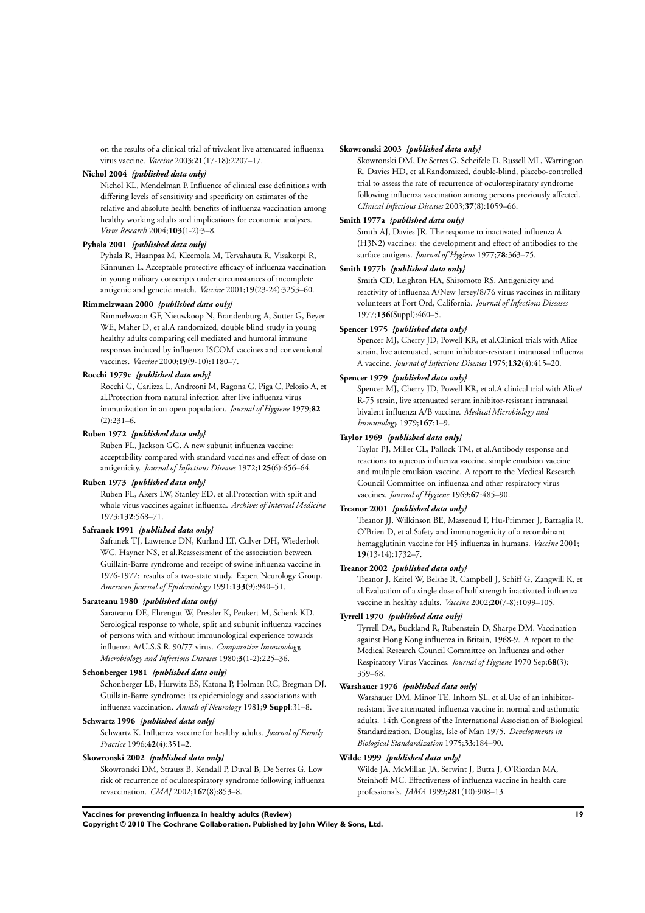on the results of a clinical trial of trivalent live attenuated influenza virus vaccine. *Vaccine* 2003;**21**(17-18):2207–17.

### **Nichol 2004** *{published data only}*

Nichol KL, Mendelman P. Influence of clinical case definitions with differing levels of sensitivity and specificity on estimates of the relative and absolute health benefits of influenza vaccination among healthy working adults and implications for economic analyses. *Virus Research* 2004;**103**(1-2):3–8.

### **Pyhala 2001** *{published data only}*

Pyhala R, Haanpaa M, Kleemola M, Tervahauta R, Visakorpi R, Kinnunen L. Acceptable protective efficacy of influenza vaccination in young military conscripts under circumstances of incomplete antigenic and genetic match. *Vaccine* 2001;**19**(23-24):3253–60.

### **Rimmelzwaan 2000** *{published data only}*

Rimmelzwaan GF, Nieuwkoop N, Brandenburg A, Sutter G, Beyer WE, Maher D, et al.A randomized, double blind study in young healthy adults comparing cell mediated and humoral immune responses induced by influenza ISCOM vaccines and conventional vaccines. *Vaccine* 2000;**19**(9-10):1180–7.

### **Rocchi 1979c** *{published data only}*

Rocchi G, Carlizza L, Andreoni M, Ragona G, Piga C, Pelosio A, et al.Protection from natural infection after live influenza virus immunization in an open population. *Journal of Hygiene* 1979;**82**  $(2):231-6.$ 

### **Ruben 1972** *{published data only}*

Ruben FL, Jackson GG. A new subunit influenza vaccine: acceptability compared with standard vaccines and effect of dose on antigenicity. *Journal of Infectious Diseases* 1972;**125**(6):656–64.

### **Ruben 1973** *{published data only}*

Ruben FL, Akers LW, Stanley ED, et al.Protection with split and whole virus vaccines against influenza. *Archives of Internal Medicine* 1973;**132**:568–71.

### **Safranek 1991** *{published data only}*

Safranek TJ, Lawrence DN, Kurland LT, Culver DH, Wiederholt WC, Hayner NS, et al.Reassessment of the association between Guillain-Barre syndrome and receipt of swine influenza vaccine in 1976-1977: results of a two-state study. Expert Neurology Group. *American Journal of Epidemiology* 1991;**133**(9):940–51.

## **Sarateanu 1980** *{published data only}*

Sarateanu DE, Ehrengut W, Pressler K, Peukert M, Schenk KD. Serological response to whole, split and subunit influenza vaccines of persons with and without immunological experience towards influenza A/U.S.S.R. 90/77 virus. *Comparative Immunology, Microbiology and Infectious Diseases* 1980;**3**(1-2):225–36.

### **Schonberger 1981** *{published data only}*

Schonberger LB, Hurwitz ES, Katona P, Holman RC, Bregman DJ. Guillain-Barre syndrome: its epidemiology and associations with influenza vaccination. *Annals of Neurology* 1981;**9 Suppl**:31–8.

### **Schwartz 1996** *{published data only}*

Schwartz K. Influenza vaccine for healthy adults. *Journal of Family Practice* 1996;**42**(4):351–2.

### **Skowronski 2002** *{published data only}*

Skowronski DM, Strauss B, Kendall P, Duval B, De Serres G. Low risk of recurrence of oculorespiratory syndrome following influenza revaccination. *CMAJ* 2002;**167**(8):853–8.

#### **Skowronski 2003** *{published data only}*

Skowronski DM, De Serres G, Scheifele D, Russell ML, Warrington R, Davies HD, et al.Randomized, double-blind, placebo-controlled trial to assess the rate of recurrence of oculorespiratory syndrome following influenza vaccination among persons previously affected. *Clinical Infectious Diseases* 2003;**37**(8):1059–66.

### **Smith 1977a** *{published data only}*

Smith AJ, Davies JR. The response to inactivated influenza A (H3N2) vaccines: the development and effect of antibodies to the surface antigens. *Journal of Hygiene* 1977;**78**:363–75.

### **Smith 1977b** *{published data only}*

Smith CD, Leighton HA, Shiromoto RS. Antigenicity and reactivity of influenza A/New Jersey/8/76 virus vaccines in military volunteers at Fort Ord, California. *Journal of Infectious Diseases* 1977;**136**(Suppl):460–5.

### **Spencer 1975** *{published data only}*

Spencer MJ, Cherry JD, Powell KR, et al.Clinical trials with Alice strain, live attenuated, serum inhibitor-resistant intranasal influenza A vaccine. *Journal of Infectious Diseases* 1975;**132**(4):415–20.

### **Spencer 1979** *{published data only}*

Spencer MJ, Cherry JD, Powell KR, et al.A clinical trial with Alice/ R-75 strain, live attenuated serum inhibitor-resistant intranasal bivalent influenza A/B vaccine. *Medical Microbiology and Immunology* 1979;**167**:1–9.

#### **Taylor 1969** *{published data only}*

Taylor PJ, Miller CL, Pollock TM, et al.Antibody response and reactions to aqueous influenza vaccine, simple emulsion vaccine and multiple emulsion vaccine. A report to the Medical Research Council Committee on influenza and other respiratory virus vaccines. *Journal of Hygiene* 1969;**67**:485–90.

### **Treanor 2001** *{published data only}*

Treanor JJ, Wilkinson BE, Masseoud F, Hu-Primmer J, Battaglia R, O'Brien D, et al.Safety and immunogenicity of a recombinant hemagglutinin vaccine for H5 influenza in humans. *Vaccine* 2001; **19**(13-14):1732–7.

#### **Treanor 2002** *{published data only}*

Treanor J, Keitel W, Belshe R, Campbell J, Schiff G, Zangwill K, et al.Evaluation of a single dose of half strength inactivated influenza vaccine in healthy adults. *Vaccine* 2002;**20**(7-8):1099–105.

### **Tyrrell 1970** *{published data only}*

Tyrrell DA, Buckland R, Rubenstein D, Sharpe DM. Vaccination against Hong Kong influenza in Britain, 1968-9. A report to the Medical Research Council Committee on Influenza and other Respiratory Virus Vaccines. *Journal of Hygiene* 1970 Sep;**68**(3): 359–68.

#### **Warshauer 1976** *{published data only}*

Warshauer DM, Minor TE, Inhorn SL, et al.Use of an inhibitorresistant live attenuated influenza vaccine in normal and asthmatic adults. 14th Congress of the International Association of Biological Standardization, Douglas, Isle of Man 1975. *Developments in Biological Standardization* 1975;**33**:184–90.

#### **Wilde 1999** *{published data only}*

Wilde JA, McMillan JA, Serwint J, Butta J, O'Riordan MA, Steinhoff MC. Effectiveness of influenza vaccine in health care professionals. *JAMA* 1999;**281**(10):908–13.

**Vaccines for preventing influenza in healthy adults (Review) 19**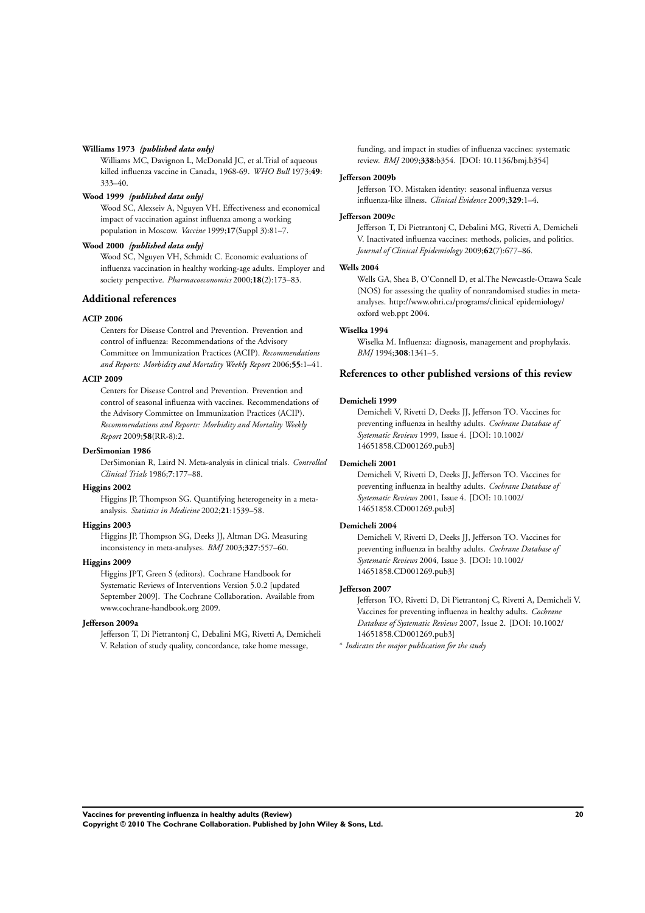### **Williams 1973** *{published data only}*

Williams MC, Davignon L, McDonald JC, et al.Trial of aqueous killed influenza vaccine in Canada, 1968-69. *WHO Bull* 1973;**49**: 333–40.

## **Wood 1999** *{published data only}*

Wood SC, Alexseiv A, Nguyen VH. Effectiveness and economical impact of vaccination against influenza among a working population in Moscow. *Vaccine* 1999;**17**(Suppl 3):81–7.

### **Wood 2000** *{published data only}*

Wood SC, Nguyen VH, Schmidt C. Economic evaluations of influenza vaccination in healthy working-age adults. Employer and society perspective. *Pharmacoeconomics* 2000;**18**(2):173–83.

### **Additional references**

#### **ACIP 2006**

Centers for Disease Control and Prevention. Prevention and control of influenza: Recommendations of the Advisory Committee on Immunization Practices (ACIP). *Recommendations and Reports: Morbidity and Mortality Weekly Report* 2006;**55**:1–41.

### **ACIP 2009**

Centers for Disease Control and Prevention. Prevention and control of seasonal influenza with vaccines. Recommendations of the Advisory Committee on Immunization Practices (ACIP). *Recommendations and Reports: Morbidity and Mortality Weekly Report* 2009;**58**(RR-8):2.

### **DerSimonian 1986**

DerSimonian R, Laird N. Meta-analysis in clinical trials. *Controlled Clinical Trials* 1986;**7**:177–88.

## **Higgins 2002**

Higgins JP, Thompson SG. Quantifying heterogeneity in a metaanalysis. *Statistics in Medicine* 2002;**21**:1539–58.

## **Higgins 2003**

Higgins JP, Thompson SG, Deeks JJ, Altman DG. Measuring inconsistency in meta-analyses. *BMJ* 2003;**327**:557–60.

### **Higgins 2009**

Higgins JPT, Green S (editors). Cochrane Handbook for Systematic Reviews of Interventions Version 5.0.2 [updated September 2009]. The Cochrane Collaboration. Available from www.cochrane-handbook.org 2009.

### **Jefferson 2009a**

Jefferson T, Di Pietrantonj C, Debalini MG, Rivetti A, Demicheli V. Relation of study quality, concordance, take home message,

funding, and impact in studies of influenza vaccines: systematic review. *BMJ* 2009;**338**:b354. [DOI: 10.1136/bmj.b354]

#### **Jefferson 2009b**

Jefferson TO. Mistaken identity: seasonal influenza versus influenza-like illness. *Clinical Evidence* 2009;**329**:1–4.

#### **Jefferson 2009c**

Jefferson T, Di Pietrantonj C, Debalini MG, Rivetti A, Demicheli V. Inactivated influenza vaccines: methods, policies, and politics. *Journal of Clinical Epidemiology* 2009;**62**(7):677–86.

### **Wells 2004**

Wells GA, Shea B, O'Connell D, et al.The Newcastle-Ottawa Scale (NOS) for assessing the quality of nonrandomised studies in metaanalyses. http://www.ohri.ca/programs/clinical˙epidemiology/ oxford web.ppt 2004.

#### **Wiselka 1994**

Wiselka M. Influenza: diagnosis, management and prophylaxis. *BMJ* 1994;**308**:1341–5.

### **References to other published versions of this review**

### **Demicheli 1999**

Demicheli V, Rivetti D, Deeks JJ, Jefferson TO. Vaccines for preventing influenza in healthy adults. *Cochrane Database of Systematic Reviews* 1999, Issue 4. [DOI: 10.1002/ 14651858.CD001269.pub3]

#### **Demicheli 2001**

Demicheli V, Rivetti D, Deeks JJ, Jefferson TO. Vaccines for preventing influenza in healthy adults. *Cochrane Database of Systematic Reviews* 2001, Issue 4. [DOI: 10.1002/ 14651858.CD001269.pub3]

#### **Demicheli 2004**

Demicheli V, Rivetti D, Deeks JJ, Jefferson TO. Vaccines for preventing influenza in healthy adults. *Cochrane Database of Systematic Reviews* 2004, Issue 3. [DOI: 10.1002/ 14651858.CD001269.pub3]

#### **Jefferson 2007**

Jefferson TO, Rivetti D, Di Pietrantonj C, Rivetti A, Demicheli V. Vaccines for preventing influenza in healthy adults. *Cochrane Database of Systematic Reviews* 2007, Issue 2. [DOI: 10.1002/ 14651858.CD001269.pub3]

∗ *Indicates the major publication for the study*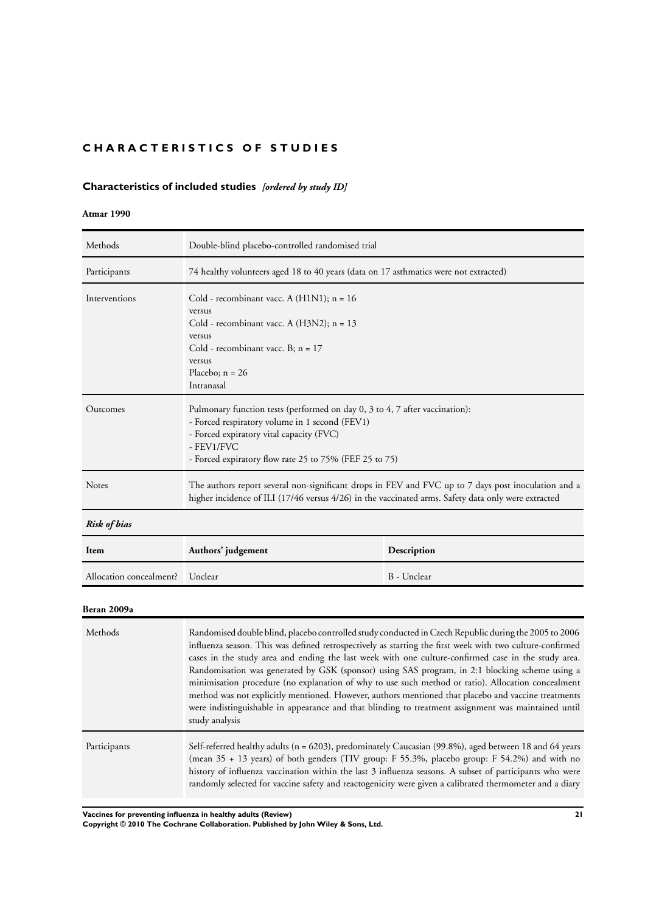## <span id="page-23-0"></span>**CHARACTERISTICS OF STUDIES**

## **Characteristics of included studies** *[ordered by study ID]*

## **Atmar 1990**

| Methods                 | Double-blind placebo-controlled randomised trial                                                                                                                                                                                                                                                                                                                                                                                                                                                                                                                                                                                                                                                                                                                 |             |  |
|-------------------------|------------------------------------------------------------------------------------------------------------------------------------------------------------------------------------------------------------------------------------------------------------------------------------------------------------------------------------------------------------------------------------------------------------------------------------------------------------------------------------------------------------------------------------------------------------------------------------------------------------------------------------------------------------------------------------------------------------------------------------------------------------------|-------------|--|
| Participants            | 74 healthy volunteers aged 18 to 40 years (data on 17 asthmatics were not extracted)                                                                                                                                                                                                                                                                                                                                                                                                                                                                                                                                                                                                                                                                             |             |  |
| Interventions           | Cold - recombinant vacc. A $(H1N1)$ ; n = 16<br>versus<br>Cold - recombinant vacc. A $(H3N2)$ ; n = 13<br>versus<br>Cold - recombinant vacc. B; $n = 17$<br>versus<br>Placebo; $n = 26$<br>Intranasal                                                                                                                                                                                                                                                                                                                                                                                                                                                                                                                                                            |             |  |
| Outcomes                | Pulmonary function tests (performed on day 0, 3 to 4, 7 after vaccination):<br>- Forced respiratory volume in 1 second (FEV1)<br>- Forced expiratory vital capacity (FVC)<br>- FEV1/FVC<br>- Forced expiratory flow rate 25 to 75% (FEF 25 to 75)                                                                                                                                                                                                                                                                                                                                                                                                                                                                                                                |             |  |
| Notes                   | The authors report several non-significant drops in FEV and FVC up to 7 days post inoculation and a<br>higher incidence of ILI (17/46 versus 4/26) in the vaccinated arms. Safety data only were extracted                                                                                                                                                                                                                                                                                                                                                                                                                                                                                                                                                       |             |  |
| <b>Risk of bias</b>     |                                                                                                                                                                                                                                                                                                                                                                                                                                                                                                                                                                                                                                                                                                                                                                  |             |  |
| Item                    | Authors' judgement                                                                                                                                                                                                                                                                                                                                                                                                                                                                                                                                                                                                                                                                                                                                               | Description |  |
| Allocation concealment? | Unclear                                                                                                                                                                                                                                                                                                                                                                                                                                                                                                                                                                                                                                                                                                                                                          | B - Unclear |  |
| Beran 2009a             |                                                                                                                                                                                                                                                                                                                                                                                                                                                                                                                                                                                                                                                                                                                                                                  |             |  |
| Methods                 | Randomised double blind, placebo controlled study conducted in Czech Republic during the 2005 to 2006<br>influenza season. This was defined retrospectively as starting the first week with two culture-confirmed<br>cases in the study area and ending the last week with one culture-confirmed case in the study area.<br>Randomisation was generated by GSK (sponsor) using SAS program, in 2:1 blocking scheme using a<br>minimisation procedure (no explanation of why to use such method or ratio). Allocation concealment<br>method was not explicitly mentioned. However, authors mentioned that placebo and vaccine treatments<br>were indistinguishable in appearance and that blinding to treatment assignment was maintained until<br>study analysis |             |  |
| Participants            | Self-referred healthy adults (n = 6203), predominately Caucasian (99.8%), aged between 18 and 64 years<br>(mean 35 + 13 years) of both genders (TIV group: F 55.3%, placebo group: F 54.2%) and with no<br>history of influenza vaccination within the last 3 influenza seasons. A subset of participants who were                                                                                                                                                                                                                                                                                                                                                                                                                                               |             |  |

randomly selected for vaccine safety and reactogenicity were given a calibrated thermometer and a diary

**Vaccines for preventing influenza in healthy adults (Review) 21**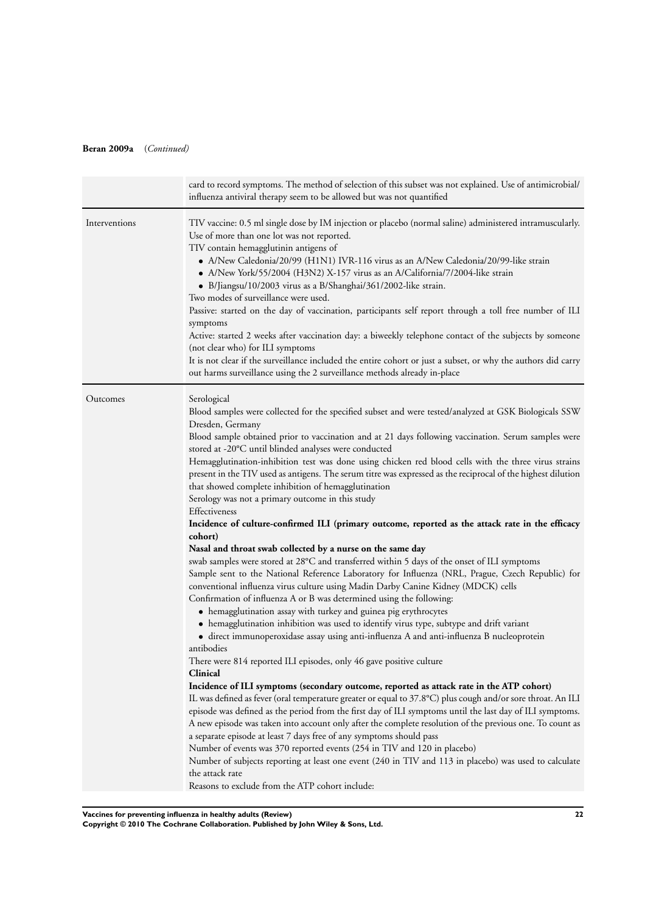## **Beran 2009a** (*Continued)*

|               | card to record symptoms. The method of selection of this subset was not explained. Use of antimicrobial/<br>influenza antiviral therapy seem to be allowed but was not quantified                                                                                                                                                                                                                                                                                                                                                                                                                                                                                                                                                                                                                                                                                                                                                                                                                                                                                                                                                                                                                                                                                                                                                                                                                                                                                                                                                                                                                                                                                                                                                                                                                                                                                                                                                                                                                                                                                                                                                                                                                                                                                                         |
|---------------|-------------------------------------------------------------------------------------------------------------------------------------------------------------------------------------------------------------------------------------------------------------------------------------------------------------------------------------------------------------------------------------------------------------------------------------------------------------------------------------------------------------------------------------------------------------------------------------------------------------------------------------------------------------------------------------------------------------------------------------------------------------------------------------------------------------------------------------------------------------------------------------------------------------------------------------------------------------------------------------------------------------------------------------------------------------------------------------------------------------------------------------------------------------------------------------------------------------------------------------------------------------------------------------------------------------------------------------------------------------------------------------------------------------------------------------------------------------------------------------------------------------------------------------------------------------------------------------------------------------------------------------------------------------------------------------------------------------------------------------------------------------------------------------------------------------------------------------------------------------------------------------------------------------------------------------------------------------------------------------------------------------------------------------------------------------------------------------------------------------------------------------------------------------------------------------------------------------------------------------------------------------------------------------------|
| Interventions | TIV vaccine: 0.5 ml single dose by IM injection or placebo (normal saline) administered intramuscularly.<br>Use of more than one lot was not reported.<br>TIV contain hemagglutinin antigens of<br>• A/New Caledonia/20/99 (H1N1) IVR-116 virus as an A/New Caledonia/20/99-like strain<br>• A/New York/55/2004 (H3N2) X-157 virus as an A/California/7/2004-like strain<br>· B/Jiangsu/10/2003 virus as a B/Shanghai/361/2002-like strain.<br>Two modes of surveillance were used.<br>Passive: started on the day of vaccination, participants self report through a toll free number of ILI<br>symptoms<br>Active: started 2 weeks after vaccination day: a biweekly telephone contact of the subjects by someone<br>(not clear who) for ILI symptoms<br>It is not clear if the surveillance included the entire cohort or just a subset, or why the authors did carry<br>out harms surveillance using the 2 surveillance methods already in-place                                                                                                                                                                                                                                                                                                                                                                                                                                                                                                                                                                                                                                                                                                                                                                                                                                                                                                                                                                                                                                                                                                                                                                                                                                                                                                                                      |
| Outcomes      | Serological<br>Blood samples were collected for the specified subset and were tested/analyzed at GSK Biologicals SSW<br>Dresden, Germany<br>Blood sample obtained prior to vaccination and at 21 days following vaccination. Serum samples were<br>stored at -20°C until blinded analyses were conducted<br>Hemagglutination-inhibition test was done using chicken red blood cells with the three virus strains<br>present in the TIV used as antigens. The serum titre was expressed as the reciprocal of the highest dilution<br>that showed complete inhibition of hemagglutination<br>Serology was not a primary outcome in this study<br>Effectiveness<br>Incidence of culture-confirmed ILI (primary outcome, reported as the attack rate in the efficacy<br>cohort)<br>Nasal and throat swab collected by a nurse on the same day<br>swab samples were stored at 28°C and transferred within 5 days of the onset of ILI symptoms<br>Sample sent to the National Reference Laboratory for Influenza (NRL, Prague, Czech Republic) for<br>conventional influenza virus culture using Madin Darby Canine Kidney (MDCK) cells<br>Confirmation of influenza A or B was determined using the following:<br>• hemagglutination assay with turkey and guinea pig erythrocytes<br>• hemagglutination inhibition was used to identify virus type, subtype and drift variant<br>• direct immunoperoxidase assay using anti-influenza A and anti-influenza B nucleoprotein<br>antibodies<br>There were 814 reported ILI episodes, only 46 gave positive culture<br>Clinical<br>Incidence of ILI symptoms (secondary outcome, reported as attack rate in the ATP cohort)<br>IL was defined as fever (oral temperature greater or equal to 37.8°C) plus cough and/or sore throat. An ILI<br>episode was defined as the period from the first day of ILI symptoms until the last day of ILI symptoms.<br>A new episode was taken into account only after the complete resolution of the previous one. To count as<br>a separate episode at least 7 days free of any symptoms should pass<br>Number of events was 370 reported events (254 in TIV and 120 in placebo)<br>Number of subjects reporting at least one event (240 in TIV and 113 in placebo) was used to calculate<br>the attack rate |
|               | Reasons to exclude from the ATP cohort include:                                                                                                                                                                                                                                                                                                                                                                                                                                                                                                                                                                                                                                                                                                                                                                                                                                                                                                                                                                                                                                                                                                                                                                                                                                                                                                                                                                                                                                                                                                                                                                                                                                                                                                                                                                                                                                                                                                                                                                                                                                                                                                                                                                                                                                           |

**Vaccines for preventing influenza in healthy adults (Review) 22**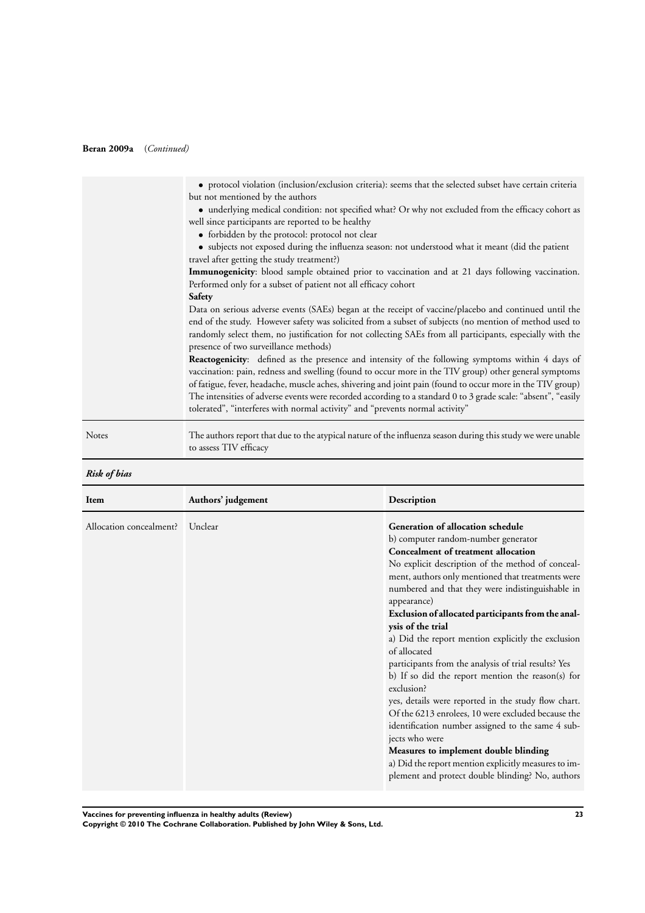### **Beran 2009a** (*Continued)*

|              | • protocol violation (inclusion/exclusion criteria): seems that the selected subset have certain criteria<br>but not mentioned by the authors<br>• underlying medical condition: not specified what? Or why not excluded from the efficacy cohort as<br>well since participants are reported to be healthy<br>• forbidden by the protocol: protocol not clear<br>• subjects not exposed during the influenza season: not understood what it meant (did the patient<br>travel after getting the study treatment?)<br><b>Immunogenicity:</b> blood sample obtained prior to vaccination and at 21 days following vaccination.<br>Performed only for a subset of patient not all efficacy cohort<br>Safety<br>Data on serious adverse events (SAEs) began at the receipt of vaccine/placebo and continued until the<br>end of the study. However safety was solicited from a subset of subjects (no mention of method used to<br>randomly select them, no justification for not collecting SAEs from all participants, especially with the<br>presence of two surveillance methods)<br><b>Reactogenicity:</b> defined as the presence and intensity of the following symptoms within 4 days of<br>vaccination: pain, redness and swelling (found to occur more in the TIV group) other general symptoms<br>of fatigue, fever, headache, muscle aches, shivering and joint pain (found to occur more in the TIV group) |
|--------------|--------------------------------------------------------------------------------------------------------------------------------------------------------------------------------------------------------------------------------------------------------------------------------------------------------------------------------------------------------------------------------------------------------------------------------------------------------------------------------------------------------------------------------------------------------------------------------------------------------------------------------------------------------------------------------------------------------------------------------------------------------------------------------------------------------------------------------------------------------------------------------------------------------------------------------------------------------------------------------------------------------------------------------------------------------------------------------------------------------------------------------------------------------------------------------------------------------------------------------------------------------------------------------------------------------------------------------------------------------------------------------------------------------------------|
|              | The intensities of adverse events were recorded according to a standard 0 to 3 grade scale: "absent", "easily<br>tolerated", "interferes with normal activity" and "prevents normal activity"                                                                                                                                                                                                                                                                                                                                                                                                                                                                                                                                                                                                                                                                                                                                                                                                                                                                                                                                                                                                                                                                                                                                                                                                                      |
| <b>Notes</b> | The authors report that due to the atypical nature of the influenza season during this study we were unable<br>to assess TIV efficacy                                                                                                                                                                                                                                                                                                                                                                                                                                                                                                                                                                                                                                                                                                                                                                                                                                                                                                                                                                                                                                                                                                                                                                                                                                                                              |

## *Risk of bias*

| Item                    | Authors' judgement | Description                                                                                                                                                                                                                                                                                                                                                                                                                                                                                                                                                                                                                                                                                                                                                                                                                                                                                                       |
|-------------------------|--------------------|-------------------------------------------------------------------------------------------------------------------------------------------------------------------------------------------------------------------------------------------------------------------------------------------------------------------------------------------------------------------------------------------------------------------------------------------------------------------------------------------------------------------------------------------------------------------------------------------------------------------------------------------------------------------------------------------------------------------------------------------------------------------------------------------------------------------------------------------------------------------------------------------------------------------|
| Allocation concealment? | Unclear            | Generation of allocation schedule<br>b) computer random-number generator<br>Concealment of treatment allocation<br>No explicit description of the method of conceal-<br>ment, authors only mentioned that treatments were<br>numbered and that they were indistinguishable in<br>appearance)<br>Exclusion of allocated participants from the anal-<br>ysis of the trial<br>a) Did the report mention explicitly the exclusion<br>of allocated<br>participants from the analysis of trial results? Yes<br>b) If so did the report mention the reason(s) for<br>exclusion?<br>yes, details were reported in the study flow chart.<br>Of the 6213 enrolees, 10 were excluded because the<br>identification number assigned to the same 4 sub-<br>jects who were<br>Measures to implement double blinding<br>a) Did the report mention explicitly measures to im-<br>plement and protect double blinding? No, authors |

**Vaccines for preventing influenza in healthy adults (Review) 23**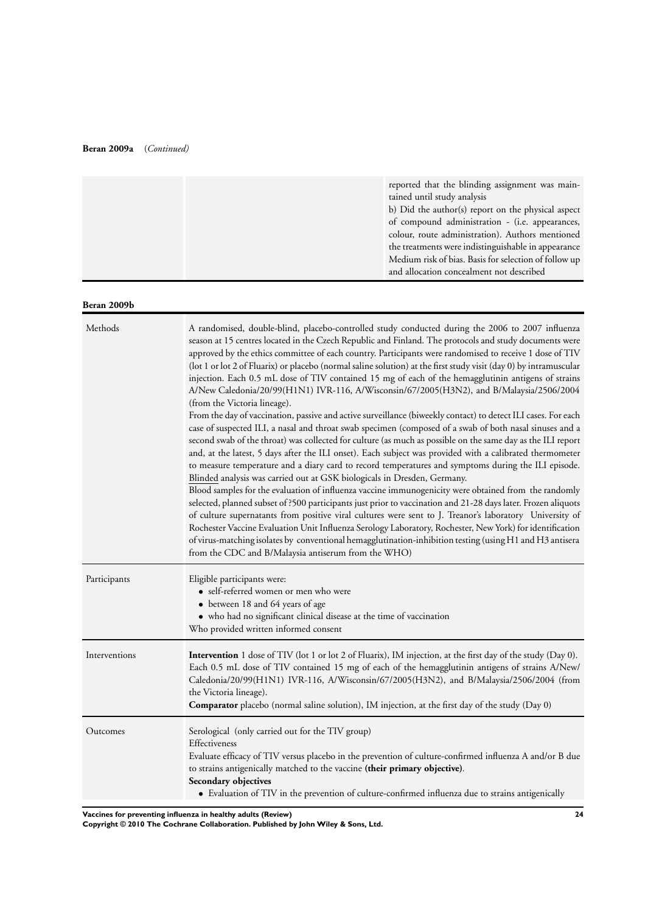### **Beran 2009a** (*Continued)*

reported that the blinding assignment was maintained until study analysis b) Did the author(s) report on the physical aspect of compound administration - (i.e. appearances, colour, route administration). Authors mentioned the treatments were indistinguishable in appearance Medium risk of bias. Basis for selection of follow up

and allocation concealment not described

### **Beran 2009b**

| Methods       | A randomised, double-blind, placebo-controlled study conducted during the 2006 to 2007 influenza<br>season at 15 centres located in the Czech Republic and Finland. The protocols and study documents were<br>approved by the ethics committee of each country. Participants were randomised to receive 1 dose of TIV<br>(lot 1 or lot 2 of Fluarix) or placebo (normal saline solution) at the first study visit (day 0) by intramuscular<br>injection. Each 0.5 mL dose of TIV contained 15 mg of each of the hemagglutinin antigens of strains<br>A/New Caledonia/20/99(H1N1) IVR-116, A/Wisconsin/67/2005(H3N2), and B/Malaysia/2506/2004<br>(from the Victoria lineage).<br>From the day of vaccination, passive and active surveillance (biweekly contact) to detect ILI cases. For each<br>case of suspected ILI, a nasal and throat swab specimen (composed of a swab of both nasal sinuses and a<br>second swab of the throat) was collected for culture (as much as possible on the same day as the ILI report<br>and, at the latest, 5 days after the ILI onset). Each subject was provided with a calibrated thermometer<br>to measure temperature and a diary card to record temperatures and symptoms during the ILI episode.<br>Blinded analysis was carried out at GSK biologicals in Dresden, Germany.<br>Blood samples for the evaluation of influenza vaccine immunogenicity were obtained from the randomly<br>selected, planned subset of ?500 participants just prior to vaccination and 21-28 days later. Frozen aliquots<br>of culture supernatants from positive viral cultures were sent to J. Treanor's laboratory University of<br>Rochester Vaccine Evaluation Unit Influenza Serology Laboratory, Rochester, New York) for identification<br>of virus-matching isolates by conventional hemagglutination-inhibition testing (using H1 and H3 antisera<br>from the CDC and B/Malaysia antiserum from the WHO) |
|---------------|--------------------------------------------------------------------------------------------------------------------------------------------------------------------------------------------------------------------------------------------------------------------------------------------------------------------------------------------------------------------------------------------------------------------------------------------------------------------------------------------------------------------------------------------------------------------------------------------------------------------------------------------------------------------------------------------------------------------------------------------------------------------------------------------------------------------------------------------------------------------------------------------------------------------------------------------------------------------------------------------------------------------------------------------------------------------------------------------------------------------------------------------------------------------------------------------------------------------------------------------------------------------------------------------------------------------------------------------------------------------------------------------------------------------------------------------------------------------------------------------------------------------------------------------------------------------------------------------------------------------------------------------------------------------------------------------------------------------------------------------------------------------------------------------------------------------------------------------------------------------------------------------------------------------------------------------|
| Participants  | Eligible participants were:<br>• self-referred women or men who were<br>• between 18 and 64 years of age<br>• who had no significant clinical disease at the time of vaccination<br>Who provided written informed consent                                                                                                                                                                                                                                                                                                                                                                                                                                                                                                                                                                                                                                                                                                                                                                                                                                                                                                                                                                                                                                                                                                                                                                                                                                                                                                                                                                                                                                                                                                                                                                                                                                                                                                                  |
| Interventions | <b>Intervention</b> 1 dose of TIV (lot 1 or lot 2 of Fluarix), IM injection, at the first day of the study (Day 0).<br>Each 0.5 mL dose of TIV contained 15 mg of each of the hemagglutinin antigens of strains A/New/<br>Caledonia/20/99(H1N1) IVR-116, A/Wisconsin/67/2005(H3N2), and B/Malaysia/2506/2004 (from<br>the Victoria lineage).<br><b>Comparator</b> placebo (normal saline solution), IM injection, at the first day of the study (Day 0)                                                                                                                                                                                                                                                                                                                                                                                                                                                                                                                                                                                                                                                                                                                                                                                                                                                                                                                                                                                                                                                                                                                                                                                                                                                                                                                                                                                                                                                                                    |
| Outcomes      | Serological (only carried out for the TIV group)<br>Effectiveness<br>Evaluate efficacy of TIV versus placebo in the prevention of culture-confirmed influenza A and/or B due<br>to strains antigenically matched to the vaccine (their primary objective).<br>Secondary objectives<br>• Evaluation of TIV in the prevention of culture-confirmed influenza due to strains antigenically                                                                                                                                                                                                                                                                                                                                                                                                                                                                                                                                                                                                                                                                                                                                                                                                                                                                                                                                                                                                                                                                                                                                                                                                                                                                                                                                                                                                                                                                                                                                                    |

**Vaccines for preventing influenza in healthy adults (Review) 24**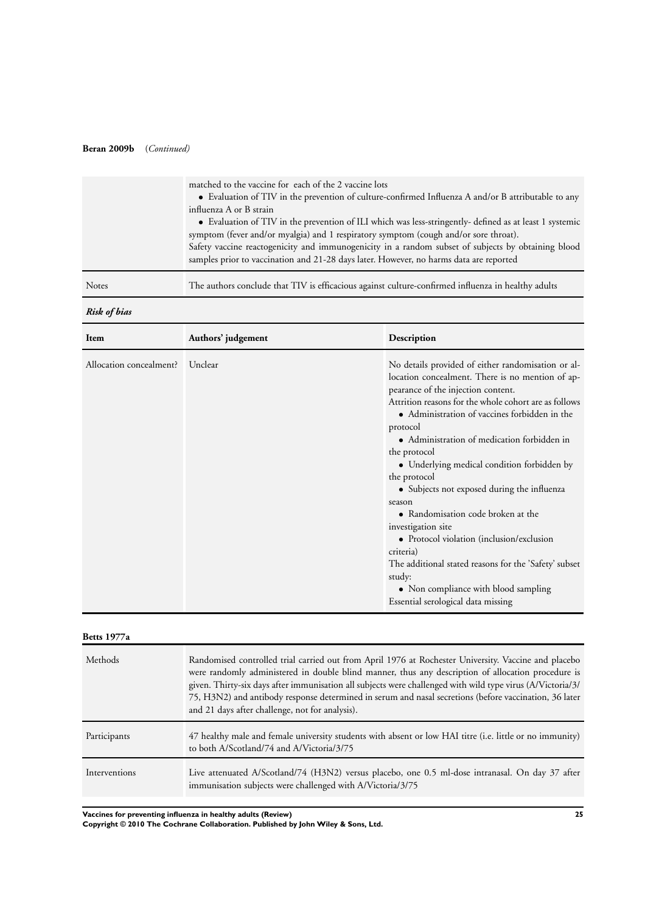### **Beran 2009b** (*Continued)*

|              | matched to the vaccine for each of the 2 vaccine lots<br>• Evaluation of TIV in the prevention of culture-confirmed Influenza A and/or B attributable to any<br>influenza A or B strain<br>• Evaluation of TIV in the prevention of ILI which was less-stringently- defined as at least 1 systemic<br>symptom (fever and/or myalgia) and 1 respiratory symptom (cough and/or sore throat).<br>Safety vaccine reactogenicity and immunogenicity in a random subset of subjects by obtaining blood<br>samples prior to vaccination and 21-28 days later. However, no harms data are reported |
|--------------|--------------------------------------------------------------------------------------------------------------------------------------------------------------------------------------------------------------------------------------------------------------------------------------------------------------------------------------------------------------------------------------------------------------------------------------------------------------------------------------------------------------------------------------------------------------------------------------------|
| <b>Notes</b> | The authors conclude that TIV is efficacious against culture-confirmed influenza in healthy adults                                                                                                                                                                                                                                                                                                                                                                                                                                                                                         |

## *Risk of bias*

| Item                    | Authors' judgement | Description                                                                                                                                                                                                                                                                                                                                                                                                                                                                                                                                                                                                                                                                                                                      |
|-------------------------|--------------------|----------------------------------------------------------------------------------------------------------------------------------------------------------------------------------------------------------------------------------------------------------------------------------------------------------------------------------------------------------------------------------------------------------------------------------------------------------------------------------------------------------------------------------------------------------------------------------------------------------------------------------------------------------------------------------------------------------------------------------|
| Allocation concealment? | Unclear            | No details provided of either randomisation or al-<br>location concealment. There is no mention of ap-<br>pearance of the injection content.<br>Attrition reasons for the whole cohort are as follows<br>• Administration of vaccines forbidden in the<br>protocol<br>• Administration of medication forbidden in<br>the protocol<br>• Underlying medical condition forbidden by<br>the protocol<br>• Subjects not exposed during the influenza<br>season<br>• Randomisation code broken at the<br>investigation site<br>• Protocol violation (inclusion/exclusion<br>criteria)<br>The additional stated reasons for the 'Safety' subset<br>study:<br>• Non compliance with blood sampling<br>Essential serological data missing |

## **Betts 1977a**

| Methods       | Randomised controlled trial carried out from April 1976 at Rochester University. Vaccine and placebo<br>were randomly administered in double blind manner, thus any description of allocation procedure is<br>given. Thirty-six days after immunisation all subjects were challenged with wild type virus (A/Victoria/3/<br>75, H3N2) and antibody response determined in serum and nasal secretions (before vaccination, 36 later<br>and 21 days after challenge, not for analysis). |
|---------------|---------------------------------------------------------------------------------------------------------------------------------------------------------------------------------------------------------------------------------------------------------------------------------------------------------------------------------------------------------------------------------------------------------------------------------------------------------------------------------------|
| Participants  | 47 healthy male and female university students with absent or low HAI titre (i.e. little or no immunity)<br>to both A/Scotland/74 and A/Victoria/3/75                                                                                                                                                                                                                                                                                                                                 |
| Interventions | Live attenuated A/Scotland/74 (H3N2) versus placebo, one 0.5 ml-dose intranasal. On day 37 after<br>immunisation subjects were challenged with A/Victoria/3/75                                                                                                                                                                                                                                                                                                                        |

**Vaccines for preventing influenza in healthy adults (Review) 25**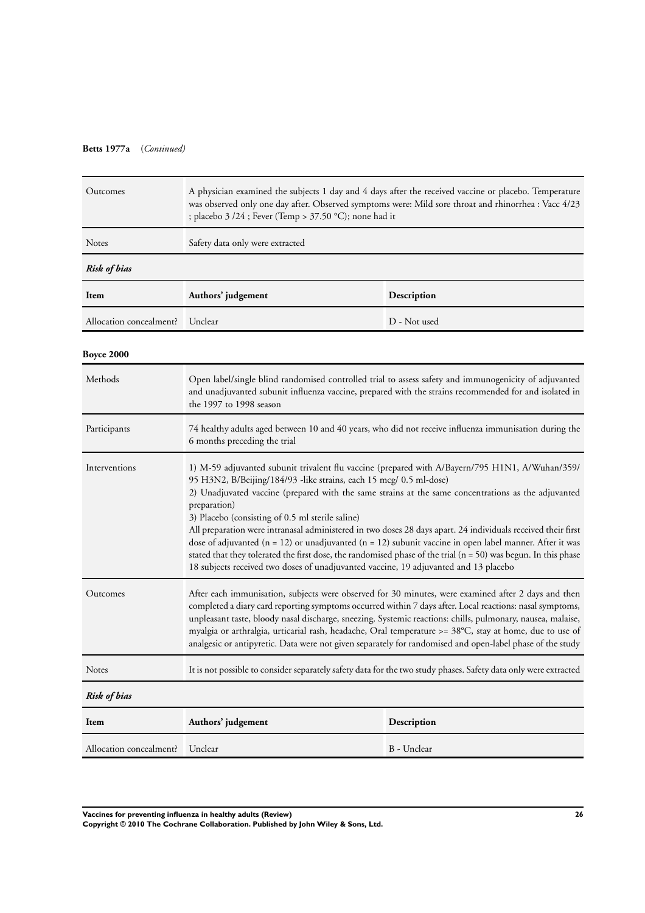### **Betts 1977a** (*Continued)*

| Outcomes                | A physician examined the subjects 1 day and 4 days after the received vaccine or placebo. Temperature<br>was observed only one day after. Observed symptoms were: Mild sore throat and rhinorrhea : Vacc 4/23<br>; placebo 3 /24 ; Fever (Temp > 37.50 °C); none had it                                                                                                                                                                                                                                                                                                                                                                                                                                                                                                                         |              |  |
|-------------------------|-------------------------------------------------------------------------------------------------------------------------------------------------------------------------------------------------------------------------------------------------------------------------------------------------------------------------------------------------------------------------------------------------------------------------------------------------------------------------------------------------------------------------------------------------------------------------------------------------------------------------------------------------------------------------------------------------------------------------------------------------------------------------------------------------|--------------|--|
| Notes                   | Safety data only were extracted                                                                                                                                                                                                                                                                                                                                                                                                                                                                                                                                                                                                                                                                                                                                                                 |              |  |
| <b>Risk of bias</b>     |                                                                                                                                                                                                                                                                                                                                                                                                                                                                                                                                                                                                                                                                                                                                                                                                 |              |  |
| Item                    | Authors' judgement                                                                                                                                                                                                                                                                                                                                                                                                                                                                                                                                                                                                                                                                                                                                                                              | Description  |  |
| Allocation concealment? | Unclear                                                                                                                                                                                                                                                                                                                                                                                                                                                                                                                                                                                                                                                                                                                                                                                         | D - Not used |  |
| <b>Boyce 2000</b>       |                                                                                                                                                                                                                                                                                                                                                                                                                                                                                                                                                                                                                                                                                                                                                                                                 |              |  |
| Methods                 | Open label/single blind randomised controlled trial to assess safety and immunogenicity of adjuvanted<br>and unadjuvanted subunit influenza vaccine, prepared with the strains recommended for and isolated in<br>the 1997 to 1998 season                                                                                                                                                                                                                                                                                                                                                                                                                                                                                                                                                       |              |  |
| Participants            | 74 healthy adults aged between 10 and 40 years, who did not receive influenza immunisation during the<br>6 months preceding the trial                                                                                                                                                                                                                                                                                                                                                                                                                                                                                                                                                                                                                                                           |              |  |
| Interventions           | 1) M-59 adjuvanted subunit trivalent flu vaccine (prepared with A/Bayern/795 H1N1, A/Wuhan/359/<br>95 H3N2, B/Beijing/184/93 -like strains, each 15 mcg/ 0.5 ml-dose)<br>2) Unadjuvated vaccine (prepared with the same strains at the same concentrations as the adjuvanted<br>preparation)<br>3) Placebo (consisting of 0.5 ml sterile saline)<br>All preparation were intranasal administered in two doses 28 days apart. 24 individuals received their first<br>dose of adjuvanted ( $n = 12$ ) or unadjuvanted ( $n = 12$ ) subunit vaccine in open label manner. After it was<br>stated that they tolerated the first dose, the randomised phase of the trial $(n = 50)$ was begun. In this phase<br>18 subjects received two doses of unadjuvanted vaccine, 19 adjuvanted and 13 placebo |              |  |
| Outcomes                | After each immunisation, subjects were observed for 30 minutes, were examined after 2 days and then<br>completed a diary card reporting symptoms occurred within 7 days after. Local reactions: nasal symptoms,<br>unpleasant taste, bloody nasal discharge, sneezing. Systemic reactions: chills, pulmonary, nausea, malaise,<br>myalgia or arthralgia, urticarial rash, headache, Oral temperature >= 38°C, stay at home, due to use of<br>analgesic or antipyretic. Data were not given separately for randomised and open-label phase of the study                                                                                                                                                                                                                                          |              |  |
| Notes                   | It is not possible to consider separately safety data for the two study phases. Safety data only were extracted                                                                                                                                                                                                                                                                                                                                                                                                                                                                                                                                                                                                                                                                                 |              |  |
| <b>Risk of bias</b>     |                                                                                                                                                                                                                                                                                                                                                                                                                                                                                                                                                                                                                                                                                                                                                                                                 |              |  |
| Item                    | Authors' judgement                                                                                                                                                                                                                                                                                                                                                                                                                                                                                                                                                                                                                                                                                                                                                                              | Description  |  |
| Allocation concealment? | B - Unclear<br>Unclear                                                                                                                                                                                                                                                                                                                                                                                                                                                                                                                                                                                                                                                                                                                                                                          |              |  |

**Vaccines for preventing influenza in healthy adults (Review) 26**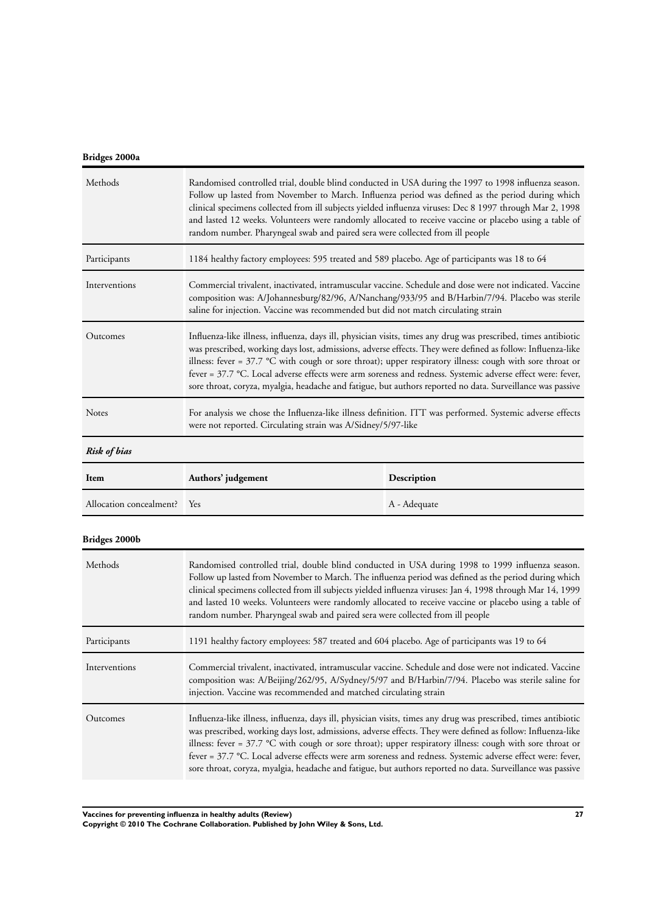## **Bridges 2000a**

| Methods       | Randomised controlled trial, double blind conducted in USA during the 1997 to 1998 influenza season.<br>Follow up lasted from November to March. Influenza period was defined as the period during which<br>clinical specimens collected from ill subjects yielded influenza viruses: Dec 8 1997 through Mar 2, 1998<br>and lasted 12 weeks. Volunteers were randomly allocated to receive vaccine or placebo using a table of<br>random number. Pharyngeal swab and paired sera were collected from ill people                                                          |
|---------------|--------------------------------------------------------------------------------------------------------------------------------------------------------------------------------------------------------------------------------------------------------------------------------------------------------------------------------------------------------------------------------------------------------------------------------------------------------------------------------------------------------------------------------------------------------------------------|
| Participants  | 1184 healthy factory employees: 595 treated and 589 placebo. Age of participants was 18 to 64                                                                                                                                                                                                                                                                                                                                                                                                                                                                            |
| Interventions | Commercial trivalent, inactivated, intramuscular vaccine. Schedule and dose were not indicated. Vaccine<br>composition was: A/Johannesburg/82/96, A/Nanchang/933/95 and B/Harbin/7/94. Placebo was sterile<br>saline for injection. Vaccine was recommended but did not match circulating strain                                                                                                                                                                                                                                                                         |
| Outcomes      | Influenza-like illness, influenza, days ill, physician visits, times any drug was prescribed, times antibiotic<br>was prescribed, working days lost, admissions, adverse effects. They were defined as follow: Influenza-like<br>illness: fever = $37.7$ °C with cough or sore throat); upper respiratory illness: cough with sore throat or<br>fever = 37.7 °C. Local adverse effects were arm soreness and redness. Systemic adverse effect were: fever,<br>sore throat, coryza, myalgia, headache and fatigue, but authors reported no data. Surveillance was passive |
| <b>Notes</b>  | For analysis we chose the Influenza-like illness definition. ITT was performed. Systemic adverse effects<br>were not reported. Circulating strain was A/Sidney/5/97-like                                                                                                                                                                                                                                                                                                                                                                                                 |
|               |                                                                                                                                                                                                                                                                                                                                                                                                                                                                                                                                                                          |

*Risk of bias*

| Item                        | Authors' judgement | Description  |
|-----------------------------|--------------------|--------------|
| Allocation concealment? Yes |                    | A - Adequate |

## **Bridges 2000b**

| Methods       | Randomised controlled trial, double blind conducted in USA during 1998 to 1999 influenza season.<br>Follow up lasted from November to March. The influenza period was defined as the period during which<br>clinical specimens collected from ill subjects yielded influenza viruses: Jan 4, 1998 through Mar 14, 1999<br>and lasted 10 weeks. Volunteers were randomly allocated to receive vaccine or placebo using a table of<br>random number. Pharyngeal swab and paired sera were collected from ill people                                                      |
|---------------|------------------------------------------------------------------------------------------------------------------------------------------------------------------------------------------------------------------------------------------------------------------------------------------------------------------------------------------------------------------------------------------------------------------------------------------------------------------------------------------------------------------------------------------------------------------------|
| Participants  | 1191 healthy factory employees: 587 treated and 604 placebo. Age of participants was 19 to 64                                                                                                                                                                                                                                                                                                                                                                                                                                                                          |
| Interventions | Commercial trivalent, inactivated, intramuscular vaccine. Schedule and dose were not indicated. Vaccine<br>composition was: A/Beijing/262/95, A/Sydney/5/97 and B/Harbin/7/94. Placebo was sterile saline for<br>injection. Vaccine was recommended and matched circulating strain                                                                                                                                                                                                                                                                                     |
| Outcomes      | Influenza-like illness, influenza, days ill, physician visits, times any drug was prescribed, times antibiotic<br>was prescribed, working days lost, admissions, adverse effects. They were defined as follow: Influenza-like<br>illness: fever = 37.7 °C with cough or sore throat); upper respiratory illness: cough with sore throat or<br>fever = 37.7 °C. Local adverse effects were arm soreness and redness. Systemic adverse effect were: fever,<br>sore throat, coryza, myalgia, headache and fatigue, but authors reported no data. Surveillance was passive |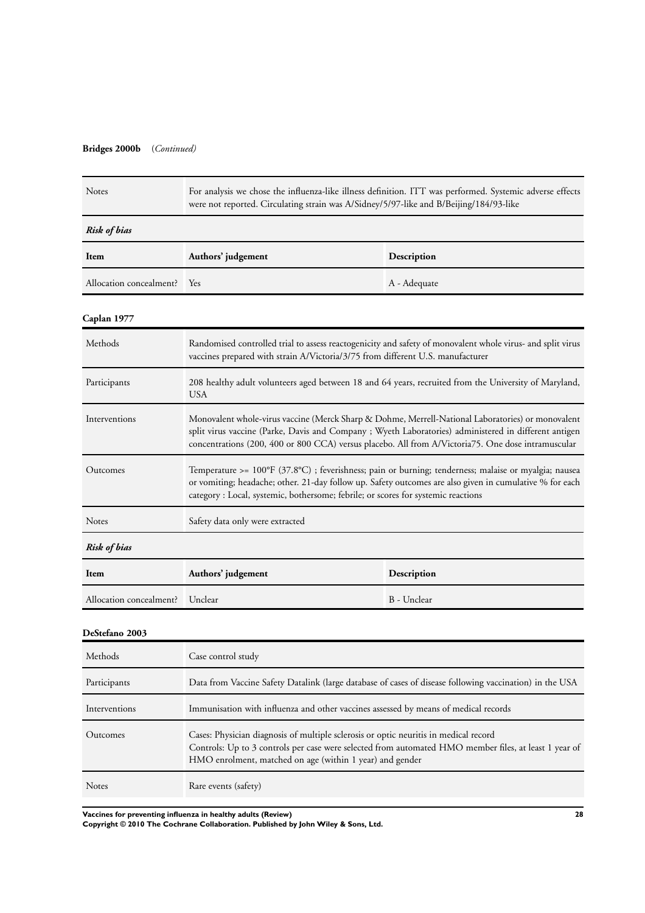## **Bridges 2000b** (*Continued)*

| Notes                   | For analysis we chose the influenza-like illness definition. ITT was performed. Systemic adverse effects<br>were not reported. Circulating strain was A/Sidney/5/97-like and B/Beijing/184/93-like                                                                                                                       |                                                                                                            |  |
|-------------------------|--------------------------------------------------------------------------------------------------------------------------------------------------------------------------------------------------------------------------------------------------------------------------------------------------------------------------|------------------------------------------------------------------------------------------------------------|--|
| <b>Risk of bias</b>     |                                                                                                                                                                                                                                                                                                                          |                                                                                                            |  |
| Item                    | Authors' judgement                                                                                                                                                                                                                                                                                                       | Description                                                                                                |  |
| Allocation concealment? | Yes                                                                                                                                                                                                                                                                                                                      | A - Adequate                                                                                               |  |
| Caplan 1977             |                                                                                                                                                                                                                                                                                                                          |                                                                                                            |  |
| Methods                 | vaccines prepared with strain A/Victoria/3/75 from different U.S. manufacturer                                                                                                                                                                                                                                           | Randomised controlled trial to assess reactogenicity and safety of monovalent whole virus- and split virus |  |
| Participants            | 208 healthy adult volunteers aged between 18 and 64 years, recruited from the University of Maryland,<br><b>USA</b>                                                                                                                                                                                                      |                                                                                                            |  |
| Interventions           | Monovalent whole-virus vaccine (Merck Sharp & Dohme, Merrell-National Laboratories) or monovalent<br>split virus vaccine (Parke, Davis and Company ; Wyeth Laboratories) administered in different antigen<br>concentrations (200, 400 or 800 CCA) versus placebo. All from A/Victoria75. One dose intramuscular         |                                                                                                            |  |
| Outcomes                | Temperature >= $100^{\circ}F$ (37.8 $^{\circ}C$ ); feverishness; pain or burning; tenderness; malaise or myalgia; nausea<br>or vomiting; headache; other. 21-day follow up. Safety outcomes are also given in cumulative % for each<br>category : Local, systemic, bothersome; febrile; or scores for systemic reactions |                                                                                                            |  |
| Notes                   | Safety data only were extracted                                                                                                                                                                                                                                                                                          |                                                                                                            |  |
| <b>Risk of bias</b>     |                                                                                                                                                                                                                                                                                                                          |                                                                                                            |  |
| Item                    | Authors' judgement                                                                                                                                                                                                                                                                                                       | Description                                                                                                |  |
| Allocation concealment? | Unclear                                                                                                                                                                                                                                                                                                                  | B - Unclear                                                                                                |  |
| <b>DeStefano 2003</b>   |                                                                                                                                                                                                                                                                                                                          |                                                                                                            |  |
| Methods                 | Case control study                                                                                                                                                                                                                                                                                                       |                                                                                                            |  |
| Participants            | Data from Vaccine Safety Datalink (large database of cases of disease following vaccination) in the USA                                                                                                                                                                                                                  |                                                                                                            |  |
| Interventions           | Immunisation with influenza and other vaccines assessed by means of medical records                                                                                                                                                                                                                                      |                                                                                                            |  |
| Outcomes                | Cases: Physician diagnosis of multiple sclerosis or optic neuritis in medical record<br>Controls: Up to 3 controls per case were selected from automated HMO member files, at least 1 year of<br>HMO enrolment, matched on age (within 1 year) and gender                                                                |                                                                                                            |  |
| Notes                   | Rare events (safety)                                                                                                                                                                                                                                                                                                     |                                                                                                            |  |

**Vaccines for preventing influenza in healthy adults (Review) 28**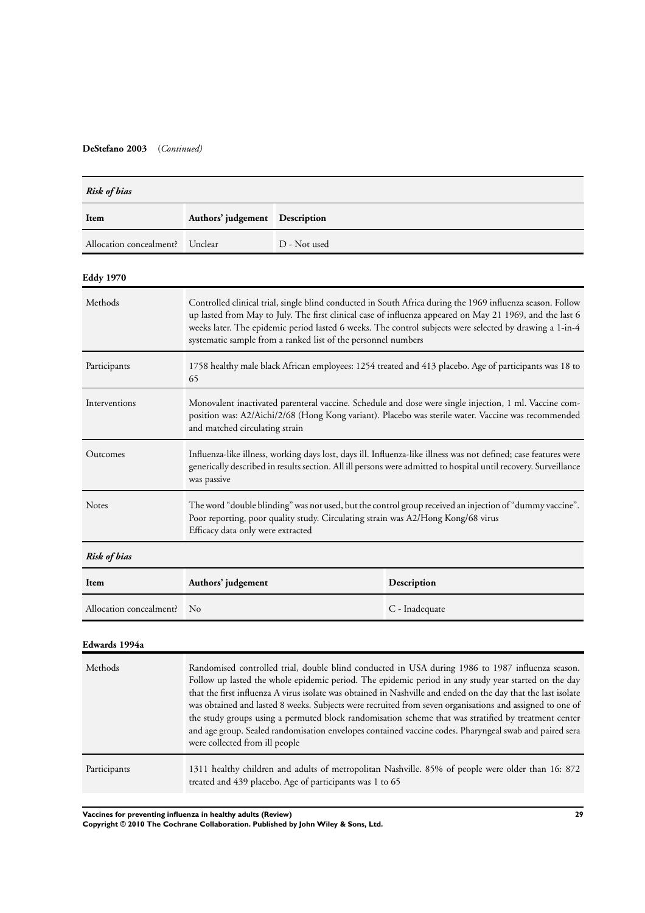### **DeStefano 2003** (*Continued)*

| <b>Risk of bias</b>     |                                                                                                                                                                                                                                                    |                                                                                                        |                                                                                                                                                                                                                                                                                                                                                                                                                                                                                                                                                                                                                                                         |
|-------------------------|----------------------------------------------------------------------------------------------------------------------------------------------------------------------------------------------------------------------------------------------------|--------------------------------------------------------------------------------------------------------|---------------------------------------------------------------------------------------------------------------------------------------------------------------------------------------------------------------------------------------------------------------------------------------------------------------------------------------------------------------------------------------------------------------------------------------------------------------------------------------------------------------------------------------------------------------------------------------------------------------------------------------------------------|
| Item                    | Authors' judgement                                                                                                                                                                                                                                 | Description                                                                                            |                                                                                                                                                                                                                                                                                                                                                                                                                                                                                                                                                                                                                                                         |
| Allocation concealment? | Unclear                                                                                                                                                                                                                                            | D - Not used                                                                                           |                                                                                                                                                                                                                                                                                                                                                                                                                                                                                                                                                                                                                                                         |
| <b>Eddy 1970</b>        |                                                                                                                                                                                                                                                    |                                                                                                        |                                                                                                                                                                                                                                                                                                                                                                                                                                                                                                                                                                                                                                                         |
| Methods                 |                                                                                                                                                                                                                                                    | systematic sample from a ranked list of the personnel numbers                                          | Controlled clinical trial, single blind conducted in South Africa during the 1969 influenza season. Follow<br>up lasted from May to July. The first clinical case of influenza appeared on May 21 1969, and the last 6<br>weeks later. The epidemic period lasted 6 weeks. The control subjects were selected by drawing a 1-in-4                                                                                                                                                                                                                                                                                                                       |
| Participants            | 65                                                                                                                                                                                                                                                 | 1758 healthy male black African employees: 1254 treated and 413 placebo. Age of participants was 18 to |                                                                                                                                                                                                                                                                                                                                                                                                                                                                                                                                                                                                                                                         |
| Interventions           | Monovalent inactivated parenteral vaccine. Schedule and dose were single injection, 1 ml. Vaccine com-<br>position was: A2/Aichi/2/68 (Hong Kong variant). Placebo was sterile water. Vaccine was recommended<br>and matched circulating strain    |                                                                                                        |                                                                                                                                                                                                                                                                                                                                                                                                                                                                                                                                                                                                                                                         |
| Outcomes                | Influenza-like illness, working days lost, days ill. Influenza-like illness was not defined; case features were<br>generically described in results section. All ill persons were admitted to hospital until recovery. Surveillance<br>was passive |                                                                                                        |                                                                                                                                                                                                                                                                                                                                                                                                                                                                                                                                                                                                                                                         |
| Notes                   | The word "double blinding" was not used, but the control group received an injection of "dummy vaccine".<br>Poor reporting, poor quality study. Circulating strain was A2/Hong Kong/68 virus<br>Efficacy data only were extracted                  |                                                                                                        |                                                                                                                                                                                                                                                                                                                                                                                                                                                                                                                                                                                                                                                         |
| <b>Risk of bias</b>     |                                                                                                                                                                                                                                                    |                                                                                                        |                                                                                                                                                                                                                                                                                                                                                                                                                                                                                                                                                                                                                                                         |
| Item                    | Authors' judgement                                                                                                                                                                                                                                 |                                                                                                        | Description                                                                                                                                                                                                                                                                                                                                                                                                                                                                                                                                                                                                                                             |
| Allocation concealment? | No                                                                                                                                                                                                                                                 |                                                                                                        | C - Inadequate                                                                                                                                                                                                                                                                                                                                                                                                                                                                                                                                                                                                                                          |
| Edwards 1994a           |                                                                                                                                                                                                                                                    |                                                                                                        |                                                                                                                                                                                                                                                                                                                                                                                                                                                                                                                                                                                                                                                         |
| Methods                 | were collected from ill people                                                                                                                                                                                                                     |                                                                                                        | Randomised controlled trial, double blind conducted in USA during 1986 to 1987 influenza season.<br>Follow up lasted the whole epidemic period. The epidemic period in any study year started on the day<br>that the first influenza A virus isolate was obtained in Nashville and ended on the day that the last isolate<br>was obtained and lasted 8 weeks. Subjects were recruited from seven organisations and assigned to one of<br>the study groups using a permuted block randomisation scheme that was stratified by treatment center<br>and age group. Sealed randomisation envelopes contained vaccine codes. Pharyngeal swab and paired sera |
| Participants            |                                                                                                                                                                                                                                                    |                                                                                                        | 1311 healthy children and adults of metropolitan Nashville. 85% of people were older than 16: 872                                                                                                                                                                                                                                                                                                                                                                                                                                                                                                                                                       |

**Vaccines for preventing influenza in healthy adults (Review) 29**

**Copyright © 2010 The Cochrane Collaboration. Published by John Wiley & Sons, Ltd.**

treated and 439 placebo. Age of participants was 1 to 65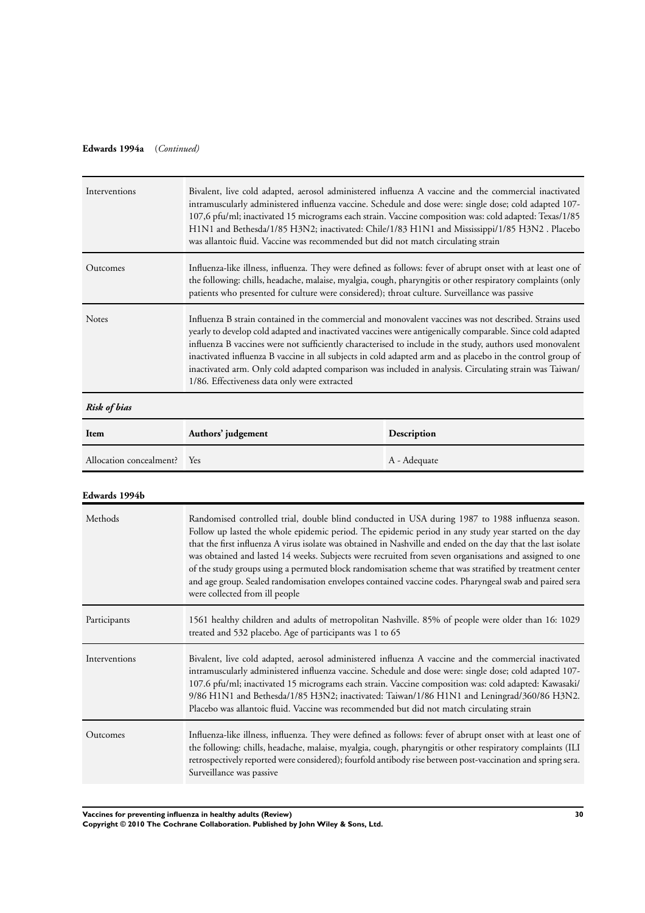## **Edwards 1994a** (*Continued)*

| Interventions           | was allantoic fluid. Vaccine was recommended but did not match circulating strain                                                                                                                                                                                                                                                                                                                                                                                                                                                                                                                        | Bivalent, live cold adapted, aerosol administered influenza A vaccine and the commercial inactivated<br>intramuscularly administered influenza vaccine. Schedule and dose were: single dose; cold adapted 107-<br>107,6 pfu/ml; inactivated 15 micrograms each strain. Vaccine composition was: cold adapted: Texas/1/85<br>H1N1 and Bethesda/1/85 H3N2; inactivated: Chile/1/83 H1N1 and Mississippi/1/85 H3N2 . Placebo |
|-------------------------|----------------------------------------------------------------------------------------------------------------------------------------------------------------------------------------------------------------------------------------------------------------------------------------------------------------------------------------------------------------------------------------------------------------------------------------------------------------------------------------------------------------------------------------------------------------------------------------------------------|---------------------------------------------------------------------------------------------------------------------------------------------------------------------------------------------------------------------------------------------------------------------------------------------------------------------------------------------------------------------------------------------------------------------------|
| Outcomes                | Influenza-like illness, influenza. They were defined as follows: fever of abrupt onset with at least one of<br>the following: chills, headache, malaise, myalgia, cough, pharyngitis or other respiratory complaints (only<br>patients who presented for culture were considered); throat culture. Surveillance was passive                                                                                                                                                                                                                                                                              |                                                                                                                                                                                                                                                                                                                                                                                                                           |
| <b>Notes</b>            | Influenza B strain contained in the commercial and monovalent vaccines was not described. Strains used<br>yearly to develop cold adapted and inactivated vaccines were antigenically comparable. Since cold adapted<br>influenza B vaccines were not sufficiently characterised to include in the study, authors used monovalent<br>inactivated influenza B vaccine in all subjects in cold adapted arm and as placebo in the control group of<br>inactivated arm. Only cold adapted comparison was included in analysis. Circulating strain was Taiwan/<br>1/86. Effectiveness data only were extracted |                                                                                                                                                                                                                                                                                                                                                                                                                           |
| <b>Risk of bias</b>     |                                                                                                                                                                                                                                                                                                                                                                                                                                                                                                                                                                                                          |                                                                                                                                                                                                                                                                                                                                                                                                                           |
| Item                    | Authors' judgement                                                                                                                                                                                                                                                                                                                                                                                                                                                                                                                                                                                       | Description                                                                                                                                                                                                                                                                                                                                                                                                               |
| Allocation concealment? | Yes                                                                                                                                                                                                                                                                                                                                                                                                                                                                                                                                                                                                      | A - Adequate                                                                                                                                                                                                                                                                                                                                                                                                              |
| Edwards 1994b           |                                                                                                                                                                                                                                                                                                                                                                                                                                                                                                                                                                                                          |                                                                                                                                                                                                                                                                                                                                                                                                                           |
| Methods                 |                                                                                                                                                                                                                                                                                                                                                                                                                                                                                                                                                                                                          | Randomised controlled trial, double blind conducted in USA during 1987 to 1988 influenza season.<br>$\sim$ 1.1 1.1 $\sim$ 1.1 $\sim$ 1.1 $\sim$ 1.1 $\sim$ 1.1 $\sim$ 1.1 $\sim$ 1.1 $\sim$ 1.1 $\sim$ 1.1 $\sim$ 1.1 $\sim$                                                                                                                                                                                              |

| Methods       | Randomised controlled trial, double blind conducted in USA during 1987 to 1988 influenza season.<br>Follow up lasted the whole epidemic period. The epidemic period in any study year started on the day<br>that the first influenza A virus isolate was obtained in Nashville and ended on the day that the last isolate<br>was obtained and lasted 14 weeks. Subjects were recruited from seven organisations and assigned to one<br>of the study groups using a permuted block randomisation scheme that was stratified by treatment center<br>and age group. Sealed randomisation envelopes contained vaccine codes. Pharyngeal swab and paired sera<br>were collected from ill people |
|---------------|--------------------------------------------------------------------------------------------------------------------------------------------------------------------------------------------------------------------------------------------------------------------------------------------------------------------------------------------------------------------------------------------------------------------------------------------------------------------------------------------------------------------------------------------------------------------------------------------------------------------------------------------------------------------------------------------|
| Participants  | 1561 healthy children and adults of metropolitan Nashville. 85% of people were older than 16: 1029<br>treated and 532 placebo. Age of participants was 1 to 65                                                                                                                                                                                                                                                                                                                                                                                                                                                                                                                             |
| Interventions | Bivalent, live cold adapted, aerosol administered influenza A vaccine and the commercial inactivated<br>intramuscularly administered influenza vaccine. Schedule and dose were: single dose; cold adapted 107-<br>107.6 pfu/ml; inactivated 15 micrograms each strain. Vaccine composition was: cold adapted: Kawasaki/<br>9/86 H1N1 and Bethesda/1/85 H3N2; inactivated: Taiwan/1/86 H1N1 and Leningrad/360/86 H3N2.<br>Placebo was allantoic fluid. Vaccine was recommended but did not match circulating strain                                                                                                                                                                         |
| Outcomes      | Influenza-like illness, influenza. They were defined as follows: fever of abrupt onset with at least one of<br>the following: chills, headache, malaise, myalgia, cough, pharyngitis or other respiratory complaints (ILI<br>retrospectively reported were considered); fourfold antibody rise between post-vaccination and spring sera.<br>Surveillance was passive                                                                                                                                                                                                                                                                                                                       |

**Vaccines for preventing influenza in healthy adults (Review) 30**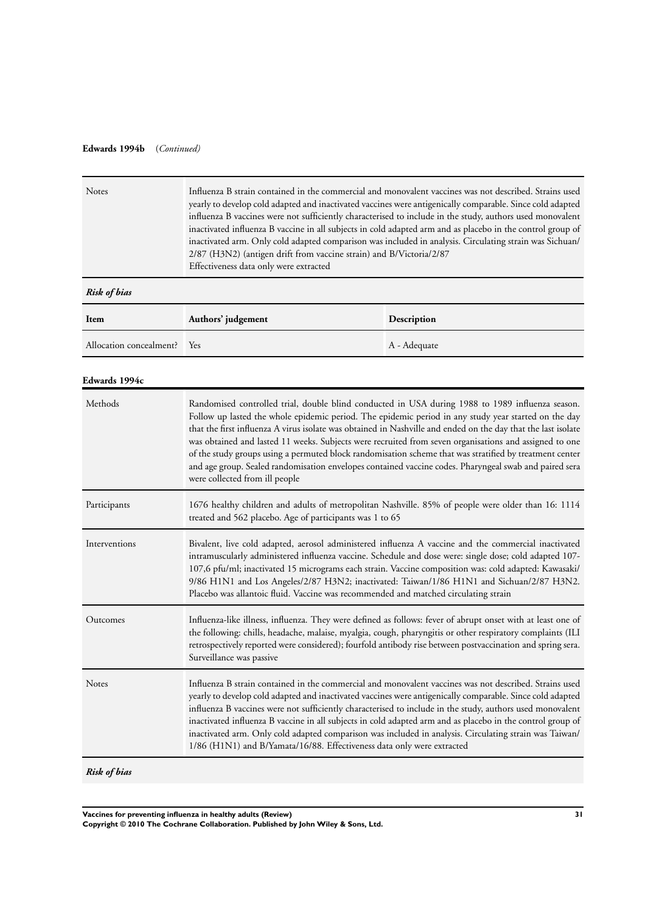### **Edwards 1994b** (*Continued)*

| Notes                   | Influenza B strain contained in the commercial and monovalent vaccines was not described. Strains used<br>yearly to develop cold adapted and inactivated vaccines were antigenically comparable. Since cold adapted<br>influenza B vaccines were not sufficiently characterised to include in the study, authors used monovalent<br>inactivated influenza B vaccine in all subjects in cold adapted arm and as placebo in the control group of<br>inactivated arm. Only cold adapted comparison was included in analysis. Circulating strain was Sichuan/<br>2/87 (H3N2) (antigen drift from vaccine strain) and B/Victoria/2/87<br>Effectiveness data only were extracted                 |                                                                                                                                                                                                                                                                                                                                                                                                                                                                                                                                                          |
|-------------------------|--------------------------------------------------------------------------------------------------------------------------------------------------------------------------------------------------------------------------------------------------------------------------------------------------------------------------------------------------------------------------------------------------------------------------------------------------------------------------------------------------------------------------------------------------------------------------------------------------------------------------------------------------------------------------------------------|----------------------------------------------------------------------------------------------------------------------------------------------------------------------------------------------------------------------------------------------------------------------------------------------------------------------------------------------------------------------------------------------------------------------------------------------------------------------------------------------------------------------------------------------------------|
| <b>Risk of bias</b>     |                                                                                                                                                                                                                                                                                                                                                                                                                                                                                                                                                                                                                                                                                            |                                                                                                                                                                                                                                                                                                                                                                                                                                                                                                                                                          |
| Item                    | Authors' judgement                                                                                                                                                                                                                                                                                                                                                                                                                                                                                                                                                                                                                                                                         | Description                                                                                                                                                                                                                                                                                                                                                                                                                                                                                                                                              |
| Allocation concealment? | Yes                                                                                                                                                                                                                                                                                                                                                                                                                                                                                                                                                                                                                                                                                        | A - Adequate                                                                                                                                                                                                                                                                                                                                                                                                                                                                                                                                             |
| Edwards 1994c           |                                                                                                                                                                                                                                                                                                                                                                                                                                                                                                                                                                                                                                                                                            |                                                                                                                                                                                                                                                                                                                                                                                                                                                                                                                                                          |
| Methods                 | Randomised controlled trial, double blind conducted in USA during 1988 to 1989 influenza season.<br>Follow up lasted the whole epidemic period. The epidemic period in any study year started on the day<br>that the first influenza A virus isolate was obtained in Nashville and ended on the day that the last isolate<br>was obtained and lasted 11 weeks. Subjects were recruited from seven organisations and assigned to one<br>of the study groups using a permuted block randomisation scheme that was stratified by treatment center<br>and age group. Sealed randomisation envelopes contained vaccine codes. Pharyngeal swab and paired sera<br>were collected from ill people |                                                                                                                                                                                                                                                                                                                                                                                                                                                                                                                                                          |
| Participants            | treated and 562 placebo. Age of participants was 1 to 65                                                                                                                                                                                                                                                                                                                                                                                                                                                                                                                                                                                                                                   | 1676 healthy children and adults of metropolitan Nashville. 85% of people were older than 16: 1114                                                                                                                                                                                                                                                                                                                                                                                                                                                       |
| Interventions           | Bivalent, live cold adapted, aerosol administered influenza A vaccine and the commercial inactivated<br>intramuscularly administered influenza vaccine. Schedule and dose were: single dose; cold adapted 107-<br>107,6 pfu/ml; inactivated 15 micrograms each strain. Vaccine composition was: cold adapted: Kawasaki/<br>9/86 H1N1 and Los Angeles/2/87 H3N2; inactivated: Taiwan/1/86 H1N1 and Sichuan/2/87 H3N2.<br>Placebo was allantoic fluid. Vaccine was recommended and matched circulating strain                                                                                                                                                                                |                                                                                                                                                                                                                                                                                                                                                                                                                                                                                                                                                          |
| Outcomes                | Surveillance was passive                                                                                                                                                                                                                                                                                                                                                                                                                                                                                                                                                                                                                                                                   | Influenza-like illness, influenza. They were defined as follows: fever of abrupt onset with at least one of<br>the following: chills, headache, malaise, myalgia, cough, pharyngitis or other respiratory complaints (ILI<br>retrospectively reported were considered); fourfold antibody rise between postvaccination and spring sera.                                                                                                                                                                                                                  |
| Notes                   | 1/86 (H1N1) and B/Yamata/16/88. Effectiveness data only were extracted                                                                                                                                                                                                                                                                                                                                                                                                                                                                                                                                                                                                                     | Influenza B strain contained in the commercial and monovalent vaccines was not described. Strains used<br>yearly to develop cold adapted and inactivated vaccines were antigenically comparable. Since cold adapted<br>influenza B vaccines were not sufficiently characterised to include in the study, authors used monovalent<br>inactivated influenza B vaccine in all subjects in cold adapted arm and as placebo in the control group of<br>inactivated arm. Only cold adapted comparison was included in analysis. Circulating strain was Taiwan/ |

*Risk of bias*

**Vaccines for preventing influenza in healthy adults (Review) 31**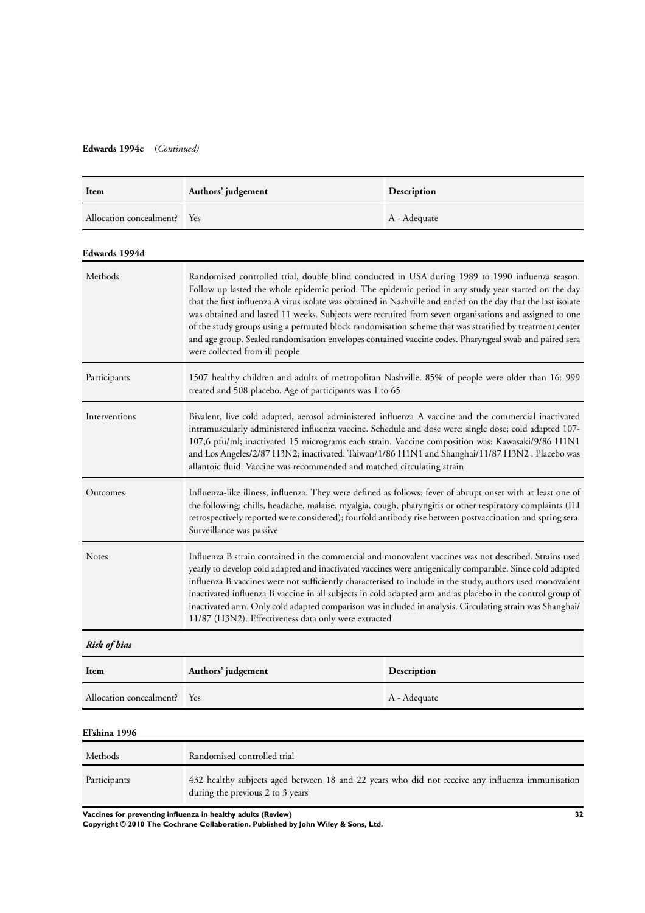### **Edwards 1994c** (*Continued)*

| Item                    | Authors' judgement                                                                                                                                                                                                                                                                                                                                                                                                                                                                                                                                                                                                                                                                         | Description  |
|-------------------------|--------------------------------------------------------------------------------------------------------------------------------------------------------------------------------------------------------------------------------------------------------------------------------------------------------------------------------------------------------------------------------------------------------------------------------------------------------------------------------------------------------------------------------------------------------------------------------------------------------------------------------------------------------------------------------------------|--------------|
| Allocation concealment? | Yes                                                                                                                                                                                                                                                                                                                                                                                                                                                                                                                                                                                                                                                                                        | A - Adequate |
| Edwards 1994d           |                                                                                                                                                                                                                                                                                                                                                                                                                                                                                                                                                                                                                                                                                            |              |
| Methods                 | Randomised controlled trial, double blind conducted in USA during 1989 to 1990 influenza season.<br>Follow up lasted the whole epidemic period. The epidemic period in any study year started on the day<br>that the first influenza A virus isolate was obtained in Nashville and ended on the day that the last isolate<br>was obtained and lasted 11 weeks. Subjects were recruited from seven organisations and assigned to one<br>of the study groups using a permuted block randomisation scheme that was stratified by treatment center<br>and age group. Sealed randomisation envelopes contained vaccine codes. Pharyngeal swab and paired sera<br>were collected from ill people |              |
| Participants            | 1507 healthy children and adults of metropolitan Nashville. 85% of people were older than 16: 999<br>treated and 508 placebo. Age of participants was 1 to 65                                                                                                                                                                                                                                                                                                                                                                                                                                                                                                                              |              |
| Interventions           | Bivalent, live cold adapted, aerosol administered influenza A vaccine and the commercial inactivated<br>intramuscularly administered influenza vaccine. Schedule and dose were: single dose; cold adapted 107-<br>107,6 pfu/ml; inactivated 15 micrograms each strain. Vaccine composition was: Kawasaki/9/86 H1N1<br>and Los Angeles/2/87 H3N2; inactivated: Taiwan/1/86 H1N1 and Shanghai/11/87 H3N2 . Placebo was<br>allantoic fluid. Vaccine was recommended and matched circulating strain                                                                                                                                                                                            |              |
| Outcomes                | Influenza-like illness, influenza. They were defined as follows: fever of abrupt onset with at least one of<br>the following: chills, headache, malaise, myalgia, cough, pharyngitis or other respiratory complaints (ILI<br>retrospectively reported were considered); fourfold antibody rise between postvaccination and spring sera.<br>Surveillance was passive                                                                                                                                                                                                                                                                                                                        |              |
| <b>Notes</b>            | Influenza B strain contained in the commercial and monovalent vaccines was not described. Strains used<br>yearly to develop cold adapted and inactivated vaccines were antigenically comparable. Since cold adapted<br>influenza B vaccines were not sufficiently characterised to include in the study, authors used monovalent<br>inactivated influenza B vaccine in all subjects in cold adapted arm and as placebo in the control group of<br>inactivated arm. Only cold adapted comparison was included in analysis. Circulating strain was Shanghai/<br>11/87 (H3N2). Effectiveness data only were extracted                                                                         |              |
| <b>Risk of bias</b>     |                                                                                                                                                                                                                                                                                                                                                                                                                                                                                                                                                                                                                                                                                            |              |
| Item                    | Authors' judgement                                                                                                                                                                                                                                                                                                                                                                                                                                                                                                                                                                                                                                                                         | Description  |
| Allocation concealment? | Yes                                                                                                                                                                                                                                                                                                                                                                                                                                                                                                                                                                                                                                                                                        | A - Adequate |
| El'shina 1996           |                                                                                                                                                                                                                                                                                                                                                                                                                                                                                                                                                                                                                                                                                            |              |
| Methods                 | Randomised controlled trial                                                                                                                                                                                                                                                                                                                                                                                                                                                                                                                                                                                                                                                                |              |
| Participants            | 432 healthy subjects aged between 18 and 22 years who did not receive any influenza immunisation<br>during the previous 2 to 3 years                                                                                                                                                                                                                                                                                                                                                                                                                                                                                                                                                       |              |

**Vaccines for preventing influenza in healthy adults (Review) 32**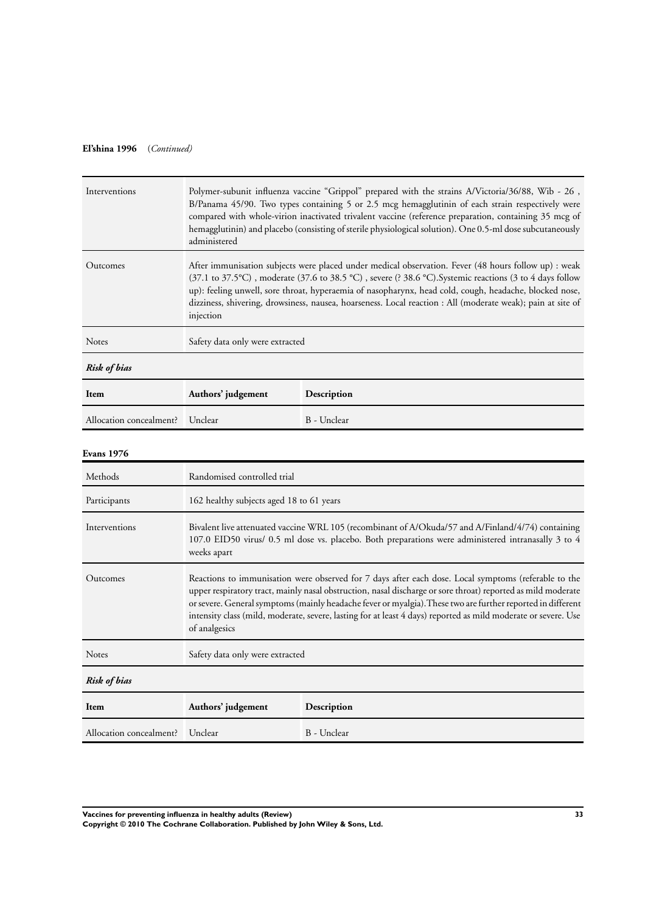## **El'shina 1996** (*Continued)*

| Interventions           | Polymer-subunit influenza vaccine "Grippol" prepared with the strains A/Victoria/36/88, Wib - 26,<br>B/Panama 45/90. Two types containing 5 or 2.5 mcg hemagglutinin of each strain respectively were<br>compared with whole-virion inactivated trivalent vaccine (reference preparation, containing 35 mcg of<br>hemagglutinin) and placebo (consisting of sterile physiological solution). One 0.5-ml dose subcutaneously<br>administered            |             |
|-------------------------|--------------------------------------------------------------------------------------------------------------------------------------------------------------------------------------------------------------------------------------------------------------------------------------------------------------------------------------------------------------------------------------------------------------------------------------------------------|-------------|
| Outcomes                | After immunisation subjects were placed under medical observation. Fever (48 hours follow up) : weak<br>(37.1 to 37.5°C), moderate (37.6 to 38.5 °C), severe (? 38.6 °C). Systemic reactions (3 to 4 days follow<br>up): feeling unwell, sore throat, hyperaemia of nasopharynx, head cold, cough, headache, blocked nose,<br>dizziness, shivering, drowsiness, nausea, hoarseness. Local reaction : All (moderate weak); pain at site of<br>injection |             |
| <b>Notes</b>            | Safety data only were extracted                                                                                                                                                                                                                                                                                                                                                                                                                        |             |
| <b>Risk of bias</b>     |                                                                                                                                                                                                                                                                                                                                                                                                                                                        |             |
| Item                    | Authors' judgement                                                                                                                                                                                                                                                                                                                                                                                                                                     | Description |
| Allocation concealment? | Unclear                                                                                                                                                                                                                                                                                                                                                                                                                                                | B - Unclear |
| <b>Evans 1976</b>       |                                                                                                                                                                                                                                                                                                                                                                                                                                                        |             |
| Methods                 | Randomised controlled trial                                                                                                                                                                                                                                                                                                                                                                                                                            |             |
| Participants            | 162 healthy subjects aged 18 to 61 years                                                                                                                                                                                                                                                                                                                                                                                                               |             |
|                         |                                                                                                                                                                                                                                                                                                                                                                                                                                                        |             |

| Interventions | Bivalent live attenuated vaccine WRL 105 (recombinant of A/Okuda/57 and A/Finland/4/74) containing  |
|---------------|-----------------------------------------------------------------------------------------------------|
|               | 107.0 EID50 virus/ 0.5 ml dose vs. placebo. Both preparations were administered intranasally 3 to 4 |
|               | weeks apart                                                                                         |

| Outcomes | Reactions to immunisation were observed for 7 days after each dose. Local symptoms (referable to the<br>upper respiratory tract, mainly nasal obstruction, nasal discharge or sore throat) reported as mild moderate<br>or severe. General symptoms (mainly headache fever or myalgia). These two are further reported in different<br>intensity class (mild, moderate, severe, lasting for at least 4 days) reported as mild moderate or severe. Use<br>of analgesics |
|----------|------------------------------------------------------------------------------------------------------------------------------------------------------------------------------------------------------------------------------------------------------------------------------------------------------------------------------------------------------------------------------------------------------------------------------------------------------------------------|
| Notes    | Safety data only were extracted                                                                                                                                                                                                                                                                                                                                                                                                                                        |

## *Risk of bias*

| Item                            | Authors' judgement | Description |
|---------------------------------|--------------------|-------------|
| Allocation concealment? Unclear |                    | B - Unclear |

**Vaccines for preventing influenza in healthy adults (Review) 33**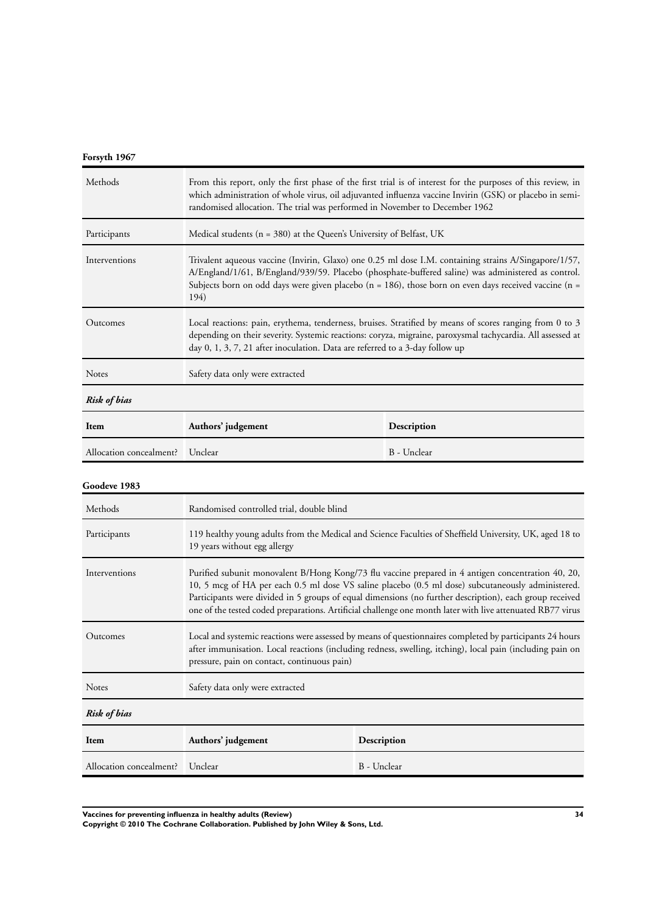## **Forsyth 1967**

| Methods                 | From this report, only the first phase of the first trial is of interest for the purposes of this review, in<br>which administration of whole virus, oil adjuvanted influenza vaccine Invirin (GSK) or placebo in semi-<br>randomised allocation. The trial was performed in November to December 1962                              |             |
|-------------------------|-------------------------------------------------------------------------------------------------------------------------------------------------------------------------------------------------------------------------------------------------------------------------------------------------------------------------------------|-------------|
| Participants            | Medical students ( $n = 380$ ) at the Queen's University of Belfast, UK                                                                                                                                                                                                                                                             |             |
| Interventions           | Trivalent aqueous vaccine (Invirin, Glaxo) one 0.25 ml dose I.M. containing strains A/Singapore/1/57,<br>A/England/1/61, B/England/939/59. Placebo (phosphate-buffered saline) was administered as control.<br>Subjects born on odd days were given placebo ( $n = 186$ ), those born on even days received vaccine ( $n =$<br>194) |             |
| Outcomes                | Local reactions: pain, erythema, tenderness, bruises. Stratified by means of scores ranging from 0 to 3<br>depending on their severity. Systemic reactions: coryza, migraine, paroxysmal tachycardia. All assessed at<br>day 0, 1, 3, 7, 21 after inoculation. Data are referred to a 3-day follow up                               |             |
| Notes                   | Safety data only were extracted                                                                                                                                                                                                                                                                                                     |             |
| <b>Risk of bias</b>     |                                                                                                                                                                                                                                                                                                                                     |             |
| Item                    | Authors' judgement                                                                                                                                                                                                                                                                                                                  | Description |
| Allocation concealment? | Unclear                                                                                                                                                                                                                                                                                                                             | B - Unclear |

## **Goodeve 1983**

| Methods                 | Randomised controlled trial, double blind                                                                                                                                                                                                                                                                                                                                                                                        |             |  |
|-------------------------|----------------------------------------------------------------------------------------------------------------------------------------------------------------------------------------------------------------------------------------------------------------------------------------------------------------------------------------------------------------------------------------------------------------------------------|-------------|--|
| Participants            | 119 healthy young adults from the Medical and Science Faculties of Sheffield University, UK, aged 18 to<br>19 years without egg allergy                                                                                                                                                                                                                                                                                          |             |  |
| Interventions           | Purified subunit monovalent B/Hong Kong/73 flu vaccine prepared in 4 antigen concentration 40, 20,<br>10, 5 mcg of HA per each 0.5 ml dose VS saline placebo (0.5 ml dose) subcutaneously administered.<br>Participants were divided in 5 groups of equal dimensions (no further description), each group received<br>one of the tested coded preparations. Artificial challenge one month later with live attenuated RB77 virus |             |  |
| Outcomes                | Local and systemic reactions were assessed by means of questionnaires completed by participants 24 hours<br>after immunisation. Local reactions (including redness, swelling, itching), local pain (including pain on<br>pressure, pain on contact, continuous pain)                                                                                                                                                             |             |  |
| <b>Notes</b>            | Safety data only were extracted                                                                                                                                                                                                                                                                                                                                                                                                  |             |  |
| <b>Risk of bias</b>     |                                                                                                                                                                                                                                                                                                                                                                                                                                  |             |  |
| Item                    | Authors' judgement                                                                                                                                                                                                                                                                                                                                                                                                               | Description |  |
| Allocation concealment? | Unclear                                                                                                                                                                                                                                                                                                                                                                                                                          | B - Unclear |  |

**Vaccines for preventing influenza in healthy adults (Review) 34**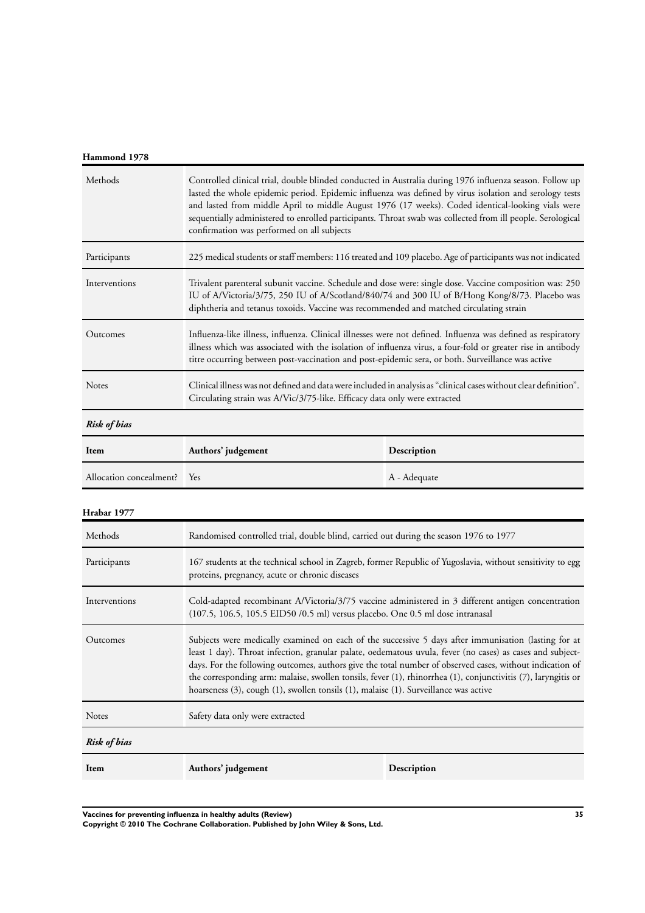| Hammond 1978            |                                                                                                                                                                                                                                                                                                                                                                                                                                                                                                                                        |                                                                                                           |
|-------------------------|----------------------------------------------------------------------------------------------------------------------------------------------------------------------------------------------------------------------------------------------------------------------------------------------------------------------------------------------------------------------------------------------------------------------------------------------------------------------------------------------------------------------------------------|-----------------------------------------------------------------------------------------------------------|
| Methods                 | Controlled clinical trial, double blinded conducted in Australia during 1976 influenza season. Follow up<br>lasted the whole epidemic period. Epidemic influenza was defined by virus isolation and serology tests<br>and lasted from middle April to middle August 1976 (17 weeks). Coded identical-looking vials were<br>sequentially administered to enrolled participants. Throat swab was collected from ill people. Serological<br>confirmation was performed on all subjects                                                    |                                                                                                           |
| Participants            |                                                                                                                                                                                                                                                                                                                                                                                                                                                                                                                                        | 225 medical students or staff members: 116 treated and 109 placebo. Age of participants was not indicated |
| Interventions           | Trivalent parenteral subunit vaccine. Schedule and dose were: single dose. Vaccine composition was: 250<br>IU of A/Victoria/3/75, 250 IU of A/Scotland/840/74 and 300 IU of B/Hong Kong/8/73. Placebo was<br>diphtheria and tetanus toxoids. Vaccine was recommended and matched circulating strain                                                                                                                                                                                                                                    |                                                                                                           |
| Outcomes                | Influenza-like illness, influenza. Clinical illnesses were not defined. Influenza was defined as respiratory<br>illness which was associated with the isolation of influenza virus, a four-fold or greater rise in antibody<br>titre occurring between post-vaccination and post-epidemic sera, or both. Surveillance was active                                                                                                                                                                                                       |                                                                                                           |
| Notes                   | Clinical illness was not defined and data were included in analysis as "clinical cases without clear definition".<br>Circulating strain was A/Vic/3/75-like. Efficacy data only were extracted                                                                                                                                                                                                                                                                                                                                         |                                                                                                           |
| <b>Risk of bias</b>     |                                                                                                                                                                                                                                                                                                                                                                                                                                                                                                                                        |                                                                                                           |
| Item                    | Authors' judgement                                                                                                                                                                                                                                                                                                                                                                                                                                                                                                                     | Description                                                                                               |
| Allocation concealment? | Yes                                                                                                                                                                                                                                                                                                                                                                                                                                                                                                                                    | A - Adequate                                                                                              |
| Hrabar 1977             |                                                                                                                                                                                                                                                                                                                                                                                                                                                                                                                                        |                                                                                                           |
| Methods                 | Randomised controlled trial, double blind, carried out during the season 1976 to 1977                                                                                                                                                                                                                                                                                                                                                                                                                                                  |                                                                                                           |
| Participants            | 167 students at the technical school in Zagreb, former Republic of Yugoslavia, without sensitivity to egg<br>proteins, pregnancy, acute or chronic diseases                                                                                                                                                                                                                                                                                                                                                                            |                                                                                                           |
| Interventions           | Cold-adapted recombinant A/Victoria/3/75 vaccine administered in 3 different antigen concentration<br>(107.5, 106.5, 105.5 EID50 /0.5 ml) versus placebo. One 0.5 ml dose intranasal                                                                                                                                                                                                                                                                                                                                                   |                                                                                                           |
| <b>Outcomes</b>         | Subjects were medically examined on each of the successive 5 days after immunisation (lasting for at<br>least 1 day). Throat infection, granular palate, oedematous uvula, fever (no cases) as cases and subject-<br>days. For the following outcomes, authors give the total number of observed cases, without indication of<br>the corresponding arm: malaise, swollen tonsils, fever (1), rhinorrhea (1), conjunctivitis (7), laryngitis or<br>hoarseness (3), cough (1), swollen tonsils (1), malaise (1). Surveillance was active |                                                                                                           |
| Notes                   | Safety data only were extracted                                                                                                                                                                                                                                                                                                                                                                                                                                                                                                        |                                                                                                           |
| <b>Risk of bias</b>     |                                                                                                                                                                                                                                                                                                                                                                                                                                                                                                                                        |                                                                                                           |
| Item                    | Description<br>Authors' judgement                                                                                                                                                                                                                                                                                                                                                                                                                                                                                                      |                                                                                                           |
|                         |                                                                                                                                                                                                                                                                                                                                                                                                                                                                                                                                        |                                                                                                           |

**Vaccines for preventing influenza in healthy adults (Review) 35**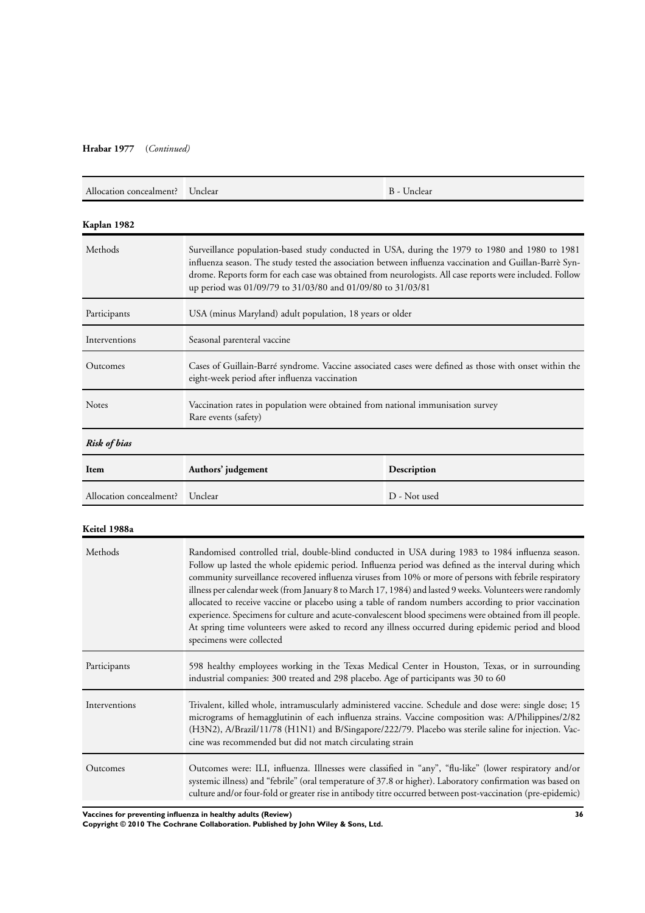#### **Hrabar 1977** (*Continued)*

| Allocation concealment? | Unclear                                                                                                                                                                                                                                                                                                                                                                                                                                                                                                                                                                                                                                                                                                                                                                                    | B - Unclear                                              |  |
|-------------------------|--------------------------------------------------------------------------------------------------------------------------------------------------------------------------------------------------------------------------------------------------------------------------------------------------------------------------------------------------------------------------------------------------------------------------------------------------------------------------------------------------------------------------------------------------------------------------------------------------------------------------------------------------------------------------------------------------------------------------------------------------------------------------------------------|----------------------------------------------------------|--|
| Kaplan 1982             |                                                                                                                                                                                                                                                                                                                                                                                                                                                                                                                                                                                                                                                                                                                                                                                            |                                                          |  |
| Methods                 | Surveillance population-based study conducted in USA, during the 1979 to 1980 and 1980 to 1981<br>influenza season. The study tested the association between influenza vaccination and Guillan-Barrè Syn-<br>drome. Reports form for each case was obtained from neurologists. All case reports were included. Follow<br>up period was 01/09/79 to 31/03/80 and 01/09/80 to 31/03/81                                                                                                                                                                                                                                                                                                                                                                                                       |                                                          |  |
| Participants            |                                                                                                                                                                                                                                                                                                                                                                                                                                                                                                                                                                                                                                                                                                                                                                                            | USA (minus Maryland) adult population, 18 years or older |  |
| Interventions           | Seasonal parenteral vaccine                                                                                                                                                                                                                                                                                                                                                                                                                                                                                                                                                                                                                                                                                                                                                                |                                                          |  |
| Outcomes                | Cases of Guillain-Barré syndrome. Vaccine associated cases were defined as those with onset within the<br>eight-week period after influenza vaccination                                                                                                                                                                                                                                                                                                                                                                                                                                                                                                                                                                                                                                    |                                                          |  |
| Notes                   | Vaccination rates in population were obtained from national immunisation survey<br>Rare events (safety)                                                                                                                                                                                                                                                                                                                                                                                                                                                                                                                                                                                                                                                                                    |                                                          |  |
| <b>Risk of bias</b>     |                                                                                                                                                                                                                                                                                                                                                                                                                                                                                                                                                                                                                                                                                                                                                                                            |                                                          |  |
| Item                    | Authors' judgement                                                                                                                                                                                                                                                                                                                                                                                                                                                                                                                                                                                                                                                                                                                                                                         | Description                                              |  |
| Allocation concealment? | Unclear                                                                                                                                                                                                                                                                                                                                                                                                                                                                                                                                                                                                                                                                                                                                                                                    | D - Not used                                             |  |
| Keitel 1988a            |                                                                                                                                                                                                                                                                                                                                                                                                                                                                                                                                                                                                                                                                                                                                                                                            |                                                          |  |
| Methods                 | Randomised controlled trial, double-blind conducted in USA during 1983 to 1984 influenza season.<br>Follow up lasted the whole epidemic period. Influenza period was defined as the interval during which<br>community surveillance recovered influenza viruses from 10% or more of persons with febrile respiratory<br>illness per calendar week (from January 8 to March 17, 1984) and lasted 9 weeks. Volunteers were randomly<br>allocated to receive vaccine or placebo using a table of random numbers according to prior vaccination<br>experience. Specimens for culture and acute-convalescent blood specimens were obtained from ill people.<br>At spring time volunteers were asked to record any illness occurred during epidemic period and blood<br>specimens were collected |                                                          |  |
| Participants            | 598 healthy employees working in the Texas Medical Center in Houston, Texas, or in surrounding<br>industrial companies: 300 treated and 298 placebo. Age of participants was 30 to 60                                                                                                                                                                                                                                                                                                                                                                                                                                                                                                                                                                                                      |                                                          |  |
| Interventions           | Trivalent, killed whole, intramuscularly administered vaccine. Schedule and dose were: single dose; 15<br>micrograms of hemagglutinin of each influenza strains. Vaccine composition was: A/Philippines/2/82<br>(H3N2), A/Brazil/11/78 (H1N1) and B/Singapore/222/79. Placebo was sterile saline for injection. Vac-<br>cine was recommended but did not match circulating strain                                                                                                                                                                                                                                                                                                                                                                                                          |                                                          |  |

Outcomes Outcomes were: ILI, influenza. Illnesses were classified in "any", "flu-like" (lower respiratory and/or systemic illness) and "febrile" (oral temperature of 37.8 or higher). Laboratory confirmation was based on culture and/or four-fold or greater rise in antibody titre occurred between post-vaccination (pre-epidemic)

**Vaccines for preventing influenza in healthy adults (Review) 36**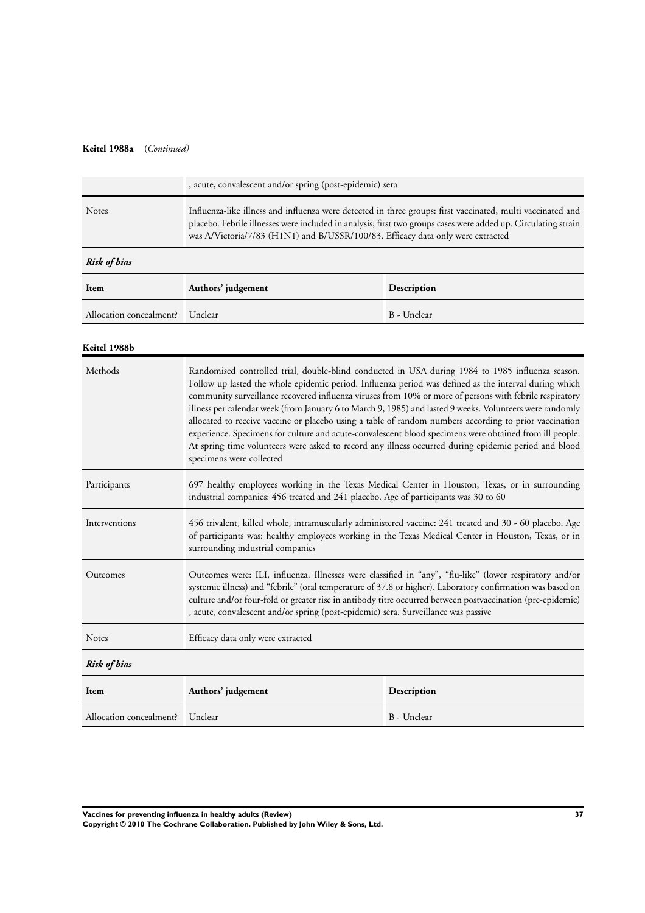#### **Keitel 1988a** (*Continued)*

|                         | , acute, convalescent and/or spring (post-epidemic) sera                                                                                                                                                                                                                                                                                                                                                                                                                                                                                                                                                                                                                                                                                                                                  |             |
|-------------------------|-------------------------------------------------------------------------------------------------------------------------------------------------------------------------------------------------------------------------------------------------------------------------------------------------------------------------------------------------------------------------------------------------------------------------------------------------------------------------------------------------------------------------------------------------------------------------------------------------------------------------------------------------------------------------------------------------------------------------------------------------------------------------------------------|-------------|
| Notes                   | Influenza-like illness and influenza were detected in three groups: first vaccinated, multi vaccinated and<br>placebo. Febrile illnesses were included in analysis; first two groups cases were added up. Circulating strain<br>was A/Victoria/7/83 (H1N1) and B/USSR/100/83. Efficacy data only were extracted                                                                                                                                                                                                                                                                                                                                                                                                                                                                           |             |
| <b>Risk of bias</b>     |                                                                                                                                                                                                                                                                                                                                                                                                                                                                                                                                                                                                                                                                                                                                                                                           |             |
| Item                    | Authors' judgement                                                                                                                                                                                                                                                                                                                                                                                                                                                                                                                                                                                                                                                                                                                                                                        | Description |
| Allocation concealment? | Unclear                                                                                                                                                                                                                                                                                                                                                                                                                                                                                                                                                                                                                                                                                                                                                                                   | B - Unclear |
| Keitel 1988b            |                                                                                                                                                                                                                                                                                                                                                                                                                                                                                                                                                                                                                                                                                                                                                                                           |             |
| Methods                 | Randomised controlled trial, double-blind conducted in USA during 1984 to 1985 influenza season.<br>Follow up lasted the whole epidemic period. Influenza period was defined as the interval during which<br>community surveillance recovered influenza viruses from 10% or more of persons with febrile respiratory<br>illness per calendar week (from January 6 to March 9, 1985) and lasted 9 weeks. Volunteers were randomly<br>allocated to receive vaccine or placebo using a table of random numbers according to prior vaccination<br>experience. Specimens for culture and acute-convalescent blood specimens were obtained from ill people.<br>At spring time volunteers were asked to record any illness occurred during epidemic period and blood<br>specimens were collected |             |
| Participants            | 697 healthy employees working in the Texas Medical Center in Houston, Texas, or in surrounding<br>industrial companies: 456 treated and 241 placebo. Age of participants was 30 to 60                                                                                                                                                                                                                                                                                                                                                                                                                                                                                                                                                                                                     |             |
| Interventions           | 456 trivalent, killed whole, intramuscularly administered vaccine: 241 treated and 30 - 60 placebo. Age<br>of participants was: healthy employees working in the Texas Medical Center in Houston, Texas, or in<br>surrounding industrial companies                                                                                                                                                                                                                                                                                                                                                                                                                                                                                                                                        |             |
| Outcomes                | Outcomes were: ILI, influenza. Illnesses were classified in "any", "flu-like" (lower respiratory and/or<br>systemic illness) and "febrile" (oral temperature of 37.8 or higher). Laboratory confirmation was based on<br>culture and/or four-fold or greater rise in antibody titre occurred between postvaccination (pre-epidemic)<br>, acute, convalescent and/or spring (post-epidemic) sera. Surveillance was passive                                                                                                                                                                                                                                                                                                                                                                 |             |
| Notes                   | Efficacy data only were extracted                                                                                                                                                                                                                                                                                                                                                                                                                                                                                                                                                                                                                                                                                                                                                         |             |
| <b>Risk of bias</b>     |                                                                                                                                                                                                                                                                                                                                                                                                                                                                                                                                                                                                                                                                                                                                                                                           |             |
| Item                    | Authors' judgement                                                                                                                                                                                                                                                                                                                                                                                                                                                                                                                                                                                                                                                                                                                                                                        | Description |
| Allocation concealment? | Unclear                                                                                                                                                                                                                                                                                                                                                                                                                                                                                                                                                                                                                                                                                                                                                                                   | B - Unclear |

**Vaccines for preventing influenza in healthy adults (Review) 37**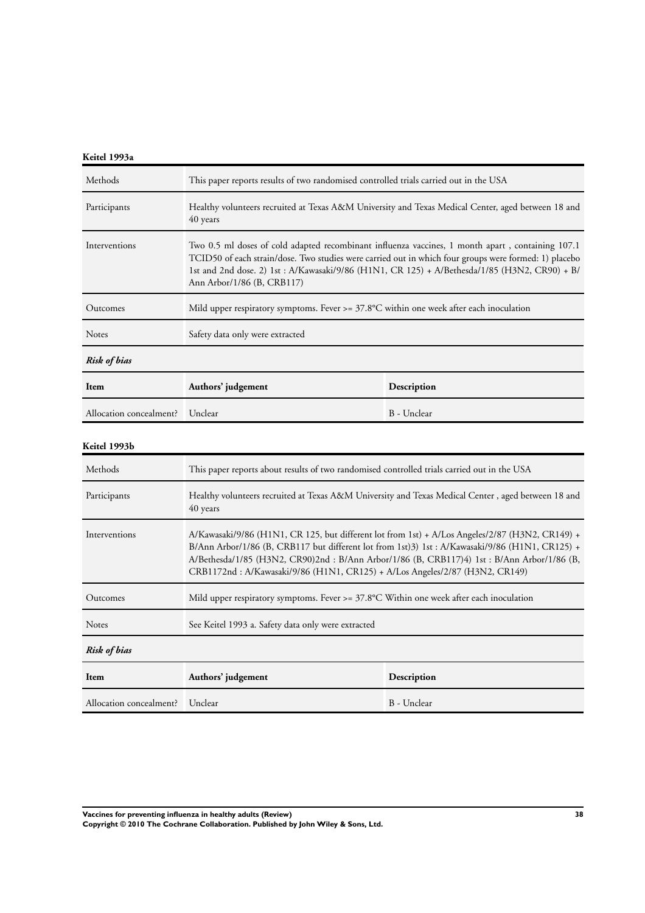## **Keitel 1993a**

| Methods                 | This paper reports results of two randomised controlled trials carried out in the USA                                                                                                                                                                                                                                                                                            |             |
|-------------------------|----------------------------------------------------------------------------------------------------------------------------------------------------------------------------------------------------------------------------------------------------------------------------------------------------------------------------------------------------------------------------------|-------------|
| Participants            | Healthy volunteers recruited at Texas A&M University and Texas Medical Center, aged between 18 and<br>40 years                                                                                                                                                                                                                                                                   |             |
| Interventions           | Two 0.5 ml doses of cold adapted recombinant influenza vaccines, 1 month apart, containing 107.1<br>TCID50 of each strain/dose. Two studies were carried out in which four groups were formed: 1) placebo<br>1st and 2nd dose. 2) 1st : A/Kawasaki/9/86 (H1N1, CR 125) + A/Bethesda/1/85 (H3N2, CR90) + B/<br>Ann Arbor/1/86 (B, CRB117)                                         |             |
| Outcomes                | Mild upper respiratory symptoms. Fever $> = 37.8$ °C within one week after each inoculation                                                                                                                                                                                                                                                                                      |             |
| Notes                   | Safety data only were extracted                                                                                                                                                                                                                                                                                                                                                  |             |
| <b>Risk of bias</b>     |                                                                                                                                                                                                                                                                                                                                                                                  |             |
| Item                    | Authors' judgement                                                                                                                                                                                                                                                                                                                                                               | Description |
| Allocation concealment? | Unclear                                                                                                                                                                                                                                                                                                                                                                          | B - Unclear |
| Keitel 1993b            |                                                                                                                                                                                                                                                                                                                                                                                  |             |
| Methods                 | This paper reports about results of two randomised controlled trials carried out in the USA                                                                                                                                                                                                                                                                                      |             |
| Participants            | Healthy volunteers recruited at Texas A&M University and Texas Medical Center, aged between 18 and<br>40 years                                                                                                                                                                                                                                                                   |             |
| Interventions           | A/Kawasaki/9/86 (H1N1, CR 125, but different lot from 1st) + A/Los Angeles/2/87 (H3N2, CR149) +<br>B/Ann Arbor/1/86 (B, CRB117 but different lot from 1st)3) 1st : A/Kawasaki/9/86 (H1N1, CR125) +<br>A/Bethesda/1/85 (H3N2, CR90)2nd : B/Ann Arbor/1/86 (B, CRB117)4) 1st : B/Ann Arbor/1/86 (B,<br>CRB1172nd: A/Kawasaki/9/86 (H1N1, CR125) + A/Los Angeles/2/87 (H3N2, CR149) |             |
| Outcomes                | Mild upper respiratory symptoms. Fever $> = 37.8$ °C Within one week after each inoculation                                                                                                                                                                                                                                                                                      |             |
| <b>Notes</b>            | See Keitel 1993 a. Safety data only were extracted                                                                                                                                                                                                                                                                                                                               |             |
| <b>Risk of bias</b>     |                                                                                                                                                                                                                                                                                                                                                                                  |             |
| Item                    | Authors' judgement<br>Description                                                                                                                                                                                                                                                                                                                                                |             |
| Allocation concealment? | Unclear                                                                                                                                                                                                                                                                                                                                                                          | B - Unclear |

**Vaccines for preventing influenza in healthy adults (Review) 38**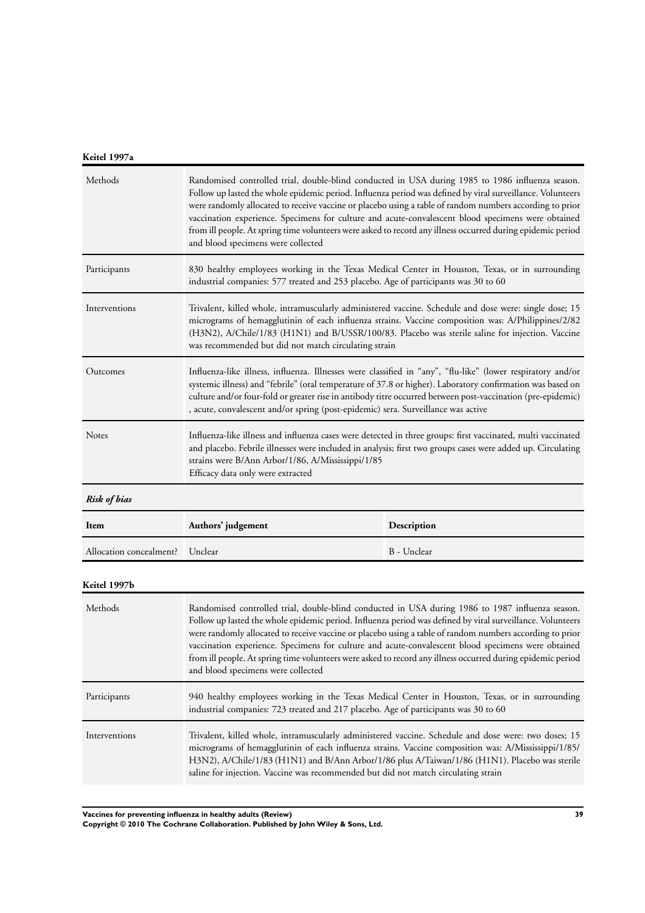## **Keitel 1997a**

| Methods       | Randomised controlled trial, double-blind conducted in USA during 1985 to 1986 influenza season.<br>Follow up lasted the whole epidemic period. Influenza period was defined by viral surveillance. Volunteers<br>were randomly allocated to receive vaccine or placebo using a table of random numbers according to prior<br>vaccination experience. Specimens for culture and acute-convalescent blood specimens were obtained<br>from ill people. At spring time volunteers were asked to record any illness occurred during epidemic period<br>and blood specimens were collected |  |
|---------------|---------------------------------------------------------------------------------------------------------------------------------------------------------------------------------------------------------------------------------------------------------------------------------------------------------------------------------------------------------------------------------------------------------------------------------------------------------------------------------------------------------------------------------------------------------------------------------------|--|
| Participants  | 830 healthy employees working in the Texas Medical Center in Houston, Texas, or in surrounding<br>industrial companies: 577 treated and 253 placebo. Age of participants was 30 to 60                                                                                                                                                                                                                                                                                                                                                                                                 |  |
| Interventions | Trivalent, killed whole, intramuscularly administered vaccine. Schedule and dose were: single dose; 15<br>micrograms of hemagglutinin of each influenza strains. Vaccine composition was: A/Philippines/2/82<br>(H3N2), A/Chile/1/83 (H1N1) and B/USSR/100/83. Placebo was sterile saline for injection. Vaccine<br>was recommended but did not match circulating strain                                                                                                                                                                                                              |  |
| Outcomes      | Influenza-like illness, influenza. Illnesses were classified in "any", "flu-like" (lower respiratory and/or<br>systemic illness) and "febrile" (oral temperature of 37.8 or higher). Laboratory confirmation was based on<br>culture and/or four-fold or greater rise in antibody titre occurred between post-vaccination (pre-epidemic)<br>, acute, convalescent and/or spring (post-epidemic) sera. Surveillance was active                                                                                                                                                         |  |
| <b>Notes</b>  | Influenza-like illness and influenza cases were detected in three groups: first vaccinated, multi vaccinated<br>and placebo. Febrile illnesses were included in analysis; first two groups cases were added up. Circulating<br>strains were B/Ann Arbor/1/86, A/Mississippi/1/85<br>Efficacy data only were extracted                                                                                                                                                                                                                                                                 |  |
| Risk of bias  |                                                                                                                                                                                                                                                                                                                                                                                                                                                                                                                                                                                       |  |
|               |                                                                                                                                                                                                                                                                                                                                                                                                                                                                                                                                                                                       |  |

| Item                            | Authors' judgement | Description |
|---------------------------------|--------------------|-------------|
| Allocation concealment? Unclear |                    | B - Unclear |

## **Keitel 1997b**

| Methods       | Randomised controlled trial, double-blind conducted in USA during 1986 to 1987 influenza season.<br>Follow up lasted the whole epidemic period. Influenza period was defined by viral surveillance. Volunteers<br>were randomly allocated to receive vaccine or placebo using a table of random numbers according to prior<br>vaccination experience. Specimens for culture and acute-convalescent blood specimens were obtained<br>from ill people. At spring time volunteers were asked to record any illness occurred during epidemic period<br>and blood specimens were collected |
|---------------|---------------------------------------------------------------------------------------------------------------------------------------------------------------------------------------------------------------------------------------------------------------------------------------------------------------------------------------------------------------------------------------------------------------------------------------------------------------------------------------------------------------------------------------------------------------------------------------|
| Participants  | 940 healthy employees working in the Texas Medical Center in Houston, Texas, or in surrounding<br>industrial companies: 723 treated and 217 placebo. Age of participants was 30 to 60                                                                                                                                                                                                                                                                                                                                                                                                 |
| Interventions | Trivalent, killed whole, intramuscularly administered vaccine. Schedule and dose were: two doses; 15<br>micrograms of hemagglutinin of each influenza strains. Vaccine composition was: A/Mississippi/1/85/<br>H3N2), A/Chile/1/83 (H1N1) and B/Ann Arbor/1/86 plus A/Taiwan/1/86 (H1N1). Placebo was sterile<br>saline for injection. Vaccine was recommended but did not match circulating strain                                                                                                                                                                                   |

**Vaccines for preventing influenza in healthy adults (Review) 39**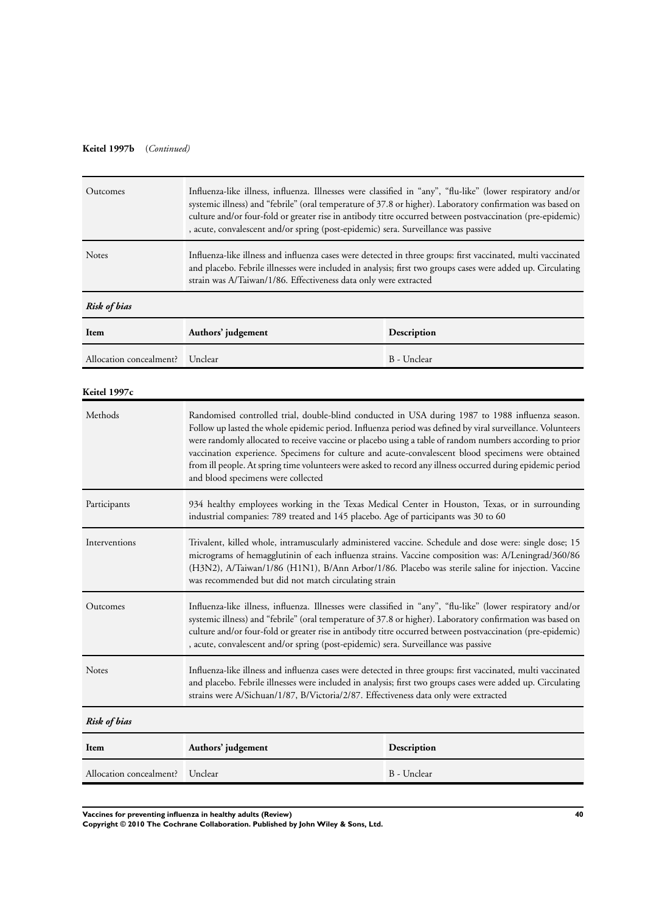### **Keitel 1997b** (*Continued)*

| Outcomes                | Influenza-like illness, influenza. Illnesses were classified in "any", "flu-like" (lower respiratory and/or<br>systemic illness) and "febrile" (oral temperature of 37.8 or higher). Laboratory confirmation was based on<br>culture and/or four-fold or greater rise in antibody titre occurred between postvaccination (pre-epidemic)<br>, acute, convalescent and/or spring (post-epidemic) sera. Surveillance was passive                                                                                                                                                         |             |
|-------------------------|---------------------------------------------------------------------------------------------------------------------------------------------------------------------------------------------------------------------------------------------------------------------------------------------------------------------------------------------------------------------------------------------------------------------------------------------------------------------------------------------------------------------------------------------------------------------------------------|-------------|
| Notes                   | Influenza-like illness and influenza cases were detected in three groups: first vaccinated, multi vaccinated<br>and placebo. Febrile illnesses were included in analysis; first two groups cases were added up. Circulating<br>strain was A/Taiwan/1/86. Effectiveness data only were extracted                                                                                                                                                                                                                                                                                       |             |
| <b>Risk of bias</b>     |                                                                                                                                                                                                                                                                                                                                                                                                                                                                                                                                                                                       |             |
| Item                    | Authors' judgement                                                                                                                                                                                                                                                                                                                                                                                                                                                                                                                                                                    | Description |
| Allocation concealment? | Unclear                                                                                                                                                                                                                                                                                                                                                                                                                                                                                                                                                                               | B - Unclear |
| Keitel 1997c            |                                                                                                                                                                                                                                                                                                                                                                                                                                                                                                                                                                                       |             |
| Methods                 | Randomised controlled trial, double-blind conducted in USA during 1987 to 1988 influenza season.<br>Follow up lasted the whole epidemic period. Influenza period was defined by viral surveillance. Volunteers<br>were randomly allocated to receive vaccine or placebo using a table of random numbers according to prior<br>vaccination experience. Specimens for culture and acute-convalescent blood specimens were obtained<br>from ill people. At spring time volunteers were asked to record any illness occurred during epidemic period<br>and blood specimens were collected |             |
| Participants            | 934 healthy employees working in the Texas Medical Center in Houston, Texas, or in surrounding<br>industrial companies: 789 treated and 145 placebo. Age of participants was 30 to 60                                                                                                                                                                                                                                                                                                                                                                                                 |             |
| Interventions           | Trivalent, killed whole, intramuscularly administered vaccine. Schedule and dose were: single dose; 15<br>micrograms of hemagglutinin of each influenza strains. Vaccine composition was: A/Leningrad/360/86<br>(H3N2), A/Taiwan/1/86 (H1N1), B/Ann Arbor/1/86. Placebo was sterile saline for injection. Vaccine<br>was recommended but did not match circulating strain                                                                                                                                                                                                             |             |
| Outcomes                | Influenza-like illness, influenza. Illnesses were classified in "any", "flu-like" (lower respiratory and/or<br>systemic illness) and "febrile" (oral temperature of 37.8 or higher). Laboratory confirmation was based on<br>culture and/or four-fold or greater rise in antibody titre occurred between postvaccination (pre-epidemic)<br>, acute, convalescent and/or spring (post-epidemic) sera. Surveillance was passive                                                                                                                                                         |             |
| Notes                   | Influenza-like illness and influenza cases were detected in three groups: first vaccinated, multi vaccinated<br>and placebo. Febrile illnesses were included in analysis; first two groups cases were added up. Circulating<br>strains were A/Sichuan/1/87, B/Victoria/2/87. Effectiveness data only were extracted                                                                                                                                                                                                                                                                   |             |
| <b>Risk of bias</b>     |                                                                                                                                                                                                                                                                                                                                                                                                                                                                                                                                                                                       |             |
| Item                    | Authors' judgement                                                                                                                                                                                                                                                                                                                                                                                                                                                                                                                                                                    | Description |
| Allocation concealment? | Unclear<br>B - Unclear                                                                                                                                                                                                                                                                                                                                                                                                                                                                                                                                                                |             |

**Vaccines for preventing influenza in healthy adults (Review) 40**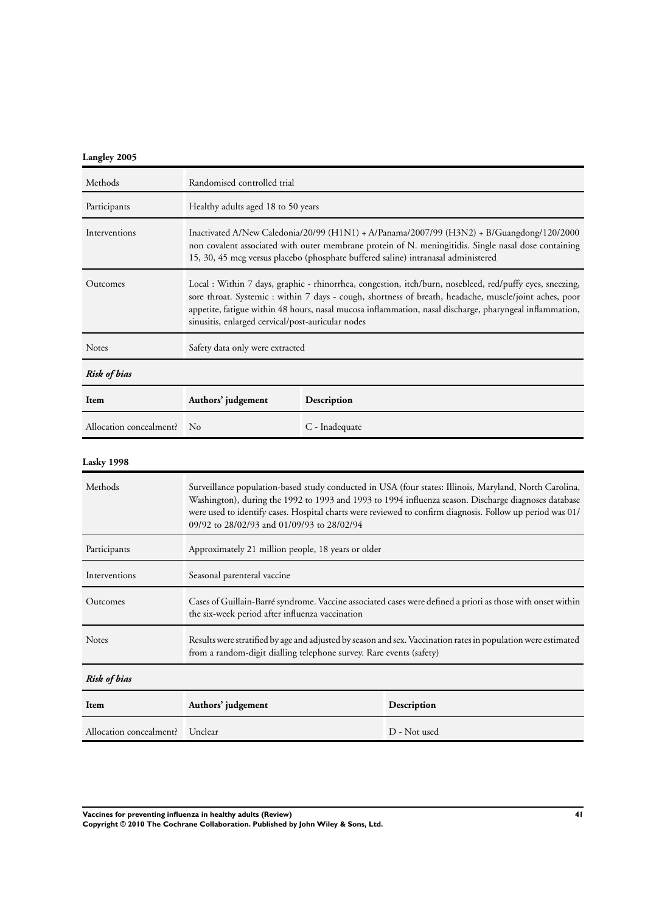## **Langley 2005**

| Methods                 | Randomised controlled trial                                                                                                                                                                                                                                                                                                                                                        |                |              |
|-------------------------|------------------------------------------------------------------------------------------------------------------------------------------------------------------------------------------------------------------------------------------------------------------------------------------------------------------------------------------------------------------------------------|----------------|--------------|
| Participants            | Healthy adults aged 18 to 50 years                                                                                                                                                                                                                                                                                                                                                 |                |              |
| Interventions           | Inactivated A/New Caledonia/20/99 (H1N1) + A/Panama/2007/99 (H3N2) + B/Guangdong/120/2000<br>non covalent associated with outer membrane protein of N. meningitidis. Single nasal dose containing<br>15, 30, 45 mcg versus placebo (phosphate buffered saline) intranasal administered                                                                                             |                |              |
| Outcomes                | Local : Within 7 days, graphic - rhinorrhea, congestion, itch/burn, nosebleed, red/puffy eyes, sneezing,<br>sore throat. Systemic : within 7 days - cough, shortness of breath, headache, muscle/joint aches, poor<br>appetite, fatigue within 48 hours, nasal mucosa inflammation, nasal discharge, pharyngeal inflammation,<br>sinusitis, enlarged cervical/post-auricular nodes |                |              |
| <b>Notes</b>            | Safety data only were extracted                                                                                                                                                                                                                                                                                                                                                    |                |              |
| <b>Risk of bias</b>     |                                                                                                                                                                                                                                                                                                                                                                                    |                |              |
| Item                    | Authors' judgement                                                                                                                                                                                                                                                                                                                                                                 | Description    |              |
| Allocation concealment? | No                                                                                                                                                                                                                                                                                                                                                                                 | C - Inadequate |              |
| Lasky 1998              |                                                                                                                                                                                                                                                                                                                                                                                    |                |              |
| Methods                 | Surveillance population-based study conducted in USA (four states: Illinois, Maryland, North Carolina,<br>Washington), during the 1992 to 1993 and 1993 to 1994 influenza season. Discharge diagnoses database<br>were used to identify cases. Hospital charts were reviewed to confirm diagnosis. Follow up period was 01/<br>09/92 to 28/02/93 and 01/09/93 to 28/02/94          |                |              |
| Participants            | Approximately 21 million people, 18 years or older                                                                                                                                                                                                                                                                                                                                 |                |              |
| Interventions           | Seasonal parenteral vaccine                                                                                                                                                                                                                                                                                                                                                        |                |              |
| Outcomes                | Cases of Guillain-Barré syndrome. Vaccine associated cases were defined a priori as those with onset within<br>the six-week period after influenza vaccination                                                                                                                                                                                                                     |                |              |
| <b>Notes</b>            | Results were stratified by age and adjusted by season and sex. Vaccination rates in population were estimated<br>from a random-digit dialling telephone survey. Rare events (safety)                                                                                                                                                                                               |                |              |
| Risk of bias            |                                                                                                                                                                                                                                                                                                                                                                                    |                |              |
| Item                    | Authors' judgement<br>Description                                                                                                                                                                                                                                                                                                                                                  |                |              |
| Allocation concealment? | Unclear                                                                                                                                                                                                                                                                                                                                                                            |                | D - Not used |

**Vaccines for preventing influenza in healthy adults (Review) 41**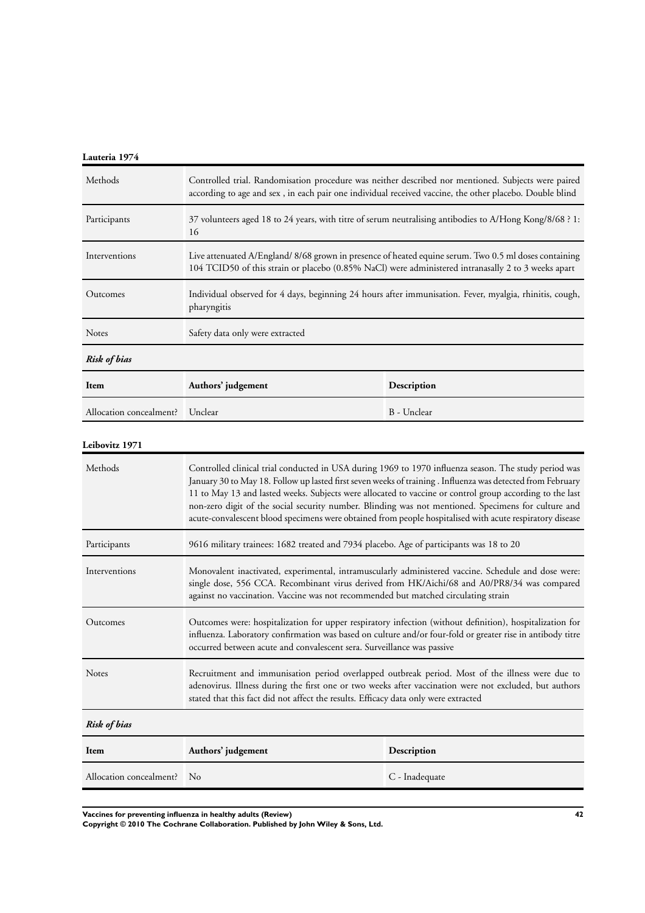| Lauteria 1974           |                                                                                                                                                                                                                                                                                                                                                                                                                                                                                                                                                    |             |  |
|-------------------------|----------------------------------------------------------------------------------------------------------------------------------------------------------------------------------------------------------------------------------------------------------------------------------------------------------------------------------------------------------------------------------------------------------------------------------------------------------------------------------------------------------------------------------------------------|-------------|--|
| Methods                 | Controlled trial. Randomisation procedure was neither described nor mentioned. Subjects were paired<br>according to age and sex, in each pair one individual received vaccine, the other placebo. Double blind                                                                                                                                                                                                                                                                                                                                     |             |  |
| Participants            | 37 volunteers aged 18 to 24 years, with titre of serum neutralising antibodies to A/Hong Kong/8/68 ? 1:<br>16                                                                                                                                                                                                                                                                                                                                                                                                                                      |             |  |
| Interventions           | Live attenuated A/England/ 8/68 grown in presence of heated equine serum. Two 0.5 ml doses containing<br>104 TCID50 of this strain or placebo (0.85% NaCl) were administered intranasally 2 to 3 weeks apart                                                                                                                                                                                                                                                                                                                                       |             |  |
| Outcomes                | Individual observed for 4 days, beginning 24 hours after immunisation. Fever, myalgia, rhinitis, cough,<br>pharyngitis                                                                                                                                                                                                                                                                                                                                                                                                                             |             |  |
| <b>Notes</b>            | Safety data only were extracted                                                                                                                                                                                                                                                                                                                                                                                                                                                                                                                    |             |  |
| <b>Risk of bias</b>     |                                                                                                                                                                                                                                                                                                                                                                                                                                                                                                                                                    |             |  |
| Item                    | Authors' judgement                                                                                                                                                                                                                                                                                                                                                                                                                                                                                                                                 | Description |  |
| Allocation concealment? | Unclear                                                                                                                                                                                                                                                                                                                                                                                                                                                                                                                                            | B - Unclear |  |
| Leibovitz 1971          |                                                                                                                                                                                                                                                                                                                                                                                                                                                                                                                                                    |             |  |
| Methods                 | Controlled clinical trial conducted in USA during 1969 to 1970 influenza season. The study period was<br>January 30 to May 18. Follow up lasted first seven weeks of training. Influenza was detected from February<br>11 to May 13 and lasted weeks. Subjects were allocated to vaccine or control group according to the last<br>non-zero digit of the social security number. Blinding was not mentioned. Specimens for culture and<br>acute-convalescent blood specimens were obtained from people hospitalised with acute respiratory disease |             |  |
| Participants            | 9616 military trainees: 1682 treated and 7934 placebo. Age of participants was 18 to 20                                                                                                                                                                                                                                                                                                                                                                                                                                                            |             |  |
| Interventions           | Monovalent inactivated, experimental, intramuscularly administered vaccine. Schedule and dose were:<br>single dose, 556 CCA. Recombinant virus derived from HK/Aichi/68 and A0/PR8/34 was compared<br>against no vaccination. Vaccine was not recommended but matched circulating strain                                                                                                                                                                                                                                                           |             |  |
| Outcomes                | Outcomes were: hospitalization for upper respiratory infection (without definition), hospitalization for<br>influenza. Laboratory confirmation was based on culture and/or four-fold or greater rise in antibody titre<br>occurred between acute and convalescent sera. Surveillance was passive                                                                                                                                                                                                                                                   |             |  |
| <b>Notes</b>            | Recruitment and immunisation period overlapped outbreak period. Most of the illness were due to<br>adenovirus. Illness during the first one or two weeks after vaccination were not excluded, but authors<br>stated that this fact did not affect the results. Efficacy data only were extracted                                                                                                                                                                                                                                                   |             |  |
| <b>Risk of bias</b>     |                                                                                                                                                                                                                                                                                                                                                                                                                                                                                                                                                    |             |  |
| Item                    | Description<br>Authors' judgement                                                                                                                                                                                                                                                                                                                                                                                                                                                                                                                  |             |  |
| Allocation concealment? | No<br>C - Inadequate                                                                                                                                                                                                                                                                                                                                                                                                                                                                                                                               |             |  |

**Vaccines for preventing influenza in healthy adults (Review) 42**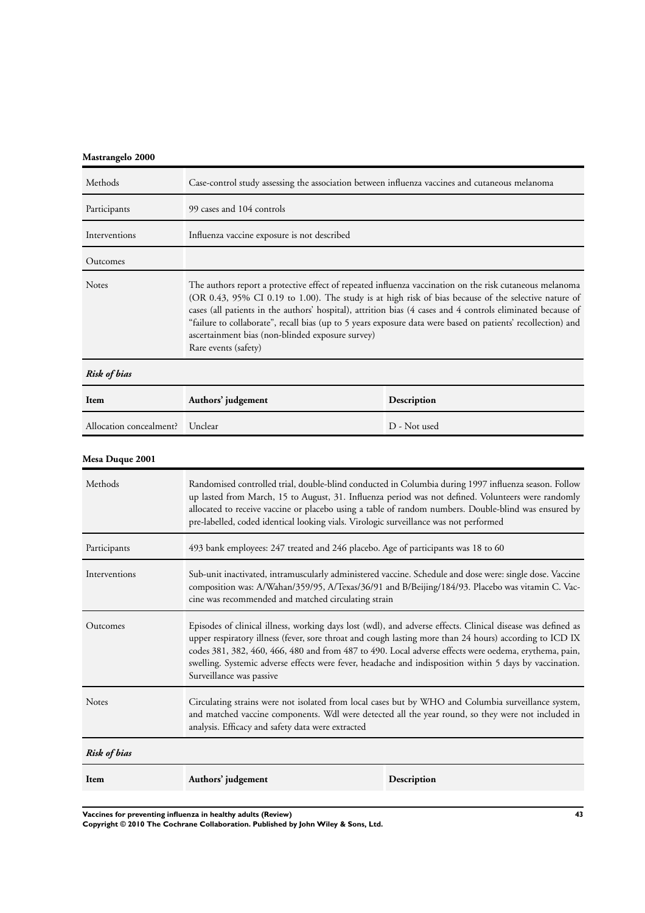## **Mastrangelo 2000**

| <b>Methods</b>      | Case-control study assessing the association between influenza vaccines and cutaneous melanoma                                                                                                                                                                                                                                                                                                                                                                                                                             |             |
|---------------------|----------------------------------------------------------------------------------------------------------------------------------------------------------------------------------------------------------------------------------------------------------------------------------------------------------------------------------------------------------------------------------------------------------------------------------------------------------------------------------------------------------------------------|-------------|
| Participants        | 99 cases and 104 controls                                                                                                                                                                                                                                                                                                                                                                                                                                                                                                  |             |
| Interventions       | Influenza vaccine exposure is not described                                                                                                                                                                                                                                                                                                                                                                                                                                                                                |             |
| Outcomes            |                                                                                                                                                                                                                                                                                                                                                                                                                                                                                                                            |             |
| <b>Notes</b>        | The authors report a protective effect of repeated influenza vaccination on the risk cutaneous melanoma<br>(OR 0.43, 95% CI 0.19 to 1.00). The study is at high risk of bias because of the selective nature of<br>cases (all patients in the authors' hospital), attrition bias (4 cases and 4 controls eliminated because of<br>"failure to collaborate", recall bias (up to 5 years exposure data were based on patients' recollection) and<br>ascertainment bias (non-blinded exposure survey)<br>Rare events (safety) |             |
| <b>Risk of bias</b> |                                                                                                                                                                                                                                                                                                                                                                                                                                                                                                                            |             |
| Item                | Authors' judgement                                                                                                                                                                                                                                                                                                                                                                                                                                                                                                         | Description |

Allocation concealment? Unclear D - Not used

## **Mesa Duque 2001**

| Methods             | Randomised controlled trial, double-blind conducted in Columbia during 1997 influenza season. Follow<br>up lasted from March, 15 to August, 31. Influenza period was not defined. Volunteers were randomly<br>allocated to receive vaccine or placebo using a table of random numbers. Double-blind was ensured by<br>pre-labelled, coded identical looking vials. Virologic surveillance was not performed                                                            |             |
|---------------------|------------------------------------------------------------------------------------------------------------------------------------------------------------------------------------------------------------------------------------------------------------------------------------------------------------------------------------------------------------------------------------------------------------------------------------------------------------------------|-------------|
| Participants        | 493 bank employees: 247 treated and 246 placebo. Age of participants was 18 to 60                                                                                                                                                                                                                                                                                                                                                                                      |             |
| Interventions       | Sub-unit inactivated, intramuscularly administered vaccine. Schedule and dose were: single dose. Vaccine<br>composition was: A/Wahan/359/95, A/Texas/36/91 and B/Beijing/184/93. Placebo was vitamin C. Vac-<br>cine was recommended and matched circulating strain                                                                                                                                                                                                    |             |
| Outcomes            | Episodes of clinical illness, working days lost (wdl), and adverse effects. Clinical disease was defined as<br>upper respiratory illness (fever, sore throat and cough lasting more than 24 hours) according to ICD IX<br>codes 381, 382, 460, 466, 480 and from 487 to 490. Local adverse effects were oedema, erythema, pain,<br>swelling. Systemic adverse effects were fever, headache and indisposition within 5 days by vaccination.<br>Surveillance was passive |             |
| <b>Notes</b>        | Circulating strains were not isolated from local cases but by WHO and Columbia surveillance system,<br>and matched vaccine components. Wdl were detected all the year round, so they were not included in<br>analysis. Efficacy and safety data were extracted                                                                                                                                                                                                         |             |
| <b>Risk of bias</b> |                                                                                                                                                                                                                                                                                                                                                                                                                                                                        |             |
| Item                | Authors' judgement                                                                                                                                                                                                                                                                                                                                                                                                                                                     | Description |
|                     |                                                                                                                                                                                                                                                                                                                                                                                                                                                                        |             |

**Vaccines for preventing influenza in healthy adults (Review) 43**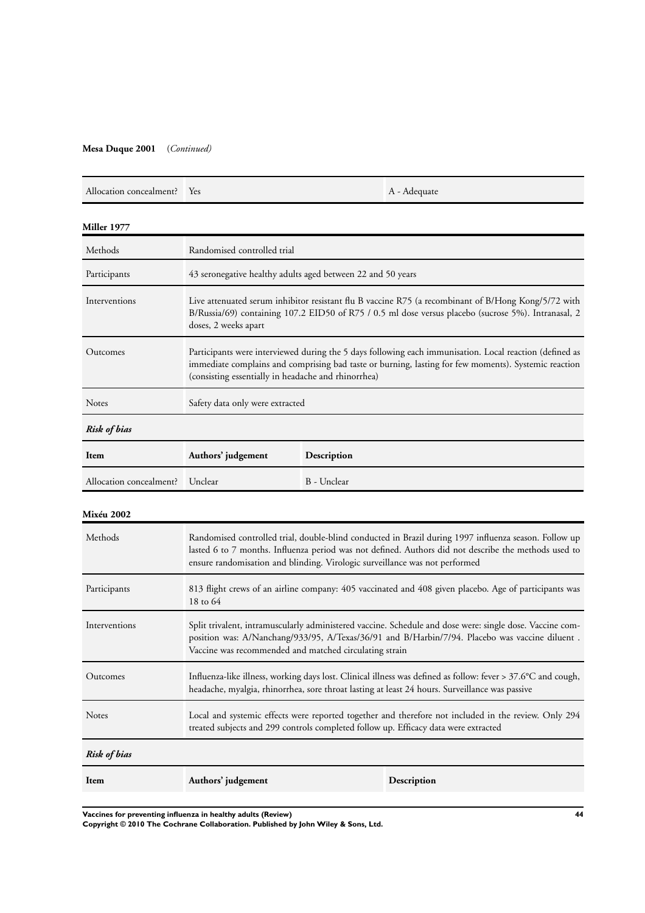## **Mesa Duque 2001** (*Continued)*

| Allocation concealment? | Yes                                                                                                                                                                                                                                                                                          |             | A - Adequate |
|-------------------------|----------------------------------------------------------------------------------------------------------------------------------------------------------------------------------------------------------------------------------------------------------------------------------------------|-------------|--------------|
| Miller 1977             |                                                                                                                                                                                                                                                                                              |             |              |
| Methods                 | Randomised controlled trial                                                                                                                                                                                                                                                                  |             |              |
| Participants            | 43 seronegative healthy adults aged between 22 and 50 years                                                                                                                                                                                                                                  |             |              |
| Interventions           | Live attenuated serum inhibitor resistant flu B vaccine R75 (a recombinant of B/Hong Kong/5/72 with<br>B/Russia/69) containing 107.2 EID50 of R75 / 0.5 ml dose versus placebo (sucrose 5%). Intranasal, 2<br>doses, 2 weeks apart                                                           |             |              |
| Outcomes                | Participants were interviewed during the 5 days following each immunisation. Local reaction (defined as<br>immediate complains and comprising bad taste or burning, lasting for few moments). Systemic reaction<br>(consisting essentially in headache and rhinorrhea)                       |             |              |
| Notes                   | Safety data only were extracted                                                                                                                                                                                                                                                              |             |              |
| <b>Risk of bias</b>     |                                                                                                                                                                                                                                                                                              |             |              |
| Item                    | Authors' judgement                                                                                                                                                                                                                                                                           | Description |              |
| Allocation concealment? | Unclear                                                                                                                                                                                                                                                                                      | B - Unclear |              |
| Mixéu 2002              |                                                                                                                                                                                                                                                                                              |             |              |
| Methods                 | Randomised controlled trial, double-blind conducted in Brazil during 1997 influenza season. Follow up<br>lasted 6 to 7 months. Influenza period was not defined. Authors did not describe the methods used to<br>ensure randomisation and blinding. Virologic surveillance was not performed |             |              |
| Participants            | 813 flight crews of an airline company: 405 vaccinated and 408 given placebo. Age of participants was<br>18 to 64                                                                                                                                                                            |             |              |
| Interventions           | Split trivalent, intramuscularly administered vaccine. Schedule and dose were: single dose. Vaccine com-<br>position was: A/Nanchang/933/95, A/Texas/36/91 and B/Harbin/7/94. Placebo was vaccine diluent.<br>Vaccine was recommended and matched circulating strain                         |             |              |
| Outcomes                | Influenza-like illness, working days lost. Clinical illness was defined as follow: fever > 37.6°C and cough,<br>headache, myalgia, rhinorrhea, sore throat lasting at least 24 hours. Surveillance was passive                                                                               |             |              |
| Notes                   | Local and systemic effects were reported together and therefore not included in the review. Only 294<br>treated subjects and 299 controls completed follow up. Efficacy data were extracted                                                                                                  |             |              |
| <b>Risk of bias</b>     |                                                                                                                                                                                                                                                                                              |             |              |
| Item                    | Authors' judgement                                                                                                                                                                                                                                                                           |             | Description  |

**Vaccines for preventing influenza in healthy adults (Review) 44**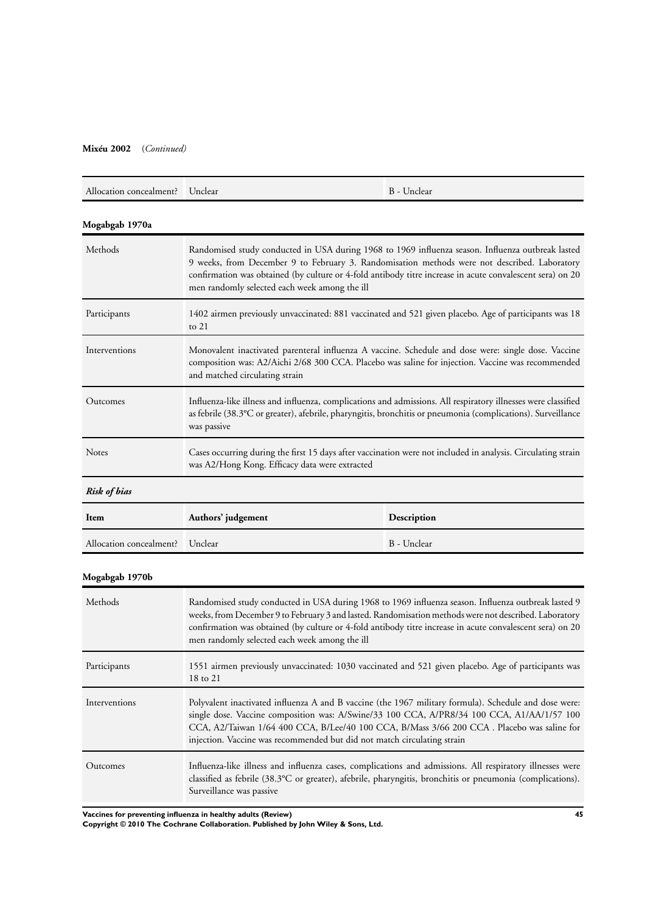#### **Mixéu 2002** (*Continued)*

| Allocation concealment? | Unclear                                                                                                                                                                                                                                                                                                                                                                      | B - Unclear                                                                                           |
|-------------------------|------------------------------------------------------------------------------------------------------------------------------------------------------------------------------------------------------------------------------------------------------------------------------------------------------------------------------------------------------------------------------|-------------------------------------------------------------------------------------------------------|
| Mogabgab 1970a          |                                                                                                                                                                                                                                                                                                                                                                              |                                                                                                       |
| Methods                 | Randomised study conducted in USA during 1968 to 1969 influenza season. Influenza outbreak lasted<br>9 weeks, from December 9 to February 3. Randomisation methods were not described. Laboratory<br>confirmation was obtained (by culture or 4-fold antibody titre increase in acute convalescent sera) on 20<br>men randomly selected each week among the ill              |                                                                                                       |
| Participants            | to $21$                                                                                                                                                                                                                                                                                                                                                                      | 1402 airmen previously unvaccinated: 881 vaccinated and 521 given placebo. Age of participants was 18 |
| Interventions           | Monovalent inactivated parenteral influenza A vaccine. Schedule and dose were: single dose. Vaccine<br>composition was: A2/Aichi 2/68 300 CCA. Placebo was saline for injection. Vaccine was recommended<br>and matched circulating strain                                                                                                                                   |                                                                                                       |
| Outcomes                | Influenza-like illness and influenza, complications and admissions. All respiratory illnesses were classified<br>as febrile (38.3°C or greater), afebrile, pharyngitis, bronchitis or pneumonia (complications). Surveillance<br>was passive                                                                                                                                 |                                                                                                       |
| Notes                   | Cases occurring during the first 15 days after vaccination were not included in analysis. Circulating strain<br>was A2/Hong Kong. Efficacy data were extracted                                                                                                                                                                                                               |                                                                                                       |
| <b>Risk of bias</b>     |                                                                                                                                                                                                                                                                                                                                                                              |                                                                                                       |
| Item                    | Authors' judgement                                                                                                                                                                                                                                                                                                                                                           | Description                                                                                           |
| Allocation concealment? | Unclear                                                                                                                                                                                                                                                                                                                                                                      | B - Unclear                                                                                           |
| Mogabgab 1970b          |                                                                                                                                                                                                                                                                                                                                                                              |                                                                                                       |
| Methods                 | Randomised study conducted in USA during 1968 to 1969 influenza season. Influenza outbreak lasted 9<br>weeks, from December 9 to February 3 and lasted. Randomisation methods were not described. Laboratory<br>confirmation was obtained (by culture or 4-fold antibody titre increase in acute convalescent sera) on 20<br>men randomly selected each week among the ill   |                                                                                                       |
| Participants            | 1551 airmen previously unvaccinated: 1030 vaccinated and 521 given placebo. Age of participants was<br>18 to 21                                                                                                                                                                                                                                                              |                                                                                                       |
| Interventions           | Polyvalent inactivated influenza A and B vaccine (the 1967 military formula). Schedule and dose were:<br>single dose. Vaccine composition was: A/Swine/33 100 CCA, A/PR8/34 100 CCA, A1/AA/1/57 100<br>CCA, A2/Taiwan 1/64 400 CCA, B/Lee/40 100 CCA, B/Mass 3/66 200 CCA. Placebo was saline for<br>injection. Vaccine was recommended but did not match circulating strain |                                                                                                       |
| Outcomes                | Influenza-like illness and influenza cases, complications and admissions. All respiratory illnesses were<br>classified as febrile (38.3°C or greater), afebrile, pharyngitis, bronchitis or pneumonia (complications).<br>Surveillance was passive                                                                                                                           |                                                                                                       |

**Vaccines for preventing influenza in healthy adults (Review) 45**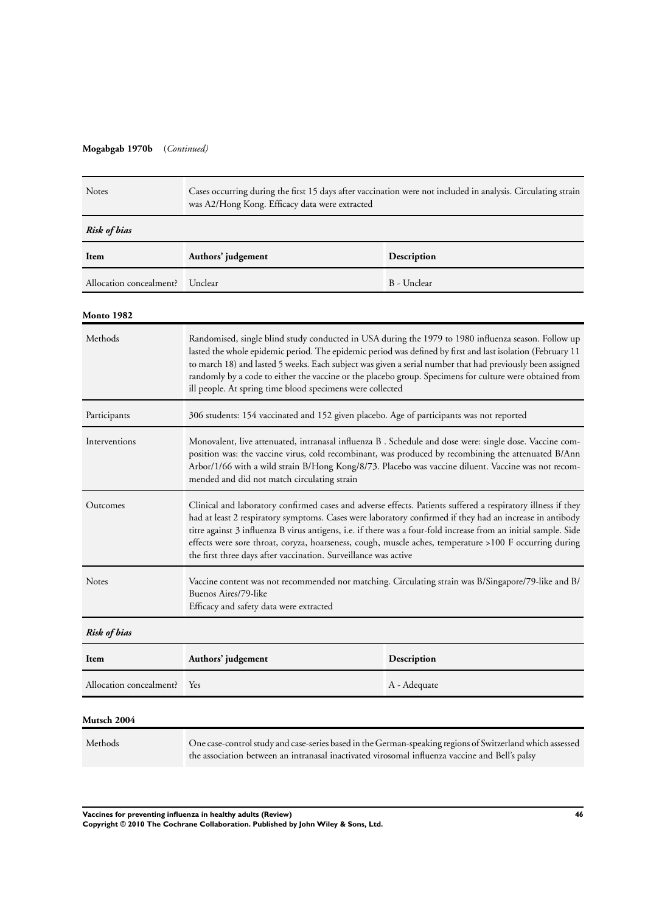## **Mogabgab 1970b** (*Continued)*

| Notes                   | Cases occurring during the first 15 days after vaccination were not included in analysis. Circulating strain<br>was A2/Hong Kong. Efficacy data were extracted                                                                                                                                                                                                                                                                                                                                                           |              |
|-------------------------|--------------------------------------------------------------------------------------------------------------------------------------------------------------------------------------------------------------------------------------------------------------------------------------------------------------------------------------------------------------------------------------------------------------------------------------------------------------------------------------------------------------------------|--------------|
| <b>Risk of bias</b>     |                                                                                                                                                                                                                                                                                                                                                                                                                                                                                                                          |              |
| Item                    | Authors' judgement                                                                                                                                                                                                                                                                                                                                                                                                                                                                                                       | Description  |
| Allocation concealment? | Unclear                                                                                                                                                                                                                                                                                                                                                                                                                                                                                                                  | B - Unclear  |
| <b>Monto 1982</b>       |                                                                                                                                                                                                                                                                                                                                                                                                                                                                                                                          |              |
| Methods                 | Randomised, single blind study conducted in USA during the 1979 to 1980 influenza season. Follow up<br>lasted the whole epidemic period. The epidemic period was defined by first and last isolation (February 11<br>to march 18) and lasted 5 weeks. Each subject was given a serial number that had previously been assigned<br>randomly by a code to either the vaccine or the placebo group. Specimens for culture were obtained from<br>ill people. At spring time blood specimens were collected                   |              |
| Participants            | 306 students: 154 vaccinated and 152 given placebo. Age of participants was not reported                                                                                                                                                                                                                                                                                                                                                                                                                                 |              |
| Interventions           | Monovalent, live attenuated, intranasal influenza B. Schedule and dose were: single dose. Vaccine com-<br>position was: the vaccine virus, cold recombinant, was produced by recombining the attenuated B/Ann<br>Arbor/1/66 with a wild strain B/Hong Kong/8/73. Placebo was vaccine diluent. Vaccine was not recom-<br>mended and did not match circulating strain                                                                                                                                                      |              |
| Outcomes                | Clinical and laboratory confirmed cases and adverse effects. Patients suffered a respiratory illness if they<br>had at least 2 respiratory symptoms. Cases were laboratory confirmed if they had an increase in antibody<br>titre against 3 influenza B virus antigens, i.e. if there was a four-fold increase from an initial sample. Side<br>effects were sore throat, coryza, hoarseness, cough, muscle aches, temperature >100 F occurring during<br>the first three days after vaccination. Surveillance was active |              |
| Notes                   | Vaccine content was not recommended nor matching. Circulating strain was B/Singapore/79-like and B/<br>Buenos Aires/79-like<br>Efficacy and safety data were extracted                                                                                                                                                                                                                                                                                                                                                   |              |
| <b>Risk of bias</b>     |                                                                                                                                                                                                                                                                                                                                                                                                                                                                                                                          |              |
| <b>Item</b>             | Authors' judgement                                                                                                                                                                                                                                                                                                                                                                                                                                                                                                       | Description  |
| Allocation concealment? | Yes                                                                                                                                                                                                                                                                                                                                                                                                                                                                                                                      | A - Adequate |
| <b>Mutsch 2004</b>      |                                                                                                                                                                                                                                                                                                                                                                                                                                                                                                                          |              |
| Methods                 | One case-control study and case-series based in the German-speaking regions of Switzerland which assessed<br>the association between an intranasal inactivated virosomal influenza vaccine and Bell's palsy                                                                                                                                                                                                                                                                                                              |              |

**Vaccines for preventing influenza in healthy adults (Review) 46**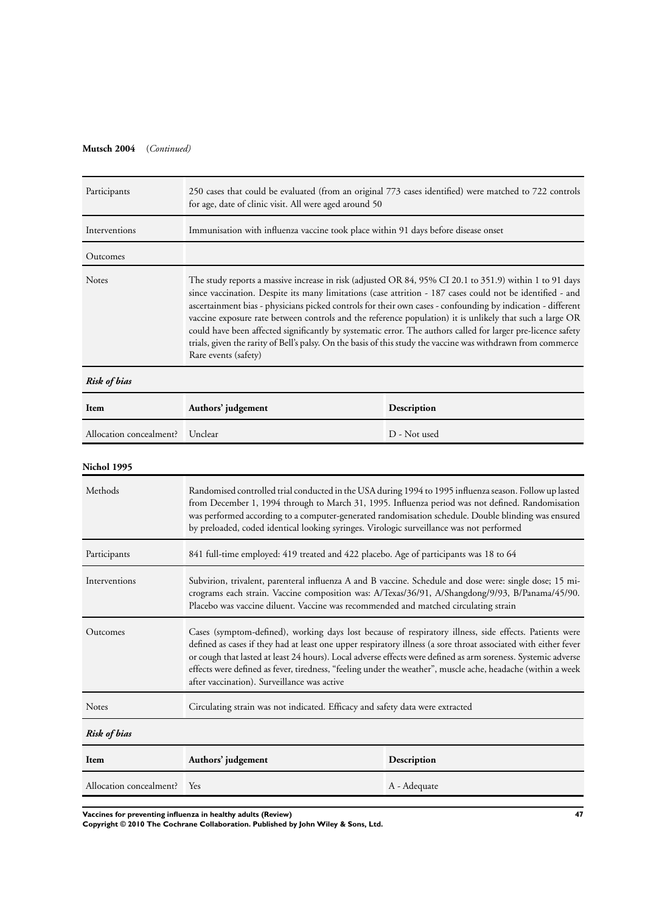#### **Mutsch 2004** (*Continued)*

| Participants            | 250 cases that could be evaluated (from an original 773 cases identified) were matched to 722 controls<br>for age, date of clinic visit. All were aged around 50                                                                                                                                                                                                                                                                                                                                                                                                                                                                                                                                        |              |
|-------------------------|---------------------------------------------------------------------------------------------------------------------------------------------------------------------------------------------------------------------------------------------------------------------------------------------------------------------------------------------------------------------------------------------------------------------------------------------------------------------------------------------------------------------------------------------------------------------------------------------------------------------------------------------------------------------------------------------------------|--------------|
| Interventions           | Immunisation with influenza vaccine took place within 91 days before disease onset                                                                                                                                                                                                                                                                                                                                                                                                                                                                                                                                                                                                                      |              |
| Outcomes                |                                                                                                                                                                                                                                                                                                                                                                                                                                                                                                                                                                                                                                                                                                         |              |
| Notes                   | The study reports a massive increase in risk (adjusted OR 84, 95% CI 20.1 to 351.9) within 1 to 91 days<br>since vaccination. Despite its many limitations (case attrition - 187 cases could not be identified - and<br>ascertainment bias - physicians picked controls for their own cases - confounding by indication - different<br>vaccine exposure rate between controls and the reference population) it is unlikely that such a large OR<br>could have been affected significantly by systematic error. The authors called for larger pre-licence safety<br>trials, given the rarity of Bell's palsy. On the basis of this study the vaccine was withdrawn from commerce<br>Rare events (safety) |              |
| <b>Risk of bias</b>     |                                                                                                                                                                                                                                                                                                                                                                                                                                                                                                                                                                                                                                                                                                         |              |
| Item                    | Authors' judgement                                                                                                                                                                                                                                                                                                                                                                                                                                                                                                                                                                                                                                                                                      | Description  |
| Allocation concealment? | Unclear                                                                                                                                                                                                                                                                                                                                                                                                                                                                                                                                                                                                                                                                                                 | D - Not used |
| <b>Nichol 1995</b>      |                                                                                                                                                                                                                                                                                                                                                                                                                                                                                                                                                                                                                                                                                                         |              |
| Methods                 | Randomised controlled trial conducted in the USA during 1994 to 1995 influenza season. Follow up lasted<br>from December 1, 1994 through to March 31, 1995. Influenza period was not defined. Randomisation<br>was performed according to a computer-generated randomisation schedule. Double blinding was ensured<br>by preloaded, coded identical looking syringes. Virologic surveillance was not performed                                                                                                                                                                                                                                                                                          |              |
| Participants            | 841 full-time employed: 419 treated and 422 placebo. Age of participants was 18 to 64                                                                                                                                                                                                                                                                                                                                                                                                                                                                                                                                                                                                                   |              |
| Interventions           | Subvirion, trivalent, parenteral influenza A and B vaccine. Schedule and dose were: single dose; 15 mi-<br>crograms each strain. Vaccine composition was: A/Texas/36/91, A/Shangdong/9/93, B/Panama/45/90.<br>Placebo was vaccine diluent. Vaccine was recommended and matched circulating strain                                                                                                                                                                                                                                                                                                                                                                                                       |              |
| Outcomes                | Cases (symptom-defined), working days lost because of respiratory illness, side effects. Patients were<br>defined as cases if they had at least one upper respiratory illness (a sore throat associated with either fever<br>or cough that lasted at least 24 hours). Local adverse effects were defined as arm soreness. Systemic adverse<br>effects were defined as fever, tiredness, "feeling under the weather", muscle ache, headache (within a week<br>after vaccination). Surveillance was active                                                                                                                                                                                                |              |
| Notes                   | Circulating strain was not indicated. Efficacy and safety data were extracted                                                                                                                                                                                                                                                                                                                                                                                                                                                                                                                                                                                                                           |              |
| <b>Risk of bias</b>     |                                                                                                                                                                                                                                                                                                                                                                                                                                                                                                                                                                                                                                                                                                         |              |
| Item                    | Authors' judgement                                                                                                                                                                                                                                                                                                                                                                                                                                                                                                                                                                                                                                                                                      | Description  |
| Allocation concealment? | Yes                                                                                                                                                                                                                                                                                                                                                                                                                                                                                                                                                                                                                                                                                                     | A - Adequate |

**Vaccines for preventing influenza in healthy adults (Review) 47**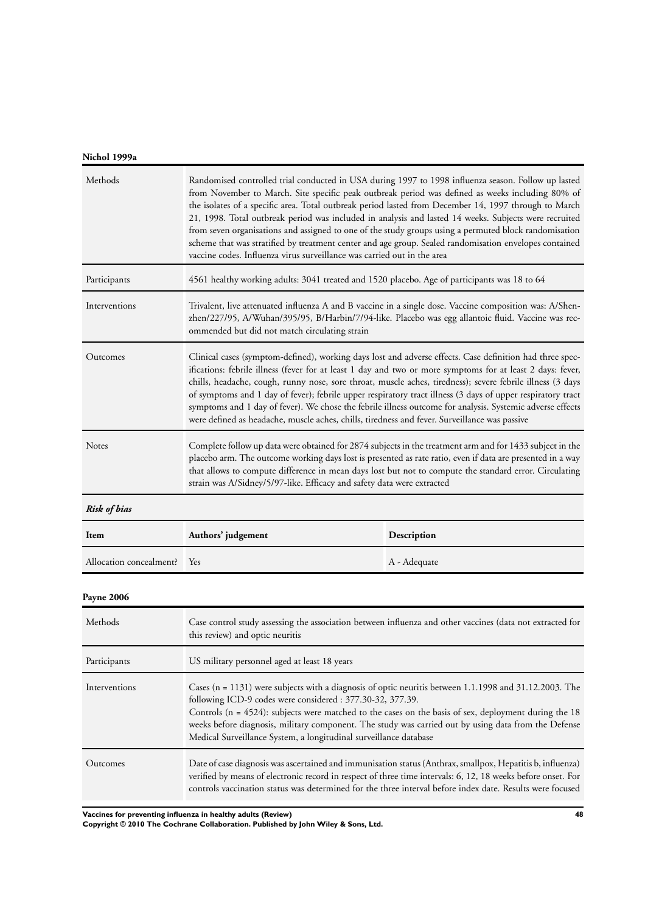# **Nichol 1999a**

| Methods                 | Randomised controlled trial conducted in USA during 1997 to 1998 influenza season. Follow up lasted<br>from November to March. Site specific peak outbreak period was defined as weeks including 80% of<br>the isolates of a specific area. Total outbreak period lasted from December 14, 1997 through to March<br>21, 1998. Total outbreak period was included in analysis and lasted 14 weeks. Subjects were recruited<br>from seven organisations and assigned to one of the study groups using a permuted block randomisation<br>scheme that was stratified by treatment center and age group. Sealed randomisation envelopes contained<br>vaccine codes. Influenza virus surveillance was carried out in the area |              |
|-------------------------|-------------------------------------------------------------------------------------------------------------------------------------------------------------------------------------------------------------------------------------------------------------------------------------------------------------------------------------------------------------------------------------------------------------------------------------------------------------------------------------------------------------------------------------------------------------------------------------------------------------------------------------------------------------------------------------------------------------------------|--------------|
| Participants            | 4561 healthy working adults: 3041 treated and 1520 placebo. Age of participants was 18 to 64                                                                                                                                                                                                                                                                                                                                                                                                                                                                                                                                                                                                                            |              |
| Interventions           | Trivalent, live attenuated influenza A and B vaccine in a single dose. Vaccine composition was: A/Shen-<br>zhen/227/95, A/Wuhan/395/95, B/Harbin/7/94-like. Placebo was egg allantoic fluid. Vaccine was rec-<br>ommended but did not match circulating strain                                                                                                                                                                                                                                                                                                                                                                                                                                                          |              |
| Outcomes                | Clinical cases (symptom-defined), working days lost and adverse effects. Case definition had three spec-<br>ifications: febrile illness (fever for at least 1 day and two or more symptoms for at least 2 days: fever,<br>chills, headache, cough, runny nose, sore throat, muscle aches, tiredness); severe febrile illness (3 days<br>of symptoms and 1 day of fever); febrile upper respiratory tract illness (3 days of upper respiratory tract<br>symptoms and 1 day of fever). We chose the febrile illness outcome for analysis. Systemic adverse effects<br>were defined as headache, muscle aches, chills, tiredness and fever. Surveillance was passive                                                       |              |
| Notes                   | Complete follow up data were obtained for 2874 subjects in the treatment arm and for 1433 subject in the<br>placebo arm. The outcome working days lost is presented as rate ratio, even if data are presented in a way<br>that allows to compute difference in mean days lost but not to compute the standard error. Circulating<br>strain was A/Sidney/5/97-like. Efficacy and safety data were extracted                                                                                                                                                                                                                                                                                                              |              |
| <b>Risk of bias</b>     |                                                                                                                                                                                                                                                                                                                                                                                                                                                                                                                                                                                                                                                                                                                         |              |
| Item                    | Authors' judgement<br>Description                                                                                                                                                                                                                                                                                                                                                                                                                                                                                                                                                                                                                                                                                       |              |
| Allocation concealment? | Yes                                                                                                                                                                                                                                                                                                                                                                                                                                                                                                                                                                                                                                                                                                                     | A - Adequate |
| Payne 2006              |                                                                                                                                                                                                                                                                                                                                                                                                                                                                                                                                                                                                                                                                                                                         |              |
| Methods                 | Case control study assessing the association between influenza and other vaccines (data not extracted for<br>this review) and optic neuritis                                                                                                                                                                                                                                                                                                                                                                                                                                                                                                                                                                            |              |
| Participants            | US military personnel aged at least 18 years                                                                                                                                                                                                                                                                                                                                                                                                                                                                                                                                                                                                                                                                            |              |
| Interventions           | Cases (n = 1131) were subjects with a diagnosis of optic neuritis between 1.1.1998 and 31.12.2003. The<br>following ICD-9 codes were considered : 377.30-32, 377.39.<br>Controls ( $n = 4524$ ): subjects were matched to the cases on the basis of sex, deployment during the 18<br>weeks before diagnosis, military component. The study was carried out by using data from the Defense<br>Medical Surveillance System, a longitudinal surveillance database                                                                                                                                                                                                                                                          |              |
| Outcomes                | Date of case diagnosis was ascertained and immunisation status (Anthrax, smallpox, Hepatitis b, influenza)<br>verified by means of electronic record in respect of three time intervals: 6, 12, 18 weeks before onset. For<br>controls vaccination status was determined for the three interval before index date. Results were focused                                                                                                                                                                                                                                                                                                                                                                                 |              |

**Vaccines for preventing influenza in healthy adults (Review) 48**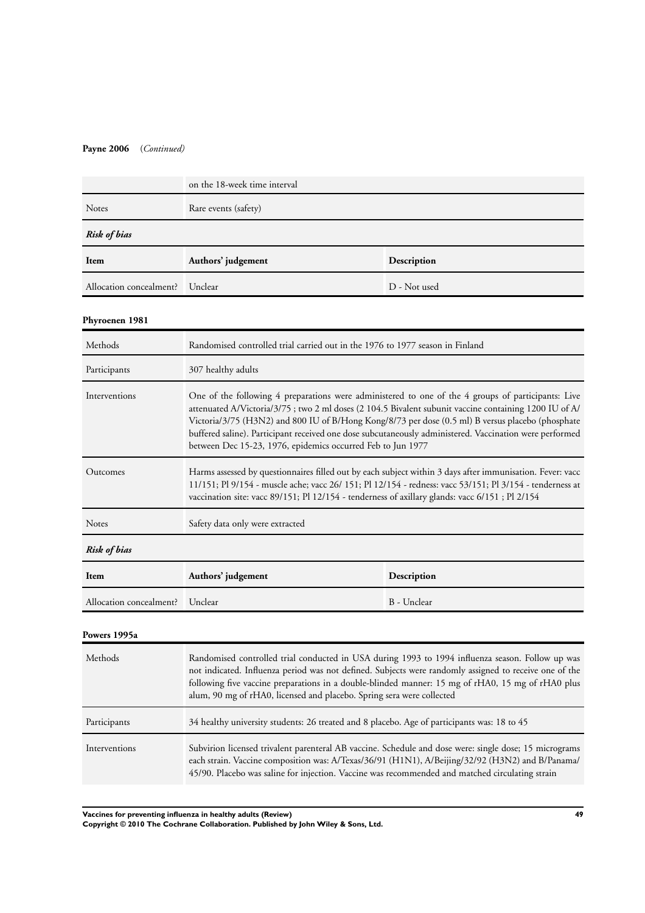## **Payne 2006** (*Continued)*

|                                 | on the 18-week time interval |              |
|---------------------------------|------------------------------|--------------|
| <b>Notes</b>                    | Rare events (safety)         |              |
| Risk of bias                    |                              |              |
| Item                            | Authors' judgement           | Description  |
| Allocation concealment? Unclear |                              | D - Not used |

## **Phyroenen 1981**

| Methods                 | Randomised controlled trial carried out in the 1976 to 1977 season in Finland                                                                                                                                                                                                                                                                                                                                                                                                               |             |
|-------------------------|---------------------------------------------------------------------------------------------------------------------------------------------------------------------------------------------------------------------------------------------------------------------------------------------------------------------------------------------------------------------------------------------------------------------------------------------------------------------------------------------|-------------|
| Participants            | 307 healthy adults                                                                                                                                                                                                                                                                                                                                                                                                                                                                          |             |
| Interventions           | One of the following 4 preparations were administered to one of the 4 groups of participants: Live<br>attenuated A/Victoria/3/75 ; two 2 ml doses (2 104.5 Bivalent subunit vaccine containing 1200 IU of A/<br>Victoria/3/75 (H3N2) and 800 IU of B/Hong Kong/8/73 per dose (0.5 ml) B versus placebo (phosphate<br>buffered saline). Participant received one dose subcutaneously administered. Vaccination were performed<br>between Dec 15-23, 1976, epidemics occurred Feb to Jun 1977 |             |
| Outcomes                | Harms assessed by questionnaires filled out by each subject within 3 days after immunisation. Fever: vacc<br>11/151; Pl 9/154 - muscle ache; vacc 26/ 151; Pl 12/154 - redness: vacc 53/151; Pl 3/154 - tenderness at<br>vaccination site: vacc 89/151; Pl 12/154 - tenderness of axillary glands: vacc 6/151 ; Pl 2/154                                                                                                                                                                    |             |
| <b>Notes</b>            | Safety data only were extracted                                                                                                                                                                                                                                                                                                                                                                                                                                                             |             |
| <b>Risk of bias</b>     |                                                                                                                                                                                                                                                                                                                                                                                                                                                                                             |             |
| Item                    | Authors' judgement<br>Description                                                                                                                                                                                                                                                                                                                                                                                                                                                           |             |
| Allocation concealment? | Unclear                                                                                                                                                                                                                                                                                                                                                                                                                                                                                     | B - Unclear |
|                         |                                                                                                                                                                                                                                                                                                                                                                                                                                                                                             |             |

### **Powers 1995a**

| Methods       | Randomised controlled trial conducted in USA during 1993 to 1994 influenza season. Follow up was<br>not indicated. Influenza period was not defined. Subjects were randomly assigned to receive one of the<br>following five vaccine preparations in a double-blinded manner: 15 mg of rHA0, 15 mg of rHA0 plus<br>alum, 90 mg of rHA0, licensed and placebo. Spring sera were collected |
|---------------|------------------------------------------------------------------------------------------------------------------------------------------------------------------------------------------------------------------------------------------------------------------------------------------------------------------------------------------------------------------------------------------|
| Participants  | 34 healthy university students: 26 treated and 8 placebo. Age of participants was: 18 to 45                                                                                                                                                                                                                                                                                              |
| Interventions | Subvirion licensed trivalent parenteral AB vaccine. Schedule and dose were: single dose; 15 micrograms<br>each strain. Vaccine composition was: A/Texas/36/91 (H1N1), A/Beijing/32/92 (H3N2) and B/Panama/<br>45/90. Placebo was saline for injection. Vaccine was recommended and matched circulating strain                                                                            |

**Vaccines for preventing influenza in healthy adults (Review) 49**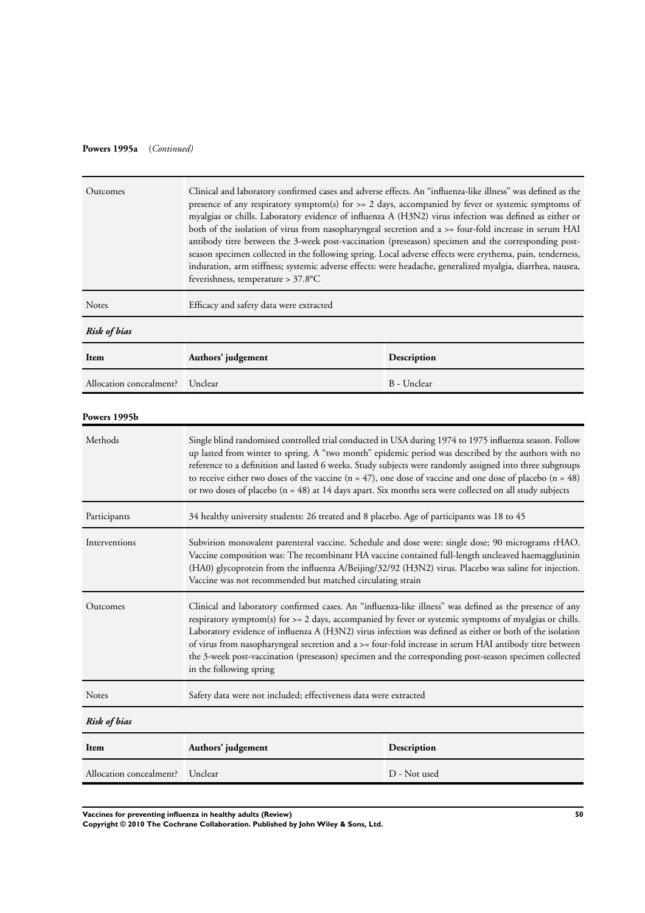### **Powers 1995a** (*Continued)*

| Outcomes                | Clinical and laboratory confirmed cases and adverse effects. An "influenza-like illness" was defined as the<br>presence of any respiratory symptom(s) for >= 2 days, accompanied by fever or systemic symptoms of<br>myalgias or chills. Laboratory evidence of influenza A (H3N2) virus infection was defined as either or<br>both of the isolation of virus from nasopharyngeal secretion and a >= four-fold increase in serum HAI<br>antibody titre between the 3-week post-vaccination (preseason) specimen and the corresponding post-<br>season specimen collected in the following spring. Local adverse effects were erythema, pain, tenderness,<br>induration, arm stiffness; systemic adverse effects: were headache, generalized myalgia, diarrhea, nausea,<br>feverishness, temperature > 37.8°C |             |
|-------------------------|--------------------------------------------------------------------------------------------------------------------------------------------------------------------------------------------------------------------------------------------------------------------------------------------------------------------------------------------------------------------------------------------------------------------------------------------------------------------------------------------------------------------------------------------------------------------------------------------------------------------------------------------------------------------------------------------------------------------------------------------------------------------------------------------------------------|-------------|
| Notes                   | Efficacy and safety data were extracted                                                                                                                                                                                                                                                                                                                                                                                                                                                                                                                                                                                                                                                                                                                                                                      |             |
| <b>Risk of bias</b>     |                                                                                                                                                                                                                                                                                                                                                                                                                                                                                                                                                                                                                                                                                                                                                                                                              |             |
| Item                    | Authors' judgement                                                                                                                                                                                                                                                                                                                                                                                                                                                                                                                                                                                                                                                                                                                                                                                           | Description |
| Allocation concealment? | Unclear                                                                                                                                                                                                                                                                                                                                                                                                                                                                                                                                                                                                                                                                                                                                                                                                      | B - Unclear |
| Powers 1995b            |                                                                                                                                                                                                                                                                                                                                                                                                                                                                                                                                                                                                                                                                                                                                                                                                              |             |
| Methods                 | Single blind randomised controlled trial conducted in USA during 1974 to 1975 influenza season. Follow<br>up lasted from winter to spring. A "two month" epidemic period was described by the authors with no<br>reference to a definition and lasted 6 weeks. Study subjects were randomly assigned into three subgroups<br>to receive either two doses of the vaccine $(n = 47)$ , one dose of vaccine and one dose of placebo $(n = 48)$<br>or two doses of placebo $(n = 48)$ at 14 days apart. Six months sera were collected on all study subjects                                                                                                                                                                                                                                                     |             |
| Participants            | 34 healthy university students: 26 treated and 8 placebo. Age of participants was 18 to 45                                                                                                                                                                                                                                                                                                                                                                                                                                                                                                                                                                                                                                                                                                                   |             |
| Interventions           | Subvirion monovalent parenteral vaccine. Schedule and dose were: single dose; 90 micrograms rHAO.<br>Vaccine composition was: The recombinant HA vaccine contained full-length uncleaved haemagglutinin<br>(HA0) glycoprotein from the influenza A/Beijing/32/92 (H3N2) virus. Placebo was saline for injection.<br>Vaccine was not recommended but matched circulating strain                                                                                                                                                                                                                                                                                                                                                                                                                               |             |
| Outcomes                | Clinical and laboratory confirmed cases. An "influenza-like illness" was defined as the presence of any<br>respiratory symptom(s) for >= 2 days, accompanied by fever or systemic symptoms of myalgias or chills.<br>Laboratory evidence of influenza A (H3N2) virus infection was defined as either or both of the isolation<br>of virus from nasopharyngeal secretion and a >= four-fold increase in serum HAI antibody titre between<br>the 3-week post-vaccination (preseason) specimen and the corresponding post-season specimen collected<br>in the following spring                                                                                                                                                                                                                                  |             |
| Notes                   | Safety data were not included; effectiveness data were extracted                                                                                                                                                                                                                                                                                                                                                                                                                                                                                                                                                                                                                                                                                                                                             |             |
| <b>Risk of bias</b>     |                                                                                                                                                                                                                                                                                                                                                                                                                                                                                                                                                                                                                                                                                                                                                                                                              |             |
| Item                    | Authors' judgement                                                                                                                                                                                                                                                                                                                                                                                                                                                                                                                                                                                                                                                                                                                                                                                           | Description |
| Allocation concealment? | Unclear<br>D - Not used                                                                                                                                                                                                                                                                                                                                                                                                                                                                                                                                                                                                                                                                                                                                                                                      |             |

**Vaccines for preventing influenza in healthy adults (Review) 50**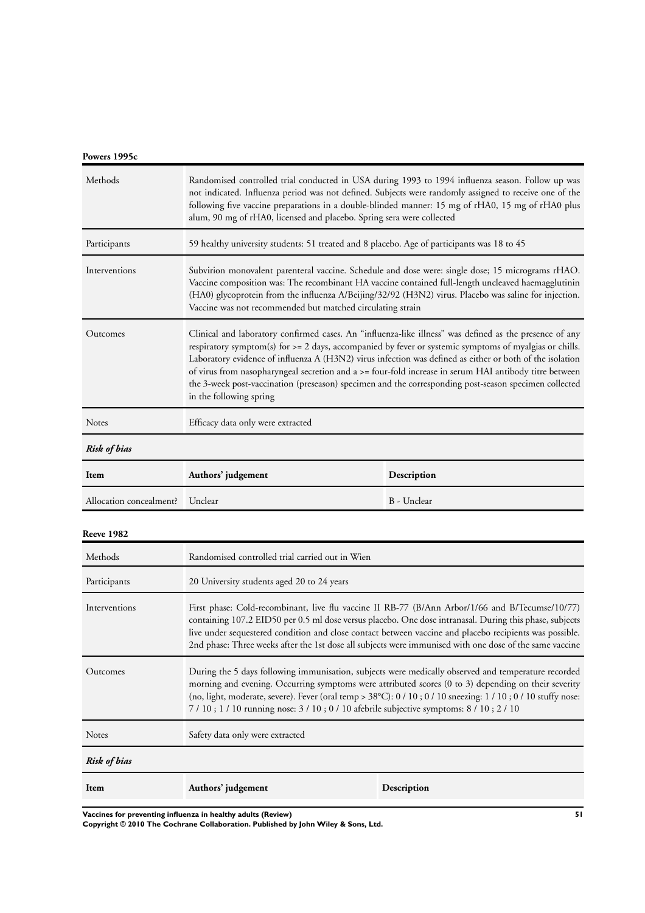### **Powers 1995c**

| Methods       | Randomised controlled trial conducted in USA during 1993 to 1994 influenza season. Follow up was<br>not indicated. Influenza period was not defined. Subjects were randomly assigned to receive one of the<br>following five vaccine preparations in a double-blinded manner: 15 mg of rHA0, 15 mg of rHA0 plus<br>alum, 90 mg of rHA0, licensed and placebo. Spring sera were collected                                                                                                                                                                                      |
|---------------|-------------------------------------------------------------------------------------------------------------------------------------------------------------------------------------------------------------------------------------------------------------------------------------------------------------------------------------------------------------------------------------------------------------------------------------------------------------------------------------------------------------------------------------------------------------------------------|
| Participants  | 59 healthy university students: 51 treated and 8 placebo. Age of participants was 18 to 45                                                                                                                                                                                                                                                                                                                                                                                                                                                                                    |
| Interventions | Subvirion monovalent parenteral vaccine. Schedule and dose were: single dose; 15 micrograms rHAO.<br>Vaccine composition was: The recombinant HA vaccine contained full-length uncleaved haemagglutinin<br>(HA0) glycoprotein from the influenza A/Beijing/32/92 (H3N2) virus. Placebo was saline for injection.<br>Vaccine was not recommended but matched circulating strain                                                                                                                                                                                                |
| Outcomes      | Clinical and laboratory confirmed cases. An "influenza-like illness" was defined as the presence of any<br>respiratory symptom(s) for $>= 2$ days, accompanied by fever or systemic symptoms of myalgias or chills.<br>Laboratory evidence of influenza A (H3N2) virus infection was defined as either or both of the isolation<br>of virus from nasopharyngeal secretion and a >= four-fold increase in serum HAI antibody titre between<br>the 3-week post-vaccination (preseason) specimen and the corresponding post-season specimen collected<br>in the following spring |
| <b>Notes</b>  | Efficacy data only were extracted                                                                                                                                                                                                                                                                                                                                                                                                                                                                                                                                             |
| Risk of bias  |                                                                                                                                                                                                                                                                                                                                                                                                                                                                                                                                                                               |

| Item                            | Authors' judgement | Description |
|---------------------------------|--------------------|-------------|
| Allocation concealment? Unclear |                    | B - Unclear |

## **Reeve 1982**

| Methods       | Randomised controlled trial carried out in Wien                                                                                                                                                                                                                                                                                                                                                                                        |             |  |
|---------------|----------------------------------------------------------------------------------------------------------------------------------------------------------------------------------------------------------------------------------------------------------------------------------------------------------------------------------------------------------------------------------------------------------------------------------------|-------------|--|
| Participants  | 20 University students aged 20 to 24 years                                                                                                                                                                                                                                                                                                                                                                                             |             |  |
| Interventions | First phase: Cold-recombinant, live flu vaccine II RB-77 (B/Ann Arbor/1/66 and B/Tecumse/10/77)<br>containing 107.2 EID50 per 0.5 ml dose versus placebo. One dose intranasal. During this phase, subjects<br>live under sequestered condition and close contact between vaccine and placebo recipients was possible.<br>2nd phase: Three weeks after the 1st dose all subjects were immunised with one dose of the same vaccine       |             |  |
| Outcomes      | During the 5 days following immunisation, subjects were medically observed and temperature recorded<br>morning and evening. Occurring symptoms were attributed scores (0 to 3) depending on their severity<br>(no, light, moderate, severe). Fever (oral temp > $38^{\circ}$ C): 0 / 10 ; 0 / 10 sneezing: 1 / 10 ; 0 / 10 stuffy nose:<br>7 / 10 ; 1 / 10 running nose: 3 / 10 ; 0 / 10 afebrile subjective symptoms: 8 / 10 ; 2 / 10 |             |  |
| <b>Notes</b>  | Safety data only were extracted                                                                                                                                                                                                                                                                                                                                                                                                        |             |  |
| Risk of bias  |                                                                                                                                                                                                                                                                                                                                                                                                                                        |             |  |
| Item          | Authors' judgement                                                                                                                                                                                                                                                                                                                                                                                                                     | Description |  |

**Vaccines for preventing influenza in healthy adults (Review) 51**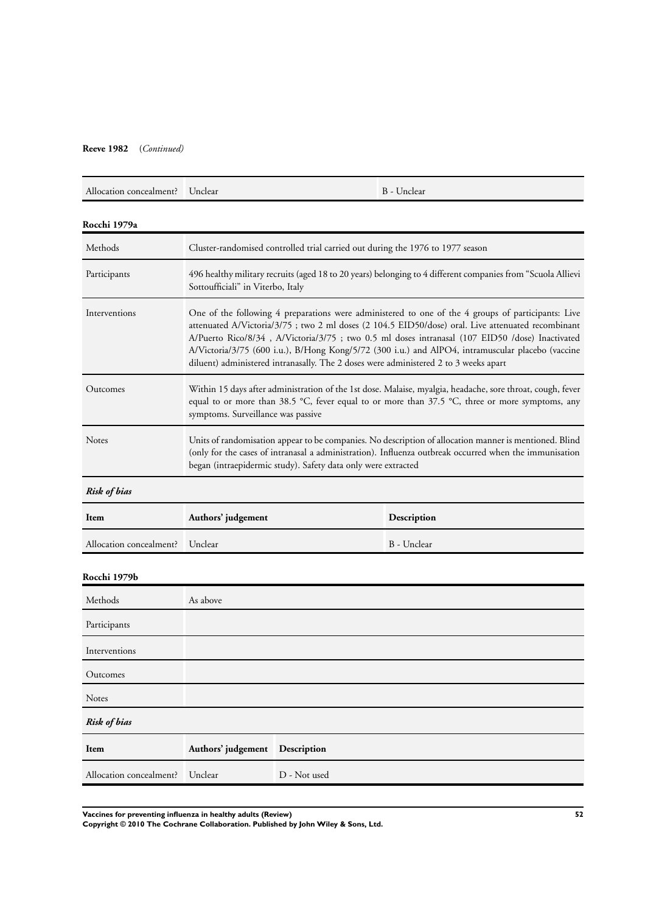#### **Reeve 1982** (*Continued)*

| Allocation concealment? | Unclear                                                                                                                                                                                                                                                                                                                                                                                                                                                                                                |              | B - Unclear |
|-------------------------|--------------------------------------------------------------------------------------------------------------------------------------------------------------------------------------------------------------------------------------------------------------------------------------------------------------------------------------------------------------------------------------------------------------------------------------------------------------------------------------------------------|--------------|-------------|
| Rocchi 1979a            |                                                                                                                                                                                                                                                                                                                                                                                                                                                                                                        |              |             |
| Methods                 | Cluster-randomised controlled trial carried out during the 1976 to 1977 season                                                                                                                                                                                                                                                                                                                                                                                                                         |              |             |
| Participants            | 496 healthy military recruits (aged 18 to 20 years) belonging to 4 different companies from "Scuola Allievi<br>Sottoufficiali" in Viterbo, Italy                                                                                                                                                                                                                                                                                                                                                       |              |             |
| Interventions           | One of the following 4 preparations were administered to one of the 4 groups of participants: Live<br>attenuated A/Victoria/3/75; two 2 ml doses (2 104.5 EID50/dose) oral. Live attenuated recombinant<br>A/Puerto Rico/8/34, A/Victoria/3/75; two 0.5 ml doses intranasal (107 EID50 /dose) Inactivated<br>A/Victoria/3/75 (600 i.u.), B/Hong Kong/5/72 (300 i.u.) and AlPO4, intramuscular placebo (vaccine<br>diluent) administered intranasally. The 2 doses were administered 2 to 3 weeks apart |              |             |
| Outcomes                | Within 15 days after administration of the 1st dose. Malaise, myalgia, headache, sore throat, cough, fever<br>equal to or more than 38.5 °C, fever equal to or more than 37.5 °C, three or more symptoms, any<br>symptoms. Surveillance was passive                                                                                                                                                                                                                                                    |              |             |
| <b>Notes</b>            | Units of randomisation appear to be companies. No description of allocation manner is mentioned. Blind<br>(only for the cases of intranasal a administration). Influenza outbreak occurred when the immunisation<br>began (intraepidermic study). Safety data only were extracted                                                                                                                                                                                                                      |              |             |
| Risk of bias            |                                                                                                                                                                                                                                                                                                                                                                                                                                                                                                        |              |             |
| Item                    | Authors' judgement                                                                                                                                                                                                                                                                                                                                                                                                                                                                                     |              | Description |
| Allocation concealment? | Unclear                                                                                                                                                                                                                                                                                                                                                                                                                                                                                                |              | B - Unclear |
| Rocchi 1979b            |                                                                                                                                                                                                                                                                                                                                                                                                                                                                                                        |              |             |
| Methods                 | As above                                                                                                                                                                                                                                                                                                                                                                                                                                                                                               |              |             |
| Participants            |                                                                                                                                                                                                                                                                                                                                                                                                                                                                                                        |              |             |
| Interventions           |                                                                                                                                                                                                                                                                                                                                                                                                                                                                                                        |              |             |
| Outcomes                |                                                                                                                                                                                                                                                                                                                                                                                                                                                                                                        |              |             |
| Notes                   |                                                                                                                                                                                                                                                                                                                                                                                                                                                                                                        |              |             |
| Risk of bias            |                                                                                                                                                                                                                                                                                                                                                                                                                                                                                                        |              |             |
| Item                    | Authors' judgement                                                                                                                                                                                                                                                                                                                                                                                                                                                                                     | Description  |             |
| Allocation concealment? | Unclear                                                                                                                                                                                                                                                                                                                                                                                                                                                                                                | D - Not used |             |

**Vaccines for preventing influenza in healthy adults (Review) 52**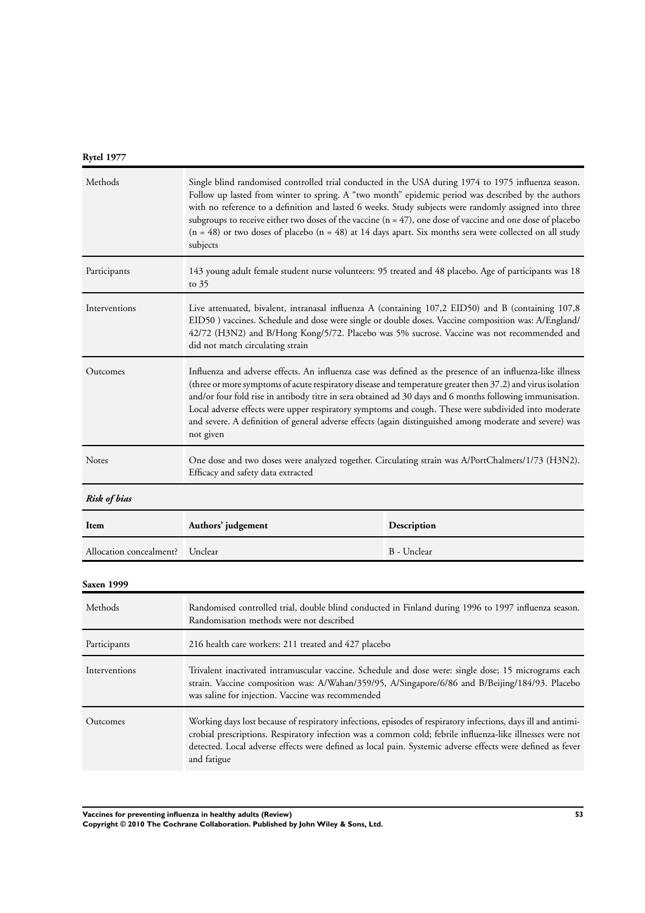## **Rytel 1977**

| Methods                 | Single blind randomised controlled trial conducted in the USA during 1974 to 1975 influenza season.<br>Follow up lasted from winter to spring. A "two month" epidemic period was described by the authors<br>with no reference to a definition and lasted 6 weeks. Study subjects were randomly assigned into three<br>subgroups to receive either two doses of the vaccine $(n = 47)$ , one dose of vaccine and one dose of placebo<br>$(n = 48)$ or two doses of placebo $(n = 48)$ at 14 days apart. Six months sera were collected on all study<br>subjects      |             |  |
|-------------------------|----------------------------------------------------------------------------------------------------------------------------------------------------------------------------------------------------------------------------------------------------------------------------------------------------------------------------------------------------------------------------------------------------------------------------------------------------------------------------------------------------------------------------------------------------------------------|-------------|--|
| Participants            | 143 young adult female student nurse volunteers: 95 treated and 48 placebo. Age of participants was 18<br>to 35                                                                                                                                                                                                                                                                                                                                                                                                                                                      |             |  |
| Interventions           | Live attenuated, bivalent, intranasal influenza A (containing 107,2 EID50) and B (containing 107,8<br>EID50) vaccines. Schedule and dose were single or double doses. Vaccine composition was: A/England/<br>42/72 (H3N2) and B/Hong Kong/5/72. Placebo was 5% sucrose. Vaccine was not recommended and<br>did not match circulating strain                                                                                                                                                                                                                          |             |  |
| Outcomes                | Influenza and adverse effects. An influenza case was defined as the presence of an influenza-like illness<br>(three or more symptoms of acute respiratory disease and temperature greater then 37.2) and virus isolation<br>and/or four fold rise in antibody titre in sera obtained ad 30 days and 6 months following immunisation.<br>Local adverse effects were upper respiratory symptoms and cough. These were subdivided into moderate<br>and severe. A definition of general adverse effects (again distinguished among moderate and severe) was<br>not given |             |  |
| Notes                   | One dose and two doses were analyzed together. Circulating strain was A/PortChalmers/1/73 (H3N2).<br>Efficacy and safety data extracted                                                                                                                                                                                                                                                                                                                                                                                                                              |             |  |
| <b>Risk of bias</b>     |                                                                                                                                                                                                                                                                                                                                                                                                                                                                                                                                                                      |             |  |
| Item                    | Authors' judgement                                                                                                                                                                                                                                                                                                                                                                                                                                                                                                                                                   | Description |  |
| Allocation concealment? | Unclear                                                                                                                                                                                                                                                                                                                                                                                                                                                                                                                                                              | B - Unclear |  |
| <b>Saxen 1999</b>       |                                                                                                                                                                                                                                                                                                                                                                                                                                                                                                                                                                      |             |  |
| Methods                 | Randomised controlled trial, double blind conducted in Finland during 1996 to 1997 influenza season.<br>Randomisation methods were not described                                                                                                                                                                                                                                                                                                                                                                                                                     |             |  |
| Participants            | 216 health care workers: 211 treated and 427 placebo                                                                                                                                                                                                                                                                                                                                                                                                                                                                                                                 |             |  |
| Interventions           | Trivalent inactivated intramuscular vaccine. Schedule and dose were: single dose; 15 micrograms each<br>strain. Vaccine composition was: A/Wahan/359/95, A/Singapore/6/86 and B/Beijing/184/93. Placebo<br>was saline for injection. Vaccine was recommended                                                                                                                                                                                                                                                                                                         |             |  |
| Outcomes                | Working days lost because of respiratory infections, episodes of respiratory infections, days ill and antimi-<br>crobial prescriptions. Respiratory infection was a common cold; febrile influenza-like illnesses were not<br>detected. Local adverse effects were defined as local pain. Systemic adverse effects were defined as fever<br>and fatigue                                                                                                                                                                                                              |             |  |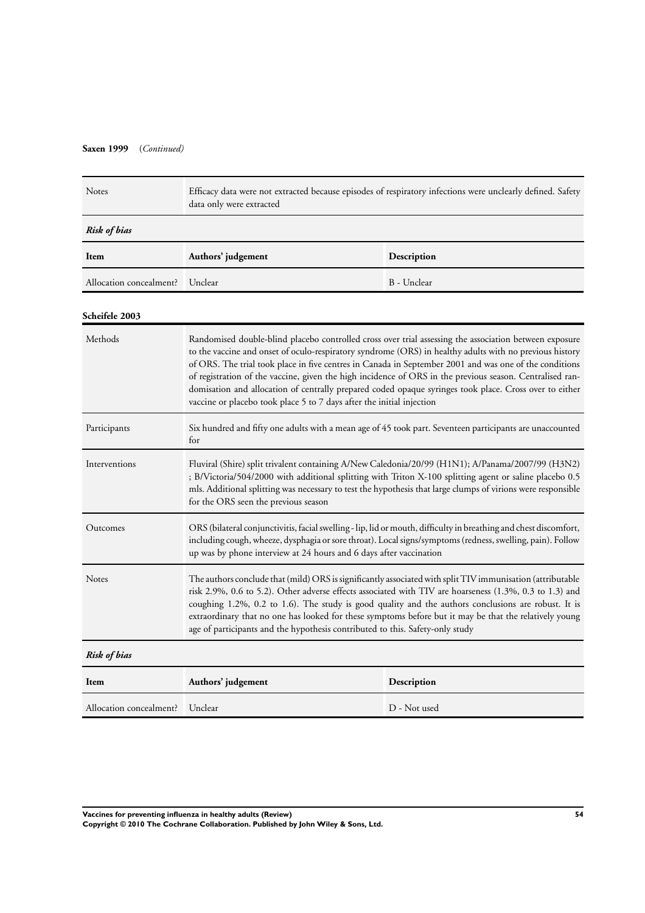#### **Saxen 1999** (*Continued)*

| Notes                   | Efficacy data were not extracted because episodes of respiratory infections were unclearly defined. Safety<br>data only were extracted                                                                                                                                                                                                                                                                                                                                                                                                                                                                                     |             |
|-------------------------|----------------------------------------------------------------------------------------------------------------------------------------------------------------------------------------------------------------------------------------------------------------------------------------------------------------------------------------------------------------------------------------------------------------------------------------------------------------------------------------------------------------------------------------------------------------------------------------------------------------------------|-------------|
| <b>Risk of bias</b>     |                                                                                                                                                                                                                                                                                                                                                                                                                                                                                                                                                                                                                            |             |
| Item                    | Authors' judgement                                                                                                                                                                                                                                                                                                                                                                                                                                                                                                                                                                                                         | Description |
| Allocation concealment? | Unclear                                                                                                                                                                                                                                                                                                                                                                                                                                                                                                                                                                                                                    | B - Unclear |
| Scheifele 2003          |                                                                                                                                                                                                                                                                                                                                                                                                                                                                                                                                                                                                                            |             |
| Methods                 | Randomised double-blind placebo controlled cross over trial assessing the association between exposure<br>to the vaccine and onset of oculo-respiratory syndrome (ORS) in healthy adults with no previous history<br>of ORS. The trial took place in five centres in Canada in September 2001 and was one of the conditions<br>of registration of the vaccine, given the high incidence of ORS in the previous season. Centralised ran-<br>domisation and allocation of centrally prepared coded opaque syringes took place. Cross over to either<br>vaccine or placebo took place 5 to 7 days after the initial injection |             |
| Participants            | Six hundred and fifty one adults with a mean age of 45 took part. Seventeen participants are unaccounted<br>for                                                                                                                                                                                                                                                                                                                                                                                                                                                                                                            |             |
| Interventions           | Fluviral (Shire) split trivalent containing A/New Caledonia/20/99 (H1N1); A/Panama/2007/99 (H3N2)<br>; B/Victoria/504/2000 with additional splitting with Triton X-100 splitting agent or saline placebo 0.5<br>mls. Additional splitting was necessary to test the hypothesis that large clumps of virions were responsible<br>for the ORS seen the previous season                                                                                                                                                                                                                                                       |             |
| Outcomes                | ORS (bilateral conjunctivitis, facial swelling - lip, lid or mouth, difficulty in breathing and chest discomfort,<br>including cough, wheeze, dysphagia or sore throat). Local signs/symptoms (redness, swelling, pain). Follow<br>up was by phone interview at 24 hours and 6 days after vaccination                                                                                                                                                                                                                                                                                                                      |             |

Notes The authors conclude that (mild) ORS is significantly associated with split TIV immunisation (attributable risk 2.9%, 0.6 to 5.2). Other adverse effects associated with TIV are hoarseness (1.3%, 0.3 to 1.3) and coughing 1.2%, 0.2 to 1.6). The study is good quality and the authors conclusions are robust. It is extraordinary that no one has looked for these symptoms before but it may be that the relatively young age of participants and the hypothesis contributed to this. Safety-only study

## *Risk of bias*

| Item                            | Authors' judgement | Description  |
|---------------------------------|--------------------|--------------|
| Allocation concealment? Unclear |                    | D - Not used |

**Vaccines for preventing influenza in healthy adults (Review) 54**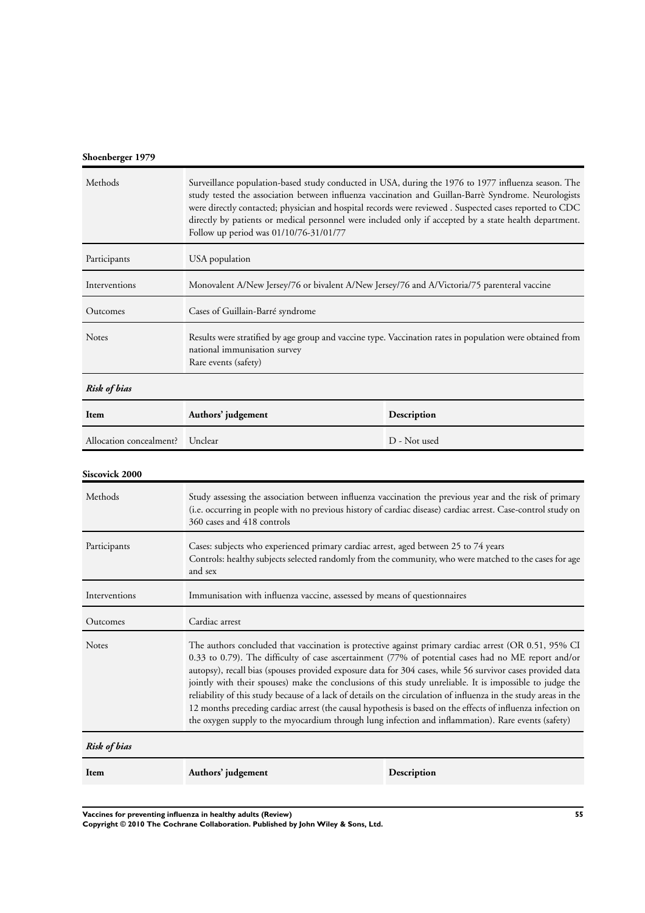## **Shoenberger 1979**

| Methods                 | Surveillance population-based study conducted in USA, during the 1976 to 1977 influenza season. The<br>study tested the association between influenza vaccination and Guillan-Barrè Syndrome. Neurologists<br>were directly contacted; physician and hospital records were reviewed . Suspected cases reported to CDC<br>directly by patients or medical personnel were included only if accepted by a state health department.<br>Follow up period was 01/10/76-31/01/77                                                                                                                                                                                                                                                                                                      |              |
|-------------------------|--------------------------------------------------------------------------------------------------------------------------------------------------------------------------------------------------------------------------------------------------------------------------------------------------------------------------------------------------------------------------------------------------------------------------------------------------------------------------------------------------------------------------------------------------------------------------------------------------------------------------------------------------------------------------------------------------------------------------------------------------------------------------------|--------------|
| Participants            | USA population                                                                                                                                                                                                                                                                                                                                                                                                                                                                                                                                                                                                                                                                                                                                                                 |              |
| Interventions           | Monovalent A/New Jersey/76 or bivalent A/New Jersey/76 and A/Victoria/75 parenteral vaccine                                                                                                                                                                                                                                                                                                                                                                                                                                                                                                                                                                                                                                                                                    |              |
| Outcomes                | Cases of Guillain-Barré syndrome                                                                                                                                                                                                                                                                                                                                                                                                                                                                                                                                                                                                                                                                                                                                               |              |
| Notes                   | Results were stratified by age group and vaccine type. Vaccination rates in population were obtained from<br>national immunisation survey<br>Rare events (safety)                                                                                                                                                                                                                                                                                                                                                                                                                                                                                                                                                                                                              |              |
| <b>Risk of bias</b>     |                                                                                                                                                                                                                                                                                                                                                                                                                                                                                                                                                                                                                                                                                                                                                                                |              |
| Item                    | Authors' judgement                                                                                                                                                                                                                                                                                                                                                                                                                                                                                                                                                                                                                                                                                                                                                             | Description  |
| Allocation concealment? | Unclear                                                                                                                                                                                                                                                                                                                                                                                                                                                                                                                                                                                                                                                                                                                                                                        | D - Not used |
| <b>Siscovick 2000</b>   |                                                                                                                                                                                                                                                                                                                                                                                                                                                                                                                                                                                                                                                                                                                                                                                |              |
| Methods                 | Study assessing the association between influenza vaccination the previous year and the risk of primary<br>(i.e. occurring in people with no previous history of cardiac disease) cardiac arrest. Case-control study on<br>360 cases and 418 controls                                                                                                                                                                                                                                                                                                                                                                                                                                                                                                                          |              |
| Participants            | Cases: subjects who experienced primary cardiac arrest, aged between 25 to 74 years<br>Controls: healthy subjects selected randomly from the community, who were matched to the cases for age<br>and sex                                                                                                                                                                                                                                                                                                                                                                                                                                                                                                                                                                       |              |
| Interventions           | Immunisation with influenza vaccine, assessed by means of questionnaires                                                                                                                                                                                                                                                                                                                                                                                                                                                                                                                                                                                                                                                                                                       |              |
| Outcomes                | Cardiac arrest                                                                                                                                                                                                                                                                                                                                                                                                                                                                                                                                                                                                                                                                                                                                                                 |              |
| Notes                   | The authors concluded that vaccination is protective against primary cardiac arrest (OR 0.51, 95% CI<br>0.33 to 0.79). The difficulty of case ascertainment (77% of potential cases had no ME report and/or<br>autopsy), recall bias (spouses provided exposure data for 304 cases, while 56 survivor cases provided data<br>jointly with their spouses) make the conclusions of this study unreliable. It is impossible to judge the<br>reliability of this study because of a lack of details on the circulation of influenza in the study areas in the<br>12 months preceding cardiac arrest (the causal hypothesis is based on the effects of influenza infection on<br>the oxygen supply to the myocardium through lung infection and inflammation). Rare events (safety) |              |
| <b>Risk of bias</b>     |                                                                                                                                                                                                                                                                                                                                                                                                                                                                                                                                                                                                                                                                                                                                                                                |              |
| Item                    | Authors' judgement                                                                                                                                                                                                                                                                                                                                                                                                                                                                                                                                                                                                                                                                                                                                                             | Description  |

**Vaccines for preventing influenza in healthy adults (Review) 55**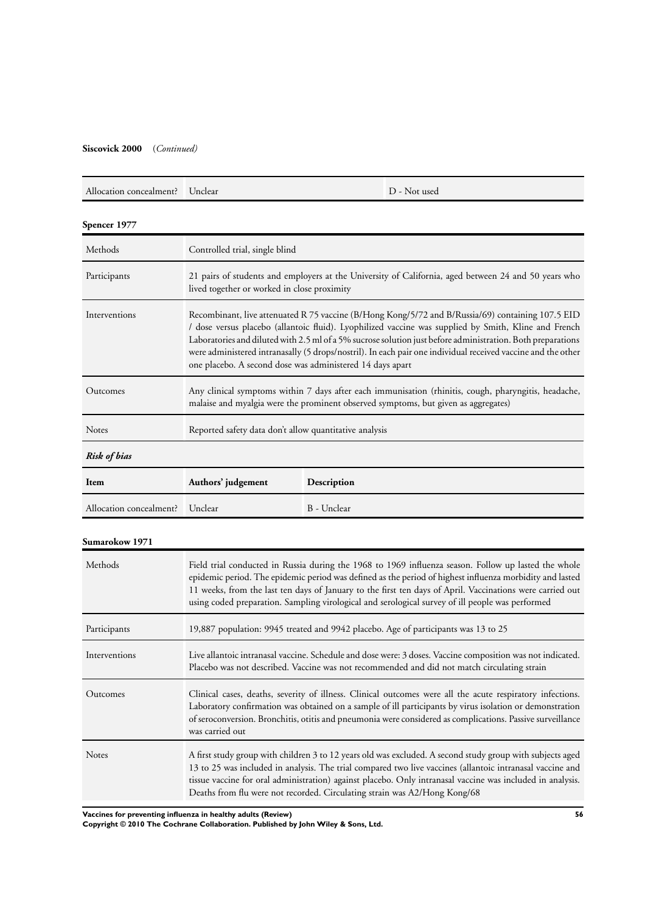#### **Siscovick 2000** (*Continued)*

| Allocation concealment? | Unclear                                                                                                                                                                                                                                                                                                                                                                                                                                                                                               |             | D - Not used                                                                                         |
|-------------------------|-------------------------------------------------------------------------------------------------------------------------------------------------------------------------------------------------------------------------------------------------------------------------------------------------------------------------------------------------------------------------------------------------------------------------------------------------------------------------------------------------------|-------------|------------------------------------------------------------------------------------------------------|
| Spencer 1977            |                                                                                                                                                                                                                                                                                                                                                                                                                                                                                                       |             |                                                                                                      |
| Methods                 | Controlled trial, single blind                                                                                                                                                                                                                                                                                                                                                                                                                                                                        |             |                                                                                                      |
| Participants            | lived together or worked in close proximity                                                                                                                                                                                                                                                                                                                                                                                                                                                           |             | 21 pairs of students and employers at the University of California, aged between 24 and 50 years who |
| Interventions           | Recombinant, live attenuated R 75 vaccine (B/Hong Kong/5/72 and B/Russia/69) containing 107.5 EID<br>/ dose versus placebo (allantoic fluid). Lyophilized vaccine was supplied by Smith, Kline and French<br>Laboratories and diluted with 2.5 ml of a 5% sucrose solution just before administration. Both preparations<br>were administered intranasally (5 drops/nostril). In each pair one individual received vaccine and the other<br>one placebo. A second dose was administered 14 days apart |             |                                                                                                      |
| Outcomes                | Any clinical symptoms within 7 days after each immunisation (rhinitis, cough, pharyngitis, headache,<br>malaise and myalgia were the prominent observed symptoms, but given as aggregates)                                                                                                                                                                                                                                                                                                            |             |                                                                                                      |
| Notes                   | Reported safety data don't allow quantitative analysis                                                                                                                                                                                                                                                                                                                                                                                                                                                |             |                                                                                                      |
| <b>Risk of bias</b>     |                                                                                                                                                                                                                                                                                                                                                                                                                                                                                                       |             |                                                                                                      |
| Item                    | Authors' judgement                                                                                                                                                                                                                                                                                                                                                                                                                                                                                    | Description |                                                                                                      |
| Allocation concealment? | Unclear                                                                                                                                                                                                                                                                                                                                                                                                                                                                                               | B - Unclear |                                                                                                      |
| Sumarokow 1971          |                                                                                                                                                                                                                                                                                                                                                                                                                                                                                                       |             |                                                                                                      |
| Methods                 | Field trial conducted in Russia during the 1968 to 1969 influenza season. Follow up lasted the whole<br>epidemic period. The epidemic period was defined as the period of highest influenza morbidity and lasted<br>11 weeks, from the last ten days of January to the first ten days of April. Vaccinations were carried out<br>using coded preparation. Sampling virological and serological survey of ill people was performed                                                                     |             |                                                                                                      |
| Participants            | 19,887 population: 9945 treated and 9942 placebo. Age of participants was 13 to 25                                                                                                                                                                                                                                                                                                                                                                                                                    |             |                                                                                                      |
| Interventions           | Live allantoic intranasal vaccine. Schedule and dose were: 3 doses. Vaccine composition was not indicated.<br>Placebo was not described. Vaccine was not recommended and did not match circulating strain                                                                                                                                                                                                                                                                                             |             |                                                                                                      |
| Outcomes                | Clinical cases, deaths, severity of illness. Clinical outcomes were all the acute respiratory infections.<br>Laboratory confirmation was obtained on a sample of ill participants by virus isolation or demonstration<br>of seroconversion. Bronchitis, otitis and pneumonia were considered as complications. Passive surveillance<br>was carried out                                                                                                                                                |             |                                                                                                      |
| Notes                   | A first study group with children 3 to 12 years old was excluded. A second study group with subjects aged<br>13 to 25 was included in analysis. The trial compared two live vaccines (allantoic intranasal vaccine and<br>tissue vaccine for oral administration) against placebo. Only intranasal vaccine was included in analysis.<br>Deaths from flu were not recorded. Circulating strain was A2/Hong Kong/68                                                                                     |             |                                                                                                      |

**Vaccines for preventing influenza in healthy adults (Review) 56**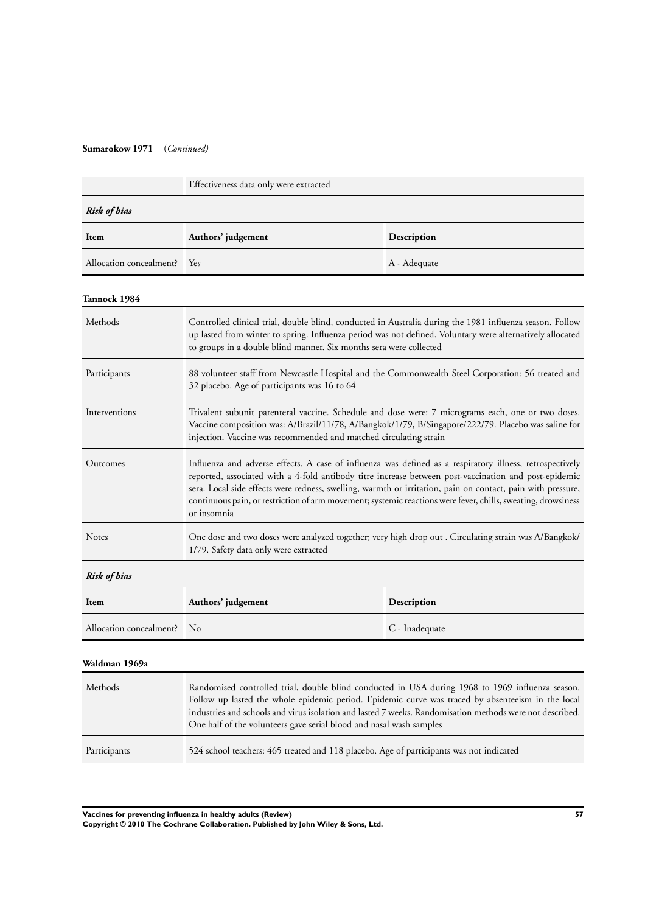#### **Sumarokow 1971** (*Continued)*

|                         | Effectiveness data only were extracted                                                                                                                                                                                                                                                                                                                                                                                                                          |                                                                                                   |  |
|-------------------------|-----------------------------------------------------------------------------------------------------------------------------------------------------------------------------------------------------------------------------------------------------------------------------------------------------------------------------------------------------------------------------------------------------------------------------------------------------------------|---------------------------------------------------------------------------------------------------|--|
| Risk of bias            |                                                                                                                                                                                                                                                                                                                                                                                                                                                                 |                                                                                                   |  |
| Item                    | Authors' judgement                                                                                                                                                                                                                                                                                                                                                                                                                                              | Description                                                                                       |  |
| Allocation concealment? | Yes                                                                                                                                                                                                                                                                                                                                                                                                                                                             | A - Adequate                                                                                      |  |
| Tannock 1984            |                                                                                                                                                                                                                                                                                                                                                                                                                                                                 |                                                                                                   |  |
| Methods                 | Controlled clinical trial, double blind, conducted in Australia during the 1981 influenza season. Follow<br>up lasted from winter to spring. Influenza period was not defined. Voluntary were alternatively allocated<br>to groups in a double blind manner. Six months sera were collected                                                                                                                                                                     |                                                                                                   |  |
| Participants            | 32 placebo. Age of participants was 16 to 64                                                                                                                                                                                                                                                                                                                                                                                                                    | 88 volunteer staff from Newcastle Hospital and the Commonwealth Steel Corporation: 56 treated and |  |
| Interventions           | Trivalent subunit parenteral vaccine. Schedule and dose were: 7 micrograms each, one or two doses.<br>Vaccine composition was: A/Brazil/11/78, A/Bangkok/1/79, B/Singapore/222/79. Placebo was saline for<br>injection. Vaccine was recommended and matched circulating strain                                                                                                                                                                                  |                                                                                                   |  |
| Outcomes                | Influenza and adverse effects. A case of influenza was defined as a respiratory illness, retrospectively<br>reported, associated with a 4-fold antibody titre increase between post-vaccination and post-epidemic<br>sera. Local side effects were redness, swelling, warmth or irritation, pain on contact, pain with pressure,<br>continuous pain, or restriction of arm movement; systemic reactions were fever, chills, sweating, drowsiness<br>or insomnia |                                                                                                   |  |
| Notes                   | One dose and two doses were analyzed together; very high drop out . Circulating strain was A/Bangkok/<br>1/79. Safety data only were extracted                                                                                                                                                                                                                                                                                                                  |                                                                                                   |  |
| <b>Risk of bias</b>     |                                                                                                                                                                                                                                                                                                                                                                                                                                                                 |                                                                                                   |  |
| Item                    | Authors' judgement<br>Description                                                                                                                                                                                                                                                                                                                                                                                                                               |                                                                                                   |  |
| Allocation concealment? | No<br>C - Inadequate                                                                                                                                                                                                                                                                                                                                                                                                                                            |                                                                                                   |  |
| Waldman 1969a           |                                                                                                                                                                                                                                                                                                                                                                                                                                                                 |                                                                                                   |  |
| Methods                 | Randomised controlled trial, double blind conducted in USA during 1968 to 1969 influenza season.<br>Follow up lasted the whole epidemic period. Epidemic curve was traced by absenteeism in the local<br>industries and schools and virus isolation and lasted 7 weeks. Randomisation methods were not described.<br>One half of the volunteers gave serial blood and nasal wash samples                                                                        |                                                                                                   |  |
| Participants            | 524 school teachers: 465 treated and 118 placebo. Age of participants was not indicated                                                                                                                                                                                                                                                                                                                                                                         |                                                                                                   |  |

**Vaccines for preventing influenza in healthy adults (Review) 57**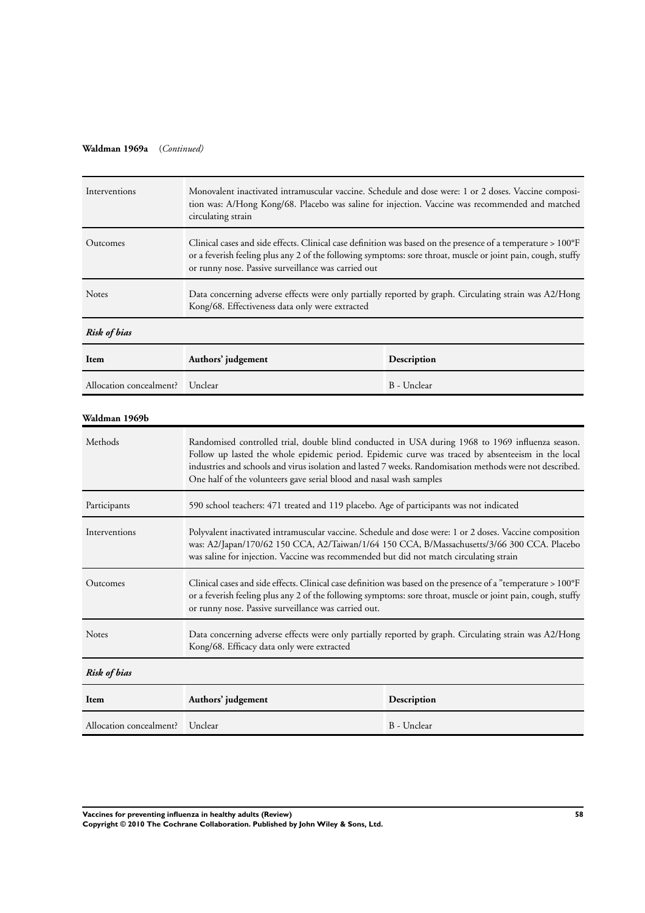#### **Waldman 1969a** (*Continued)*

| Interventions           | Monovalent inactivated intramuscular vaccine. Schedule and dose were: 1 or 2 doses. Vaccine composi-<br>tion was: A/Hong Kong/68. Placebo was saline for injection. Vaccine was recommended and matched<br>circulating strain                                                                                                                                                            |             |
|-------------------------|------------------------------------------------------------------------------------------------------------------------------------------------------------------------------------------------------------------------------------------------------------------------------------------------------------------------------------------------------------------------------------------|-------------|
| Outcomes                | Clinical cases and side effects. Clinical case definition was based on the presence of a temperature $>100^{\circ}F$<br>or a feverish feeling plus any 2 of the following symptoms: sore throat, muscle or joint pain, cough, stuffy<br>or runny nose. Passive surveillance was carried out                                                                                              |             |
| Notes                   | Data concerning adverse effects were only partially reported by graph. Circulating strain was A2/Hong<br>Kong/68. Effectiveness data only were extracted                                                                                                                                                                                                                                 |             |
| <b>Risk of bias</b>     |                                                                                                                                                                                                                                                                                                                                                                                          |             |
| Item                    | Authors' judgement<br>Description                                                                                                                                                                                                                                                                                                                                                        |             |
| Allocation concealment? | Unclear                                                                                                                                                                                                                                                                                                                                                                                  | B - Unclear |
| Waldman 1969b           |                                                                                                                                                                                                                                                                                                                                                                                          |             |
| Methods                 | Randomised controlled trial, double blind conducted in USA during 1968 to 1969 influenza season.<br>Follow up lasted the whole epidemic period. Epidemic curve was traced by absenteeism in the local<br>industries and schools and virus isolation and lasted 7 weeks. Randomisation methods were not described.<br>One half of the volunteers gave serial blood and nasal wash samples |             |
| Participants            | 590 school teachers: 471 treated and 119 placebo. Age of participants was not indicated                                                                                                                                                                                                                                                                                                  |             |
| Interventions           | Polyvalent inactivated intramuscular vaccine. Schedule and dose were: 1 or 2 doses. Vaccine composition<br>was: A2/Japan/170/62 150 CCA, A2/Taiwan/1/64 150 CCA, B/Massachusetts/3/66 300 CCA. Placebo<br>was saline for injection. Vaccine was recommended but did not match circulating strain                                                                                         |             |
| Outcomes                | Clinical cases and side effects. Clinical case definition was based on the presence of a "temperature > 100°F<br>or a feverish feeling plus any 2 of the following symptoms: sore throat, muscle or joint pain, cough, stuffy<br>or runny nose. Passive surveillance was carried out.                                                                                                    |             |
| Notes                   | Data concerning adverse effects were only partially reported by graph. Circulating strain was A2/Hong<br>Kong/68. Efficacy data only were extracted                                                                                                                                                                                                                                      |             |
| <b>Risk of bias</b>     |                                                                                                                                                                                                                                                                                                                                                                                          |             |
| Item                    | Authors' judgement<br>Description                                                                                                                                                                                                                                                                                                                                                        |             |
| Allocation concealment? | Unclear                                                                                                                                                                                                                                                                                                                                                                                  | B - Unclear |

**Vaccines for preventing influenza in healthy adults (Review) 58**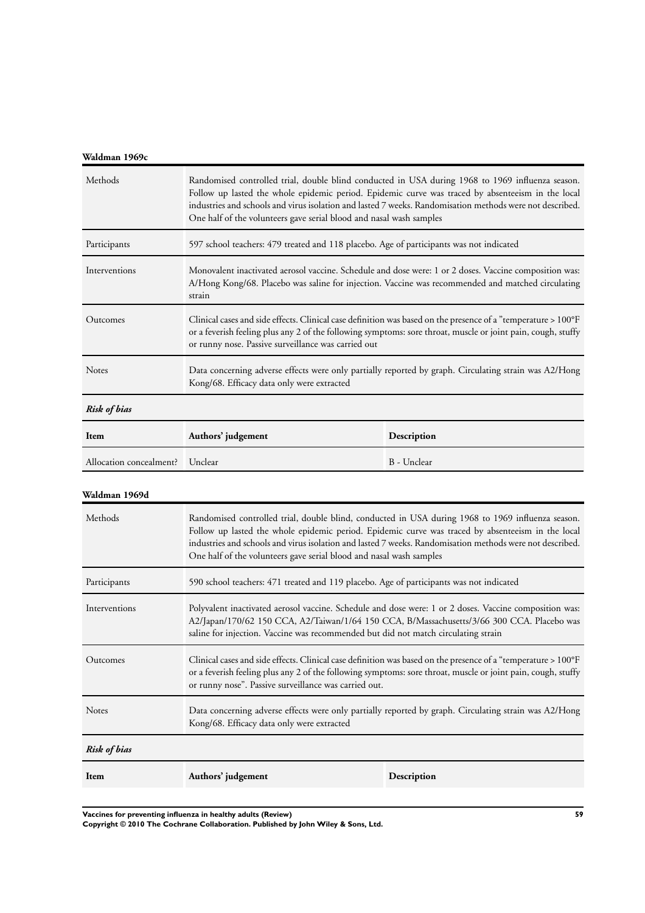## **Waldman 1969c**

| Methods                 | Randomised controlled trial, double blind conducted in USA during 1968 to 1969 influenza season.<br>Follow up lasted the whole epidemic period. Epidemic curve was traced by absenteeism in the local<br>industries and schools and virus isolation and lasted 7 weeks. Randomisation methods were not described.<br>One half of the volunteers gave serial blood and nasal wash samples |             |
|-------------------------|------------------------------------------------------------------------------------------------------------------------------------------------------------------------------------------------------------------------------------------------------------------------------------------------------------------------------------------------------------------------------------------|-------------|
| Participants            | 597 school teachers: 479 treated and 118 placebo. Age of participants was not indicated                                                                                                                                                                                                                                                                                                  |             |
| Interventions           | Monovalent inactivated aerosol vaccine. Schedule and dose were: 1 or 2 doses. Vaccine composition was:<br>A/Hong Kong/68. Placebo was saline for injection. Vaccine was recommended and matched circulating<br>strain                                                                                                                                                                    |             |
| Outcomes                | Clinical cases and side effects. Clinical case definition was based on the presence of a "temperature > 100°F<br>or a feverish feeling plus any 2 of the following symptoms: sore throat, muscle or joint pain, cough, stuffy<br>or runny nose. Passive surveillance was carried out                                                                                                     |             |
| <b>Notes</b>            | Data concerning adverse effects were only partially reported by graph. Circulating strain was A2/Hong<br>Kong/68. Efficacy data only were extracted                                                                                                                                                                                                                                      |             |
| <b>Risk of bias</b>     |                                                                                                                                                                                                                                                                                                                                                                                          |             |
| Item                    | Authors' judgement<br>Description                                                                                                                                                                                                                                                                                                                                                        |             |
| Allocation concealment? | Unclear                                                                                                                                                                                                                                                                                                                                                                                  | B - Unclear |

### **Waldman 1969d**

| Methods             | Randomised controlled trial, double blind, conducted in USA during 1968 to 1969 influenza season.<br>Follow up lasted the whole epidemic period. Epidemic curve was traced by absenteeism in the local<br>industries and schools and virus isolation and lasted 7 weeks. Randomisation methods were not described.<br>One half of the volunteers gave serial blood and nasal wash samples |             |  |
|---------------------|-------------------------------------------------------------------------------------------------------------------------------------------------------------------------------------------------------------------------------------------------------------------------------------------------------------------------------------------------------------------------------------------|-------------|--|
| Participants        | 590 school teachers: 471 treated and 119 placebo. Age of participants was not indicated                                                                                                                                                                                                                                                                                                   |             |  |
| Interventions       | Polyvalent inactivated aerosol vaccine. Schedule and dose were: 1 or 2 doses. Vaccine composition was:<br>A2/Japan/170/62 150 CCA, A2/Taiwan/1/64 150 CCA, B/Massachusetts/3/66 300 CCA. Placebo was<br>saline for injection. Vaccine was recommended but did not match circulating strain                                                                                                |             |  |
| Outcomes            | Clinical cases and side effects. Clinical case definition was based on the presence of a "temperature > 100°F<br>or a feverish feeling plus any 2 of the following symptoms: sore throat, muscle or joint pain, cough, stuffy<br>or runny nose". Passive surveillance was carried out.                                                                                                    |             |  |
| <b>Notes</b>        | Data concerning adverse effects were only partially reported by graph. Circulating strain was A2/Hong<br>Kong/68. Efficacy data only were extracted                                                                                                                                                                                                                                       |             |  |
| <b>Risk of bias</b> |                                                                                                                                                                                                                                                                                                                                                                                           |             |  |
| Item                | Authors' judgement                                                                                                                                                                                                                                                                                                                                                                        | Description |  |

**Vaccines for preventing influenza in healthy adults (Review) 59**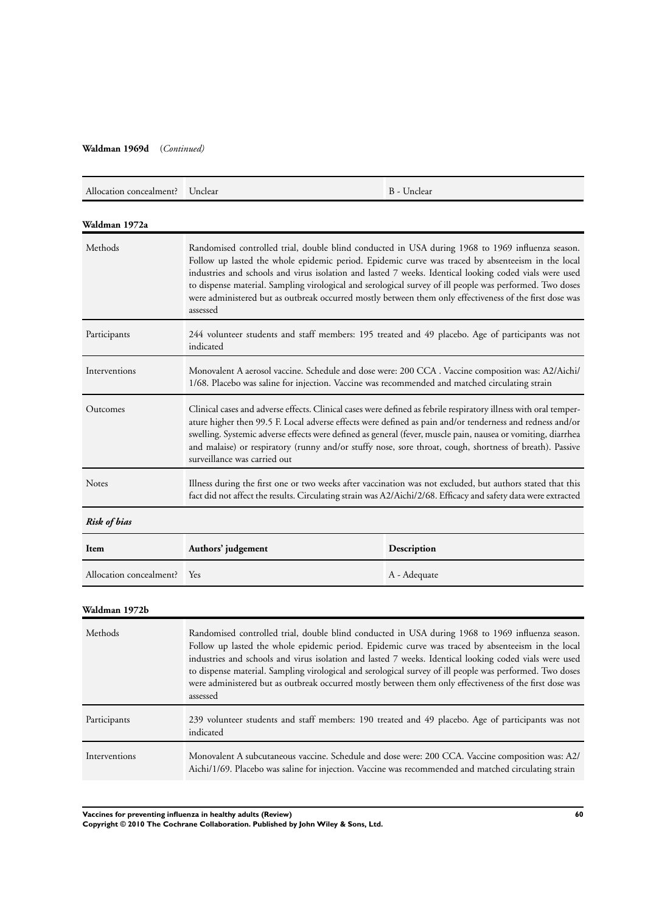#### **Waldman 1969d** (*Continued)*

| Allocation concealment? | Unclear                                                                                                                                                                                                                                                                                                                                                                                                                                                                                                                                            | B - Unclear                                                                                                                                                                                                          |
|-------------------------|----------------------------------------------------------------------------------------------------------------------------------------------------------------------------------------------------------------------------------------------------------------------------------------------------------------------------------------------------------------------------------------------------------------------------------------------------------------------------------------------------------------------------------------------------|----------------------------------------------------------------------------------------------------------------------------------------------------------------------------------------------------------------------|
| Waldman 1972a           |                                                                                                                                                                                                                                                                                                                                                                                                                                                                                                                                                    |                                                                                                                                                                                                                      |
| Methods                 | Randomised controlled trial, double blind conducted in USA during 1968 to 1969 influenza season.<br>Follow up lasted the whole epidemic period. Epidemic curve was traced by absenteeism in the local<br>industries and schools and virus isolation and lasted 7 weeks. Identical looking coded vials were used<br>to dispense material. Sampling virological and serological survey of ill people was performed. Two doses<br>were administered but as outbreak occurred mostly between them only effectiveness of the first dose was<br>assessed |                                                                                                                                                                                                                      |
| Participants            | 244 volunteer students and staff members: 195 treated and 49 placebo. Age of participants was not<br>indicated                                                                                                                                                                                                                                                                                                                                                                                                                                     |                                                                                                                                                                                                                      |
| Interventions           | Monovalent A aerosol vaccine. Schedule and dose were: 200 CCA . Vaccine composition was: A2/Aichi/<br>1/68. Placebo was saline for injection. Vaccine was recommended and matched circulating strain                                                                                                                                                                                                                                                                                                                                               |                                                                                                                                                                                                                      |
| Outcomes                | Clinical cases and adverse effects. Clinical cases were defined as febrile respiratory illness with oral temper-<br>ature higher then 99.5 F. Local adverse effects were defined as pain and/or tenderness and redness and/or<br>swelling. Systemic adverse effects were defined as general (fever, muscle pain, nausea or vomiting, diarrhea<br>and malaise) or respiratory (runny and/or stuffy nose, sore throat, cough, shortness of breath). Passive<br>surveillance was carried out                                                          |                                                                                                                                                                                                                      |
| Notes                   | Illness during the first one or two weeks after vaccination was not excluded, but authors stated that this<br>fact did not affect the results. Circulating strain was A2/Aichi/2/68. Efficacy and safety data were extracted                                                                                                                                                                                                                                                                                                                       |                                                                                                                                                                                                                      |
| Risk of bias            |                                                                                                                                                                                                                                                                                                                                                                                                                                                                                                                                                    |                                                                                                                                                                                                                      |
| Item                    | Authors' judgement                                                                                                                                                                                                                                                                                                                                                                                                                                                                                                                                 | Description                                                                                                                                                                                                          |
| Allocation concealment? | Yes                                                                                                                                                                                                                                                                                                                                                                                                                                                                                                                                                | A - Adequate                                                                                                                                                                                                         |
| Waldman 1972b           |                                                                                                                                                                                                                                                                                                                                                                                                                                                                                                                                                    |                                                                                                                                                                                                                      |
| Methods                 |                                                                                                                                                                                                                                                                                                                                                                                                                                                                                                                                                    | Randomised controlled trial, double blind conducted in USA during 1968 to 1969 influenza season.<br>$\sim$ 1.1 at 1.1 at 1.2 at 2.2 at 1.1 metric states and a second control of the 1.2 at 2.1 at 2.1 at 2.1 at 2.1 |

| Participants<br>239 volunteer students and staff members: 190 treated and 49 placebo. Age of participants was not<br>indicated<br>Monovalent A subcutaneous vaccine. Schedule and dose were: 200 CCA. Vaccine composition was: A2/<br>Interventions<br>Aichi/1/69. Placebo was saline for injection. Vaccine was recommended and matched circulating strain | <i>ivietnous</i> | Kandomised controlled trial, double blind conducted in USA during 1908 to 1909 innuenza season.<br>Follow up lasted the whole epidemic period. Epidemic curve was traced by absenteeism in the local<br>industries and schools and virus isolation and lasted 7 weeks. Identical looking coded vials were used<br>to dispense material. Sampling virological and serological survey of ill people was performed. Two doses<br>were administered but as outbreak occurred mostly between them only effectiveness of the first dose was<br>assessed |
|-------------------------------------------------------------------------------------------------------------------------------------------------------------------------------------------------------------------------------------------------------------------------------------------------------------------------------------------------------------|------------------|---------------------------------------------------------------------------------------------------------------------------------------------------------------------------------------------------------------------------------------------------------------------------------------------------------------------------------------------------------------------------------------------------------------------------------------------------------------------------------------------------------------------------------------------------|
|                                                                                                                                                                                                                                                                                                                                                             |                  |                                                                                                                                                                                                                                                                                                                                                                                                                                                                                                                                                   |
|                                                                                                                                                                                                                                                                                                                                                             |                  |                                                                                                                                                                                                                                                                                                                                                                                                                                                                                                                                                   |

**Vaccines for preventing influenza in healthy adults (Review) 60**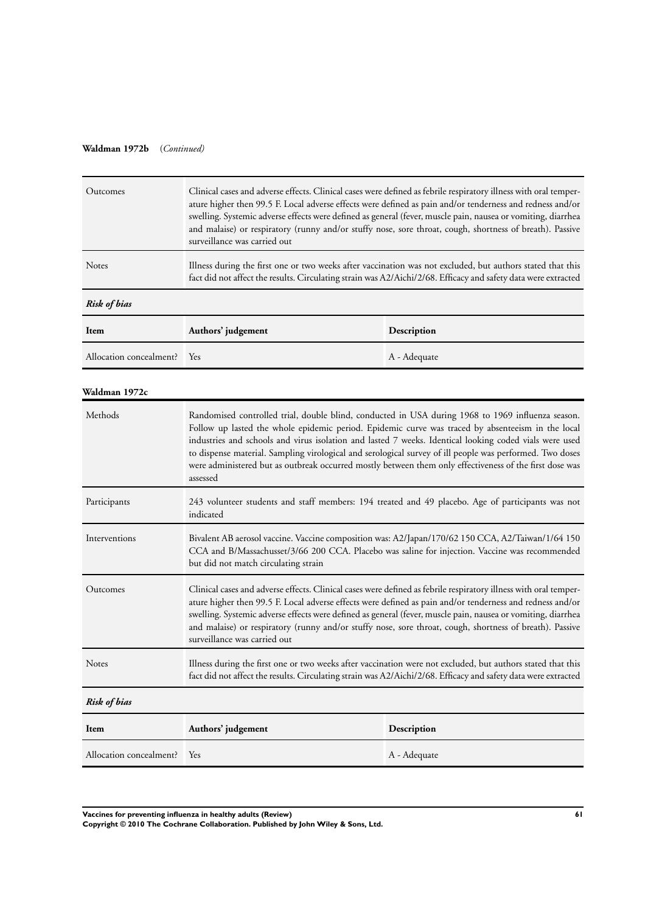#### **Waldman 1972b** (*Continued)*

| Outcomes                | Clinical cases and adverse effects. Clinical cases were defined as febrile respiratory illness with oral temper-<br>ature higher then 99.5 F. Local adverse effects were defined as pain and/or tenderness and redness and/or<br>swelling. Systemic adverse effects were defined as general (fever, muscle pain, nausea or vomiting, diarrhea<br>and malaise) or respiratory (runny and/or stuffy nose, sore throat, cough, shortness of breath). Passive<br>surveillance was carried out                                                           |              |
|-------------------------|-----------------------------------------------------------------------------------------------------------------------------------------------------------------------------------------------------------------------------------------------------------------------------------------------------------------------------------------------------------------------------------------------------------------------------------------------------------------------------------------------------------------------------------------------------|--------------|
| Notes                   | Illness during the first one or two weeks after vaccination was not excluded, but authors stated that this<br>fact did not affect the results. Circulating strain was A2/Aichi/2/68. Efficacy and safety data were extracted                                                                                                                                                                                                                                                                                                                        |              |
| <b>Risk of bias</b>     |                                                                                                                                                                                                                                                                                                                                                                                                                                                                                                                                                     |              |
| Item                    | Authors' judgement                                                                                                                                                                                                                                                                                                                                                                                                                                                                                                                                  | Description  |
| Allocation concealment? | Yes                                                                                                                                                                                                                                                                                                                                                                                                                                                                                                                                                 | A - Adequate |
| Waldman 1972c           |                                                                                                                                                                                                                                                                                                                                                                                                                                                                                                                                                     |              |
| Methods                 | Randomised controlled trial, double blind, conducted in USA during 1968 to 1969 influenza season.<br>Follow up lasted the whole epidemic period. Epidemic curve was traced by absenteeism in the local<br>industries and schools and virus isolation and lasted 7 weeks. Identical looking coded vials were used<br>to dispense material. Sampling virological and serological survey of ill people was performed. Two doses<br>were administered but as outbreak occurred mostly between them only effectiveness of the first dose was<br>assessed |              |
| Participants            | 243 volunteer students and staff members: 194 treated and 49 placebo. Age of participants was not<br>indicated                                                                                                                                                                                                                                                                                                                                                                                                                                      |              |
| Interventions           | Bivalent AB aerosol vaccine. Vaccine composition was: A2/Japan/170/62 150 CCA, A2/Taiwan/1/64 150<br>CCA and B/Massachusset/3/66 200 CCA. Placebo was saline for injection. Vaccine was recommended<br>but did not match circulating strain                                                                                                                                                                                                                                                                                                         |              |
| Outcomes                | Clinical cases and adverse effects. Clinical cases were defined as febrile respiratory illness with oral temper-<br>ature higher then 99.5 F. Local adverse effects were defined as pain and/or tenderness and redness and/or<br>swelling. Systemic adverse effects were defined as general (fever, muscle pain, nausea or vomiting, diarrhea<br>and malaise) or respiratory (runny and/or stuffy nose, sore throat, cough, shortness of breath). Passive<br>surveillance was carried out                                                           |              |
| Notes                   | Illness during the first one or two weeks after vaccination were not excluded, but authors stated that this<br>fact did not affect the results. Circulating strain was A2/Aichi/2/68. Efficacy and safety data were extracted                                                                                                                                                                                                                                                                                                                       |              |
| <b>Risk of bias</b>     |                                                                                                                                                                                                                                                                                                                                                                                                                                                                                                                                                     |              |
| Item                    | Authors' judgement                                                                                                                                                                                                                                                                                                                                                                                                                                                                                                                                  | Description  |
| Allocation concealment? | Yes                                                                                                                                                                                                                                                                                                                                                                                                                                                                                                                                                 | A - Adequate |

**Vaccines for preventing influenza in healthy adults (Review) 61**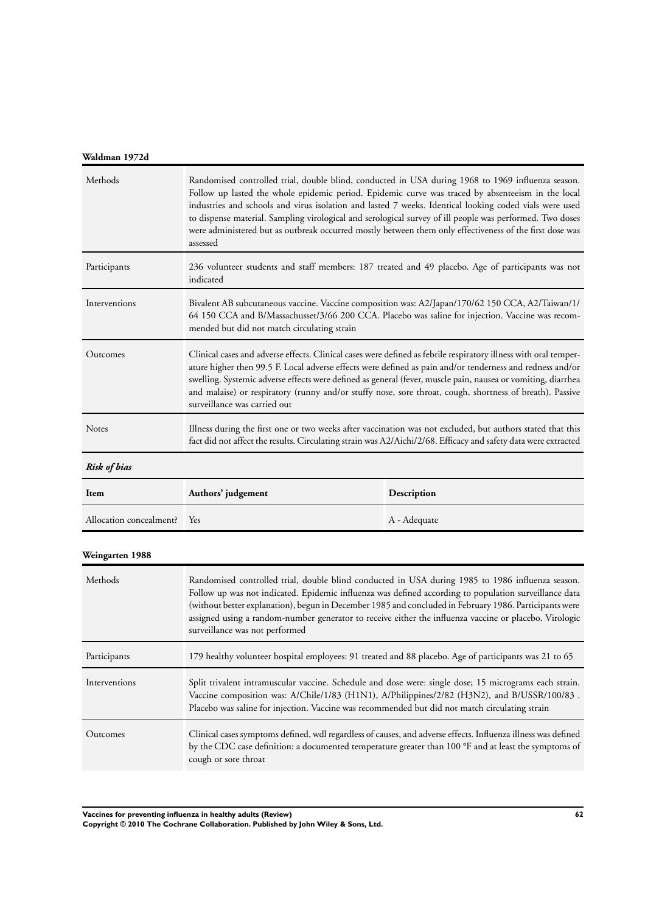## **Waldman 1972d**

| Methods                 | Randomised controlled trial, double blind, conducted in USA during 1968 to 1969 influenza season.<br>Follow up lasted the whole epidemic period. Epidemic curve was traced by absenteeism in the local<br>industries and schools and virus isolation and lasted 7 weeks. Identical looking coded vials were used<br>to dispense material. Sampling virological and serological survey of ill people was performed. Two doses<br>were administered but as outbreak occurred mostly between them only effectiveness of the first dose was<br>assessed |              |
|-------------------------|-----------------------------------------------------------------------------------------------------------------------------------------------------------------------------------------------------------------------------------------------------------------------------------------------------------------------------------------------------------------------------------------------------------------------------------------------------------------------------------------------------------------------------------------------------|--------------|
| Participants            | 236 volunteer students and staff members: 187 treated and 49 placebo. Age of participants was not<br>indicated                                                                                                                                                                                                                                                                                                                                                                                                                                      |              |
| Interventions           | Bivalent AB subcutaneous vaccine. Vaccine composition was: A2/Japan/170/62 150 CCA, A2/Taiwan/1/<br>64 150 CCA and B/Massachusset/3/66 200 CCA. Placebo was saline for injection. Vaccine was recom-<br>mended but did not match circulating strain                                                                                                                                                                                                                                                                                                 |              |
| Outcomes                | Clinical cases and adverse effects. Clinical cases were defined as febrile respiratory illness with oral temper-<br>ature higher then 99.5 F. Local adverse effects were defined as pain and/or tenderness and redness and/or<br>swelling. Systemic adverse effects were defined as general (fever, muscle pain, nausea or vomiting, diarrhea<br>and malaise) or respiratory (runny and/or stuffy nose, sore throat, cough, shortness of breath). Passive<br>surveillance was carried out                                                           |              |
| <b>Notes</b>            | Illness during the first one or two weeks after vaccination was not excluded, but authors stated that this<br>fact did not affect the results. Circulating strain was A2/Aichi/2/68. Efficacy and safety data were extracted                                                                                                                                                                                                                                                                                                                        |              |
| <b>Risk of bias</b>     |                                                                                                                                                                                                                                                                                                                                                                                                                                                                                                                                                     |              |
| Item                    | Authors' judgement                                                                                                                                                                                                                                                                                                                                                                                                                                                                                                                                  | Description  |
| Allocation concealment? | Yes                                                                                                                                                                                                                                                                                                                                                                                                                                                                                                                                                 | A - Adequate |
| Weingarten 1988         |                                                                                                                                                                                                                                                                                                                                                                                                                                                                                                                                                     |              |
| Methods                 | Randomised controlled trial, double blind conducted in USA during 1985 to 1986 influenza season.<br>Follow up was not indicated. Epidemic influenza was defined according to population surveillance data<br>(without better explanation), begun in December 1985 and concluded in February 1986. Participants were<br>assigned using a random-number generator to receive either the influenza vaccine or placebo. Virologic<br>surveillance was not performed                                                                                     |              |
| Participants            | 179 healthy volunteer hospital employees: 91 treated and 88 placebo. Age of participants was 21 to 65                                                                                                                                                                                                                                                                                                                                                                                                                                               |              |

| Interventions | Split trivalent intramuscular vaccine. Schedule and dose were: single dose; 15 micrograms each strain.                                                                                        |
|---------------|-----------------------------------------------------------------------------------------------------------------------------------------------------------------------------------------------|
|               | Vaccine composition was: A/Chile/1/83 (H1N1), A/Philippines/2/82 (H3N2), and B/USSR/100/83.<br>Placebo was saline for injection. Vaccine was recommended but did not match circulating strain |
|               |                                                                                                                                                                                               |

| Outcomes | Clinical cases symptoms defined, wdl regardless of causes, and adverse effects. Influenza illness was defined |
|----------|---------------------------------------------------------------------------------------------------------------|
|          | by the CDC case definition: a documented temperature greater than 100 °F and at least the symptoms of         |
|          | cough or sore throat                                                                                          |

**Vaccines for preventing influenza in healthy adults (Review) 62**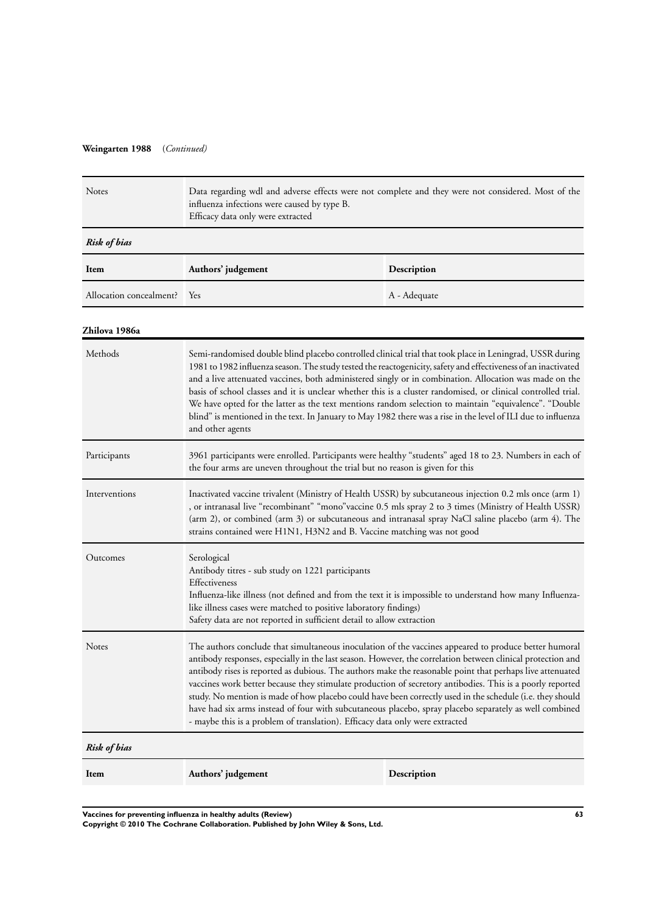### **Weingarten 1988** (*Continued)*

| Notes                   | Data regarding wdl and adverse effects were not complete and they were not considered. Most of the<br>influenza infections were caused by type B.<br>Efficacy data only were extracted                                                                                                                                                                                                                                                                                                                                                                                                                                                                                                                                                                |              |
|-------------------------|-------------------------------------------------------------------------------------------------------------------------------------------------------------------------------------------------------------------------------------------------------------------------------------------------------------------------------------------------------------------------------------------------------------------------------------------------------------------------------------------------------------------------------------------------------------------------------------------------------------------------------------------------------------------------------------------------------------------------------------------------------|--------------|
| <b>Risk of bias</b>     |                                                                                                                                                                                                                                                                                                                                                                                                                                                                                                                                                                                                                                                                                                                                                       |              |
| Item                    | Authors' judgement                                                                                                                                                                                                                                                                                                                                                                                                                                                                                                                                                                                                                                                                                                                                    | Description  |
| Allocation concealment? | Yes                                                                                                                                                                                                                                                                                                                                                                                                                                                                                                                                                                                                                                                                                                                                                   | A - Adequate |
| Zhilova 1986a           |                                                                                                                                                                                                                                                                                                                                                                                                                                                                                                                                                                                                                                                                                                                                                       |              |
| Methods                 | Semi-randomised double blind placebo controlled clinical trial that took place in Leningrad, USSR during<br>1981 to 1982 influenza season. The study tested the reactogenicity, safety and effectiveness of an inactivated<br>and a live attenuated vaccines, both administered singly or in combination. Allocation was made on the<br>basis of school classes and it is unclear whether this is a cluster randomised, or clinical controlled trial.<br>We have opted for the latter as the text mentions random selection to maintain "equivalence". "Double<br>blind" is mentioned in the text. In January to May 1982 there was a rise in the level of ILI due to influenza<br>and other agents                                                   |              |
| Participants            | 3961 participants were enrolled. Participants were healthy "students" aged 18 to 23. Numbers in each of<br>the four arms are uneven throughout the trial but no reason is given for this                                                                                                                                                                                                                                                                                                                                                                                                                                                                                                                                                              |              |
| Interventions           | Inactivated vaccine trivalent (Ministry of Health USSR) by subcutaneous injection 0.2 mls once (arm 1)<br>, or intranasal live "recombinant" "mono"vaccine 0.5 mls spray 2 to 3 times (Ministry of Health USSR)<br>(arm 2), or combined (arm 3) or subcutaneous and intranasal spray NaCl saline placebo (arm 4). The<br>strains contained were H1N1, H3N2 and B. Vaccine matching was not good                                                                                                                                                                                                                                                                                                                                                       |              |
| Outcomes                | Serological<br>Antibody titres - sub study on 1221 participants<br>Effectiveness<br>Influenza-like illness (not defined and from the text it is impossible to understand how many Influenza-<br>like illness cases were matched to positive laboratory findings)<br>Safety data are not reported in sufficient detail to allow extraction                                                                                                                                                                                                                                                                                                                                                                                                             |              |
| Notes                   | The authors conclude that simultaneous inoculation of the vaccines appeared to produce better humoral<br>antibody responses, especially in the last season. However, the correlation between clinical protection and<br>antibody rises is reported as dubious. The authors make the reasonable point that perhaps live attenuated<br>vaccines work better because they stimulate production of secretory antibodies. This is a poorly reported<br>study. No mention is made of how placebo could have been correctly used in the schedule (i.e. they should<br>have had six arms instead of four with subcutaneous placebo, spray placebo separately as well combined<br>- maybe this is a problem of translation). Efficacy data only were extracted |              |
| <b>Risk of bias</b>     |                                                                                                                                                                                                                                                                                                                                                                                                                                                                                                                                                                                                                                                                                                                                                       |              |
| Item                    | Authors' judgement                                                                                                                                                                                                                                                                                                                                                                                                                                                                                                                                                                                                                                                                                                                                    | Description  |

**Vaccines for preventing influenza in healthy adults (Review) 63**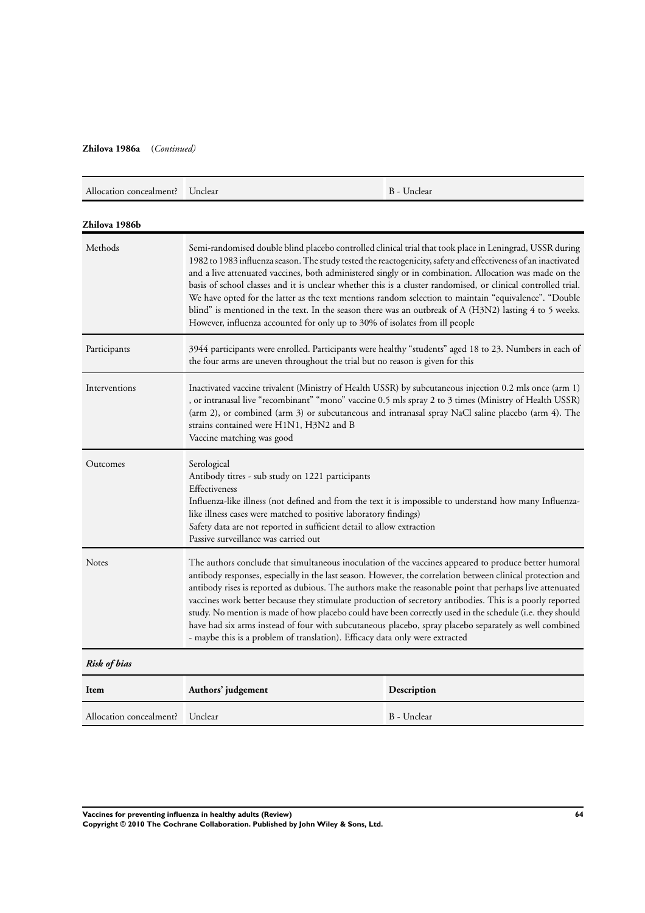#### **Zhilova 1986a** (*Continued)*

| Allocation concealment? | Unclear                                                                                                                                                                                                                                                                                                                                                                                                                                                                                                                                                                                                                                                                                                                                                 | B - Unclear |
|-------------------------|---------------------------------------------------------------------------------------------------------------------------------------------------------------------------------------------------------------------------------------------------------------------------------------------------------------------------------------------------------------------------------------------------------------------------------------------------------------------------------------------------------------------------------------------------------------------------------------------------------------------------------------------------------------------------------------------------------------------------------------------------------|-------------|
| Zhilova 1986b           |                                                                                                                                                                                                                                                                                                                                                                                                                                                                                                                                                                                                                                                                                                                                                         |             |
| Methods                 | Semi-randomised double blind placebo controlled clinical trial that took place in Leningrad, USSR during<br>1982 to 1983 influenza season. The study tested the reactogenicity, safety and effectiveness of an inactivated<br>and a live attenuated vaccines, both administered singly or in combination. Allocation was made on the<br>basis of school classes and it is unclear whether this is a cluster randomised, or clinical controlled trial.<br>We have opted for the latter as the text mentions random selection to maintain "equivalence". "Double<br>blind" is mentioned in the text. In the season there was an outbreak of A (H3N2) lasting 4 to 5 weeks.<br>However, influenza accounted for only up to 30% of isolates from ill people |             |
| Participants            | 3944 participants were enrolled. Participants were healthy "students" aged 18 to 23. Numbers in each of<br>the four arms are uneven throughout the trial but no reason is given for this                                                                                                                                                                                                                                                                                                                                                                                                                                                                                                                                                                |             |
| Interventions           | Inactivated vaccine trivalent (Ministry of Health USSR) by subcutaneous injection 0.2 mls once (arm 1)<br>, or intranasal live "recombinant" "mono" vaccine 0.5 mls spray 2 to 3 times (Ministry of Health USSR)<br>(arm 2), or combined (arm 3) or subcutaneous and intranasal spray NaCl saline placebo (arm 4). The<br>strains contained were H1N1, H3N2 and B<br>Vaccine matching was good                                                                                                                                                                                                                                                                                                                                                          |             |
| Outcomes                | Serological<br>Antibody titres - sub study on 1221 participants<br>Effectiveness<br>Influenza-like illness (not defined and from the text it is impossible to understand how many Influenza-<br>like illness cases were matched to positive laboratory findings)<br>Safety data are not reported in sufficient detail to allow extraction<br>Passive surveillance was carried out                                                                                                                                                                                                                                                                                                                                                                       |             |
| Notes                   | The authors conclude that simultaneous inoculation of the vaccines appeared to produce better humoral<br>antibody responses, especially in the last season. However, the correlation between clinical protection and<br>antibody rises is reported as dubious. The authors make the reasonable point that perhaps live attenuated<br>vaccines work better because they stimulate production of secretory antibodies. This is a poorly reported<br>study. No mention is made of how placebo could have been correctly used in the schedule (i.e. they should<br>have had six arms instead of four with subcutaneous placebo, spray placebo separately as well combined<br>- maybe this is a problem of translation). Efficacy data only were extracted   |             |
| <b>Risk of bias</b>     |                                                                                                                                                                                                                                                                                                                                                                                                                                                                                                                                                                                                                                                                                                                                                         |             |
| Item                    | Authors' judgement                                                                                                                                                                                                                                                                                                                                                                                                                                                                                                                                                                                                                                                                                                                                      | Description |
| Allocation concealment? | Unclear                                                                                                                                                                                                                                                                                                                                                                                                                                                                                                                                                                                                                                                                                                                                                 | B - Unclear |

**Vaccines for preventing influenza in healthy adults (Review) 64**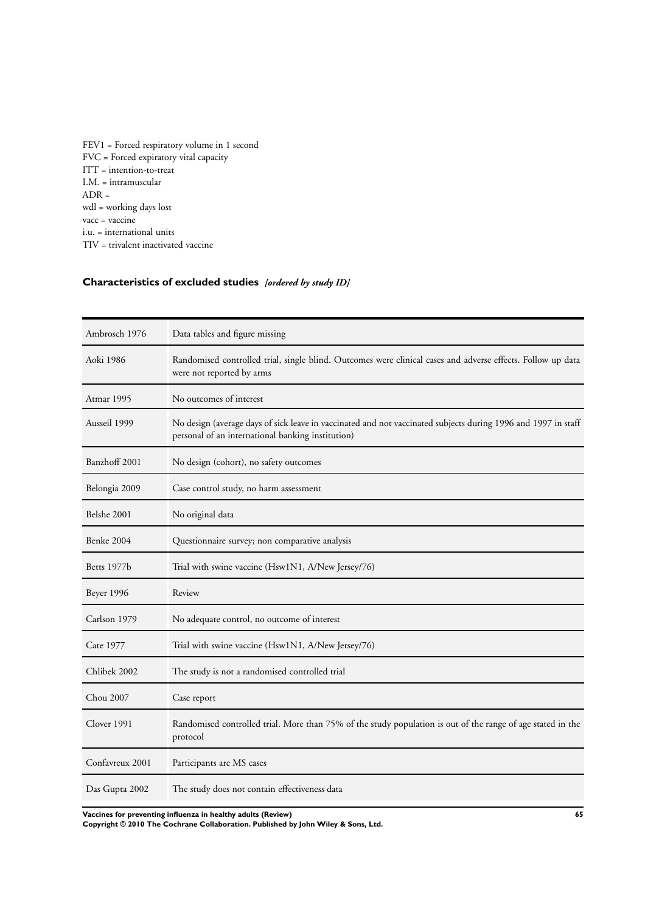FEV1 = Forced respiratory volume in 1 second FVC = Forced expiratory vital capacity ITT = intention-to-treat I.M. = intramuscular  $ADR =$ wdl = working days lost vacc = vaccine i.u. = international units TIV = trivalent inactivated vaccine

## **Characteristics of excluded studies** *[ordered by study ID]*

| Ambrosch 1976   | Data tables and figure missing                                                                                                                                     |
|-----------------|--------------------------------------------------------------------------------------------------------------------------------------------------------------------|
| Aoki 1986       | Randomised controlled trial, single blind. Outcomes were clinical cases and adverse effects. Follow up data<br>were not reported by arms                           |
| Atmar 1995      | No outcomes of interest                                                                                                                                            |
| Ausseil 1999    | No design (average days of sick leave in vaccinated and not vaccinated subjects during 1996 and 1997 in staff<br>personal of an international banking institution) |
| Banzhoff 2001   | No design (cohort), no safety outcomes                                                                                                                             |
| Belongia 2009   | Case control study, no harm assessment                                                                                                                             |
| Belshe 2001     | No original data                                                                                                                                                   |
| Benke 2004      | Questionnaire survey; non comparative analysis                                                                                                                     |
| Betts 1977b     | Trial with swine vaccine (Hsw1N1, A/New Jersey/76)                                                                                                                 |
| Beyer 1996      | Review                                                                                                                                                             |
| Carlson 1979    | No adequate control, no outcome of interest                                                                                                                        |
| Cate 1977       | Trial with swine vaccine (Hsw1N1, A/New Jersey/76)                                                                                                                 |
| Chlibek 2002    | The study is not a randomised controlled trial                                                                                                                     |
| Chou 2007       | Case report                                                                                                                                                        |
| Clover 1991     | Randomised controlled trial. More than 75% of the study population is out of the range of age stated in the<br>protocol                                            |
| Confavreux 2001 | Participants are MS cases                                                                                                                                          |
| Das Gupta 2002  | The study does not contain effectiveness data                                                                                                                      |

**Vaccines for preventing influenza in healthy adults (Review) 65**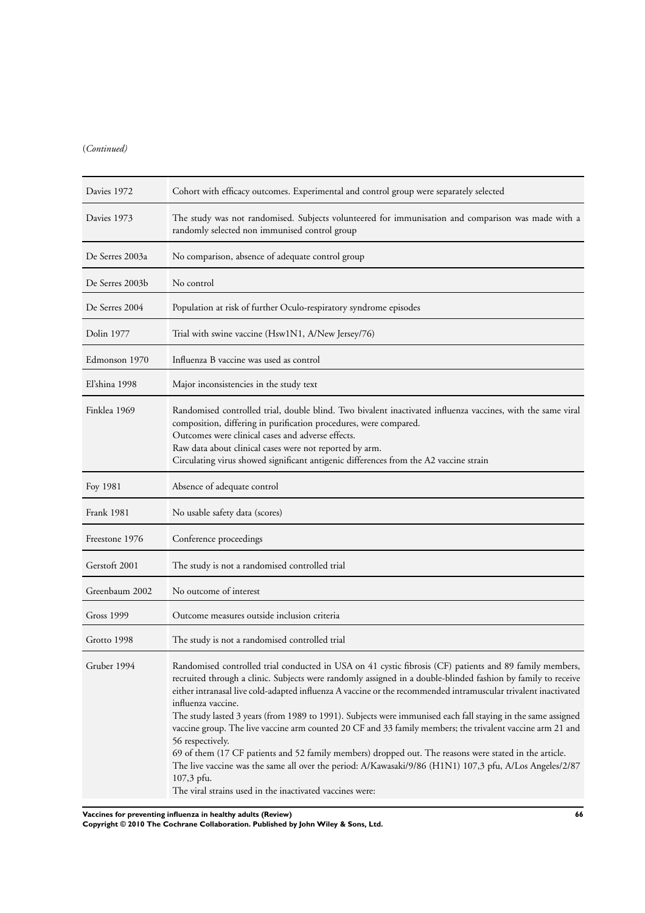| Davies 1972     | Cohort with efficacy outcomes. Experimental and control group were separately selected                                                                                                                                                                                                                                                                                                                                                                                                                                                                                                                                                                                                                                                                                                                                                                                                                          |
|-----------------|-----------------------------------------------------------------------------------------------------------------------------------------------------------------------------------------------------------------------------------------------------------------------------------------------------------------------------------------------------------------------------------------------------------------------------------------------------------------------------------------------------------------------------------------------------------------------------------------------------------------------------------------------------------------------------------------------------------------------------------------------------------------------------------------------------------------------------------------------------------------------------------------------------------------|
| Davies 1973     | The study was not randomised. Subjects volunteered for immunisation and comparison was made with a<br>randomly selected non immunised control group                                                                                                                                                                                                                                                                                                                                                                                                                                                                                                                                                                                                                                                                                                                                                             |
| De Serres 2003a | No comparison, absence of adequate control group                                                                                                                                                                                                                                                                                                                                                                                                                                                                                                                                                                                                                                                                                                                                                                                                                                                                |
| De Serres 2003b | No control                                                                                                                                                                                                                                                                                                                                                                                                                                                                                                                                                                                                                                                                                                                                                                                                                                                                                                      |
| De Serres 2004  | Population at risk of further Oculo-respiratory syndrome episodes                                                                                                                                                                                                                                                                                                                                                                                                                                                                                                                                                                                                                                                                                                                                                                                                                                               |
| Dolin 1977      | Trial with swine vaccine (Hsw1N1, A/New Jersey/76)                                                                                                                                                                                                                                                                                                                                                                                                                                                                                                                                                                                                                                                                                                                                                                                                                                                              |
| Edmonson 1970   | Influenza B vaccine was used as control                                                                                                                                                                                                                                                                                                                                                                                                                                                                                                                                                                                                                                                                                                                                                                                                                                                                         |
| El'shina 1998   | Major inconsistencies in the study text                                                                                                                                                                                                                                                                                                                                                                                                                                                                                                                                                                                                                                                                                                                                                                                                                                                                         |
| Finklea 1969    | Randomised controlled trial, double blind. Two bivalent inactivated influenza vaccines, with the same viral<br>composition, differing in purification procedures, were compared.<br>Outcomes were clinical cases and adverse effects.<br>Raw data about clinical cases were not reported by arm.<br>Circulating virus showed significant antigenic differences from the A2 vaccine strain                                                                                                                                                                                                                                                                                                                                                                                                                                                                                                                       |
| Foy 1981        | Absence of adequate control                                                                                                                                                                                                                                                                                                                                                                                                                                                                                                                                                                                                                                                                                                                                                                                                                                                                                     |
| Frank 1981      | No usable safety data (scores)                                                                                                                                                                                                                                                                                                                                                                                                                                                                                                                                                                                                                                                                                                                                                                                                                                                                                  |
| Freestone 1976  | Conference proceedings                                                                                                                                                                                                                                                                                                                                                                                                                                                                                                                                                                                                                                                                                                                                                                                                                                                                                          |
| Gerstoft 2001   | The study is not a randomised controlled trial                                                                                                                                                                                                                                                                                                                                                                                                                                                                                                                                                                                                                                                                                                                                                                                                                                                                  |
| Greenbaum 2002  | No outcome of interest                                                                                                                                                                                                                                                                                                                                                                                                                                                                                                                                                                                                                                                                                                                                                                                                                                                                                          |
| Gross 1999      | Outcome measures outside inclusion criteria                                                                                                                                                                                                                                                                                                                                                                                                                                                                                                                                                                                                                                                                                                                                                                                                                                                                     |
| Grotto 1998     | The study is not a randomised controlled trial                                                                                                                                                                                                                                                                                                                                                                                                                                                                                                                                                                                                                                                                                                                                                                                                                                                                  |
| Gruber 1994     | Randomised controlled trial conducted in USA on 41 cystic fibrosis (CF) patients and 89 family members,<br>recruited through a clinic. Subjects were randomly assigned in a double-blinded fashion by family to receive<br>either intranasal live cold-adapted influenza A vaccine or the recommended intramuscular trivalent inactivated<br>influenza vaccine.<br>The study lasted 3 years (from 1989 to 1991). Subjects were immunised each fall staying in the same assigned<br>vaccine group. The live vaccine arm counted 20 CF and 33 family members; the trivalent vaccine arm 21 and<br>56 respectively.<br>69 of them (17 CF patients and 52 family members) dropped out. The reasons were stated in the article.<br>The live vaccine was the same all over the period: A/Kawasaki/9/86 (H1N1) 107,3 pfu, A/Los Angeles/2/87<br>107,3 pfu.<br>The viral strains used in the inactivated vaccines were: |

**Vaccines for preventing influenza in healthy adults (Review) 66**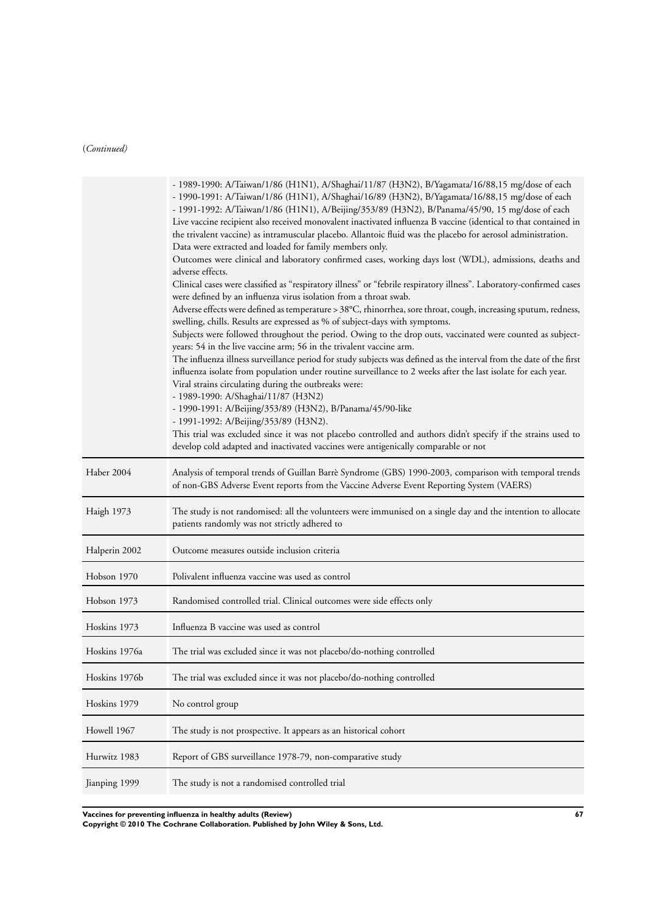|               | - 1989-1990: A/Taiwan/1/86 (H1N1), A/Shaghai/11/87 (H3N2), B/Yagamata/16/88,15 mg/dose of each<br>- 1990-1991: A/Taiwan/1/86 (H1N1), A/Shaghai/16/89 (H3N2), B/Yagamata/16/88,15 mg/dose of each<br>- 1991-1992: A/Taiwan/1/86 (H1N1), A/Beijing/353/89 (H3N2), B/Panama/45/90, 15 mg/dose of each<br>Live vaccine recipient also received monovalent inactivated influenza B vaccine (identical to that contained in<br>the trivalent vaccine) as intramuscular placebo. Allantoic fluid was the placebo for aerosol administration.<br>Data were extracted and loaded for family members only.<br>Outcomes were clinical and laboratory confirmed cases, working days lost (WDL), admissions, deaths and<br>adverse effects.<br>Clinical cases were classified as "respiratory illness" or "febrile respiratory illness". Laboratory-confirmed cases<br>were defined by an influenza virus isolation from a throat swab.<br>Adverse effects were defined as temperature > 38°C, rhinorrhea, sore throat, cough, increasing sputum, redness,<br>swelling, chills. Results are expressed as % of subject-days with symptoms.<br>Subjects were followed throughout the period. Owing to the drop outs, vaccinated were counted as subject-<br>years: 54 in the live vaccine arm; 56 in the trivalent vaccine arm.<br>The influenza illness surveillance period for study subjects was defined as the interval from the date of the first<br>influenza isolate from population under routine surveillance to 2 weeks after the last isolate for each year.<br>Viral strains circulating during the outbreaks were:<br>- 1989-1990: A/Shaghai/11/87 (H3N2)<br>- 1990-1991: A/Beijing/353/89 (H3N2), B/Panama/45/90-like<br>- 1991-1992: A/Beijing/353/89 (H3N2).<br>This trial was excluded since it was not placebo controlled and authors didn't specify if the strains used to<br>develop cold adapted and inactivated vaccines were antigenically comparable or not |
|---------------|----------------------------------------------------------------------------------------------------------------------------------------------------------------------------------------------------------------------------------------------------------------------------------------------------------------------------------------------------------------------------------------------------------------------------------------------------------------------------------------------------------------------------------------------------------------------------------------------------------------------------------------------------------------------------------------------------------------------------------------------------------------------------------------------------------------------------------------------------------------------------------------------------------------------------------------------------------------------------------------------------------------------------------------------------------------------------------------------------------------------------------------------------------------------------------------------------------------------------------------------------------------------------------------------------------------------------------------------------------------------------------------------------------------------------------------------------------------------------------------------------------------------------------------------------------------------------------------------------------------------------------------------------------------------------------------------------------------------------------------------------------------------------------------------------------------------------------------------------------------------------------------------------------------------------------------------------------------------|
| Haber 2004    | Analysis of temporal trends of Guillan Barrè Syndrome (GBS) 1990-2003, comparison with temporal trends<br>of non-GBS Adverse Event reports from the Vaccine Adverse Event Reporting System (VAERS)                                                                                                                                                                                                                                                                                                                                                                                                                                                                                                                                                                                                                                                                                                                                                                                                                                                                                                                                                                                                                                                                                                                                                                                                                                                                                                                                                                                                                                                                                                                                                                                                                                                                                                                                                                   |
| Haigh 1973    | The study is not randomised: all the volunteers were immunised on a single day and the intention to allocate<br>patients randomly was not strictly adhered to                                                                                                                                                                                                                                                                                                                                                                                                                                                                                                                                                                                                                                                                                                                                                                                                                                                                                                                                                                                                                                                                                                                                                                                                                                                                                                                                                                                                                                                                                                                                                                                                                                                                                                                                                                                                        |
| Halperin 2002 | Outcome measures outside inclusion criteria                                                                                                                                                                                                                                                                                                                                                                                                                                                                                                                                                                                                                                                                                                                                                                                                                                                                                                                                                                                                                                                                                                                                                                                                                                                                                                                                                                                                                                                                                                                                                                                                                                                                                                                                                                                                                                                                                                                          |
| Hobson 1970   | Polivalent influenza vaccine was used as control                                                                                                                                                                                                                                                                                                                                                                                                                                                                                                                                                                                                                                                                                                                                                                                                                                                                                                                                                                                                                                                                                                                                                                                                                                                                                                                                                                                                                                                                                                                                                                                                                                                                                                                                                                                                                                                                                                                     |
| Hobson 1973   | Randomised controlled trial. Clinical outcomes were side effects only                                                                                                                                                                                                                                                                                                                                                                                                                                                                                                                                                                                                                                                                                                                                                                                                                                                                                                                                                                                                                                                                                                                                                                                                                                                                                                                                                                                                                                                                                                                                                                                                                                                                                                                                                                                                                                                                                                |
| Hoskins 1973  | Influenza B vaccine was used as control                                                                                                                                                                                                                                                                                                                                                                                                                                                                                                                                                                                                                                                                                                                                                                                                                                                                                                                                                                                                                                                                                                                                                                                                                                                                                                                                                                                                                                                                                                                                                                                                                                                                                                                                                                                                                                                                                                                              |
| Hoskins 1976a | The trial was excluded since it was not placebo/do-nothing controlled                                                                                                                                                                                                                                                                                                                                                                                                                                                                                                                                                                                                                                                                                                                                                                                                                                                                                                                                                                                                                                                                                                                                                                                                                                                                                                                                                                                                                                                                                                                                                                                                                                                                                                                                                                                                                                                                                                |
| Hoskins 1976b | The trial was excluded since it was not placebo/do-nothing controlled                                                                                                                                                                                                                                                                                                                                                                                                                                                                                                                                                                                                                                                                                                                                                                                                                                                                                                                                                                                                                                                                                                                                                                                                                                                                                                                                                                                                                                                                                                                                                                                                                                                                                                                                                                                                                                                                                                |
| Hoskins 1979  | No control group                                                                                                                                                                                                                                                                                                                                                                                                                                                                                                                                                                                                                                                                                                                                                                                                                                                                                                                                                                                                                                                                                                                                                                                                                                                                                                                                                                                                                                                                                                                                                                                                                                                                                                                                                                                                                                                                                                                                                     |
| Howell 1967   | The study is not prospective. It appears as an historical cohort                                                                                                                                                                                                                                                                                                                                                                                                                                                                                                                                                                                                                                                                                                                                                                                                                                                                                                                                                                                                                                                                                                                                                                                                                                                                                                                                                                                                                                                                                                                                                                                                                                                                                                                                                                                                                                                                                                     |
| Hurwitz 1983  | Report of GBS surveillance 1978-79, non-comparative study                                                                                                                                                                                                                                                                                                                                                                                                                                                                                                                                                                                                                                                                                                                                                                                                                                                                                                                                                                                                                                                                                                                                                                                                                                                                                                                                                                                                                                                                                                                                                                                                                                                                                                                                                                                                                                                                                                            |
| Jianping 1999 | The study is not a randomised controlled trial                                                                                                                                                                                                                                                                                                                                                                                                                                                                                                                                                                                                                                                                                                                                                                                                                                                                                                                                                                                                                                                                                                                                                                                                                                                                                                                                                                                                                                                                                                                                                                                                                                                                                                                                                                                                                                                                                                                       |
|               |                                                                                                                                                                                                                                                                                                                                                                                                                                                                                                                                                                                                                                                                                                                                                                                                                                                                                                                                                                                                                                                                                                                                                                                                                                                                                                                                                                                                                                                                                                                                                                                                                                                                                                                                                                                                                                                                                                                                                                      |

**Vaccines for preventing influenza in healthy adults (Review) 67**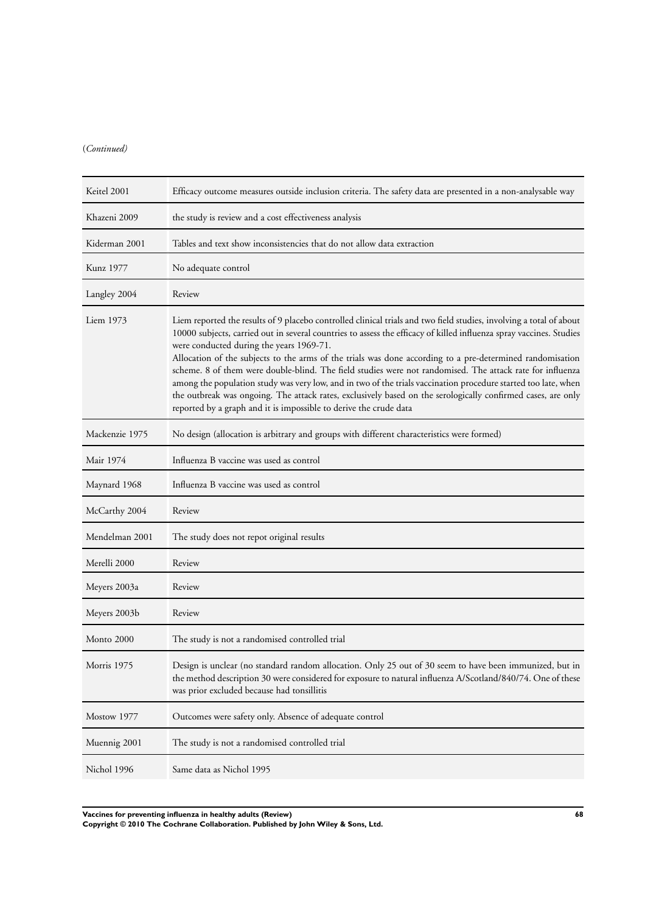| Keitel 2001      | Efficacy outcome measures outside inclusion criteria. The safety data are presented in a non-analysable way                                                                                                                                                                                                                                                                                                                                                                                                                                                                                                                                                                                                                                                                                                             |
|------------------|-------------------------------------------------------------------------------------------------------------------------------------------------------------------------------------------------------------------------------------------------------------------------------------------------------------------------------------------------------------------------------------------------------------------------------------------------------------------------------------------------------------------------------------------------------------------------------------------------------------------------------------------------------------------------------------------------------------------------------------------------------------------------------------------------------------------------|
| Khazeni 2009     | the study is review and a cost effectiveness analysis                                                                                                                                                                                                                                                                                                                                                                                                                                                                                                                                                                                                                                                                                                                                                                   |
| Kiderman 2001    | Tables and text show inconsistencies that do not allow data extraction                                                                                                                                                                                                                                                                                                                                                                                                                                                                                                                                                                                                                                                                                                                                                  |
| <b>Kunz</b> 1977 | No adequate control                                                                                                                                                                                                                                                                                                                                                                                                                                                                                                                                                                                                                                                                                                                                                                                                     |
| Langley 2004     | Review                                                                                                                                                                                                                                                                                                                                                                                                                                                                                                                                                                                                                                                                                                                                                                                                                  |
| Liem 1973        | Liem reported the results of 9 placebo controlled clinical trials and two field studies, involving a total of about<br>10000 subjects, carried out in several countries to assess the efficacy of killed influenza spray vaccines. Studies<br>were conducted during the years 1969-71.<br>Allocation of the subjects to the arms of the trials was done according to a pre-determined randomisation<br>scheme. 8 of them were double-blind. The field studies were not randomised. The attack rate for influenza<br>among the population study was very low, and in two of the trials vaccination procedure started too late, when<br>the outbreak was ongoing. The attack rates, exclusively based on the serologically confirmed cases, are only<br>reported by a graph and it is impossible to derive the crude data |
| Mackenzie 1975   | No design (allocation is arbitrary and groups with different characteristics were formed)                                                                                                                                                                                                                                                                                                                                                                                                                                                                                                                                                                                                                                                                                                                               |
| Mair 1974        | Influenza B vaccine was used as control                                                                                                                                                                                                                                                                                                                                                                                                                                                                                                                                                                                                                                                                                                                                                                                 |
| Maynard 1968     | Influenza B vaccine was used as control                                                                                                                                                                                                                                                                                                                                                                                                                                                                                                                                                                                                                                                                                                                                                                                 |
| McCarthy 2004    | Review                                                                                                                                                                                                                                                                                                                                                                                                                                                                                                                                                                                                                                                                                                                                                                                                                  |
| Mendelman 2001   | The study does not repot original results                                                                                                                                                                                                                                                                                                                                                                                                                                                                                                                                                                                                                                                                                                                                                                               |
| Merelli 2000     | Review                                                                                                                                                                                                                                                                                                                                                                                                                                                                                                                                                                                                                                                                                                                                                                                                                  |
| Meyers 2003a     | Review                                                                                                                                                                                                                                                                                                                                                                                                                                                                                                                                                                                                                                                                                                                                                                                                                  |
| Meyers 2003b     | Review                                                                                                                                                                                                                                                                                                                                                                                                                                                                                                                                                                                                                                                                                                                                                                                                                  |
| Monto 2000       | The study is not a randomised controlled trial                                                                                                                                                                                                                                                                                                                                                                                                                                                                                                                                                                                                                                                                                                                                                                          |
| Morris 1975      | Design is unclear (no standard random allocation. Only 25 out of 30 seem to have been immunized, but in<br>the method description 30 were considered for exposure to natural influenza A/Scotland/840/74. One of these<br>was prior excluded because had tonsillitis                                                                                                                                                                                                                                                                                                                                                                                                                                                                                                                                                    |
| Mostow 1977      | Outcomes were safety only. Absence of adequate control                                                                                                                                                                                                                                                                                                                                                                                                                                                                                                                                                                                                                                                                                                                                                                  |
| Muennig 2001     | The study is not a randomised controlled trial                                                                                                                                                                                                                                                                                                                                                                                                                                                                                                                                                                                                                                                                                                                                                                          |
| Nichol 1996      | Same data as Nichol 1995                                                                                                                                                                                                                                                                                                                                                                                                                                                                                                                                                                                                                                                                                                                                                                                                |

**Vaccines for preventing influenza in healthy adults (Review) 68**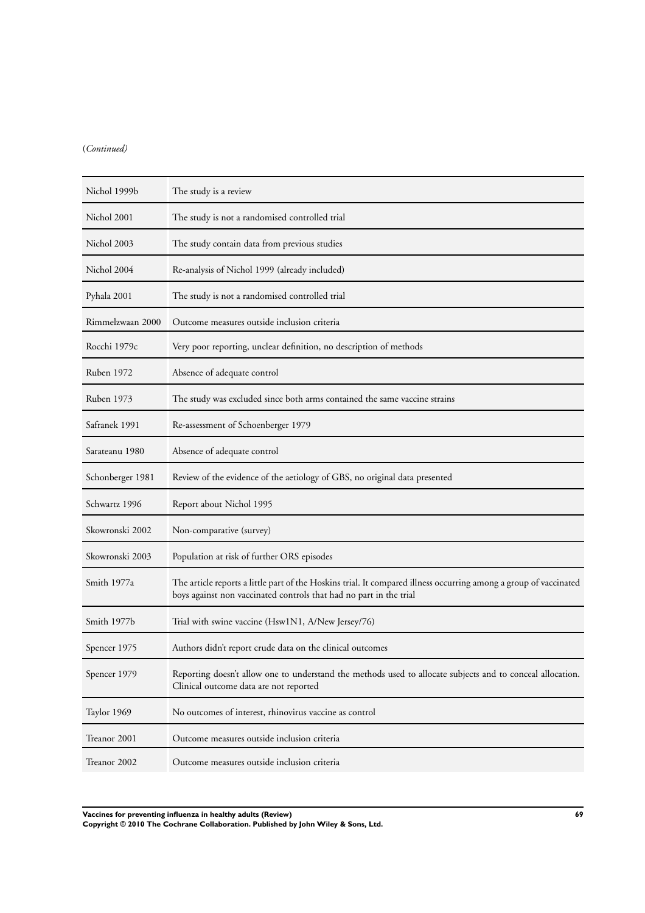| Nichol 1999b     | The study is a review                                                                                                                                                                   |
|------------------|-----------------------------------------------------------------------------------------------------------------------------------------------------------------------------------------|
| Nichol 2001      | The study is not a randomised controlled trial                                                                                                                                          |
| Nichol 2003      | The study contain data from previous studies                                                                                                                                            |
| Nichol 2004      | Re-analysis of Nichol 1999 (already included)                                                                                                                                           |
| Pyhala 2001      | The study is not a randomised controlled trial                                                                                                                                          |
| Rimmelzwaan 2000 | Outcome measures outside inclusion criteria                                                                                                                                             |
| Rocchi 1979c     | Very poor reporting, unclear definition, no description of methods                                                                                                                      |
| Ruben 1972       | Absence of adequate control                                                                                                                                                             |
| Ruben 1973       | The study was excluded since both arms contained the same vaccine strains                                                                                                               |
| Safranek 1991    | Re-assessment of Schoenberger 1979                                                                                                                                                      |
| Sarateanu 1980   | Absence of adequate control                                                                                                                                                             |
| Schonberger 1981 | Review of the evidence of the aetiology of GBS, no original data presented                                                                                                              |
| Schwartz 1996    | Report about Nichol 1995                                                                                                                                                                |
| Skowronski 2002  | Non-comparative (survey)                                                                                                                                                                |
| Skowronski 2003  | Population at risk of further ORS episodes                                                                                                                                              |
| Smith 1977a      | The article reports a little part of the Hoskins trial. It compared illness occurring among a group of vaccinated<br>boys against non vaccinated controls that had no part in the trial |
| Smith 1977b      | Trial with swine vaccine (Hsw1N1, A/New Jersey/76)                                                                                                                                      |
| Spencer 1975     | Authors didn't report crude data on the clinical outcomes                                                                                                                               |
| Spencer 1979     | Reporting doesn't allow one to understand the methods used to allocate subjects and to conceal allocation.<br>Clinical outcome data are not reported                                    |
| Taylor 1969      | No outcomes of interest, rhinovirus vaccine as control                                                                                                                                  |
| Treanor 2001     | Outcome measures outside inclusion criteria                                                                                                                                             |
| Treanor 2002     | Outcome measures outside inclusion criteria                                                                                                                                             |

**Vaccines for preventing influenza in healthy adults (Review) 69**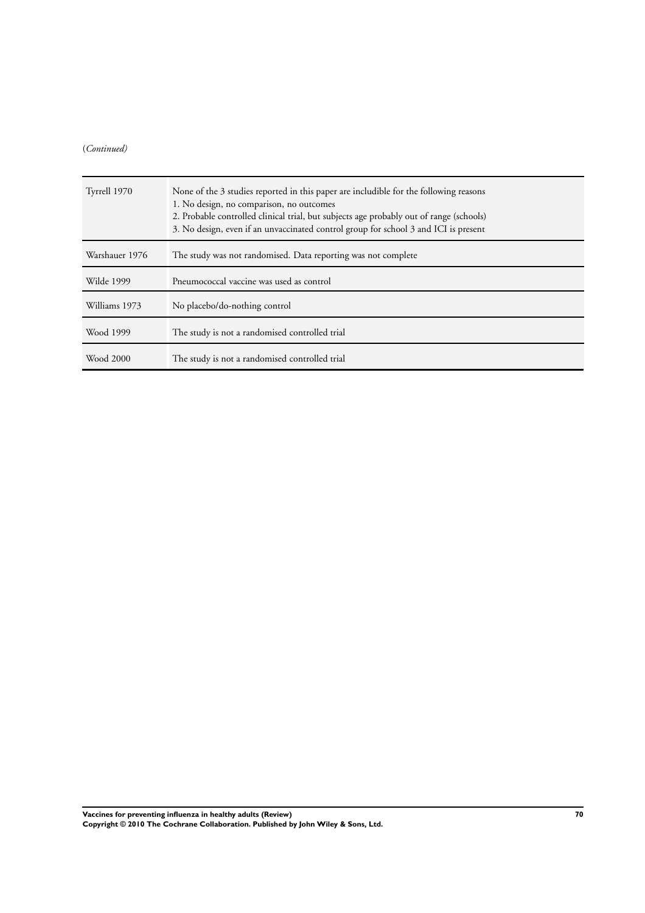#### (*Continued)*

| Tyrrell 1970   | None of the 3 studies reported in this paper are includible for the following reasons<br>1. No design, no comparison, no outcomes<br>2. Probable controlled clinical trial, but subjects age probably out of range (schools)<br>3. No design, even if an unvaccinated control group for school 3 and ICI is present |
|----------------|---------------------------------------------------------------------------------------------------------------------------------------------------------------------------------------------------------------------------------------------------------------------------------------------------------------------|
| Warshauer 1976 | The study was not randomised. Data reporting was not complete                                                                                                                                                                                                                                                       |
| Wilde 1999     | Pneumococcal vaccine was used as control                                                                                                                                                                                                                                                                            |
| Williams 1973  | No placebo/do-nothing control                                                                                                                                                                                                                                                                                       |
| Wood 1999      | The study is not a randomised controlled trial                                                                                                                                                                                                                                                                      |
| Wood 2000      | The study is not a randomised controlled trial                                                                                                                                                                                                                                                                      |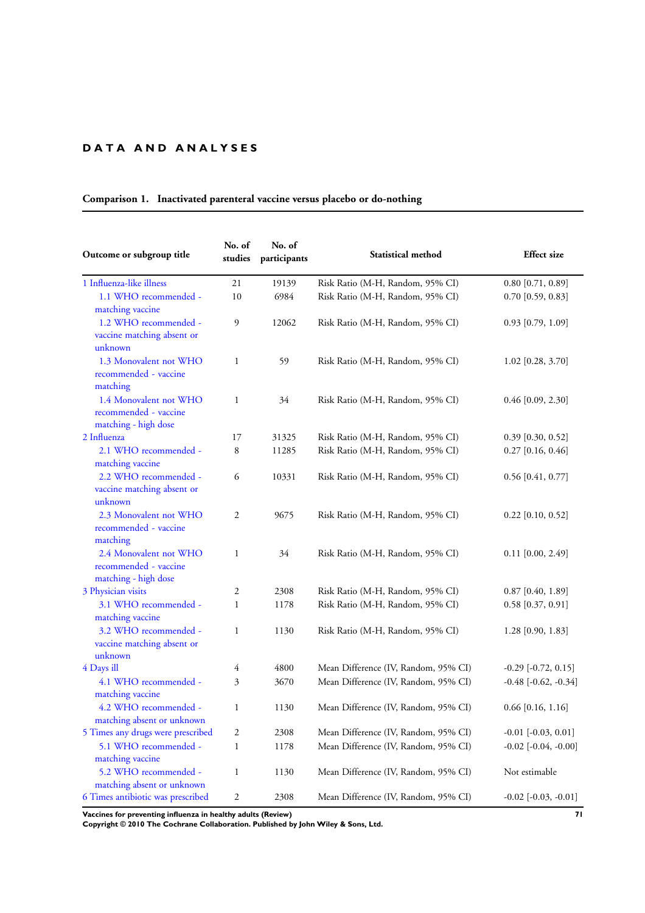# **D A T A A N D A N A L Y S E S**

# **Comparison 1. Inactivated parenteral vaccine versus placebo or do-nothing**

| Outcome or subgroup title                                               | No. of<br>studies | No. of<br>participants | <b>Statistical method</b>            | <b>Effect</b> size           |
|-------------------------------------------------------------------------|-------------------|------------------------|--------------------------------------|------------------------------|
| 1 Influenza-like illness                                                | 21                | 19139                  | Risk Ratio (M-H, Random, 95% CI)     | $0.80$ [0.71, 0.89]          |
| 1.1 WHO recommended -<br>matching vaccine                               | 10                | 6984                   | Risk Ratio (M-H, Random, 95% CI)     | $0.70$ [0.59, 0.83]          |
| 1.2 WHO recommended -<br>vaccine matching absent or<br>unknown          | $\mathfrak{g}$    | 12062                  | Risk Ratio (M-H, Random, 95% CI)     | $0.93$ [0.79, 1.09]          |
| 1.3 Monovalent not WHO<br>recommended - vaccine<br>matching             | 1                 | 59                     | Risk Ratio (M-H, Random, 95% CI)     | $1.02$ [0.28, 3.70]          |
| 1.4 Monovalent not WHO<br>recommended - vaccine<br>matching - high dose | $\mathbf{1}$      | 34                     | Risk Ratio (M-H, Random, 95% CI)     | $0.46$ [0.09, 2.30]          |
| 2 Influenza                                                             | 17                | 31325                  | Risk Ratio (M-H, Random, 95% CI)     | $0.39$ [0.30, 0.52]          |
| 2.1 WHO recommended -<br>matching vaccine                               | 8                 | 11285                  | Risk Ratio (M-H, Random, 95% CI)     | $0.27$ [0.16, 0.46]          |
| 2.2 WHO recommended -<br>vaccine matching absent or<br>unknown          | 6                 | 10331                  | Risk Ratio (M-H, Random, 95% CI)     | $0.56$ [0.41, 0.77]          |
| 2.3 Monovalent not WHO<br>recommended - vaccine<br>matching             | $\sqrt{2}$        | 9675                   | Risk Ratio (M-H, Random, 95% CI)     | $0.22$ [0.10, 0.52]          |
| 2.4 Monovalent not WHO<br>recommended - vaccine<br>matching - high dose | $\mathbf{1}$      | 34                     | Risk Ratio (M-H, Random, 95% CI)     | $0.11$ [0.00, 2.49]          |
| 3 Physician visits                                                      | 2                 | 2308                   | Risk Ratio (M-H, Random, 95% CI)     | $0.87$ [0.40, 1.89]          |
| 3.1 WHO recommended -<br>matching vaccine                               | $\mathbf{1}$      | 1178                   | Risk Ratio (M-H, Random, 95% CI)     | $0.58$ [0.37, 0.91]          |
| 3.2 WHO recommended -<br>vaccine matching absent or<br>unknown          | $\mathbf{1}$      | 1130                   | Risk Ratio (M-H, Random, 95% CI)     | $1.28$ [0.90, 1.83]          |
| 4 Days ill                                                              | 4                 | 4800                   | Mean Difference (IV, Random, 95% CI) | $-0.29$ [ $-0.72$ , $0.15$ ] |
| 4.1 WHO recommended -<br>matching vaccine                               | 3                 | 3670                   | Mean Difference (IV, Random, 95% CI) | $-0.48$ $[-0.62, -0.34]$     |
| 4.2 WHO recommended -<br>matching absent or unknown                     | $\mathbf{1}$      | 1130                   | Mean Difference (IV, Random, 95% CI) | $0.66$ [0.16, 1.16]          |
| 5 Times any drugs were prescribed                                       | $\mathfrak{2}$    | 2308                   | Mean Difference (IV, Random, 95% CI) | $-0.01$ $[-0.03, 0.01]$      |
| 5.1 WHO recommended -<br>matching vaccine                               | $\mathbf{1}$      | 1178                   | Mean Difference (IV, Random, 95% CI) | $-0.02$ $[-0.04, -0.00]$     |
| 5.2 WHO recommended -<br>matching absent or unknown                     | $\mathbf{1}$      | 1130                   | Mean Difference (IV, Random, 95% CI) | Not estimable                |
| 6 Times antibiotic was prescribed                                       | $\sqrt{2}$        | 2308                   | Mean Difference (IV, Random, 95% CI) | $-0.02$ $[-0.03, -0.01]$     |

**Vaccines for preventing influenza in healthy adults (Review) 71**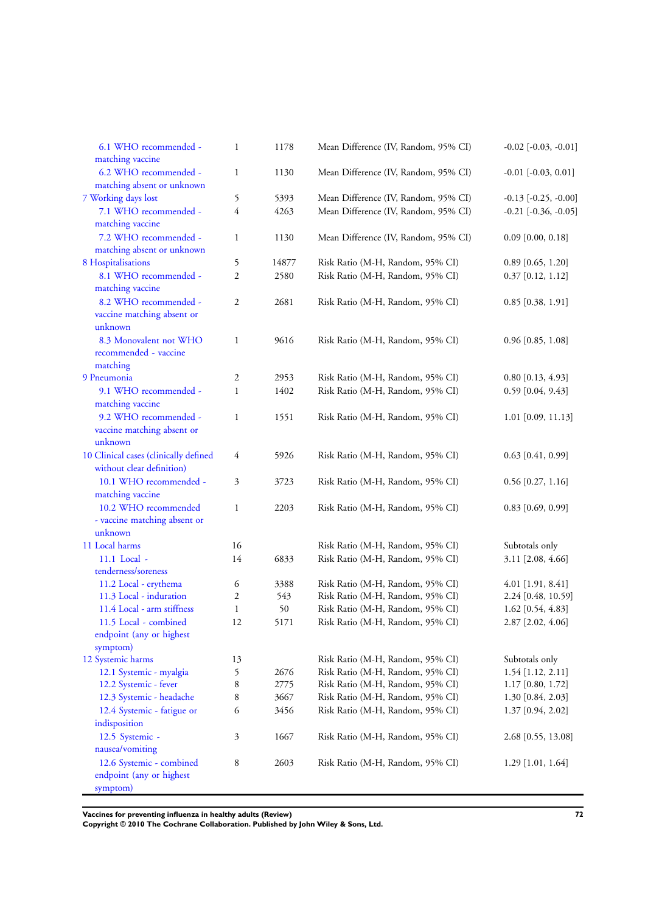| 6.1 WHO recommended -<br>matching vaccine                          | $\mathbf{1}$   | 1178  | Mean Difference (IV, Random, 95% CI) | $-0.02$ $[-0.03, -0.01]$ |
|--------------------------------------------------------------------|----------------|-------|--------------------------------------|--------------------------|
| 6.2 WHO recommended -<br>matching absent or unknown                | $\mathbf{1}$   | 1130  | Mean Difference (IV, Random, 95% CI) | $-0.01$ $[-0.03, 0.01]$  |
| 7 Working days lost                                                | 5              | 5393  | Mean Difference (IV, Random, 95% CI) | $-0.13$ $[-0.25, -0.00]$ |
| 7.1 WHO recommended -<br>matching vaccine                          | 4              | 4263  | Mean Difference (IV, Random, 95% CI) | $-0.21$ $[-0.36, -0.05]$ |
| 7.2 WHO recommended -<br>matching absent or unknown                | $\mathbf{1}$   | 1130  | Mean Difference (IV, Random, 95% CI) | $0.09$ [0.00, 0.18]      |
| 8 Hospitalisations                                                 | 5              | 14877 | Risk Ratio (M-H, Random, 95% CI)     | $0.89$ [0.65, 1.20]      |
| 8.1 WHO recommended -                                              | $\mathfrak{2}$ | 2580  | Risk Ratio (M-H, Random, 95% CI)     | $0.37$ [0.12, 1.12]      |
| matching vaccine                                                   |                |       |                                      |                          |
| 8.2 WHO recommended -<br>vaccine matching absent or<br>unknown     | $\overline{2}$ | 2681  | Risk Ratio (M-H, Random, 95% CI)     | $0.85$ [0.38, 1.91]      |
| 8.3 Monovalent not WHO<br>recommended - vaccine                    | $\mathbf{1}$   | 9616  | Risk Ratio (M-H, Random, 95% CI)     | $0.96$ [0.85, 1.08]      |
| matching<br>9 Pneumonia                                            | 2              | 2953  | Risk Ratio (M-H, Random, 95% CI)     | $0.80$ [0.13, 4.93]      |
| 9.1 WHO recommended -                                              | $\mathbf{1}$   | 1402  | Risk Ratio (M-H, Random, 95% CI)     | 0.59 [0.04, 9.43]        |
| matching vaccine                                                   |                |       |                                      |                          |
| 9.2 WHO recommended -<br>vaccine matching absent or<br>unknown     | $\mathbf{1}$   | 1551  | Risk Ratio (M-H, Random, 95% CI)     | $1.01$ [0.09, 11.13]     |
| 10 Clinical cases (clinically defined<br>without clear definition) | $\overline{4}$ | 5926  | Risk Ratio (M-H, Random, 95% CI)     | $0.63$ [0.41, 0.99]      |
| 10.1 WHO recommended -<br>matching vaccine                         | 3              | 3723  | Risk Ratio (M-H, Random, 95% CI)     | $0.56$ [0.27, 1.16]      |
| 10.2 WHO recommended<br>- vaccine matching absent or<br>unknown    | $\mathbf{1}$   | 2203  | Risk Ratio (M-H, Random, 95% CI)     | $0.83$ [0.69, 0.99]      |
| 11 Local harms                                                     | 16             |       | Risk Ratio (M-H, Random, 95% CI)     | Subtotals only           |
| 11.1 Local -                                                       | 14             | 6833  | Risk Ratio (M-H, Random, 95% CI)     | 3.11 [2.08, 4.66]        |
| tenderness/soreness                                                |                |       |                                      |                          |
| 11.2 Local - erythema                                              | 6              | 3388  | Risk Ratio (M-H, Random, 95% CI)     | $4.01$ [1.91, 8.41]      |
| 11.3 Local - induration                                            | $\overline{c}$ | 543   | Risk Ratio (M-H, Random, 95% CI)     | 2.24 [0.48, 10.59]       |
| 11.4 Local - arm stiffness                                         | $\mathbf{1}$   | 50    | Risk Ratio (M-H, Random, 95% CI)     | 1.62 [0.54, 4.83]        |
| 11.5 Local - combined                                              | 12             | 5171  | Risk Ratio (M-H, Random, 95% CI)     | 2.87 [2.02, 4.06]        |
| endpoint (any or highest                                           |                |       |                                      |                          |
| symptom)                                                           |                |       |                                      |                          |
| 12 Systemic harms                                                  | 13             |       | Risk Ratio (M-H, Random, 95% CI)     | Subtotals only           |
| 12.1 Systemic - myalgia                                            | 5              | 2676  | Risk Ratio (M-H, Random, 95% CI)     | 1.54 [1.12, 2.11]        |
| 12.2 Systemic - fever                                              | 8              | 2775  | Risk Ratio (M-H, Random, 95% CI)     | 1.17 [0.80, 1.72]        |
| 12.3 Systemic - headache                                           | 8              | 3667  | Risk Ratio (M-H, Random, 95% CI)     | 1.30 [0.84, 2.03]        |
| 12.4 Systemic - fatigue or                                         | 6              | 3456  | Risk Ratio (M-H, Random, 95% CI)     | 1.37 [0.94, 2.02]        |
| indisposition                                                      |                |       |                                      |                          |
| 12.5 Systemic -                                                    | 3              | 1667  | Risk Ratio (M-H, Random, 95% CI)     | 2.68 [0.55, 13.08]       |
| nausea/vomiting                                                    |                |       |                                      |                          |
| 12.6 Systemic - combined                                           | 8              | 2603  | Risk Ratio (M-H, Random, 95% CI)     | 1.29 [1.01, 1.64]        |
| endpoint (any or highest                                           |                |       |                                      |                          |
| symptom)                                                           |                |       |                                      |                          |

**Vaccines for preventing influenza in healthy adults (Review) 72**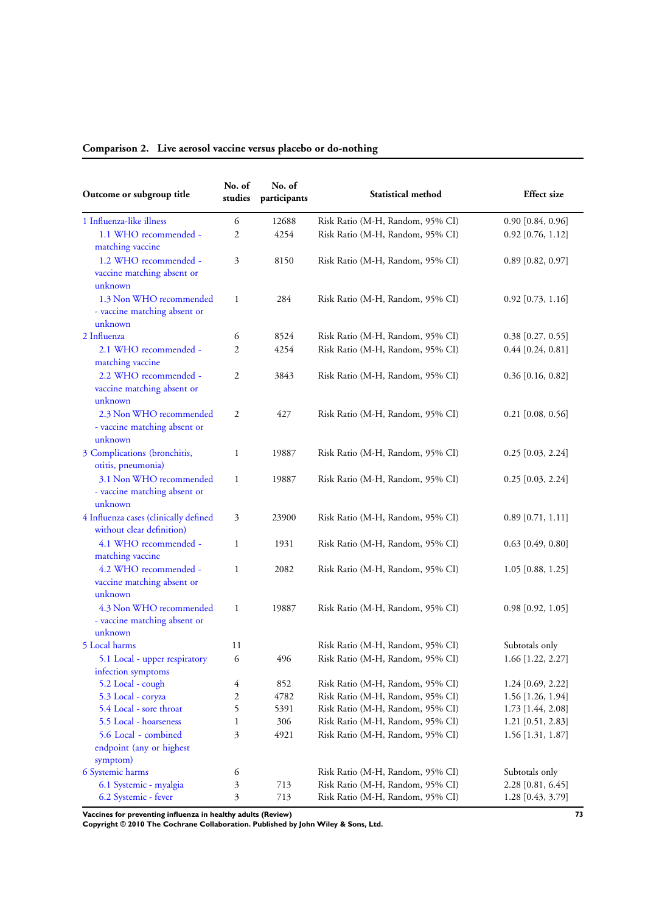| Outcome or subgroup title                                          | No. of<br>studies    | No. of<br>participants | Statistical method               | <b>Effect</b> size  |
|--------------------------------------------------------------------|----------------------|------------------------|----------------------------------|---------------------|
| 1 Influenza-like illness                                           | 6                    | 12688                  | Risk Ratio (M-H, Random, 95% CI) | $0.90$ [0.84, 0.96] |
| 1.1 WHO recommended -<br>matching vaccine                          | $\overline{2}$       | 4254                   | Risk Ratio (M-H, Random, 95% CI) | $0.92$ [0.76, 1.12] |
| 1.2 WHO recommended -<br>vaccine matching absent or<br>unknown     | 3                    | 8150                   | Risk Ratio (M-H, Random, 95% CI) | $0.89$ [0.82, 0.97] |
| 1.3 Non WHO recommended<br>- vaccine matching absent or<br>unknown | 1                    | 284                    | Risk Ratio (M-H, Random, 95% CI) | $0.92$ [0.73, 1.16] |
| 2 Influenza                                                        | 6                    | 8524                   | Risk Ratio (M-H, Random, 95% CI) | $0.38$ [0.27, 0.55] |
| 2.1 WHO recommended -<br>matching vaccine                          | $\overline{2}$       | 4254                   | Risk Ratio (M-H, Random, 95% CI) | $0.44$ [0.24, 0.81] |
| 2.2 WHO recommended -<br>vaccine matching absent or<br>unknown     | $\mathfrak{2}$       | 3843                   | Risk Ratio (M-H, Random, 95% CI) | $0.36$ [0.16, 0.82] |
| 2.3 Non WHO recommended<br>- vaccine matching absent or<br>unknown | 2                    | 427                    | Risk Ratio (M-H, Random, 95% CI) | $0.21$ [0.08, 0.56] |
| 3 Complications (bronchitis,<br>otitis, pneumonia)                 | $\mathbf{1}$         | 19887                  | Risk Ratio (M-H, Random, 95% CI) | $0.25$ [0.03, 2.24] |
| 3.1 Non WHO recommended<br>- vaccine matching absent or<br>unknown | 1                    | 19887                  | Risk Ratio (M-H, Random, 95% CI) | $0.25$ [0.03, 2.24] |
| 4 Influenza cases (clinically defined<br>without clear definition) | $\boldsymbol{\beta}$ | 23900                  | Risk Ratio (M-H, Random, 95% CI) | $0.89$ [0.71, 1.11] |
| 4.1 WHO recommended -<br>matching vaccine                          | $\mathbf{1}$         | 1931                   | Risk Ratio (M-H, Random, 95% CI) | $0.63$ [0.49, 0.80] |
| 4.2 WHO recommended -<br>vaccine matching absent or<br>unknown     | $\mathbf{1}$         | 2082                   | Risk Ratio (M-H, Random, 95% CI) | $1.05$ [0.88, 1.25] |
| 4.3 Non WHO recommended<br>- vaccine matching absent or<br>unknown | $\mathbf{1}$         | 19887                  | Risk Ratio (M-H, Random, 95% CI) | 0.98 [0.92, 1.05]   |
| 5 Local harms                                                      | 11                   |                        | Risk Ratio (M-H, Random, 95% CI) | Subtotals only      |
| 5.1 Local - upper respiratory<br>infection symptoms                | 6                    | 496                    | Risk Ratio (M-H, Random, 95% CI) | 1.66 [1.22, 2.27]   |
| 5.2 Local - cough                                                  | 4                    | 852                    | Risk Ratio (M-H, Random, 95% CI) | $1.24$ [0.69, 2.22] |
| 5.3 Local - coryza                                                 | 2                    | 4782                   | Risk Ratio (M-H, Random, 95% CI) | 1.56 [1.26, 1.94]   |
| 5.4 Local - sore throat                                            | 5                    | 5391                   | Risk Ratio (M-H, Random, 95% CI) | 1.73 [1.44, 2.08]   |
| 5.5 Local - hoarseness                                             | 1                    | 306                    | Risk Ratio (M-H, Random, 95% CI) | $1.21$ [0.51, 2.83] |
| 5.6 Local - combined<br>endpoint (any or highest<br>symptom)       | 3                    | 4921                   | Risk Ratio (M-H, Random, 95% CI) | 1.56 [1.31, 1.87]   |
| 6 Systemic harms                                                   | 6                    |                        | Risk Ratio (M-H, Random, 95% CI) | Subtotals only      |
| 6.1 Systemic - myalgia                                             | 3                    | 713                    | Risk Ratio (M-H, Random, 95% CI) | 2.28 [0.81, 6.45]   |
| 6.2 Systemic - fever                                               | 3                    | 713                    | Risk Ratio (M-H, Random, 95% CI) | 1.28 [0.43, 3.79]   |

# **Comparison 2. Live aerosol vaccine versus placebo or do-nothing**

**Vaccines for preventing influenza in healthy adults (Review) 73**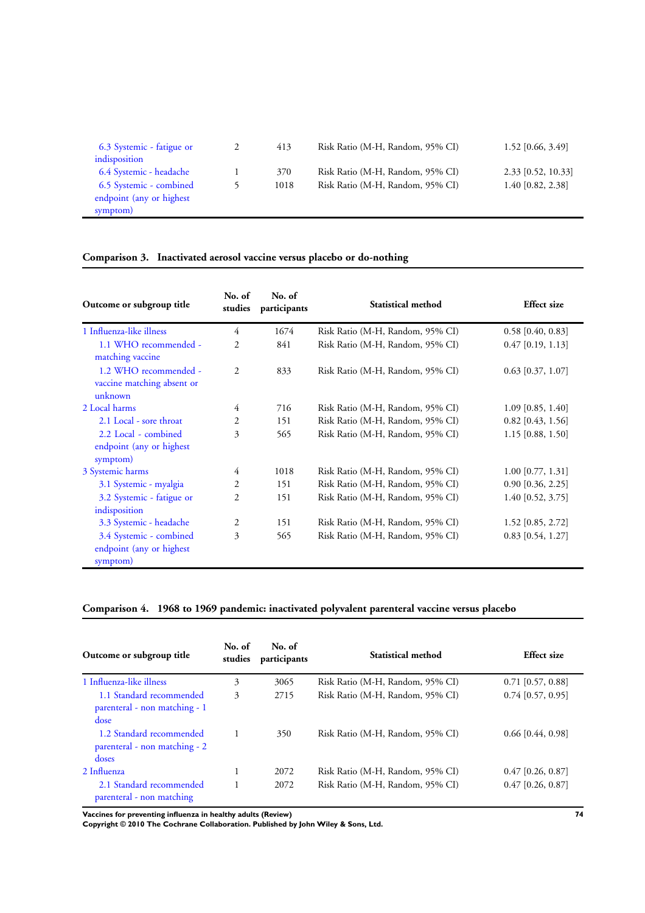| 6.3 Systemic - fatigue or | 413  | Risk Ratio (M-H, Random, 95% CI) | 1.52 [0.66, 3.49]  |
|---------------------------|------|----------------------------------|--------------------|
| indisposition             |      |                                  |                    |
| 6.4 Systemic - headache   | 370  | Risk Ratio (M-H, Random, 95% CI) | 2.33 [0.52, 10.33] |
| 6.5 Systemic - combined   | 1018 | Risk Ratio (M-H, Random, 95% CI) | 1.40 [0.82, 2.38]  |
| endpoint (any or highest) |      |                                  |                    |
| symptom)                  |      |                                  |                    |

# **Comparison 3. Inactivated aerosol vaccine versus placebo or do-nothing**

| Outcome or subgroup title                                        | No. of<br>studies | No. of<br>participants | <b>Statistical method</b>        | <b>Effect</b> size  |
|------------------------------------------------------------------|-------------------|------------------------|----------------------------------|---------------------|
| 1 Influenza-like illness                                         | 4                 | 1674                   | Risk Ratio (M-H, Random, 95% CI) | $0.58$ [0.40, 0.83] |
| 1.1 WHO recommended -<br>matching vaccine                        | 2                 | 841                    | Risk Ratio (M-H, Random, 95% CI) | $0.47$ [0.19, 1.13] |
| 1.2 WHO recommended -<br>vaccine matching absent or<br>unknown   | $\overline{2}$    | 833                    | Risk Ratio (M-H, Random, 95% CI) | $0.63$ [0.37, 1.07] |
| 2 Local harms                                                    | 4                 | 716                    | Risk Ratio (M-H, Random, 95% CI) | $1.09$ [0.85, 1.40] |
| 2.1 Local - sore throat                                          | $\overline{2}$    | 151                    | Risk Ratio (M-H, Random, 95% CI) | $0.82$ [0.43, 1.56] |
| 2.2 Local - combined<br>endpoint (any or highest)<br>symptom)    | 3                 | 565                    | Risk Ratio (M-H, Random, 95% CI) | $1.15$ [0.88, 1.50] |
| 3 Systemic harms                                                 | 4                 | 1018                   | Risk Ratio (M-H, Random, 95% CI) | $1.00$ [0.77, 1.31] |
| 3.1 Systemic - myalgia                                           | $\overline{c}$    | 151                    | Risk Ratio (M-H, Random, 95% CI) | $0.90$ [0.36, 2.25] |
| 3.2 Systemic - fatigue or<br>indisposition                       | $\overline{2}$    | 151                    | Risk Ratio (M-H, Random, 95% CI) | 1.40 [0.52, 3.75]   |
| 3.3 Systemic - headache                                          | $\overline{2}$    | 151                    | Risk Ratio (M-H, Random, 95% CI) | $1.52$ [0.85, 2.72] |
| 3.4 Systemic - combined<br>endpoint (any or highest)<br>symptom) | 3                 | 565                    | Risk Ratio (M-H, Random, 95% CI) | $0.83$ [0.54, 1.27] |

# **Comparison 4. 1968 to 1969 pandemic: inactivated polyvalent parenteral vaccine versus placebo**

| Outcome or subgroup title                                          | No. of<br>studies | No. of<br>participants | Statistical method               | <b>Effect</b> size  |
|--------------------------------------------------------------------|-------------------|------------------------|----------------------------------|---------------------|
| 1 Influenza-like illness                                           | 3                 | 3065                   | Risk Ratio (M-H, Random, 95% CI) | $0.71$ [0.57, 0.88] |
| 1.1 Standard recommended<br>parenteral - non matching - 1<br>dose  | 3                 | 2715                   | Risk Ratio (M-H, Random, 95% CI) | $0.74$ [0.57, 0.95] |
| 1.2 Standard recommended<br>parenteral - non matching - 2<br>doses |                   | 350                    | Risk Ratio (M-H, Random, 95% CI) | $0.66$ [0.44, 0.98] |
| 2 Influenza                                                        | 1                 | 2072                   | Risk Ratio (M-H, Random, 95% CI) | $0.47$ [0.26, 0.87] |
| 2.1 Standard recommended<br>parenteral - non matching              |                   | 2072                   | Risk Ratio (M-H, Random, 95% CI) | $0.47$ [0.26, 0.87] |

**Vaccines for preventing influenza in healthy adults (Review) 74**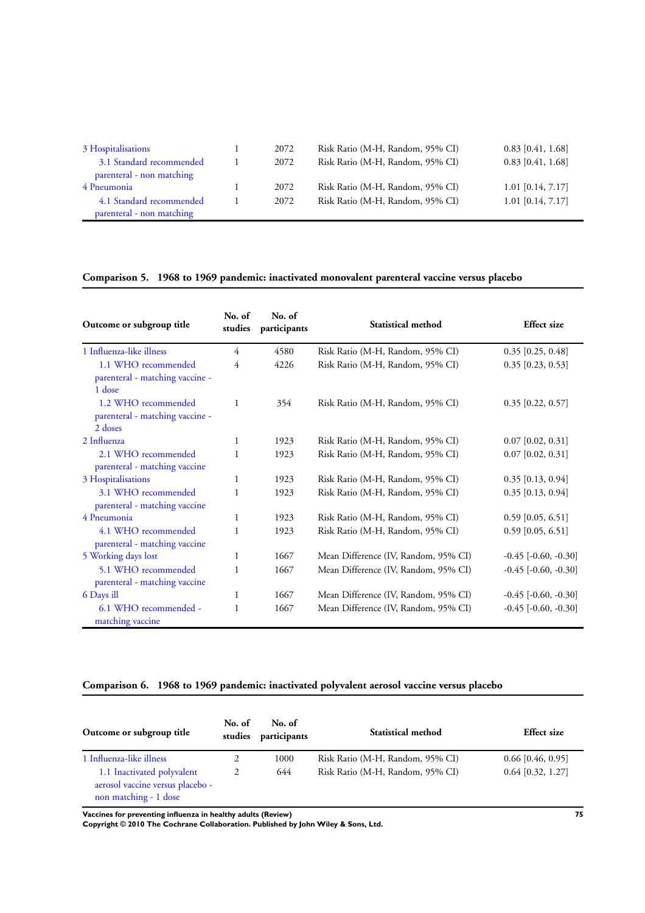| 3 Hospitalisations<br>3.1 Standard recommended<br>parenteral - non matching | 2072<br>2072 | Risk Ratio (M-H, Random, 95% CI)<br>Risk Ratio (M-H, Random, 95% CI) | $0.83$ [0.41, 1.68]<br>$0.83$ [0.41, 1.68] |
|-----------------------------------------------------------------------------|--------------|----------------------------------------------------------------------|--------------------------------------------|
| 4 Pneumonia                                                                 | 2072         | Risk Ratio (M-H, Random, 95% CI)                                     | $1.01$ [0.14, 7.17]                        |
| 4.1 Standard recommended<br>parenteral - non matching                       | 2072         | Risk Ratio (M-H, Random, 95% CI)                                     | $1.01$ [0.14, 7.17]                        |

# **Comparison 5. 1968 to 1969 pandemic: inactivated monovalent parenteral vaccine versus placebo**

| Outcome or subgroup title                                         | No. of<br>studies | No. of<br>participants | <b>Statistical method</b>            | <b>Effect</b> size         |
|-------------------------------------------------------------------|-------------------|------------------------|--------------------------------------|----------------------------|
| 1 Influenza-like illness                                          | 4                 | 4580                   | Risk Ratio (M-H, Random, 95% CI)     | $0.35$ [0.25, 0.48]        |
| 1.1 WHO recommended<br>parenteral - matching vaccine -<br>1 dose  | 4                 | 4226                   | Risk Ratio (M-H, Random, 95% CI)     | $0.35$ [0.23, 0.53]        |
| 1.2 WHO recommended<br>parenteral - matching vaccine -<br>2 doses | 1                 | 354                    | Risk Ratio (M-H, Random, 95% CI)     | $0.35$ [0.22, 0.57]        |
| 2 Influenza                                                       | 1                 | 1923                   | Risk Ratio (M-H, Random, 95% CI)     | $0.07$ [0.02, 0.31]        |
| 2.1 WHO recommended<br>parenteral - matching vaccine              | 1                 | 1923                   | Risk Ratio (M-H, Random, 95% CI)     | $0.07$ [0.02, 0.31]        |
| 3 Hospitalisations                                                | $\mathbf{1}$      | 1923                   | Risk Ratio (M-H, Random, 95% CI)     | $0.35$ [0.13, 0.94]        |
| 3.1 WHO recommended<br>parenteral - matching vaccine              | 1                 | 1923                   | Risk Ratio (M-H, Random, 95% CI)     | $0.35$ [0.13, 0.94]        |
| 4 Pneumonia                                                       | 1                 | 1923                   | Risk Ratio (M-H, Random, 95% CI)     | $0.59$ [0.05, 6.51]        |
| 4.1 WHO recommended<br>parenteral - matching vaccine              | 1                 | 1923                   | Risk Ratio (M-H, Random, 95% CI)     | $0.59$ [0.05, 6.51]        |
| 5 Working days lost                                               | $\mathbf{1}$      | 1667                   | Mean Difference (IV, Random, 95% CI) | $-0.45$ [ $-0.60, -0.30$ ] |
| 5.1 WHO recommended<br>parenteral - matching vaccine              | 1                 | 1667                   | Mean Difference (IV, Random, 95% CI) | $-0.45$ $[-0.60, -0.30]$   |
| 6 Days ill                                                        | 1                 | 1667                   | Mean Difference (IV, Random, 95% CI) | $-0.45$ [ $-0.60, -0.30$ ] |
| 6.1 WHO recommended -<br>matching vaccine                         | 1                 | 1667                   | Mean Difference (IV, Random, 95% CI) | $-0.45$ [ $-0.60, -0.30$ ] |

# **Comparison 6. 1968 to 1969 pandemic: inactivated polyvalent aerosol vaccine versus placebo**

| Outcome or subgroup title                                      | No. of<br>studies | No. of<br>participants | Statistical method               | <b>Effect</b> size  |
|----------------------------------------------------------------|-------------------|------------------------|----------------------------------|---------------------|
| 1 Influenza-like illness                                       |                   | 1000                   | Risk Ratio (M-H, Random, 95% CI) | $0.66$ [0.46, 0.95] |
| 1.1 Inactivated polyvalent<br>aerosol vaccine versus placebo - |                   | 644                    | Risk Ratio (M-H, Random, 95% CI) | $0.64$ [0.32, 1.27] |
| non matching - 1 dose                                          |                   |                        |                                  |                     |

**Vaccines for preventing influenza in healthy adults (Review) 75**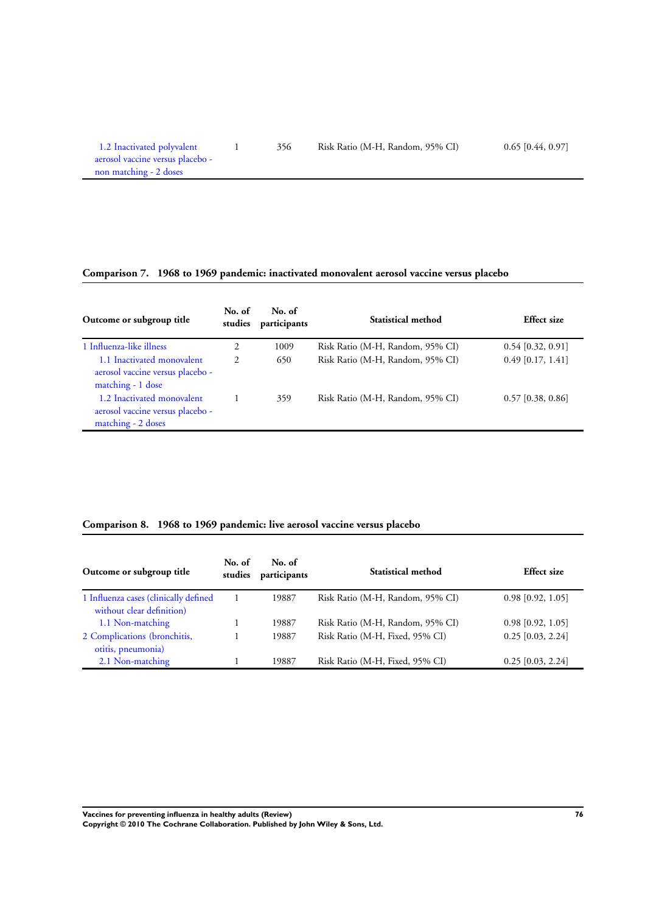<span id="page-78-0"></span>

| 1.2 Inactivated polyvalent       | 356 | Risk Ratio (M-H, Random, 95% CI) | $0.65$ [0.44, 0.97] |
|----------------------------------|-----|----------------------------------|---------------------|
| aerosol vaccine versus placebo - |     |                                  |                     |
| non matching - 2 doses           |     |                                  |                     |

# **Comparison 7. 1968 to 1969 pandemic: inactivated monovalent aerosol vaccine versus placebo**

| Outcome or subgroup title                                                            | No. of<br>studies | No. of<br>participants | Statistical method               | Effect size         |
|--------------------------------------------------------------------------------------|-------------------|------------------------|----------------------------------|---------------------|
| 1 Influenza-like illness                                                             | 2                 | 1009                   | Risk Ratio (M-H, Random, 95% CI) | $0.54$ [0.32, 0.91] |
| 1.1 Inactivated monovalent<br>aerosol vaccine versus placebo -<br>matching - 1 dose  | $\mathfrak{D}$    | 650                    | Risk Ratio (M-H, Random, 95% CI) | $0.49$ [0.17, 1.41] |
| 1.2 Inactivated monovalent<br>aerosol vaccine versus placebo -<br>matching - 2 doses |                   | 359                    | Risk Ratio (M-H, Random, 95% CI) | $0.57$ [0.38, 0.86] |

# **Comparison 8. 1968 to 1969 pandemic: live aerosol vaccine versus placebo**

| Outcome or subgroup title                                          | No. of<br>studies | No. of<br>participants | Statistical method               | <b>Effect size</b>  |
|--------------------------------------------------------------------|-------------------|------------------------|----------------------------------|---------------------|
| 1 Influenza cases (clinically defined<br>without clear definition) |                   | 19887                  | Risk Ratio (M-H, Random, 95% CI) | $0.98$ [0.92, 1.05] |
| 1.1 Non-matching                                                   |                   | 19887                  | Risk Ratio (M-H, Random, 95% CI) | $0.98$ [0.92, 1.05] |
| 2 Complications (bronchitis,<br>otitis, pneumonia)                 |                   | 19887                  | Risk Ratio (M-H, Fixed, 95% CI)  | $0.25$ [0.03, 2.24] |
| 2.1 Non-matching                                                   |                   | 19887                  | Risk Ratio (M-H, Fixed, 95% CI)  | $0.25$ [0.03, 2.24] |

**Vaccines for preventing influenza in healthy adults (Review) 76**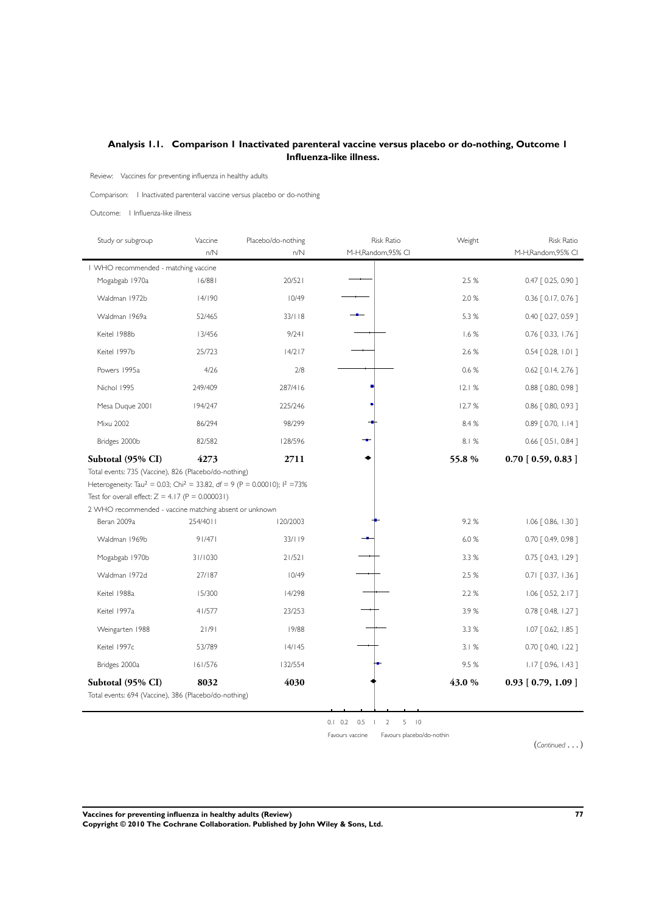#### **Analysis 1.1. Comparison 1 Inactivated parenteral vaccine versus placebo or do-nothing, Outcome 1 Influenza-like illness.**

Review: Vaccines for preventing influenza in healthy adults

Comparison: 1 Inactivated parenteral vaccine versus placebo or do-nothing

Outcome: 1 Influenza-like illness

| Study or subgroup                                                                                                                                                                                                           | Vaccine  | Placebo/do-nothing | Risk Ratio        | Weight | <b>Risk Ratio</b>          |
|-----------------------------------------------------------------------------------------------------------------------------------------------------------------------------------------------------------------------------|----------|--------------------|-------------------|--------|----------------------------|
|                                                                                                                                                                                                                             | n/N      | n/N                | M-H,Random,95% CI |        | M-H,Random,95% CI          |
| I WHO recommended - matching vaccine                                                                                                                                                                                        |          |                    |                   |        |                            |
| Mogabgab 1970a                                                                                                                                                                                                              | 16/881   | 20/521             |                   | 2.5 %  | 0.47 [ 0.25, 0.90 ]        |
| Waldman 1972b                                                                                                                                                                                                               | 14/190   | 10/49              |                   | 2.0%   | $0.36$ $[0.17, 0.76]$      |
| Waldman 1969a                                                                                                                                                                                                               | 52/465   | 33/118             |                   | 5.3 %  | $0.40$ $[0.27, 0.59]$      |
| Keitel 1988b                                                                                                                                                                                                                | 13/456   | 9/241              |                   | 1.6%   | $0.76$ $[0.33, 1.76]$      |
| Keitel 1997b                                                                                                                                                                                                                | 25/723   | 14/217             |                   | 2.6 %  | $0.54$ $[ 0.28, 1.01 ]$    |
| Powers 1995a                                                                                                                                                                                                                | 4/26     | 2/8                |                   | 0.6%   | $0.62$ [ 0.14, 2.76 ]      |
| Nichol 1995                                                                                                                                                                                                                 | 249/409  | 287/416            |                   | 12.1%  | 0.88 [ 0.80, 0.98 ]        |
| Mesa Duque 2001                                                                                                                                                                                                             | 194/247  | 225/246            |                   | 12.7%  | 0.86 [ 0.80, 0.93 ]        |
| <b>Mixu 2002</b>                                                                                                                                                                                                            | 86/294   | 98/299             |                   | 8.4 %  | $0.89$ $[0.70, 1.14]$      |
| Bridges 2000b                                                                                                                                                                                                               | 82/582   | 128/596            |                   | 8.1%   | $0.66$ $[0.51, 0.84]$      |
| Subtotal (95% CI)                                                                                                                                                                                                           | 4273     | 2711               |                   | 55.8%  | $0.70$ [ $0.59, 0.83$ ]    |
| Heterogeneity: Tau <sup>2</sup> = 0.03; Chi <sup>2</sup> = 33.82, df = 9 (P = 0.00010); l <sup>2</sup> =73%<br>Test for overall effect: $Z = 4.17$ (P = 0.000031)<br>2 WHO recommended - vaccine matching absent or unknown |          |                    |                   |        |                            |
| Beran 2009a                                                                                                                                                                                                                 | 254/4011 | 120/2003           |                   | 9.2%   | $1.06$ $[0.86, 1.30]$      |
| Waldman 1969b                                                                                                                                                                                                               | 91/471   | 33/119             |                   | 6.0%   | 0.70 [ 0.49, 0.98 ]        |
| Mogabgab 1970b                                                                                                                                                                                                              | 31/1030  | 21/521             |                   | 3.3 %  | $0.75$ $[0.43, 1.29]$      |
| Waldman 1972d                                                                                                                                                                                                               | 27/187   | 10/49              |                   | 2.5 %  | $0.71$ $[0.37, 1.36]$      |
| Keitel 1988a                                                                                                                                                                                                                | 15/300   | 14/298             |                   | 2.2 %  | $1.06$ $[0.52, 2.17]$      |
| Keitel 1997a                                                                                                                                                                                                                | 41/577   | 23/253             |                   | 3.9%   | $0.78$ $[0.48, 1.27]$      |
| Weingarten 1988                                                                                                                                                                                                             | 21/91    | 19/88              |                   | 3.3 %  | $1.07$ $[0.62, 1.85]$      |
| Keitel 1997c                                                                                                                                                                                                                | 53/789   | 14/145             |                   | 3.1%   | 0.70 [ 0.40, 1.22 ]        |
| Bridges 2000a                                                                                                                                                                                                               | 161/576  | 132/554            |                   | 9.5%   | $1.17$ [ 0.96, 1.43 ]      |
| Subtotal (95% CI)                                                                                                                                                                                                           | 8032     | 4030               |                   | 43.0 % | $0.93$ [ $0.79$ , $1.09$ ] |
| Total events: 694 (Vaccine), 386 (Placebo/do-nothing)                                                                                                                                                                       |          |                    |                   |        |                            |

 $0.1 \t0.2 \t0.5 \t1 \t2 \t5 \t10$ 

Favours vaccine | Favours placebo/do-nothin

(*Continued* ... )

**Vaccines for preventing influenza in healthy adults (Review) 77**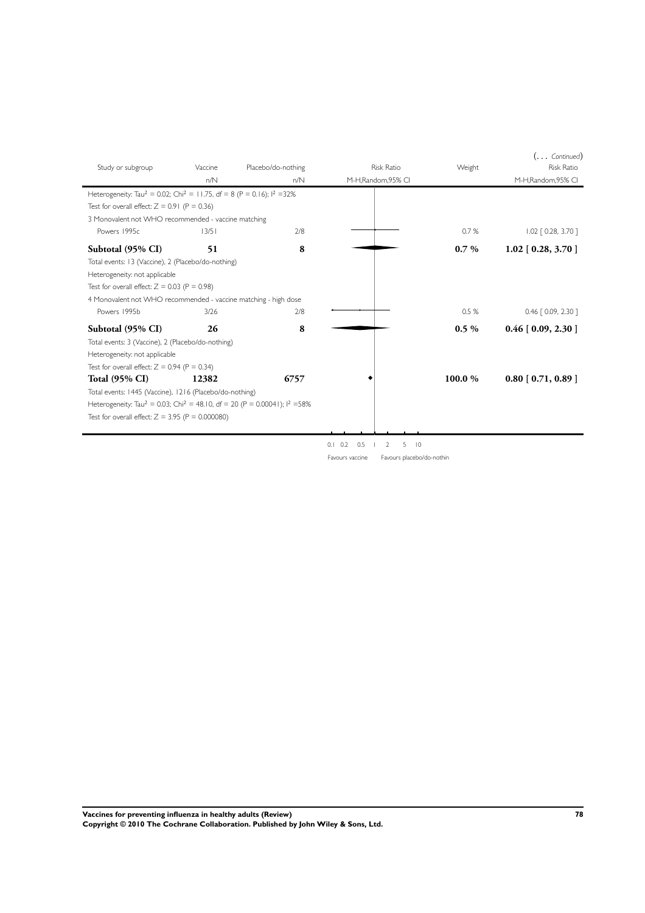| Study or subgroup                                                                                   | Vaccine<br>n/N | Placebo/do-nothing<br>n/N |                        | <b>Risk Ratio</b><br>M-H, Random, 95% CI | Weight  | $( \ldots$ Continued)<br>Risk Ratio<br>M-H, Random, 95% CI |
|-----------------------------------------------------------------------------------------------------|----------------|---------------------------|------------------------|------------------------------------------|---------|------------------------------------------------------------|
| Heterogeneity: Tau <sup>2</sup> = 0.02; Chi <sup>2</sup> = 11.75, df = 8 (P = 0.16); $1^2$ =32%     |                |                           |                        |                                          |         |                                                            |
| Test for overall effect: $Z = 0.91$ (P = 0.36)                                                      |                |                           |                        |                                          |         |                                                            |
| 3 Monovalent not WHO recommended - vaccine matching                                                 |                |                           |                        |                                          |         |                                                            |
| Powers 1995c                                                                                        | 13/51          | 7/8                       |                        |                                          | 0.7%    | $1.02$ $[0.28, 3.70]$                                      |
| Subtotal (95% CI)                                                                                   | 51             | 8                         |                        |                                          | $0.7\%$ | $1.02$ [ 0.28, 3.70 ]                                      |
| Total events: 13 (Vaccine), 2 (Placebo/do-nothing)                                                  |                |                           |                        |                                          |         |                                                            |
| Heterogeneity: not applicable                                                                       |                |                           |                        |                                          |         |                                                            |
| Test for overall effect: $Z = 0.03$ (P = 0.98)                                                      |                |                           |                        |                                          |         |                                                            |
| 4 Monovalent not WHO recommended - vaccine matching - high dose                                     |                |                           |                        |                                          |         |                                                            |
| Powers 1995b                                                                                        | 3/26           | 2/8                       |                        |                                          | 0.5%    | $0.46$ $[0.09, 2.30]$                                      |
| Subtotal (95% CI)                                                                                   | 26             | 8                         |                        |                                          | $0.5\%$ | $0.46$ [ 0.09, 2.30 ]                                      |
| Total events: 3 (Vaccine), 2 (Placebo/do-nothing)                                                   |                |                           |                        |                                          |         |                                                            |
| Heterogeneity: not applicable                                                                       |                |                           |                        |                                          |         |                                                            |
| Test for overall effect: $Z = 0.94$ (P = 0.34)                                                      |                |                           |                        |                                          |         |                                                            |
| Total $(95\% \text{ CI})$                                                                           | 12382          | 6757                      |                        |                                          | 100.0%  | $0.80$ [ $0.71, 0.89$ ]                                    |
| Total events: 1445 (Vaccine), 1216 (Placebo/do-nothing)                                             |                |                           |                        |                                          |         |                                                            |
| Heterogeneity: Tau <sup>2</sup> = 0.03; Chi <sup>2</sup> = 48.10, df = 20 (P = 0.00041); $1^2$ =58% |                |                           |                        |                                          |         |                                                            |
| Test for overall effect: $Z = 3.95$ (P = 0.000080)                                                  |                |                           |                        |                                          |         |                                                            |
|                                                                                                     |                |                           |                        |                                          |         |                                                            |
|                                                                                                     |                |                           | $0.1 \quad 0.2$<br>0.5 | 5<br>$\overline{10}$<br>$\mathcal{L}$    |         |                                                            |
|                                                                                                     |                |                           | Favours vaccine        | Favours placebo/do-nothin                |         |                                                            |

**Vaccines for preventing influenza in healthy adults (Review) 78**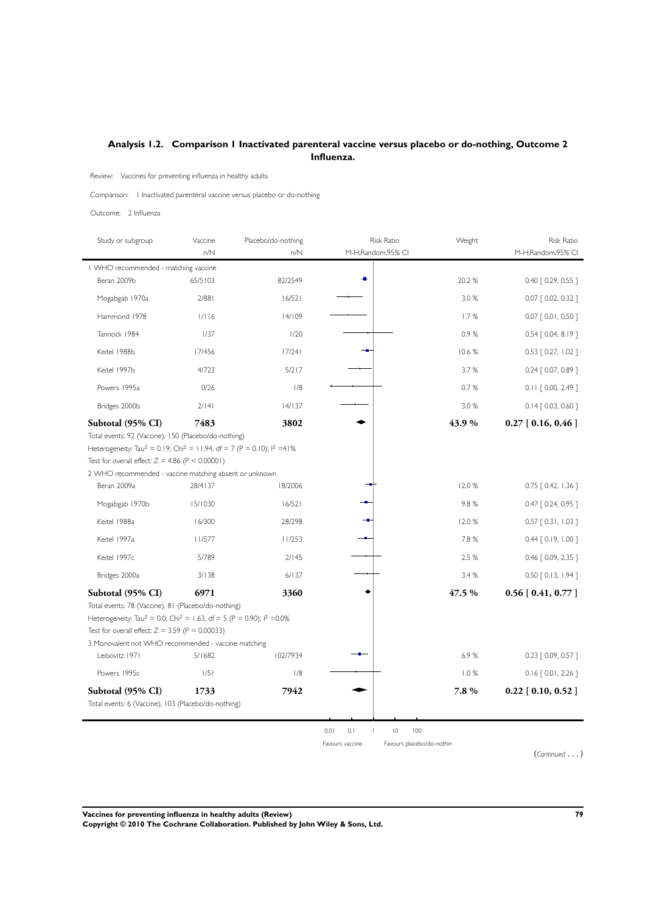## <span id="page-81-0"></span>**Analysis 1.2. Comparison 1 Inactivated parenteral vaccine versus placebo or do-nothing, Outcome 2 Influenza.**

Review: Vaccines for preventing influenza in healthy adults

Comparison: 1 Inactivated parenteral vaccine versus placebo or do-nothing

Outcome: 2 Influenza

| Study or subgroup                                                                               | Vaccine | Placebo/do-nothing | <b>Risk Ratio</b>                            | Weight | <b>Risk Ratio</b>       |
|-------------------------------------------------------------------------------------------------|---------|--------------------|----------------------------------------------|--------|-------------------------|
|                                                                                                 | n/N     | n/N                | M-H,Random,95% CI                            |        | M-H.Random.95% CI       |
| I WHO recommended - matching vaccine                                                            |         |                    |                                              |        |                         |
| Beran 2009b                                                                                     | 65/5103 | 82/2549            |                                              | 20.2 % | $0.40$ $[0.29, 0.55]$   |
| Mogabgab 1970a                                                                                  | 2/881   | 16/521             |                                              | 3.0 %  | 0.07 [ 0.02, 0.32 ]     |
| Hammond 1978                                                                                    | 1/116   | 14/109             |                                              | 1.7%   | $0.07$ $[0.01, 0.50]$   |
| Tannock 1984                                                                                    | 1/37    | 1/20               |                                              | 0.9%   | $0.54$ $[0.04, 8.19]$   |
| Keitel 1988b                                                                                    | 17/456  | 17/241             |                                              | 10.6 % | $0.53$ $[0.27, 1.02]$   |
| Keitel 1997b                                                                                    | 4/723   | 5/217              |                                              | 3.7 %  | $0.24$ $[0.07, 0.89]$   |
| Powers 1995a                                                                                    | 0/26    | 1/8                |                                              | 0.7%   | $0.11$ $[0.00, 2.49]$   |
| Bridges 2000b                                                                                   | 2/141   | 14/137             |                                              | 3.0 %  | $0.14$ $[0.03, 0.60]$   |
| Subtotal (95% CI)                                                                               | 7483    | 3802               |                                              | 43.9%  | $0.27$ [ 0.16, 0.46 ]   |
| Total events: 92 (Vaccine), 150 (Placebo/do-nothing)                                            |         |                    |                                              |        |                         |
| Heterogeneity: Tau <sup>2</sup> = 0.19; Chi <sup>2</sup> = 11.94, df = 7 (P = 0.10); $1^2$ =41% |         |                    |                                              |        |                         |
| Test for overall effect: $Z = 4.86$ (P < 0.00001)                                               |         |                    |                                              |        |                         |
| 2 WHO recommended - vaccine matching absent or unknown                                          |         |                    |                                              |        |                         |
| Beran 2009a                                                                                     | 28/4137 | 18/2006            |                                              | 12.0%  | $0.75$ $[0.42, 1.36]$   |
| Mogabgab 1970b                                                                                  | 15/1030 | 16/521             |                                              | 9.8%   | $0.47$ $[0.24, 0.95]$   |
| Keitel 1988a                                                                                    | 16/300  | 28/298             |                                              | 12.0%  | 0.57 [ 0.31, 1.03 ]     |
| Keitel 1997a                                                                                    | 11/577  | 11/253             |                                              | 7.8%   | $0.44$ $[0.19, 1.00]$   |
| Keitel 1997c                                                                                    | 5/789   | 2/145              |                                              | 2.5 %  | $0.46$ $[0.09, 2.35]$   |
| Bridges 2000a                                                                                   | 3/138   | 6/137              |                                              | 3.4%   | $0.50$ $[0.13, 1.94]$   |
| Subtotal (95% CI)                                                                               | 6971    | 3360               |                                              | 47.5 % | $0.56$ [ $0.41, 0.77$ ] |
| Total events: 78 (Vaccine), 81 (Placebo/do-nothing)                                             |         |                    |                                              |        |                         |
| Heterogeneity: Tau <sup>2</sup> = 0.0; Chi <sup>2</sup> = 1.63, df = 5 (P = 0.90); $1^2$ = 0.0% |         |                    |                                              |        |                         |
| Test for overall effect: $Z = 3.59$ (P = 0.00033)                                               |         |                    |                                              |        |                         |
| 3 Monovalent not WHO recommended - vaccine matching                                             |         |                    |                                              |        |                         |
| Leibovitz 1971                                                                                  | 5/1682  | 102/7934           |                                              | 6.9%   | $0.23$ $[0.09, 0.57]$   |
| Powers 1995c                                                                                    | 1/5     | 1/8                |                                              | 1.0%   | $0.16$ $[0.01, 2.26]$   |
| Subtotal (95% CI)                                                                               | 1733    | 7942               |                                              | 7.8%   | $0.22$ [ $0.10, 0.52$ ] |
| Total events: 6 (Vaccine), 103 (Placebo/do-nothing)                                             |         |                    |                                              |        |                         |
|                                                                                                 |         |                    |                                              |        |                         |
|                                                                                                 |         |                    | 0.1<br>100<br>0.01<br>$ 0\rangle$            |        |                         |
|                                                                                                 |         |                    | Favours vaccine<br>Favours placebo/do-nothin |        |                         |

(*Continued* ... )

**Vaccines for preventing influenza in healthy adults (Review) 79**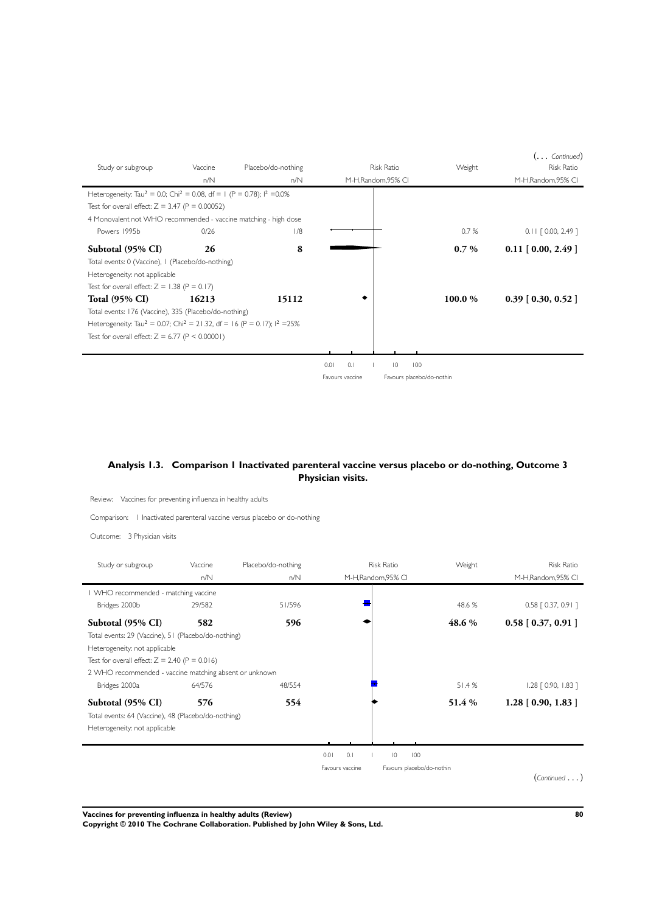|                                                                                                            |         |                    |                     |         | $\left(\ldots \right.$ Continued) |
|------------------------------------------------------------------------------------------------------------|---------|--------------------|---------------------|---------|-----------------------------------|
| Study or subgroup                                                                                          | Vaccine | Placebo/do-nothing | Risk Ratio          | Weight  | <b>Risk Ratio</b>                 |
|                                                                                                            | n/N     | n/N                | M-H, Random, 95% CI |         | M-H, Random, 95% CI               |
| Heterogeneity: Tau <sup>2</sup> = 0.0; Chi <sup>2</sup> = 0.08, df = 1 (P = 0.78); l <sup>2</sup> = 0.0%   |         |                    |                     |         |                                   |
| Test for overall effect: $Z = 3.47$ (P = 0.00052)                                                          |         |                    |                     |         |                                   |
| 4 Monovalent not WHO recommended - vaccine matching - high dose                                            |         |                    |                     |         |                                   |
| Powers 1995b                                                                                               | 0/26    | 1/8                |                     | 0.7%    | $0.11$ $[0.00, 2.49]$             |
| Subtotal (95% CI)                                                                                          | 26      | 8                  |                     | $0.7\%$ | $0.11$ [ 0.00, 2.49 ]             |
| Total events: 0 (Vaccine), 1 (Placebo/do-nothing)                                                          |         |                    |                     |         |                                   |
| Heterogeneity: not applicable                                                                              |         |                    |                     |         |                                   |
| Test for overall effect: $Z = 1.38$ (P = 0.17)                                                             |         |                    |                     |         |                                   |
| <b>Total (95% CI)</b>                                                                                      | 16213   | 15112              |                     | 100.0 % | $0.39$ [ $0.30, 0.52$ ]           |
| Total events: 176 (Vaccine), 335 (Placebo/do-nothing)                                                      |         |                    |                     |         |                                   |
| Heterogeneity: Tau <sup>2</sup> = 0.07; Chi <sup>2</sup> = 21.32, df = 16 (P = 0.17); l <sup>2</sup> = 25% |         |                    |                     |         |                                   |
| Test for overall effect: $Z = 6.77$ (P < 0.00001)                                                          |         |                    |                     |         |                                   |
|                                                                                                            |         |                    |                     |         |                                   |
|                                                                                                            |         |                    |                     |         |                                   |

0.01 0.1 1 10 100

Favours vaccine Favours placebo/do-nothin

# **Analysis 1.3. Comparison 1 Inactivated parenteral vaccine versus placebo or do-nothing, Outcome 3 Physician visits.**

Review: Vaccines for preventing influenza in healthy adults Comparison: 1 Inactivated parenteral vaccine versus placebo or do-nothing Outcome: 3 Physician visits Study or subgroup Vaccine Placebo/do-nothing Risk Ratio Weight Weight Risk Ratio n/N n/N M-H,Random,95% CI M-H,Random,95% CI 1 WHO recommended - matching vaccine Bridges 2000b 29/582 51/596 **+ 3** 6 51/596 + 30 658 [ 0.37, 0.91 ] **Subtotal (95% CI)** 582 596  $\bullet$  48.6 % 0.58 [ 0.37, 0.91 ] Total events: 29 (Vaccine), 51 (Placebo/do-nothing) Heterogeneity: not applicable Test for overall effect:  $Z = 2.40$  (P = 0.016) 2 WHO recommended - vaccine matching absent or unknown Bridges 2000a 64/576 48/554 <del>48</del> 51.4 % 1.28 [ 0.90, 1.83 ] **Subtotal (95% CI) 576 554 51.4 % 1.28 [ 0.90, 1.83 ]** Total events: 64 (Vaccine), 48 (Placebo/do-nothing) Heterogeneity: not applicable  $0.01$  0.1 10 100 Favours vaccine Favours placebo/do-nothin (*Continued* ... )

**Vaccines for preventing influenza in healthy adults (Review) 80**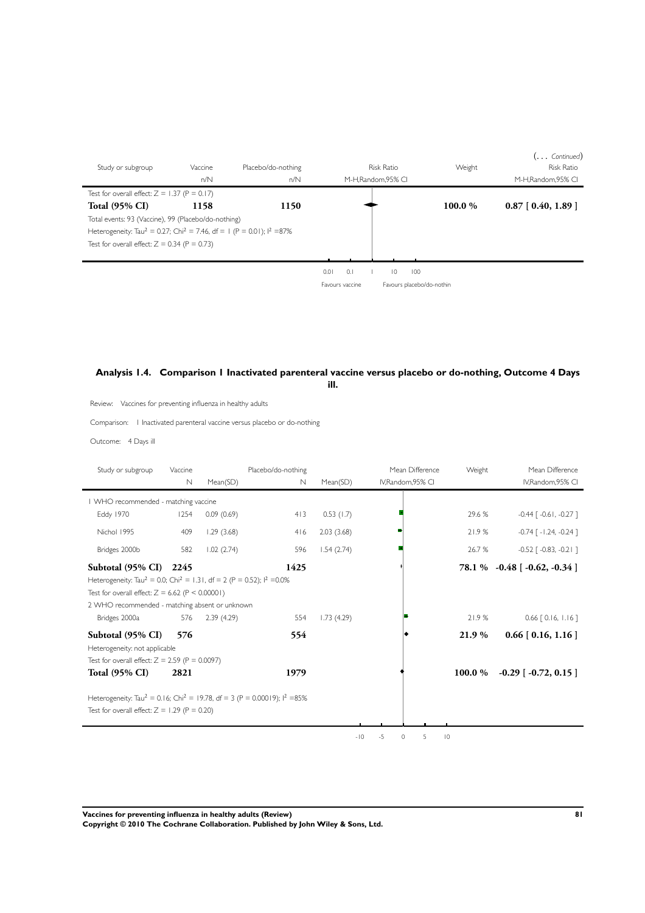<span id="page-83-0"></span>

| Study or subgroup                                                                              | Vaccine | Placebo/do-nothing |      |                 | <b>Risk Ratio</b>   | Weight                    | $(\ldots$ Continued)<br><b>Risk Ratio</b> |
|------------------------------------------------------------------------------------------------|---------|--------------------|------|-----------------|---------------------|---------------------------|-------------------------------------------|
|                                                                                                | n/N     | n/N                |      |                 | M-H, Random, 95% CI |                           | M-H, Random, 95% CI                       |
| Test for overall effect: $Z = 1.37$ (P = 0.17)                                                 |         |                    |      |                 |                     |                           |                                           |
| Total $(95\% \text{ CI})$                                                                      | 1158    | 1150               |      |                 |                     | 100.0%                    | $0.87$ [ $0.40, 1.89$ ]                   |
| Total events: 93 (Vaccine), 99 (Placebo/do-nothing)                                            |         |                    |      |                 |                     |                           |                                           |
| Heterogeneity: Tau <sup>2</sup> = 0.27; Chi <sup>2</sup> = 7.46, df = 1 (P = 0.01); $1^2$ =87% |         |                    |      |                 |                     |                           |                                           |
| Test for overall effect: $Z = 0.34$ (P = 0.73)                                                 |         |                    |      |                 |                     |                           |                                           |
|                                                                                                |         |                    |      |                 |                     |                           |                                           |
|                                                                                                |         |                    | 0.01 | 0.1             | $\overline{0}$      | 100                       |                                           |
|                                                                                                |         |                    |      | Favours vaccine |                     | Favours placebo/do-nothin |                                           |
|                                                                                                |         |                    |      |                 |                     |                           |                                           |
|                                                                                                |         |                    |      |                 |                     |                           |                                           |

#### **Analysis 1.4. Comparison 1 Inactivated parenteral vaccine versus placebo or do-nothing, Outcome 4 Days ill.**

| Outcome: 4 Days ill                                                                                                                                                                                                                               |                        |            |                         |            |               |                                       |             |                                                        |
|---------------------------------------------------------------------------------------------------------------------------------------------------------------------------------------------------------------------------------------------------|------------------------|------------|-------------------------|------------|---------------|---------------------------------------|-------------|--------------------------------------------------------|
| Study or subgroup                                                                                                                                                                                                                                 | Vaccine<br>$\mathbb N$ | Mean(SD)   | Placebo/do-nothing<br>N | Mean(SD)   |               | Mean Difference<br>IV, Random, 95% CI | Weight      | Mean Difference<br>IV, Random, 95% CI                  |
| I WHO recommended - matching vaccine                                                                                                                                                                                                              |                        |            |                         |            |               |                                       |             |                                                        |
| Eddy 1970                                                                                                                                                                                                                                         | 1254                   | 0.09(0.69) | 413                     | 0.53(1.7)  |               |                                       | 29.6 %      | $-0.44$ $\lceil -0.61, -0.27 \rceil$                   |
| Nichol 1995                                                                                                                                                                                                                                       | 409                    | 1.29(3.68) | 416                     | 2.03(3.68) |               |                                       | 21.9%       | $-0.74$ $\lceil -1.24, -0.24 \rceil$                   |
| Bridges 2000b                                                                                                                                                                                                                                     | 582                    | 1.02(2.74) | 596                     | 1.54(2.74) |               |                                       | 26.7%       | $-0.52$ [ $-0.83$ , $-0.21$ ]                          |
| Subtotal (95% CI) 2245<br>Heterogeneity: Tau <sup>2</sup> = 0.0; Chi <sup>2</sup> = 1.31, df = 2 (P = 0.52); $1^2$ = 0.0%<br>Test for overall effect: $Z = 6.62$ (P < 0.00001)<br>2 WHO recommended - matching absent or unknown<br>Bridges 2000a | 576                    | 2.39(4.29) | 1425<br>554             | 1.73(4.29) |               |                                       | 21.9%       | 78.1 % -0.48 [ -0.62, -0.34 ]<br>$0.66$ $[0.16, 1.16]$ |
| Subtotal (95% CI)<br>Heterogeneity: not applicable<br>Test for overall effect: $Z = 2.59$ (P = 0.0097)                                                                                                                                            | 576                    |            | 554                     |            |               |                                       | 21.9 %      | $0.66$ [ 0.16, 1.16 ]                                  |
| <b>Total (95% CI)</b>                                                                                                                                                                                                                             | 2821                   |            | 1979                    |            |               |                                       | 100.0%      | $-0.29$ [ $-0.72$ , 0.15 ]                             |
| Heterogeneity: Tau <sup>2</sup> = 0.16; Chi <sup>2</sup> = 19.78, df = 3 (P = 0.00019); $1^2$ =85%<br>Test for overall effect: $Z = 1.29$ (P = 0.20)                                                                                              |                        |            |                         |            |               |                                       |             |                                                        |
|                                                                                                                                                                                                                                                   |                        |            |                         |            | $-5$<br>$-10$ | 5<br>$\Omega$                         | $ 0\rangle$ |                                                        |

**Vaccines for preventing influenza in healthy adults (Review) 81**

Review: Vaccines for preventing influenza in healthy adults

Comparison: 1 Inactivated parenteral vaccine versus placebo or do-nothing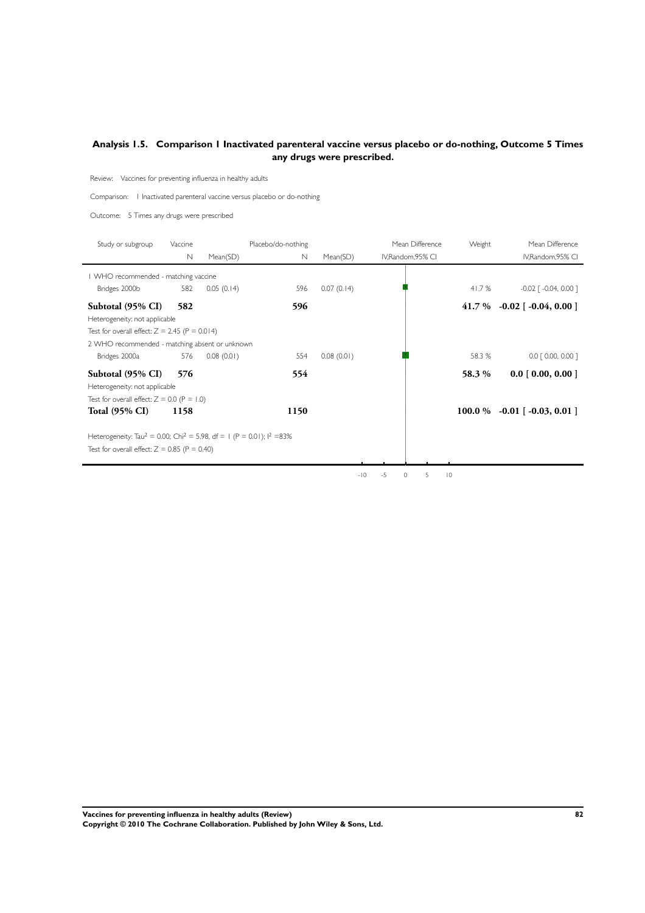#### **Analysis 1.5. Comparison 1 Inactivated parenteral vaccine versus placebo or do-nothing, Outcome 5 Times any drugs were prescribed.**

Review: Vaccines for preventing influenza in healthy adults

Comparison: 1 Inactivated parenteral vaccine versus placebo or do-nothing

Outcome: 5 Times any drugs were prescribed

| Study or subgroup                                                                              | Vaccine |            | Placebo/do-nothing |            |      | Mean Difference    | Weight          | Mean Difference                     |
|------------------------------------------------------------------------------------------------|---------|------------|--------------------|------------|------|--------------------|-----------------|-------------------------------------|
|                                                                                                | N       | Mean(SD)   | $\mathbb N$        | Mean(SD)   |      | IV, Random, 95% CI |                 | IV, Random, 95% CI                  |
| WHO recommended - matching vaccine                                                             |         |            |                    |            |      |                    |                 |                                     |
| Bridges 2000b                                                                                  | 582     | 0.05(0.14) | 596                | 0.07(0.14) |      |                    | 41.7%           | $-0.02$ $\lceil -0.04, 0.00 \rceil$ |
| Subtotal (95% CI)                                                                              | 582     |            | 596                |            |      |                    |                 | 41.7 % $-0.02$ [ $-0.04$ , 0.00 ]   |
| Heterogeneity: not applicable                                                                  |         |            |                    |            |      |                    |                 |                                     |
| Test for overall effect: $Z = 2.45$ (P = 0.014)                                                |         |            |                    |            |      |                    |                 |                                     |
| 2 WHO recommended - matching absent or unknown                                                 |         |            |                    |            |      |                    |                 |                                     |
| Bridges 2000a                                                                                  | 576     | 0.08(0.01) | 554                | 0.08(0.01) |      |                    | 58.3 %          | $0.0$ $[$ 0.00, 0.00 $]$            |
| Subtotal (95% CI)                                                                              | 576     |            | 554                |            |      |                    | 58.3 %          | $0.0$ [ 0.00, 0.00 ]                |
| Heterogeneity: not applicable                                                                  |         |            |                    |            |      |                    |                 |                                     |
| Test for overall effect: $Z = 0.0$ (P = 1.0)                                                   |         |            |                    |            |      |                    |                 |                                     |
| <b>Total (95% CI)</b>                                                                          | 1158    |            | 1150               |            |      |                    |                 | $100.0\%$ -0.01 [-0.03, 0.01]       |
| Heterogeneity: Tau <sup>2</sup> = 0.00; Chi <sup>2</sup> = 5.98, df = 1 (P = 0.01); $1^2$ =83% |         |            |                    |            |      |                    |                 |                                     |
| Test for overall effect: $Z = 0.85$ (P = 0.40)                                                 |         |            |                    |            |      |                    |                 |                                     |
|                                                                                                |         |            |                    |            |      |                    |                 |                                     |
|                                                                                                |         |            |                    | $-10$      | $-5$ | 5                  | $\overline{10}$ |                                     |
|                                                                                                |         |            |                    |            |      |                    |                 |                                     |

**Vaccines for preventing influenza in healthy adults (Review) 82**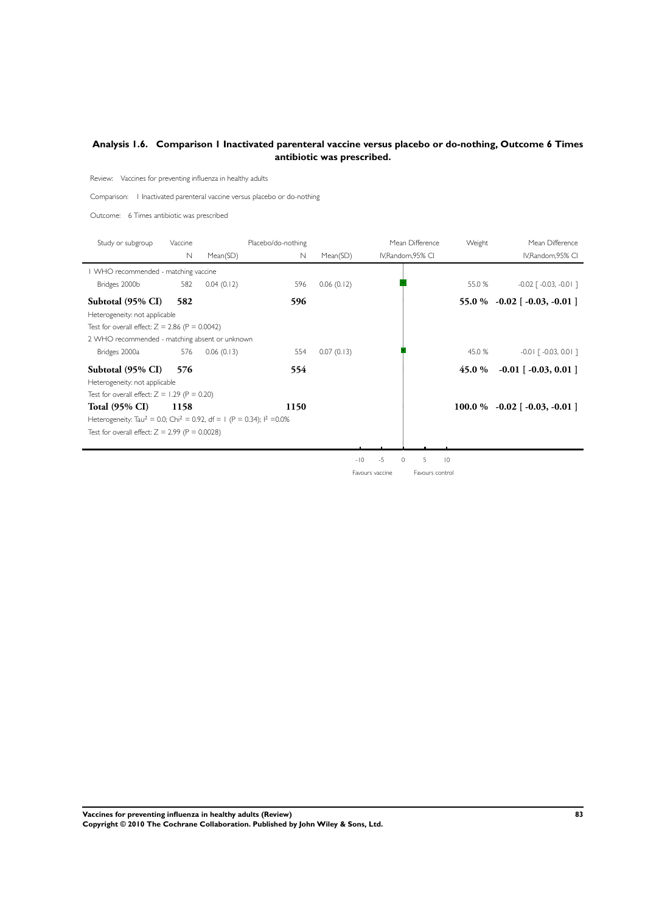#### <span id="page-85-0"></span>**Analysis 1.6. Comparison 1 Inactivated parenteral vaccine versus placebo or do-nothing, Outcome 6 Times antibiotic was prescribed.**

Review: Vaccines for preventing influenza in healthy adults

Comparison: 1 Inactivated parenteral vaccine versus placebo or do-nothing

Outcome: 6 Times antibiotic was prescribed

| Study or subgroup                                                                              | Vaccine |            | Placebo/do-nothing |            | Mean Difference    | Weight | Mean Difference                      |  |
|------------------------------------------------------------------------------------------------|---------|------------|--------------------|------------|--------------------|--------|--------------------------------------|--|
|                                                                                                | N       | Mean(SD)   | N                  | Mean(SD)   | IV, Random, 95% CI |        | IV, Random, 95% CI                   |  |
| WHO recommended - matching vaccine                                                             |         |            |                    |            |                    |        |                                      |  |
| Bridges 2000b                                                                                  | 582     | 0.04(0.12) | 596                | 0.06(0.12) |                    | 55.0 % | $-0.02$ $\lceil -0.03, -0.01 \rceil$ |  |
| Subtotal (95% CI)                                                                              | 582     |            | 596                |            |                    |        | $55.0\% -0.02$ [ -0.03, -0.01 ]      |  |
| Heterogeneity: not applicable                                                                  |         |            |                    |            |                    |        |                                      |  |
| Test for overall effect: $Z = 2.86$ (P = 0.0042)                                               |         |            |                    |            |                    |        |                                      |  |
| 2 WHO recommended - matching absent or unknown                                                 |         |            |                    |            |                    |        |                                      |  |
| Bridges 2000a                                                                                  | 576     | 0.06(0.13) | 554                | 0.07(0.13) |                    | 45.0 % | $-0.01$ $[-0.03, 0.01]$              |  |
| Subtotal (95% CI)                                                                              | 576     |            | 554                |            |                    | 45.0 % | $-0.01$ [ $-0.03$ , 0.01 ]           |  |
| Heterogeneity: not applicable                                                                  |         |            |                    |            |                    |        |                                      |  |
| Test for overall effect: $Z = 1.29$ (P = 0.20)                                                 |         |            |                    |            |                    |        |                                      |  |
| <b>Total (95% CI)</b>                                                                          | 1158    |            | 1150               |            |                    |        | $100.0\%$ -0.02 [-0.03, -0.01]       |  |
| Heterogeneity: Tau <sup>2</sup> = 0.0; Chi <sup>2</sup> = 0.92, df = 1 (P = 0.34); $1^2$ =0.0% |         |            |                    |            |                    |        |                                      |  |
| Test for overall effect: $Z = 2.99$ (P = 0.0028)                                               |         |            |                    |            |                    |        |                                      |  |
|                                                                                                |         |            |                    |            |                    |        |                                      |  |

 $-10$   $-5$  0 5 10 Favours vaccine Favours control

**Vaccines for preventing influenza in healthy adults (Review) 83**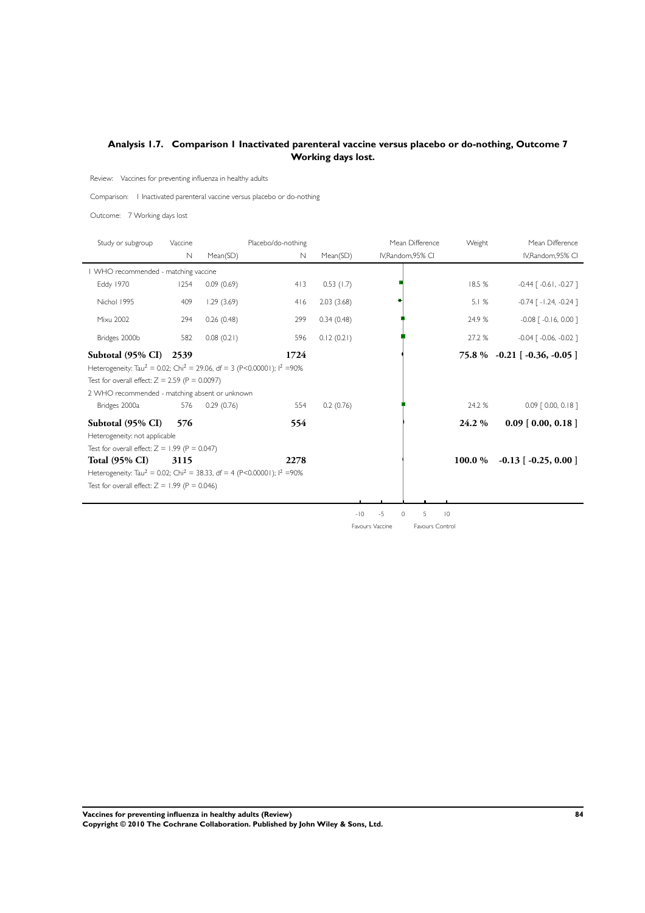#### <span id="page-86-0"></span>**Analysis 1.7. Comparison 1 Inactivated parenteral vaccine versus placebo or do-nothing, Outcome 7 Working days lost.**

Review: Vaccines for preventing influenza in healthy adults

Comparison: 1 Inactivated parenteral vaccine versus placebo or do-nothing

Outcome: 7 Working days lost

| Study or subgroup                                                                                 | Vaccine |            | Placebo/do-nothing |            | Mean Difference    | Weight  | Mean Difference                      |  |
|---------------------------------------------------------------------------------------------------|---------|------------|--------------------|------------|--------------------|---------|--------------------------------------|--|
|                                                                                                   | N       | Mean(SD)   | N                  | Mean(SD)   | IV, Random, 95% CI |         | IV, Random, 95% CI                   |  |
| WHO recommended - matching vaccine                                                                |         |            |                    |            |                    |         |                                      |  |
| Eddy 1970                                                                                         | 1254    | 0.09(0.69) | 413                | 0.53(1.7)  |                    | 18.5%   | $-0.44$ [ $-0.61$ , $-0.27$ ]        |  |
| Nichol 1995                                                                                       | 409     | 1.29(3.69) | 416                | 2.03(3.68) |                    | 5.1%    | $-0.74$ [ $-1.24$ , $-0.24$ ]        |  |
| <b>Mixu 2002</b>                                                                                  | 294     | 0.26(0.48) | 299                | 0.34(0.48) |                    | 24.9%   | $-0.08$ $\lceil -0.16, 0.00 \rceil$  |  |
| Bridges 2000b                                                                                     | 582     | 0.08(0.21) | 596                | 0.12(0.21) |                    | 27.2 %  | $-0.04$ $\lceil -0.06, -0.02 \rceil$ |  |
| Subtotal (95% CI)                                                                                 | 2539    |            | 1724               |            |                    |         | $75.8\%$ -0.21 [ -0.36, -0.05 ]      |  |
| Heterogeneity: Tau <sup>2</sup> = 0.02; Chi <sup>2</sup> = 29.06, df = 3 (P<0.00001); $1^2$ = 90% |         |            |                    |            |                    |         |                                      |  |
| Test for overall effect: $Z = 2.59$ (P = 0.0097)                                                  |         |            |                    |            |                    |         |                                      |  |
| 2 WHO recommended - matching absent or unknown                                                    |         |            |                    |            |                    |         |                                      |  |
| Bridges 2000a                                                                                     | 576     | 0.29(0.76) | 554                | 0.2(0.76)  |                    | 24.2 %  | $0.09$ $[0.00, 0.18]$                |  |
| Subtotal (95% CI)                                                                                 | 576     |            | 554                |            |                    | 24.2 %  | $0.09$ [ 0.00, 0.18 ]                |  |
| Heterogeneity: not applicable                                                                     |         |            |                    |            |                    |         |                                      |  |
| Test for overall effect: $Z = 1.99$ (P = 0.047)                                                   |         |            |                    |            |                    |         |                                      |  |
| <b>Total (95% CI)</b>                                                                             | 3115    |            | 2278               |            |                    | 100.0 % | $-0.13$ [ $-0.25$ , 0.00 ]           |  |
| Heterogeneity: Tau <sup>2</sup> = 0.02; Chi <sup>2</sup> = 38.33, df = 4 (P<0.00001); $1^2$ = 90% |         |            |                    |            |                    |         |                                      |  |
| Test for overall effect: $Z = 1.99$ (P = 0.046)                                                   |         |            |                    |            |                    |         |                                      |  |
|                                                                                                   |         |            |                    |            |                    |         |                                      |  |

 $-10$   $-5$  0 5 10

Favours Vaccine Favours Control

**Vaccines for preventing influenza in healthy adults (Review) 84**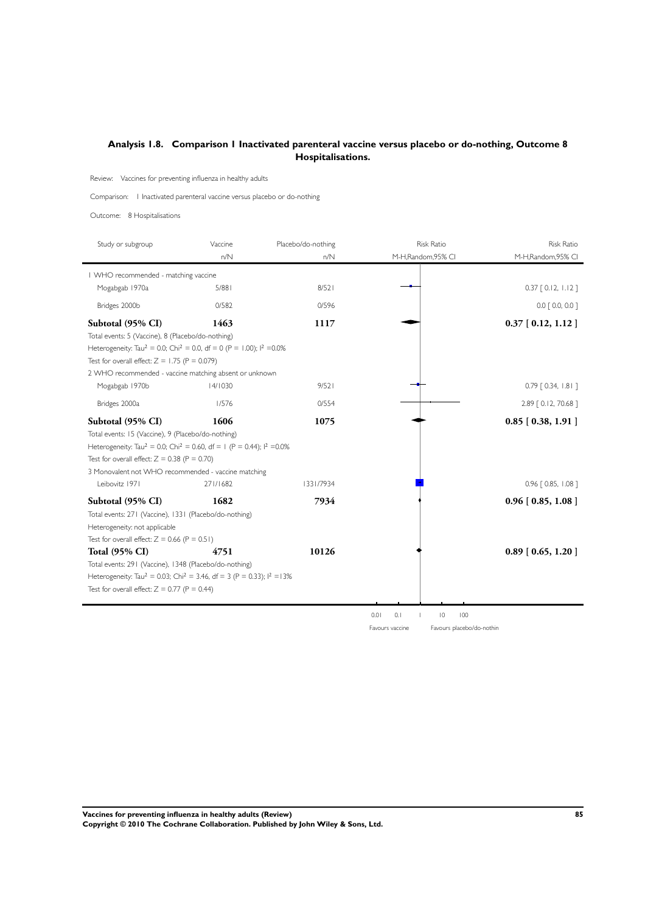## <span id="page-87-0"></span>**Analysis 1.8. Comparison 1 Inactivated parenteral vaccine versus placebo or do-nothing, Outcome 8 Hospitalisations.**

Review: Vaccines for preventing influenza in healthy adults

Comparison: 1 Inactivated parenteral vaccine versus placebo or do-nothing

Outcome: 8 Hospitalisations

| Study or subgroup                                                                                       | Vaccine  | Placebo/do-nothing | <b>Risk Ratio</b>                    | <b>Risk Ratio</b>              |
|---------------------------------------------------------------------------------------------------------|----------|--------------------|--------------------------------------|--------------------------------|
|                                                                                                         | n/N      | n/N                | M-H,Random,95% CI                    | M-H,Random,95% CI              |
| I WHO recommended - matching vaccine                                                                    |          |                    |                                      |                                |
| Mogabgab 1970a                                                                                          | 5/881    | 8/521              |                                      | $0.37$ $[0.12, 1.12]$          |
| Bridges 2000b                                                                                           | 0/582    | 0/596              |                                      | $0.0$ $\lceil 0.0, 0.0 \rceil$ |
| Subtotal (95% CI)                                                                                       | 1463     | 1117               |                                      | $0.37$ [ 0.12, 1.12 ]          |
| Total events: 5 (Vaccine), 8 (Placebo/do-nothing)                                                       |          |                    |                                      |                                |
| Heterogeneity: Tau <sup>2</sup> = 0.0; Chi <sup>2</sup> = 0.0, df = 0 (P = 1.00); l <sup>2</sup> = 0.0% |          |                    |                                      |                                |
| Test for overall effect: $Z = 1.75$ (P = 0.079)                                                         |          |                    |                                      |                                |
| 2 WHO recommended - vaccine matching absent or unknown                                                  |          |                    |                                      |                                |
| Mogabgab 1970b                                                                                          | 14/1030  | 9/521              |                                      | $0.79$ $[0.34, 1.81]$          |
| Bridges 2000a                                                                                           | 1/576    | 0/554              |                                      | 2.89 [ 0.12, 70.68 ]           |
| Subtotal (95% CI)                                                                                       | 1606     | 1075               |                                      | $0.85$ [ 0.38, 1.91 ]          |
| Total events: 15 (Vaccine), 9 (Placebo/do-nothing)                                                      |          |                    |                                      |                                |
| Heterogeneity: Tau <sup>2</sup> = 0.0; Chi <sup>2</sup> = 0.60, df = 1 (P = 0.44); $1^2$ = 0.0%         |          |                    |                                      |                                |
| Test for overall effect: $Z = 0.38$ (P = 0.70)                                                          |          |                    |                                      |                                |
| 3 Monovalent not WHO recommended - vaccine matching                                                     |          |                    |                                      |                                |
| Leibovitz 1971                                                                                          | 271/1682 | 1331/7934          |                                      | $0.96$ $[0.85, 1.08]$          |
| Subtotal (95% CI)                                                                                       | 1682     | 7934               |                                      | $0.96$ [ $0.85$ , $1.08$ ]     |
| Total events: 271 (Vaccine), 1331 (Placebo/do-nothing)                                                  |          |                    |                                      |                                |
| Heterogeneity: not applicable                                                                           |          |                    |                                      |                                |
| Test for overall effect: $Z = 0.66$ (P = 0.51)                                                          |          |                    |                                      |                                |
| <b>Total (95% CI)</b>                                                                                   | 4751     | 10126              |                                      | $0.89$ [ 0.65, 1.20 ]          |
| Total events: 291 (Vaccine), 1348 (Placebo/do-nothing)                                                  |          |                    |                                      |                                |
| Heterogeneity: Tau <sup>2</sup> = 0.03; Chi <sup>2</sup> = 3.46, df = 3 (P = 0.33); $1^2$ = 13%         |          |                    |                                      |                                |
| Test for overall effect: $Z = 0.77$ (P = 0.44)                                                          |          |                    |                                      |                                |
|                                                                                                         |          |                    |                                      |                                |
|                                                                                                         |          |                    | 0.01<br>0.1<br>$\overline{0}$<br>100 |                                |

Favours vaccine Favours placebo/do-nothin

**Vaccines for preventing influenza in healthy adults (Review) 85**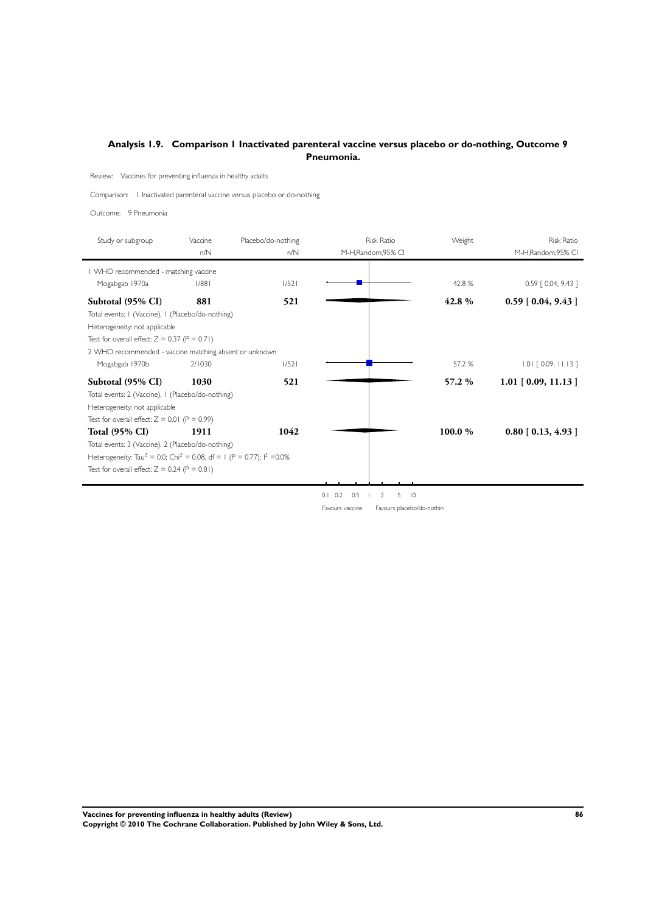## <span id="page-88-0"></span>**Analysis 1.9. Comparison 1 Inactivated parenteral vaccine versus placebo or do-nothing, Outcome 9 Pneumonia.**

Review: Vaccines for preventing influenza in healthy adults

Comparison: 1 Inactivated parenteral vaccine versus placebo or do-nothing

Outcome: 9 Pneumonia

| Study or subgroup                                                                                        | Vaccine | Placebo/do-nothing | Risk Ratio          | Weight | Risk Ratio                  |
|----------------------------------------------------------------------------------------------------------|---------|--------------------|---------------------|--------|-----------------------------|
|                                                                                                          | n/N     | n/N                | M-H, Random, 95% CI |        | M-H, Random, 95% CI         |
| I WHO recommended - matching vaccine                                                                     |         |                    |                     |        |                             |
| Mogabgab 1970a                                                                                           | 1/881   | 1/521              |                     | 42.8%  | $0.59$ $[0.04, 9.43]$       |
| Subtotal (95% CI)                                                                                        | 881     | 521                |                     | 42.8%  | $0.59 \mid 0.04, 9.43 \mid$ |
| Total events: I (Vaccine), I (Placebo/do-nothing)                                                        |         |                    |                     |        |                             |
| Heterogeneity: not applicable                                                                            |         |                    |                     |        |                             |
| Test for overall effect: $Z = 0.37$ (P = 0.71)                                                           |         |                    |                     |        |                             |
| 2 WHO recommended - vaccine matching absent or unknown                                                   |         |                    |                     |        |                             |
| Mogabgab 1970b                                                                                           | 2/1030  | 1/521              |                     | 57.2 % | $1.01$ $[0.09, 11.13]$      |
| Subtotal (95% CI)                                                                                        | 1030    | 521                |                     | 57.2 % | $1.01$ [ 0.09, 11.13 ]      |
| Total events: 2 (Vaccine), 1 (Placebo/do-nothing)                                                        |         |                    |                     |        |                             |
| Heterogeneity: not applicable                                                                            |         |                    |                     |        |                             |
| Test for overall effect: $Z = 0.01$ (P = 0.99)                                                           |         |                    |                     |        |                             |
| <b>Total (95% CI)</b>                                                                                    | 1911    | 1042               |                     | 100.0% | $0.80$ [ 0.13, 4.93 ]       |
| Total events: 3 (Vaccine), 2 (Placebo/do-nothing)                                                        |         |                    |                     |        |                             |
| Heterogeneity: Tau <sup>2</sup> = 0.0; Chi <sup>2</sup> = 0.08, df = 1 (P = 0.77); l <sup>2</sup> = 0.0% |         |                    |                     |        |                             |
| Test for overall effect: $Z = 0.24$ (P = 0.81)                                                           |         |                    |                     |        |                             |
|                                                                                                          |         |                    |                     |        |                             |

0.1 0.2 0.5 1 2 5 10

Favours vaccine Favours placebo/do-nothin

**Vaccines for preventing influenza in healthy adults (Review) 86**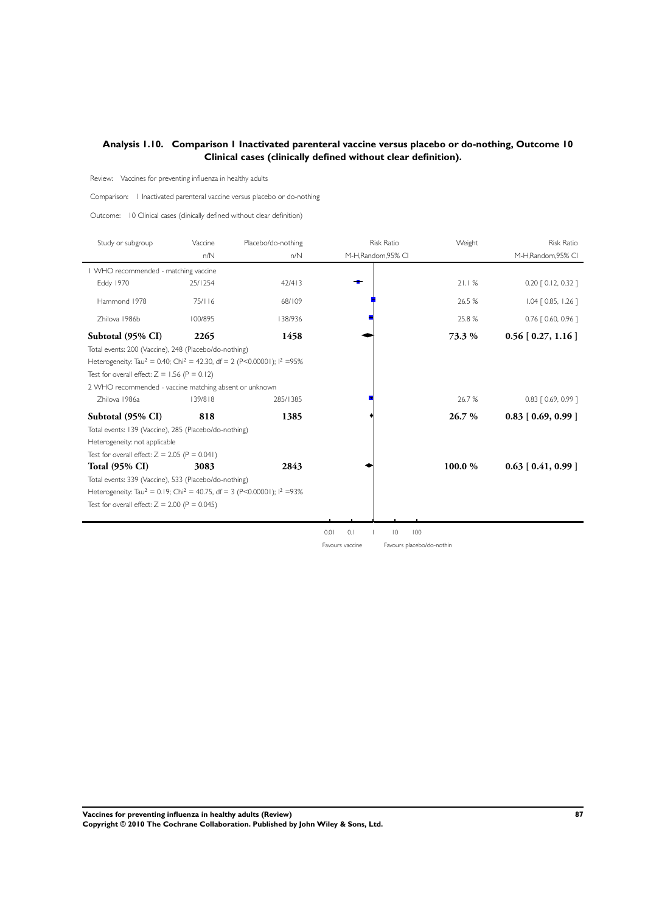## <span id="page-89-0"></span>**Analysis 1.10. Comparison 1 Inactivated parenteral vaccine versus placebo or do-nothing, Outcome 10 Clinical cases (clinically defined without clear definition).**

Review: Vaccines for preventing influenza in healthy adults

Comparison: 1 Inactivated parenteral vaccine versus placebo or do-nothing

Outcome: 10 Clinical cases (clinically defined without clear definition)

| Study or subgroup                                                                                | Vaccine | Placebo/do-nothing | <b>Risk Ratio</b>                 | Weight | <b>Risk Ratio</b>       |
|--------------------------------------------------------------------------------------------------|---------|--------------------|-----------------------------------|--------|-------------------------|
|                                                                                                  | n/N     | n/N                | M-H, Random, 95% CI               |        | M-H, Random, 95% CI     |
| WHO recommended - matching vaccine                                                               |         |                    |                                   |        |                         |
| Eddy 1970                                                                                        | 25/1254 | 42/413             |                                   | 21.1%  | $0.20$ $[0.12, 0.32]$   |
| Hammond 1978                                                                                     | 75/116  | 68/109             |                                   | 26.5 % | $1.04$ $[0.85, 1.26]$   |
| Zhilova 1986b                                                                                    | 100/895 | 138/936            |                                   | 25.8%  | $0.76$ $[0.60, 0.96]$   |
| Subtotal (95% CI)                                                                                | 2265    | 1458               |                                   | 73.3 % | $0.56$ [ $0.27, 1.16$ ] |
| Total events: 200 (Vaccine), 248 (Placebo/do-nothing)                                            |         |                    |                                   |        |                         |
| Heterogeneity: Tau <sup>2</sup> = 0.40; Chi <sup>2</sup> = 42.30, df = 2 (P<0.00001); $1^2$ =95% |         |                    |                                   |        |                         |
| Test for overall effect: $Z = 1.56$ (P = 0.12)                                                   |         |                    |                                   |        |                         |
| 2 WHO recommended - vaccine matching absent or unknown                                           |         |                    |                                   |        |                         |
| Zhilova 1986a                                                                                    | 139/818 | 285/1385           |                                   | 26.7%  | 0.83 [ 0.69, 0.99 ]     |
| Subtotal (95% CI)                                                                                | 818     | 1385               |                                   | 26.7 % | $0.83$ [ $0.69, 0.99$ ] |
| Total events: 139 (Vaccine), 285 (Placebo/do-nothing)                                            |         |                    |                                   |        |                         |
| Heterogeneity: not applicable                                                                    |         |                    |                                   |        |                         |
| Test for overall effect: $Z = 2.05$ (P = 0.041)                                                  |         |                    |                                   |        |                         |
| <b>Total (95% CI)</b>                                                                            | 3083    | 2843               |                                   | 100.0% | $0.63$ [ $0.41, 0.99$ ] |
| Total events: 339 (Vaccine), 533 (Placebo/do-nothing)                                            |         |                    |                                   |        |                         |
| Heterogeneity: Tau <sup>2</sup> = 0.19; Chi <sup>2</sup> = 40.75, df = 3 (P<0.00001); $1^2$ =93% |         |                    |                                   |        |                         |
| Test for overall effect: $Z = 2.00$ (P = 0.045)                                                  |         |                    |                                   |        |                         |
|                                                                                                  |         |                    |                                   |        |                         |
|                                                                                                  |         |                    | 0.01<br>0.1<br>$ 0\rangle$<br>100 |        |                         |

Favours vaccine Favours placebo/do-nothin

**Vaccines for preventing influenza in healthy adults (Review) 87**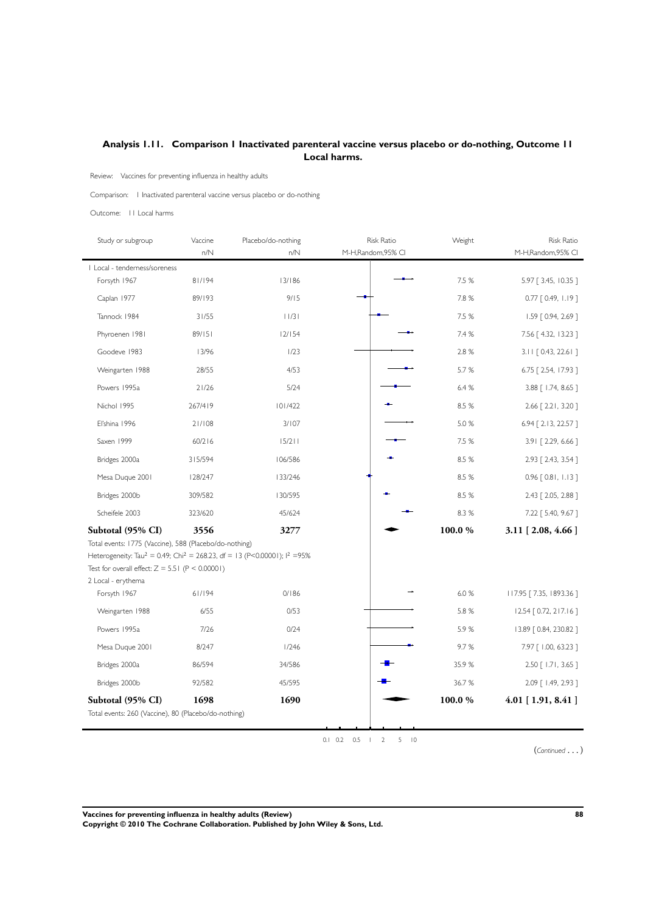## **Analysis 1.11. Comparison 1 Inactivated parenteral vaccine versus placebo or do-nothing, Outcome 11 Local harms.**

Review: Vaccines for preventing influenza in healthy adults

Comparison: 1 Inactivated parenteral vaccine versus placebo or do-nothing

Outcome: 11 Local harms

| Study or subgroup                                                                                                                                       | Vaccine | Placebo/do-nothing | <b>Risk Ratio</b>   | Weight | <b>Risk Ratio</b>       |
|---------------------------------------------------------------------------------------------------------------------------------------------------------|---------|--------------------|---------------------|--------|-------------------------|
|                                                                                                                                                         | n/N     | n/N                | M-H, Random, 95% CI |        | M-H,Random,95% CI       |
| I Local - tenderness/soreness                                                                                                                           |         |                    |                     |        |                         |
| Forsyth 1967                                                                                                                                            | 81/194  | 13/186             |                     | 7.5 %  | 5.97 [ 3.45, 10.35 ]    |
| Caplan 1977                                                                                                                                             | 89/193  | 9/15               |                     | 7.8%   | 0.77 [ 0.49, 1.19 ]     |
| Tannock 1984                                                                                                                                            | 31/55   | 11/31              |                     | 7.5 %  | 1.59 [0.94, 2.69]       |
| Phyroenen 1981                                                                                                                                          | 89/151  | 12/154             |                     | 7.4 %  | 7.56 [4.32, 13.23]      |
| Goodeve 1983                                                                                                                                            | 13/96   | 1/23               |                     | 2.8 %  | 3.11 [0.43, 22.61]      |
| Weingarten 1988                                                                                                                                         | 28/55   | 4/53               |                     | 5.7 %  | 6.75 [ 2.54, 17.93 ]    |
| Powers 1995a                                                                                                                                            | 21/26   | 5/24               |                     | 6.4 %  | 3.88   1.74, 8.65 ]     |
| Nichol 1995                                                                                                                                             | 267/419 | 101/422            |                     | 8.5 %  | 2.66 [ 2.21, 3.20 ]     |
| El'shina 1996                                                                                                                                           | 21/108  | 3/107              |                     | 5.0 %  | 6.94 [ 2.13, 22.57 ]    |
| Saxen 1999                                                                                                                                              | 60/216  | 15/211             |                     | 7.5 %  | 3.91 [2.29, 6.66]       |
| Bridges 2000a                                                                                                                                           | 315/594 | 106/586            |                     | 8.5 %  | 2.93 [ 2.43, 3.54 ]     |
| Mesa Duque 2001                                                                                                                                         | 128/247 | 133/246            |                     | 8.5 %  | $0.96$ $[0.81, 1.13]$   |
| Bridges 2000b                                                                                                                                           | 309/582 | 130/595            |                     | 8.5 %  | 2.43 [ 2.05, 2.88 ]     |
| Scheifele 2003                                                                                                                                          | 323/620 | 45/624             |                     | 8.3%   | 7.22 [ 5.40, 9.67 ]     |
| Subtotal (95% CI)                                                                                                                                       | 3556    | 3277               |                     | 100.0% | $3.11$ [ $2.08, 4.66$ ] |
| Total events: 1775 (Vaccine), 588 (Placebo/do-nothing)                                                                                                  |         |                    |                     |        |                         |
| Heterogeneity: Tau <sup>2</sup> = 0.49; Chi <sup>2</sup> = 268.23, df = 13 (P<0.00001); $1^2$ =95%<br>Test for overall effect: $Z = 5.51$ (P < 0.00001) |         |                    |                     |        |                         |
| 2 Local - erythema                                                                                                                                      |         |                    |                     |        |                         |
| Forsyth 1967                                                                                                                                            | 61/194  | 0/186              |                     | 6.0%   | 117.95 [7.35, 1893.36]  |
| Weingarten 1988                                                                                                                                         | 6/55    | 0/53               |                     | 5.8 %  | 12.54 [0.72, 217.16]    |
| Powers 1995a                                                                                                                                            | 7/26    | 0/24               |                     | 5.9%   | 13.89   0.84, 230.82    |
| Mesa Duque 2001                                                                                                                                         | 8/247   | 1/246              |                     | 9.7%   | 7.97 [ 1.00, 63.23 ]    |
| Bridges 2000a                                                                                                                                           | 86/594  | 34/586             |                     | 35.9%  | 2.50 [ 1.71, 3.65 ]     |
| Bridges 2000b                                                                                                                                           | 92/582  | 45/595             |                     | 36.7%  | 2.09 [ 1.49, 2.93 ]     |
| Subtotal (95% CI)                                                                                                                                       | 1698    | 1690               |                     | 100.0% | 4.01 [1.91, 8.41]       |
| Total events: 260 (Vaccine), 80 (Placebo/do-nothing)                                                                                                    |         |                    |                     |        |                         |
|                                                                                                                                                         |         |                    |                     |        |                         |

0.1 0.2 0.5 1 2 5 10

(*Continued* ... )

**Vaccines for preventing influenza in healthy adults (Review) 88**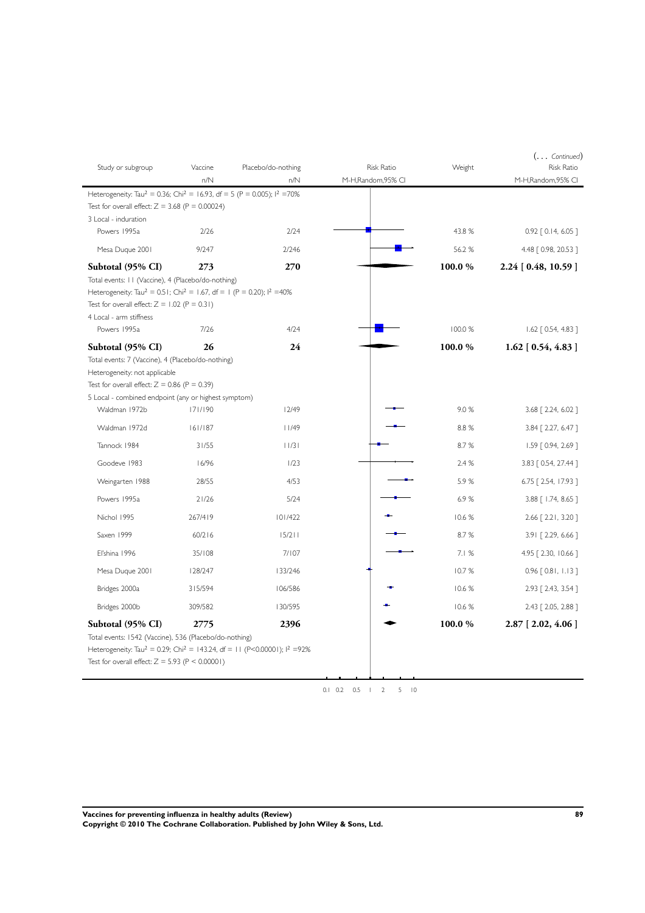<span id="page-91-0"></span>

| Study or subgroup                                                                                                                                                                                                                      | Vaccine<br>n/N | Placebo/do-nothing<br>n/N | <b>Risk Ratio</b><br>M-H, Random, 95% CI | Weight  | $(\ldots$ Continued)<br><b>Risk Ratio</b><br>M-H, Random, 95% CI |
|----------------------------------------------------------------------------------------------------------------------------------------------------------------------------------------------------------------------------------------|----------------|---------------------------|------------------------------------------|---------|------------------------------------------------------------------|
| Heterogeneity: Tau <sup>2</sup> = 0.36; Chi <sup>2</sup> = 16.93, df = 5 (P = 0.005); l <sup>2</sup> =70%                                                                                                                              |                |                           |                                          |         |                                                                  |
| Test for overall effect: $Z = 3.68$ (P = 0.00024)                                                                                                                                                                                      |                |                           |                                          |         |                                                                  |
| 3 Local - induration                                                                                                                                                                                                                   |                |                           |                                          |         |                                                                  |
| Powers 1995a                                                                                                                                                                                                                           | 2/26           | 2/24                      |                                          | 43.8%   | $0.92$ [ 0.14, 6.05 ]                                            |
| Mesa Duque 2001                                                                                                                                                                                                                        | 9/247          | 2/246                     |                                          | 56.2%   | 4.48 [ 0.98, 20.53 ]                                             |
| Subtotal (95% CI)                                                                                                                                                                                                                      | 273            | 270                       |                                          | 100.0%  | 2.24 [0.48, 10.59]                                               |
| Total events: II (Vaccine), 4 (Placebo/do-nothing)                                                                                                                                                                                     |                |                           |                                          |         |                                                                  |
| Heterogeneity: Tau <sup>2</sup> = 0.51; Chi <sup>2</sup> = 1.67, df = 1 (P = 0.20); $1^2$ =40%                                                                                                                                         |                |                           |                                          |         |                                                                  |
| Test for overall effect: $Z = 1.02$ (P = 0.31)                                                                                                                                                                                         |                |                           |                                          |         |                                                                  |
| 4 Local - arm stiffness<br>Powers 1995a                                                                                                                                                                                                | 7/26           | 4/24                      |                                          | 100.0 % | $1.62$ $[0.54, 4.83]$                                            |
| Subtotal (95% CI)                                                                                                                                                                                                                      | 26             | 24                        |                                          | 100.0%  | $1.62$ [ 0.54, 4.83 ]                                            |
| Total events: 7 (Vaccine), 4 (Placebo/do-nothing)                                                                                                                                                                                      |                |                           |                                          |         |                                                                  |
| Heterogeneity: not applicable                                                                                                                                                                                                          |                |                           |                                          |         |                                                                  |
| Test for overall effect: $Z = 0.86$ (P = 0.39)                                                                                                                                                                                         |                |                           |                                          |         |                                                                  |
| 5 Local - combined endpoint (any or highest symptom)                                                                                                                                                                                   |                |                           |                                          |         |                                                                  |
| Waldman 1972b                                                                                                                                                                                                                          | 171/190        | 12/49                     |                                          | 9.0%    | 3.68   2.24, 6.02                                                |
| Waldman 1972d                                                                                                                                                                                                                          | 161/187        | 11/49                     |                                          | 8.8%    | 3.84 [ 2.27, 6.47 ]                                              |
| Tannock 1984                                                                                                                                                                                                                           | 31/55          | 11/31                     |                                          | 8.7%    | 1.59 [0.94, 2.69]                                                |
| Goodeve 1983                                                                                                                                                                                                                           | 16/96          | 1/23                      |                                          | 2.4 %   | 3.83 [ 0.54, 27.44 ]                                             |
| Weingarten 1988                                                                                                                                                                                                                        | 28/55          | 4/53                      |                                          | 5.9%    | 6.75 [ 2.54, 17.93 ]                                             |
| Powers 1995a                                                                                                                                                                                                                           | 21/26          | 5/24                      |                                          | 6.9%    | 3.88 [ 1.74, 8.65 ]                                              |
| Nichol 1995                                                                                                                                                                                                                            | 267/419        | 101/422                   |                                          | 10.6%   | 2.66 [2.21, 3.20]                                                |
| Saxen 1999                                                                                                                                                                                                                             | 60/216         | 15/211                    |                                          | 8.7%    | 3.91 [2.29, 6.66]                                                |
| El'shina 1996                                                                                                                                                                                                                          | 35/108         | 7/107                     |                                          | 7.1%    | 4.95 [2.30, 10.66]                                               |
| Mesa Duque 2001                                                                                                                                                                                                                        | 128/247        | 133/246                   |                                          | 10.7%   | $0.96$ $[0.81, 1.13]$                                            |
| Bridges 2000a                                                                                                                                                                                                                          | 315/594        | 106/586                   |                                          | 10.6%   | 2.93 [ 2.43, 3.54 ]                                              |
| Bridges 2000b                                                                                                                                                                                                                          | 309/582        | 130/595                   |                                          | 10.6%   | 2.43 [ 2.05, 2.88 ]                                              |
| Subtotal (95% CI)<br>Total events: 1542 (Vaccine), 536 (Placebo/do-nothing)<br>Heterogeneity: Tau <sup>2</sup> = 0.29; Chi <sup>2</sup> = 143.24, df = 11 (P<0.00001); $1^2$ =92%<br>Test for overall effect: $Z = 5.93$ (P < 0.00001) | 2775           | 2396                      |                                          | 100.0%  | $2.87$ [ $2.02, 4.06$ ]                                          |
|                                                                                                                                                                                                                                        |                |                           |                                          |         |                                                                  |

 $0.1$   $0.2$   $0.5$   $1$   $2$   $5$   $10$ 

**Vaccines for preventing influenza in healthy adults (Review) 89**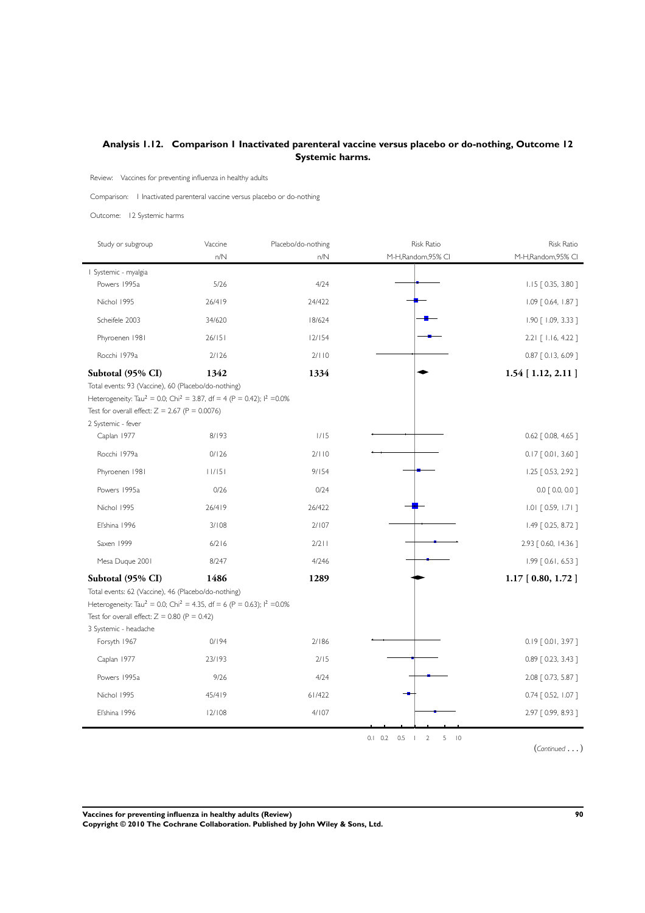## **Analysis 1.12. Comparison 1 Inactivated parenteral vaccine versus placebo or do-nothing, Outcome 12 Systemic harms.**

Review: Vaccines for preventing influenza in healthy adults

Comparison: 1 Inactivated parenteral vaccine versus placebo or do-nothing

Outcome: 12 Systemic harms

| Study or subgroup                                                                                                                                                                                                                          | Vaccine | Placebo/do-nothing | Risk Ratio                                         | Risk Ratio               |
|--------------------------------------------------------------------------------------------------------------------------------------------------------------------------------------------------------------------------------------------|---------|--------------------|----------------------------------------------------|--------------------------|
|                                                                                                                                                                                                                                            | n/N     | n/N                | M-H,Random,95% CI                                  | M-H,Random,95% CI        |
| Systemic - myalgia                                                                                                                                                                                                                         |         |                    |                                                    |                          |
| Powers 1995a                                                                                                                                                                                                                               | 5/26    | 4/24               |                                                    | $1.15$ [ 0.35, 3.80 ]    |
| Nichol 1995                                                                                                                                                                                                                                | 26/419  | 24/422             |                                                    | $1.09$ $[0.64, 1.87]$    |
| Scheifele 2003                                                                                                                                                                                                                             | 34/620  | 18/624             |                                                    | $1.90$ [ $1.09$ , 3.33 ] |
| Phyroenen 1981                                                                                                                                                                                                                             | 26/151  | 12/154             |                                                    | $2.21$   1.16, 4.22 ]    |
| Rocchi 1979a                                                                                                                                                                                                                               | 2/126   | 2/110              |                                                    | $0.87$ [ 0.13, 6.09 ]    |
| Subtotal (95% CI)                                                                                                                                                                                                                          | 1342    | 1334               |                                                    | $1.54$ [ 1.12, 2.11 ]    |
| Total events: 93 (Vaccine), 60 (Placebo/do-nothing)                                                                                                                                                                                        |         |                    |                                                    |                          |
| Heterogeneity: Tau <sup>2</sup> = 0.0; Chi <sup>2</sup> = 3.87, df = 4 (P = 0.42); l <sup>2</sup> = 0.0%                                                                                                                                   |         |                    |                                                    |                          |
| Test for overall effect: $Z = 2.67$ (P = 0.0076)<br>2 Systemic - fever                                                                                                                                                                     |         |                    |                                                    |                          |
| Caplan 1977                                                                                                                                                                                                                                | 8/193   | 1/15               |                                                    | $0.62$ $[0.08, 4.65]$    |
| Rocchi 1979a                                                                                                                                                                                                                               | 0/126   | 2/110              |                                                    | $0.17$ $[0.01, 3.60]$    |
| Phyroenen 1981                                                                                                                                                                                                                             | 11/151  | 9/154              |                                                    | $1.25$ $[0.53, 2.92]$    |
| Powers 1995a                                                                                                                                                                                                                               | 0/26    | 0/24               |                                                    | $0.0$ [ 0.0, 0.0 ]       |
| Nichol 1995                                                                                                                                                                                                                                | 26/419  | 26/422             |                                                    | $1.01$ $[0.59, 1.71]$    |
| El'shina 1996                                                                                                                                                                                                                              | 3/108   | 2/107              |                                                    | $1.49$ $[0.25, 8.72]$    |
| Saxen 1999                                                                                                                                                                                                                                 | $6/216$ | $2/2$              |                                                    | 2.93 [0.60, 14.36]       |
| Mesa Duque 2001                                                                                                                                                                                                                            | 8/247   | 4/246              |                                                    | $1.99$ [ 0.61, 6.53 ]    |
| Subtotal (95% CI)                                                                                                                                                                                                                          | 1486    | 1289               |                                                    | $1.17$ [ 0.80, 1.72 ]    |
| Total events: 62 (Vaccine), 46 (Placebo/do-nothing)<br>Heterogeneity: Tau <sup>2</sup> = 0.0; Chi <sup>2</sup> = 4.35, df = 6 (P = 0.63); l <sup>2</sup> = 0.0%<br>Test for overall effect: $Z = 0.80$ (P = 0.42)<br>3 Systemic - headache |         |                    |                                                    |                          |
| Forsyth 1967                                                                                                                                                                                                                               | 0/194   | 2/186              |                                                    | $0.19$ $[0.01, 3.97]$    |
| Caplan 1977                                                                                                                                                                                                                                | 23/193  | 2/15               |                                                    | $0.89$ $[0.23, 3.43]$    |
| Powers 1995a                                                                                                                                                                                                                               | 9/26    | 4/24               |                                                    | 2.08 [ 0.73, 5.87 ]      |
| Nichol 1995                                                                                                                                                                                                                                | 45/419  | 61/422             |                                                    | $0.74$ $[0.52, 1.07]$    |
| El'shina 1996                                                                                                                                                                                                                              | 12/108  | 4/107              |                                                    | 2.97 [0.99, 8.93]        |
|                                                                                                                                                                                                                                            |         |                    | $0.1$ $0.2$ $0.5$ $1$<br>5<br> 0<br>$\overline{2}$ | $(Continued \dots$       |

**Vaccines for preventing influenza in healthy adults (Review) 90**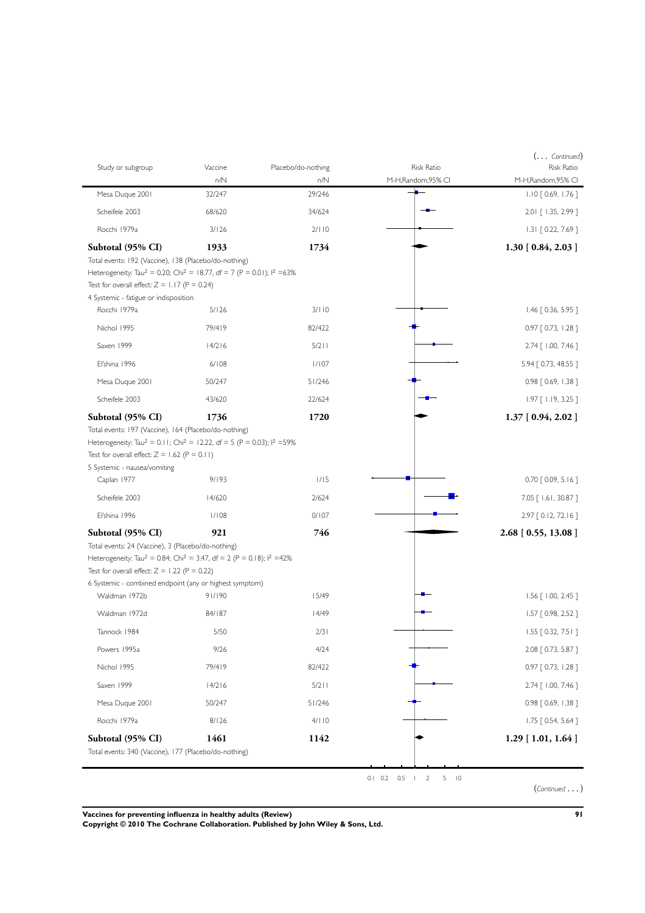| Study or subgroup                                                                                                                                                                                                                                                           | Vaccine<br>n/N           | Placebo/do-nothing<br>n/N | <b>Risk Ratio</b><br>M-H,Random,95% CI                  | $(\ldots$ Continued)<br><b>Risk Ratio</b><br>M-H,Random,95% CI      |
|-----------------------------------------------------------------------------------------------------------------------------------------------------------------------------------------------------------------------------------------------------------------------------|--------------------------|---------------------------|---------------------------------------------------------|---------------------------------------------------------------------|
| Mesa Duque 2001                                                                                                                                                                                                                                                             | 32/247                   | 29/246                    |                                                         | $1.10$ [ 0.69, 1.76 ]                                               |
| Scheifele 2003                                                                                                                                                                                                                                                              | 68/620                   | 34/624                    |                                                         | 2.01 [ 1.35, 2.99 ]                                                 |
| Rocchi 1979a                                                                                                                                                                                                                                                                | 3/126                    | 2/110                     |                                                         | $1.31$ $[0.22, 7.69]$                                               |
| Subtotal (95% CI)                                                                                                                                                                                                                                                           | 1933                     | 1734                      |                                                         | 1.30 [0.84, 2.03]                                                   |
| Total events: 192 (Vaccine), 138 (Placebo/do-nothing)<br>Heterogeneity: Tau <sup>2</sup> = 0.20; Chi <sup>2</sup> = 18.77, df = 7 (P = 0.01); l <sup>2</sup> =63%<br>Test for overall effect: $Z = 1.17$ (P = 0.24)<br>4 Systemic - fatigue or indisposition                |                          |                           |                                                         |                                                                     |
| Rocchi 1979a                                                                                                                                                                                                                                                                | 5/126                    | 3/110                     |                                                         | $1.46$ [ 0.36, 5.95 ]                                               |
| Nichol 1995                                                                                                                                                                                                                                                                 | 79/419                   | 82/422                    |                                                         | $0.97$ $[ 0.73, 1.28 ]$                                             |
| Saxen 1999                                                                                                                                                                                                                                                                  | 14/216                   | $5/2$                     |                                                         | 2.74 [ 1.00, 7.46 ]                                                 |
| El'shina 1996                                                                                                                                                                                                                                                               | 6/108                    | 1/107                     |                                                         | 5.94 [ 0.73, 48.55 ]                                                |
| Mesa Duque 2001                                                                                                                                                                                                                                                             | 50/247                   | 51/246                    |                                                         | 0.98 [ 0.69, 1.38 ]                                                 |
| Scheifele 2003                                                                                                                                                                                                                                                              | 43/620                   | 22/624                    |                                                         | $1.97$ [ 1.19, 3.25 ]                                               |
| Subtotal (95% CI)                                                                                                                                                                                                                                                           | 1736                     | 1720                      |                                                         | 1.37 [0.94, 2.02]                                                   |
| Heterogeneity: Tau <sup>2</sup> = 0.11; Chi <sup>2</sup> = 12.22, df = 5 (P = 0.03); l <sup>2</sup> =59%<br>Test for overall effect: $Z = 1.62$ (P = 0.11)<br>5 Systemic - nausea/vomiting<br>Caplan 1977<br>Scheifele 2003<br>El'shina 1996                                | 9/193<br>14/620<br>1/108 | 1/15<br>2/624<br>0/107    |                                                         | $0.70$ $[0.09, 5.16]$<br>7.05   1.61, 30.87 ]<br>2.97 [0.12, 72.16] |
| Subtotal (95% CI)                                                                                                                                                                                                                                                           | 921                      | 746                       |                                                         | 2.68 [0.55, 13.08]                                                  |
| Total events: 24 (Vaccine), 3 (Placebo/do-nothing)<br>Heterogeneity: Tau <sup>2</sup> = 0.84; Chi <sup>2</sup> = 3.47, df = 2 (P = 0.18); l <sup>2</sup> = 42%<br>Test for overall effect: $Z = 1.22$ (P = 0.22)<br>6 Systemic - combined endpoint (any or highest symptom) |                          |                           |                                                         |                                                                     |
| Waldman 1972b                                                                                                                                                                                                                                                               | 91/190                   | 15/49                     |                                                         | $1.56$ $[ 1.00, 2.45 ]$                                             |
| Waldman 1972d                                                                                                                                                                                                                                                               | 84/187                   | 14/49                     |                                                         | 1.57 [ 0.98, 2.52 ]                                                 |
| Tannock 1984                                                                                                                                                                                                                                                                | 5/50                     | 2/31                      |                                                         | 1.55 [ 0.32, 7.5   ]                                                |
| Powers 1995a                                                                                                                                                                                                                                                                | 9/26                     | 4/24                      |                                                         | 2.08 [ 0.73, 5.87 ]                                                 |
| Nichol 1995                                                                                                                                                                                                                                                                 | 79/419                   | 82/422                    |                                                         | $0.97$ $[ 0.73, 1.28 ]$                                             |
| Saxen 1999                                                                                                                                                                                                                                                                  | $14/216$                 | 5/211                     |                                                         | 2.74 [ 1.00, 7.46 ]                                                 |
| Mesa Duque 2001                                                                                                                                                                                                                                                             | 50/247                   | 51/246                    |                                                         | 0.98 [ 0.69, 1.38 ]                                                 |
| Rocchi 1979a                                                                                                                                                                                                                                                                | 8/126                    | 4/110                     |                                                         | $1.75$ $[0.54, 5.64]$                                               |
| Subtotal (95% CI)<br>Total events: 340 (Vaccine), 177 (Placebo/do-nothing)                                                                                                                                                                                                  | 1461                     | 1142                      |                                                         | $1.29$ [ $1.01, 1.64$ ]                                             |
|                                                                                                                                                                                                                                                                             |                          |                           | $0.1$ $0.2$ $0.5$ $1$<br>$\overline{2}$<br>$5 \quad 10$ |                                                                     |

(*Continued* ... )

**Vaccines for preventing influenza in healthy adults (Review) 91**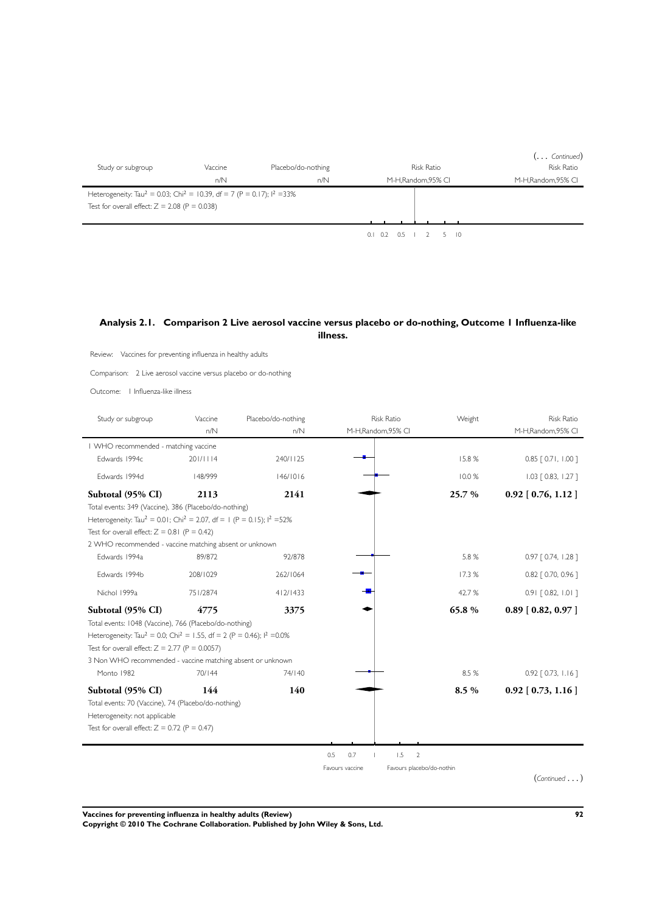

## **Analysis 2.1. Comparison 2 Live aerosol vaccine versus placebo or do-nothing, Outcome 1 Influenza-like illness.**

Review: Vaccines for preventing influenza in healthy adults

Comparison: 2 Live aerosol vaccine versus placebo or do-nothing

Outcome: 1 Influenza-like illness

| Study or subgroup                                                                               | Vaccine  | Placebo/do-nothing |                 | <b>Risk Ratio</b>         | Weight | Risk Ratio               |
|-------------------------------------------------------------------------------------------------|----------|--------------------|-----------------|---------------------------|--------|--------------------------|
|                                                                                                 | n/N      | n/N                |                 | M-H,Random,95% CI         |        | M-H,Random,95% CI        |
| I WHO recommended - matching vaccine                                                            |          |                    |                 |                           |        |                          |
| Edwards 1994c                                                                                   | 201/1114 | 240/1125           |                 |                           | 15.8%  | $0.85$ $[0.71, 1.00]$    |
| Edwards 1994d                                                                                   | 148/999  | 146/1016           |                 |                           | 10.0%  | $1.03$ $[0.83, 1.27]$    |
| Subtotal (95% CI)                                                                               | 2113     | 2141               |                 |                           | 25.7 % | $0.92$ [ $0.76$ , 1.12 ] |
| Total events: 349 (Vaccine), 386 (Placebo/do-nothing)                                           |          |                    |                 |                           |        |                          |
| Heterogeneity: Tau <sup>2</sup> = 0.01; Chi <sup>2</sup> = 2.07, df = 1 (P = 0.15); $1^2$ =52%  |          |                    |                 |                           |        |                          |
| Test for overall effect: $Z = 0.81$ (P = 0.42)                                                  |          |                    |                 |                           |        |                          |
| 2 WHO recommended - vaccine matching absent or unknown                                          |          |                    |                 |                           |        |                          |
| Edwards 1994a                                                                                   | 89/872   | 92/878             |                 |                           | 5.8 %  | $0.97$ $[0.74, 1.28]$    |
| Edwards 1994b                                                                                   | 208/1029 | 262/1064           |                 |                           | 17.3 % | $0.82$ $[0.70, 0.96]$    |
| Nichol 1999a                                                                                    | 751/2874 | 412/1433           |                 |                           | 42.7%  | $0.91$ $[0.82, 1.01]$    |
| Subtotal (95% CI)                                                                               | 4775     | 3375               |                 |                           | 65.8%  | $0.89$ [ $0.82, 0.97$ ]  |
| Total events: 1048 (Vaccine), 766 (Placebo/do-nothing)                                          |          |                    |                 |                           |        |                          |
| Heterogeneity: Tau <sup>2</sup> = 0.0; Chi <sup>2</sup> = 1.55, df = 2 (P = 0.46); $1^2$ = 0.0% |          |                    |                 |                           |        |                          |
| Test for overall effect: $Z = 2.77$ (P = 0.0057)                                                |          |                    |                 |                           |        |                          |
| 3 Non WHO recommended - vaccine matching absent or unknown                                      |          |                    |                 |                           |        |                          |
| Monto 1982                                                                                      | 70/144   | 74/140             |                 |                           | 8.5 %  | $0.92$ $[0.73, 1.16]$    |
| Subtotal (95% CI)                                                                               | 144      | 140                |                 |                           | 8.5 %  | $0.92$ [ 0.73, 1.16 ]    |
| Total events: 70 (Vaccine), 74 (Placebo/do-nothing)                                             |          |                    |                 |                           |        |                          |
| Heterogeneity: not applicable                                                                   |          |                    |                 |                           |        |                          |
| Test for overall effect: $Z = 0.72$ (P = 0.47)                                                  |          |                    |                 |                           |        |                          |
|                                                                                                 |          |                    |                 |                           |        |                          |
|                                                                                                 |          |                    | 0.5<br>0.7      | 1.5<br>$\overline{2}$     |        |                          |
|                                                                                                 |          |                    | Favours vaccine | Favours placebo/do-nothin |        |                          |
|                                                                                                 |          |                    |                 |                           |        | $(Continued \dots)$      |

**Vaccines for preventing influenza in healthy adults (Review) 92**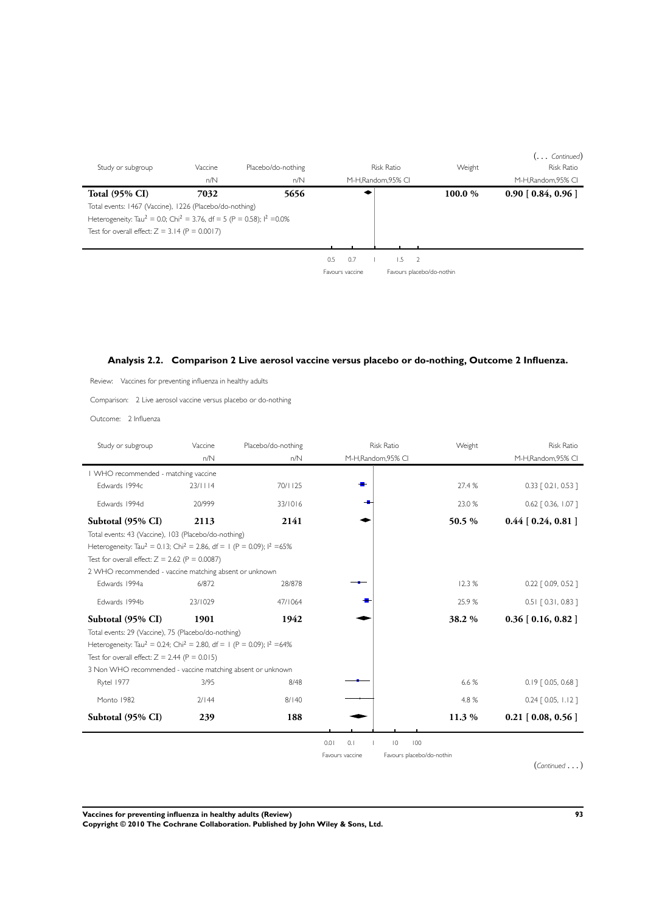<span id="page-95-0"></span>

|                                                                                                          |         |                    |     |                 |                   |                |                           | $(\ldots$ Continued)       |
|----------------------------------------------------------------------------------------------------------|---------|--------------------|-----|-----------------|-------------------|----------------|---------------------------|----------------------------|
| Study or subgroup                                                                                        | Vaccine | Placebo/do-nothing |     |                 | Risk Ratio        |                | Weight                    | <b>Risk Ratio</b>          |
|                                                                                                          | n/N     | n/N                |     |                 | M-H.Random.95% CI |                |                           | M-H, Random, 95% CI        |
| <b>Total (95% CI)</b>                                                                                    | 7032    | 5656               |     |                 |                   |                | 100.0%                    | $0.90$ [ $0.84$ , $0.96$ ] |
| Total events: 1467 (Vaccine), 1226 (Placebo/do-nothing)                                                  |         |                    |     |                 |                   |                |                           |                            |
| Heterogeneity: Tau <sup>2</sup> = 0.0; Chi <sup>2</sup> = 3.76, df = 5 (P = 0.58); l <sup>2</sup> = 0.0% |         |                    |     |                 |                   |                |                           |                            |
| Test for overall effect: $Z = 3.14$ (P = 0.0017)                                                         |         |                    |     |                 |                   |                |                           |                            |
|                                                                                                          |         |                    |     |                 |                   |                |                           |                            |
|                                                                                                          |         |                    | 0.5 | 0.7             | 1.5               | $\overline{2}$ |                           |                            |
|                                                                                                          |         |                    |     | Favours vaccine |                   |                | Favours placebo/do-nothin |                            |
|                                                                                                          |         |                    |     |                 |                   |                |                           |                            |

# **Analysis 2.2. Comparison 2 Live aerosol vaccine versus placebo or do-nothing, Outcome 2 Influenza.**

Review: Vaccines for preventing influenza in healthy adults

Comparison: 2 Live aerosol vaccine versus placebo or do-nothing

Outcome: 2 Influenza

| Study or subgroup                                                                              | Vaccine<br>n/N | Placebo/do-nothing<br>n/N | <b>Risk Ratio</b><br>M-H, Random, 95% CI | Weight | <b>Risk Ratio</b><br>M-H, Random, 95% CI |
|------------------------------------------------------------------------------------------------|----------------|---------------------------|------------------------------------------|--------|------------------------------------------|
| I WHO recommended - matching vaccine                                                           |                |                           |                                          |        |                                          |
| Edwards 1994c                                                                                  | 23/1114        | 70/1125                   |                                          | 27.4 % | $0.33$ $[0.21, 0.53]$                    |
| Edwards 1994d                                                                                  | 20/999         | 33/1016                   |                                          | 23.0 % | $0.62$ $[0.36, 1.07]$                    |
| Subtotal (95% CI)                                                                              | 2113           | 2141                      |                                          | 50.5 % | $0.44$ [ 0.24, 0.81 ]                    |
| Total events: 43 (Vaccine), 103 (Placebo/do-nothing)                                           |                |                           |                                          |        |                                          |
| Heterogeneity: Tau <sup>2</sup> = 0.13; Chi <sup>2</sup> = 2.86, df = 1 (P = 0.09); $1^2$ =65% |                |                           |                                          |        |                                          |
| Test for overall effect: $Z = 2.62$ (P = 0.0087)                                               |                |                           |                                          |        |                                          |
| 2 WHO recommended - vaccine matching absent or unknown                                         |                |                           |                                          |        |                                          |
| Fdwards 1994a                                                                                  | 6/872          | 28/878                    |                                          | 12.3%  | $0.22$ $[0.09, 0.52]$                    |
| Edwards 1994b                                                                                  | 23/1029        | 47/1064                   |                                          | 25.9%  | $0.51$ $[0.31, 0.83]$                    |
| Subtotal (95% CI)                                                                              | 1901           | 1942                      |                                          | 38.2 % | $0.36$ [ $0.16$ , $0.82$ ]               |
| Total events: 29 (Vaccine), 75 (Placebo/do-nothing)                                            |                |                           |                                          |        |                                          |
| Heterogeneity: Tau <sup>2</sup> = 0.24; Chi <sup>2</sup> = 2.80, df = 1 (P = 0.09); $1^2$ =64% |                |                           |                                          |        |                                          |
| Test for overall effect: $Z = 2.44$ (P = 0.015)                                                |                |                           |                                          |        |                                          |
| 3 Non WHO recommended - vaccine matching absent or unknown                                     |                |                           |                                          |        |                                          |
| <b>Rytel 1977</b>                                                                              | 3/95           | 8/48                      |                                          | 6.6 %  | $0.19$ $[0.05, 0.68]$                    |
| Monto 1982                                                                                     | 2/144          | 8/140                     |                                          | 4.8%   | $0.24$ $[0.05, 1.12]$                    |
| Subtotal (95% CI)                                                                              | 239            | 188                       |                                          | 11.3 % | $0.21$ [ 0.08, 0.56 ]                    |
|                                                                                                |                |                           | 0.01<br>0.1<br>$ 0\rangle$<br>100        |        |                                          |

Favours vaccine Favours placebo/do-nothin

(*Continued* ... )

**Vaccines for preventing influenza in healthy adults (Review) 93**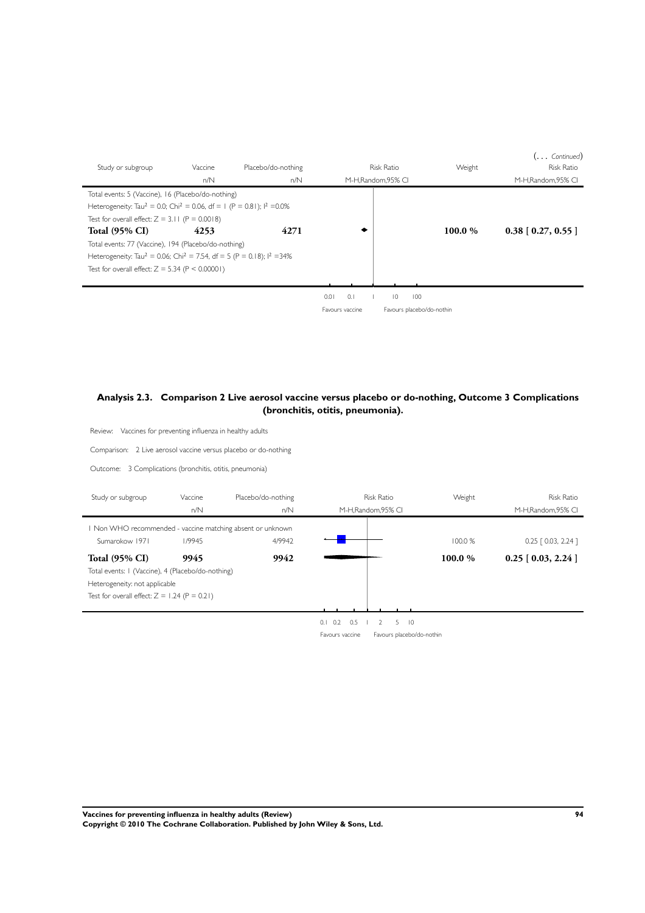<span id="page-96-0"></span>

| Study or subgroup                                                                               | Vaccine<br>n/N | Placebo/do-nothing<br>n/N |      |                 | <b>Risk Ratio</b><br>M-H, Random, 95% CI |                           | Weight  | $( \ldots$ Continued)<br><b>Risk Ratio</b><br>M-H, Random, 95% CI |
|-------------------------------------------------------------------------------------------------|----------------|---------------------------|------|-----------------|------------------------------------------|---------------------------|---------|-------------------------------------------------------------------|
| Total events: 5 (Vaccine), 16 (Placebo/do-nothing)                                              |                |                           |      |                 |                                          |                           |         |                                                                   |
| Heterogeneity: Tau <sup>2</sup> = 0.0; Chi <sup>2</sup> = 0.06, df = 1 (P = 0.81); $1^2$ = 0.0% |                |                           |      |                 |                                          |                           |         |                                                                   |
| Test for overall effect: $Z = 3.11$ (P = 0.0018)                                                |                |                           |      |                 |                                          |                           |         |                                                                   |
| <b>Total (95% CI)</b>                                                                           | 4253           | 4271                      |      |                 |                                          |                           | 100.0 % | $0.38$ [ 0.27, 0.55 ]                                             |
| Total events: 77 (Vaccine), 194 (Placebo/do-nothing)                                            |                |                           |      |                 |                                          |                           |         |                                                                   |
| Heterogeneity: Tau <sup>2</sup> = 0.06; Chi <sup>2</sup> = 7.54, df = 5 (P = 0.18); $1^2$ =34%  |                |                           |      |                 |                                          |                           |         |                                                                   |
| Test for overall effect: $Z = 5.34$ (P < 0.00001)                                               |                |                           |      |                 |                                          |                           |         |                                                                   |
|                                                                                                 |                |                           |      |                 |                                          |                           |         |                                                                   |
|                                                                                                 |                |                           | 0.01 | 0.1             | $\overline{0}$                           | 100                       |         |                                                                   |
|                                                                                                 |                |                           |      | Favours vaccine |                                          | Favours placebo/do-nothin |         |                                                                   |
|                                                                                                 |                |                           |      |                 |                                          |                           |         |                                                                   |
|                                                                                                 |                |                           |      |                 |                                          |                           |         |                                                                   |

## **Analysis 2.3. Comparison 2 Live aerosol vaccine versus placebo or do-nothing, Outcome 3 Complications (bronchitis, otitis, pneumonia).**

Review: Vaccines for preventing influenza in healthy adults

Comparison: 2 Live aerosol vaccine versus placebo or do-nothing

Outcome: 3 Complications (bronchitis, otitis, pneumonia)

| Study or subgroup                                                                                                                    | Vaccine | Placebo/do-nothing |                   | <b>Risk Ratio</b>                      | Weight  | <b>Risk Ratio</b>          |
|--------------------------------------------------------------------------------------------------------------------------------------|---------|--------------------|-------------------|----------------------------------------|---------|----------------------------|
|                                                                                                                                      | n/N     | n/N                |                   | M-H,Random,95% CI                      |         | M-H,Random,95% CI          |
| I Non WHO recommended - vaccine matching absent or unknown<br>Sumarokow 1971                                                         | 1/9945  | 4/9942             |                   |                                        | 100.0 % | 0.25 [ 0.03, 2.24 ]        |
| Total (95% CI)                                                                                                                       | 9945    | 9942               |                   |                                        | 100.0%  | $0.25$ [ $0.03$ , $2.24$ ] |
| Total events: I (Vaccine), 4 (Placebo/do-nothing)<br>Heterogeneity: not applicable<br>Test for overall effect: $Z = 1.24$ (P = 0.21) |         |                    |                   |                                        |         |                            |
|                                                                                                                                      |         |                    | $0.1$ $0.2$ $0.5$ | 5<br>$\overline{10}$<br>$\overline{2}$ |         |                            |
|                                                                                                                                      |         |                    | Favours vaccine   | Favours placebo/do-nothin              |         |                            |
|                                                                                                                                      |         |                    |                   |                                        |         |                            |
|                                                                                                                                      |         |                    |                   |                                        |         |                            |
|                                                                                                                                      |         |                    |                   |                                        |         |                            |
|                                                                                                                                      |         |                    |                   |                                        |         |                            |
|                                                                                                                                      |         |                    |                   |                                        |         |                            |
|                                                                                                                                      |         |                    |                   |                                        |         |                            |
|                                                                                                                                      |         |                    |                   |                                        |         |                            |
|                                                                                                                                      |         |                    |                   |                                        |         |                            |
|                                                                                                                                      |         |                    |                   |                                        |         |                            |
|                                                                                                                                      |         |                    |                   |                                        |         |                            |

**Vaccines for preventing influenza in healthy adults (Review) 94**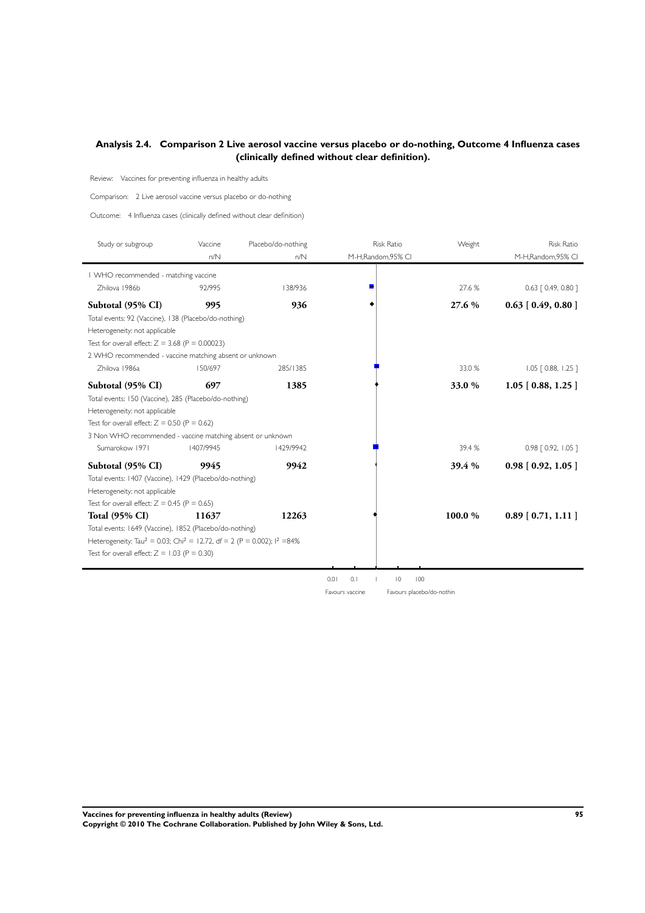## <span id="page-97-0"></span>**Analysis 2.4. Comparison 2 Live aerosol vaccine versus placebo or do-nothing, Outcome 4 Influenza cases (clinically defined without clear definition).**

Review: Vaccines for preventing influenza in healthy adults

Comparison: 2 Live aerosol vaccine versus placebo or do-nothing

Outcome: 4 Influenza cases (clinically defined without clear definition)

| Study or subgroup                                                                                                                                                                                                                                                                                                                                                                                                                                                                                                                                                                                                                                                                                                                                                                                                                                                                                                                                | Vaccine | Placebo/do-nothing | <b>Risk Ratio</b>                 | Weight        | <b>Risk Ratio</b>        |
|--------------------------------------------------------------------------------------------------------------------------------------------------------------------------------------------------------------------------------------------------------------------------------------------------------------------------------------------------------------------------------------------------------------------------------------------------------------------------------------------------------------------------------------------------------------------------------------------------------------------------------------------------------------------------------------------------------------------------------------------------------------------------------------------------------------------------------------------------------------------------------------------------------------------------------------------------|---------|--------------------|-----------------------------------|---------------|--------------------------|
|                                                                                                                                                                                                                                                                                                                                                                                                                                                                                                                                                                                                                                                                                                                                                                                                                                                                                                                                                  | n/N     | n/N                | M-H,Random,95% CI                 |               | M-H, Random, 95% CI      |
| I WHO recommended - matching vaccine<br>Zhilova 1986b<br>138/936<br>92/995<br>Subtotal (95% CI)<br>936<br>995<br>Total events: 92 (Vaccine), 138 (Placebo/do-nothing)<br>Heterogeneity: not applicable<br>Test for overall effect: $Z = 3.68$ (P = 0.00023)<br>2 WHO recommended - vaccine matching absent or unknown<br>Zhilova 1986a<br>150/697<br>285/1385<br>Subtotal (95% CI)<br>697<br>1385<br>Total events: 150 (Vaccine), 285 (Placebo/do-nothing)<br>Heterogeneity: not applicable<br>Test for overall effect: $Z = 0.50$ (P = 0.62)<br>3 Non WHO recommended - vaccine matching absent or unknown<br>Sumarokow 1971<br>1407/9945<br>1429/9942<br>Subtotal (95% CI)<br>9942<br>9945<br>Total events: 1407 (Vaccine), 1429 (Placebo/do-nothing)<br>Heterogeneity: not applicable<br>Test for overall effect: $Z = 0.45$ (P = 0.65)<br>12263<br><b>Total (95% CI)</b><br>11637<br>Total events: 1649 (Vaccine), 1852 (Placebo/do-nothing) |         |                    |                                   |               |                          |
|                                                                                                                                                                                                                                                                                                                                                                                                                                                                                                                                                                                                                                                                                                                                                                                                                                                                                                                                                  |         |                    |                                   | 27.6 %        | $0.63$ $[0.49, 0.80]$    |
|                                                                                                                                                                                                                                                                                                                                                                                                                                                                                                                                                                                                                                                                                                                                                                                                                                                                                                                                                  |         |                    |                                   | 27.6 %        | $0.63$ [ $0.49, 0.80$ ]  |
|                                                                                                                                                                                                                                                                                                                                                                                                                                                                                                                                                                                                                                                                                                                                                                                                                                                                                                                                                  |         |                    |                                   |               |                          |
|                                                                                                                                                                                                                                                                                                                                                                                                                                                                                                                                                                                                                                                                                                                                                                                                                                                                                                                                                  |         |                    |                                   |               |                          |
|                                                                                                                                                                                                                                                                                                                                                                                                                                                                                                                                                                                                                                                                                                                                                                                                                                                                                                                                                  |         |                    |                                   |               |                          |
|                                                                                                                                                                                                                                                                                                                                                                                                                                                                                                                                                                                                                                                                                                                                                                                                                                                                                                                                                  |         |                    |                                   |               |                          |
|                                                                                                                                                                                                                                                                                                                                                                                                                                                                                                                                                                                                                                                                                                                                                                                                                                                                                                                                                  |         |                    |                                   | 33.0 %        | $1.05$ $[0.88, 1.25]$    |
|                                                                                                                                                                                                                                                                                                                                                                                                                                                                                                                                                                                                                                                                                                                                                                                                                                                                                                                                                  |         |                    |                                   | <b>33.0 %</b> | $1.05$ [ 0.88, 1.25 ]    |
|                                                                                                                                                                                                                                                                                                                                                                                                                                                                                                                                                                                                                                                                                                                                                                                                                                                                                                                                                  |         |                    |                                   |               |                          |
|                                                                                                                                                                                                                                                                                                                                                                                                                                                                                                                                                                                                                                                                                                                                                                                                                                                                                                                                                  |         |                    |                                   |               |                          |
|                                                                                                                                                                                                                                                                                                                                                                                                                                                                                                                                                                                                                                                                                                                                                                                                                                                                                                                                                  |         |                    |                                   |               |                          |
|                                                                                                                                                                                                                                                                                                                                                                                                                                                                                                                                                                                                                                                                                                                                                                                                                                                                                                                                                  |         |                    |                                   |               |                          |
|                                                                                                                                                                                                                                                                                                                                                                                                                                                                                                                                                                                                                                                                                                                                                                                                                                                                                                                                                  |         |                    |                                   | 39.4 %        | 0.98 [ 0.92, 1.05 ]      |
|                                                                                                                                                                                                                                                                                                                                                                                                                                                                                                                                                                                                                                                                                                                                                                                                                                                                                                                                                  |         |                    |                                   | 39.4 %        | $0.98$ [ 0.92, 1.05 ]    |
|                                                                                                                                                                                                                                                                                                                                                                                                                                                                                                                                                                                                                                                                                                                                                                                                                                                                                                                                                  |         |                    |                                   |               |                          |
|                                                                                                                                                                                                                                                                                                                                                                                                                                                                                                                                                                                                                                                                                                                                                                                                                                                                                                                                                  |         |                    |                                   |               |                          |
|                                                                                                                                                                                                                                                                                                                                                                                                                                                                                                                                                                                                                                                                                                                                                                                                                                                                                                                                                  |         |                    |                                   |               |                          |
|                                                                                                                                                                                                                                                                                                                                                                                                                                                                                                                                                                                                                                                                                                                                                                                                                                                                                                                                                  |         |                    |                                   | 100.0%        | $0.89$ [ $0.71$ , 1.11 ] |
|                                                                                                                                                                                                                                                                                                                                                                                                                                                                                                                                                                                                                                                                                                                                                                                                                                                                                                                                                  |         |                    |                                   |               |                          |
| Heterogeneity: Tau <sup>2</sup> = 0.03; Chi <sup>2</sup> = 12.72, df = 2 (P = 0.002); l <sup>2</sup> =84%                                                                                                                                                                                                                                                                                                                                                                                                                                                                                                                                                                                                                                                                                                                                                                                                                                        |         |                    |                                   |               |                          |
| Test for overall effect: $Z = 1.03$ (P = 0.30)                                                                                                                                                                                                                                                                                                                                                                                                                                                                                                                                                                                                                                                                                                                                                                                                                                                                                                   |         |                    |                                   |               |                          |
|                                                                                                                                                                                                                                                                                                                                                                                                                                                                                                                                                                                                                                                                                                                                                                                                                                                                                                                                                  |         |                    |                                   |               |                          |
|                                                                                                                                                                                                                                                                                                                                                                                                                                                                                                                                                                                                                                                                                                                                                                                                                                                                                                                                                  |         |                    | 0.01<br>0.1<br>$ 0\rangle$<br>100 |               |                          |

Favours vaccine Favours placebo/do-nothin

**Vaccines for preventing influenza in healthy adults (Review) 95**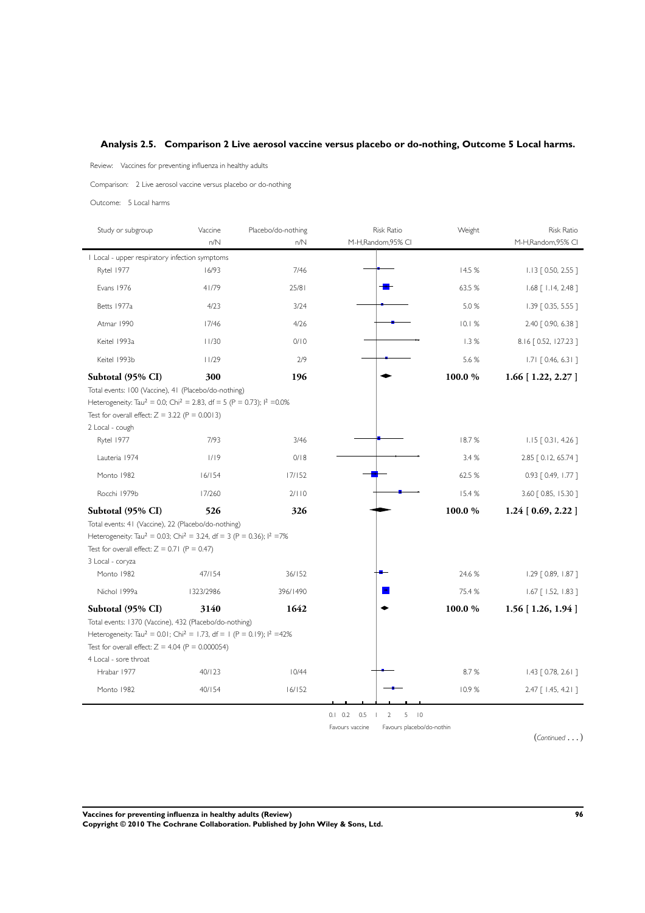#### **Analysis 2.5. Comparison 2 Live aerosol vaccine versus placebo or do-nothing, Outcome 5 Local harms.**

Review: Vaccines for preventing influenza in healthy adults

Comparison: 2 Live aerosol vaccine versus placebo or do-nothing

Outcome: 5 Local harms

| <b>Risk Ratio</b><br>M-H,Random,95% CI       | Weight           | <b>Risk Ratio</b><br>M-H,Random,95% CI | Placebo/do-nothing<br>n/N | Vaccine<br>n/N | Study or subgroup                                                                                                                                                                                                                                                      |
|----------------------------------------------|------------------|----------------------------------------|---------------------------|----------------|------------------------------------------------------------------------------------------------------------------------------------------------------------------------------------------------------------------------------------------------------------------------|
|                                              |                  |                                        |                           |                | I Local - upper respiratory infection symptoms                                                                                                                                                                                                                         |
| $1.13$ $[0.50, 2.55]$                        | 14.5 %           |                                        | 7/46                      | 16/93          | <b>Rytel 1977</b>                                                                                                                                                                                                                                                      |
| $1.68$ $[ 1.14, 2.48 ]$                      | 63.5 %           |                                        | 25/81                     | 41/79          | Evans 1976                                                                                                                                                                                                                                                             |
| 1.39 [ 0.35, 5.55 ]                          | 5.0%             |                                        | 3/24                      | 4/23           | Betts 1977a                                                                                                                                                                                                                                                            |
| 2.40 [ 0.90, 6.38 ]                          | 10.1%            |                                        | 4/26                      | 17/46          | Atmar 1990                                                                                                                                                                                                                                                             |
| 8.16 [0.52, 127.23]                          | 1.3%             |                                        | 0/10                      | 11/30          | Keitel 1993a                                                                                                                                                                                                                                                           |
| $1.71$ $[0.46, 6.31]$                        | 5.6 %            |                                        | 2/9                       | 11/29          | Keitel 1993b                                                                                                                                                                                                                                                           |
| $1.66$ [ $1.22$ , $2.27$ ]                   | 100.0%           |                                        | 196                       | 300            | Subtotal (95% CI)                                                                                                                                                                                                                                                      |
| $1.15$ $[0.31, 4.26]$                        | 18.7%            |                                        | 3/46                      | 7/93           | Heterogeneity: Tau <sup>2</sup> = 0.0; Chi <sup>2</sup> = 2.83, df = 5 (P = 0.73); l <sup>2</sup> = 0.0%<br>Test for overall effect: $Z = 3.22$ (P = 0.0013)<br>2 Local - cough<br>Rytel 1977                                                                          |
|                                              |                  |                                        | 0/18                      |                |                                                                                                                                                                                                                                                                        |
| 2.85   0.12, 65.74 ]                         | 3.4 %            |                                        |                           | 1/19           | Lauteria 1974                                                                                                                                                                                                                                                          |
| $0.93$ $[0.49, 1.77]$                        | 62.5 %           |                                        | 17/152                    | 16/154         | Monto 1982                                                                                                                                                                                                                                                             |
| 3.60 [ 0.85, 15.30 ]                         | 15.4%            |                                        | 2/110                     | 17/260         | Rocchi 1979b                                                                                                                                                                                                                                                           |
| $1.24$ [ 0.69, 2.22 ]<br>1.29 [ 0.89, 1.87 ] | 100.0%<br>24.6 % |                                        | 326<br>36/152             | 526<br>47/154  | Subtotal (95% CI)<br>Total events: 41 (Vaccine), 22 (Placebo/do-nothing)<br>Heterogeneity: Tau <sup>2</sup> = 0.03; Chi <sup>2</sup> = 3.24, df = 3 (P = 0.36); $1^2$ =7%<br>Test for overall effect: $Z = 0.71$ (P = 0.47)<br>3 Local - coryza<br>Monto 1982          |
| $1.67$ [ $1.52$ , $1.83$ ]                   | 75.4 %           | $\pm$                                  | 396/1490                  | 1323/2986      | Nichol 1999a                                                                                                                                                                                                                                                           |
| 1.56 [1.26, 1.94]                            | 100.0%           |                                        | 1642                      | 3140           | Subtotal (95% CI)<br>Total events: 1370 (Vaccine), 432 (Placebo/do-nothing)<br>Heterogeneity: Tau <sup>2</sup> = 0.01; Chi <sup>2</sup> = 1.73, df = 1 (P = 0.19); l <sup>2</sup> = 42%<br>Test for overall effect: $Z = 4.04$ (P = 0.000054)<br>4 Local - sore throat |
| $1.43$ [ 0.78, 2.61 ]                        | 8.7%             |                                        | 10/44                     | 40/123         | Hrabar 1977                                                                                                                                                                                                                                                            |
|                                              | 10.9%            |                                        | 16/152                    | 40/154         | Monto 1982                                                                                                                                                                                                                                                             |

Favours vaccine | Favours placebo/do-nothin

(*Continued* ... )

**Vaccines for preventing influenza in healthy adults (Review) 96**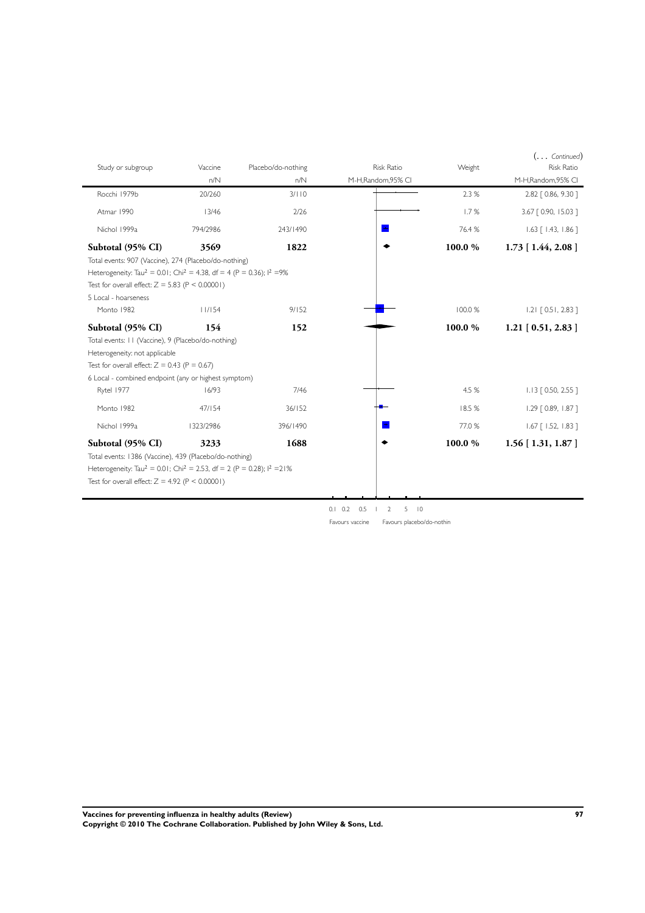| Study or subgroup                                                                                                                                                                                                                                           | Vaccine<br>n/N | Placebo/do-nothing<br>n/N | <b>Risk Ratio</b><br>M-H,Random,95% CI | Weight  | $( \ldots$ Continued)<br><b>Risk Ratio</b><br>M-H,Random,95% CI |
|-------------------------------------------------------------------------------------------------------------------------------------------------------------------------------------------------------------------------------------------------------------|----------------|---------------------------|----------------------------------------|---------|-----------------------------------------------------------------|
| Rocchi 1979b                                                                                                                                                                                                                                                | 20/260         | 3/110                     |                                        | 2.3 %   | 2.82 [ 0.86, 9.30 ]                                             |
| Atmar 1990                                                                                                                                                                                                                                                  | 13/46          | 2/26                      |                                        | 1.7%    | 3.67 [ 0.90, 15.03 ]                                            |
| Nichol 1999a                                                                                                                                                                                                                                                | 794/2986       | 243/1490                  |                                        | 76.4%   | $1.63$ $[$ 1.43, 1.86 $]$                                       |
| Subtotal (95% CI)                                                                                                                                                                                                                                           | 3569           | 1822                      |                                        | 100.0%  | $1.73$ [ $1.44$ , 2.08 ]                                        |
| Total events: 907 (Vaccine), 274 (Placebo/do-nothing)<br>Heterogeneity: Tau <sup>2</sup> = 0.01; Chi <sup>2</sup> = 4.38, df = 4 (P = 0.36); l <sup>2</sup> = 9%<br>Test for overall effect: $Z = 5.83$ (P < 0.00001)<br>5 Local - hoarseness<br>Monto 1982 | 11/154         | 9/152                     |                                        | 100.0 % | $1.21$ $[0.51, 2.83]$                                           |
| Subtotal (95% CI)                                                                                                                                                                                                                                           | 154            | 152                       |                                        | 100.0%  | $1.21 \; [ \; 0.51, \; 2.83 \; ]$                               |
| Total events: 11 (Vaccine), 9 (Placebo/do-nothing)<br>Heterogeneity: not applicable<br>Test for overall effect: $Z = 0.43$ (P = 0.67)<br>6 Local - combined endpoint (any or highest symptom)                                                               |                |                           |                                        |         |                                                                 |
| <b>Rytel 1977</b>                                                                                                                                                                                                                                           | 16/93          | 7/46                      |                                        | 4.5 %   | $1.13$ $[0.50, 2.55]$                                           |
| Monto 1982                                                                                                                                                                                                                                                  | 47/154         | 36/152                    |                                        | 18.5 %  | 1.29 [ 0.89, 1.87 ]                                             |
| Nichol 1999a                                                                                                                                                                                                                                                | 1323/2986      | 396/1490                  |                                        | 77.0 %  | $1.67$ [ $1.52$ , $1.83$ ]                                      |
| Subtotal (95% CI)<br>Total events: 1386 (Vaccine), 439 (Placebo/do-nothing)<br>Heterogeneity: Tau <sup>2</sup> = 0.01; Chi <sup>2</sup> = 2.53, df = 2 (P = 0.28); $1^2$ = 21%<br>Test for overall effect: $Z = 4.92$ (P < 0.00001)                         | 3233           | 1688                      |                                        | 100.0%  | $1.56$ [ 1.31, 1.87 ]                                           |

 $0.1$  0.2 0.5 2 5 10

Favours vaccine Favours placebo/do-nothin

**Vaccines for preventing influenza in healthy adults (Review) 97**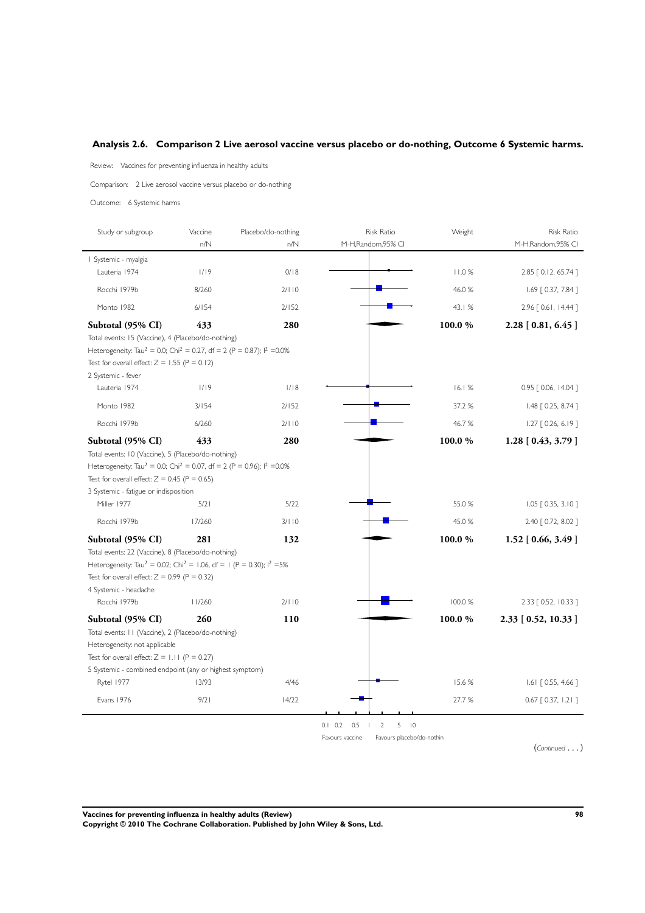#### <span id="page-100-0"></span>**Analysis 2.6. Comparison 2 Live aerosol vaccine versus placebo or do-nothing, Outcome 6 Systemic harms.**

Review: Vaccines for preventing influenza in healthy adults

Comparison: 2 Live aerosol vaccine versus placebo or do-nothing

Outcome: 6 Systemic harms

| Study or subgroup                                                                                        | Vaccine<br>n/N | Placebo/do-nothing<br>n/N | <b>Risk Ratio</b><br>M-H,Random,95% CI                              | Weight  | <b>Risk Ratio</b><br>M-H,Random,95% CI |
|----------------------------------------------------------------------------------------------------------|----------------|---------------------------|---------------------------------------------------------------------|---------|----------------------------------------|
|                                                                                                          |                |                           |                                                                     |         |                                        |
| Systemic - myalgia<br>Lauteria 1974                                                                      | 1/19           | 0/18                      |                                                                     | 11.0%   | 2.85 [ 0.12, 65.74 ]                   |
| Rocchi 1979b                                                                                             | 8/260          | 2/110                     |                                                                     | 46.0%   | $1.69$ [ 0.37, 7.84 ]                  |
| Monto 1982                                                                                               | 6/154          | 2/152                     |                                                                     | 43.1%   | 2.96 [ 0.61, 14.44 ]                   |
| Subtotal (95% CI)                                                                                        | 433            | 280                       |                                                                     | 100.0%  | 2.28 [0.81, 6.45]                      |
| Total events: 15 (Vaccine), 4 (Placebo/do-nothing)                                                       |                |                           |                                                                     |         |                                        |
| Heterogeneity: Tau <sup>2</sup> = 0.0; Chi <sup>2</sup> = 0.27, df = 2 (P = 0.87); l <sup>2</sup> = 0.0% |                |                           |                                                                     |         |                                        |
| Test for overall effect: $Z = 1.55$ (P = 0.12)                                                           |                |                           |                                                                     |         |                                        |
| 2 Systemic - fever<br>Lauteria 1974                                                                      | 1/19           | 1/18                      |                                                                     | 16.1%   | 0.95 [ 0.06, 14.04 ]                   |
| Monto 1982                                                                                               | 3/154          | 2/152                     |                                                                     | 37.2 %  | $1.48$ $[0.25, 8.74]$                  |
| Rocchi 1979b                                                                                             | 6/260          | 2/110                     |                                                                     | 46.7%   | $1.27$ [ 0.26, 6.19 ]                  |
| Subtotal (95% CI)                                                                                        | 433            | 280                       |                                                                     | 100.0%  | $1.28 \mid 0.43, 3.79 \mid$            |
| Total events: 10 (Vaccine), 5 (Placebo/do-nothing)                                                       |                |                           |                                                                     |         |                                        |
| Heterogeneity: Tau <sup>2</sup> = 0.0; Chi <sup>2</sup> = 0.07, df = 2 (P = 0.96); l <sup>2</sup> = 0.0% |                |                           |                                                                     |         |                                        |
| Test for overall effect: $Z = 0.45$ (P = 0.65)                                                           |                |                           |                                                                     |         |                                        |
| 3 Systemic - fatigue or indisposition                                                                    |                |                           |                                                                     |         |                                        |
| Miller 1977                                                                                              | 5/21           | 5/22                      |                                                                     | 55.0 %  | $1.05$ $[0.35, 3.10]$                  |
| Rocchi 1979b                                                                                             | 17/260         | 3/110                     |                                                                     | 45.0%   | 2.40 [ 0.72, 8.02 ]                    |
| Subtotal (95% CI)                                                                                        | 281            | 132                       |                                                                     | 100.0%  | 1.52 [0.66, 3.49]                      |
| Total events: 22 (Vaccine), 8 (Placebo/do-nothing)                                                       |                |                           |                                                                     |         |                                        |
| Heterogeneity: Tau <sup>2</sup> = 0.02; Chi <sup>2</sup> = 1.06, df = 1 (P = 0.30); l <sup>2</sup> =5%   |                |                           |                                                                     |         |                                        |
| Test for overall effect: $Z = 0.99$ (P = 0.32)                                                           |                |                           |                                                                     |         |                                        |
| 4 Systemic - headache                                                                                    |                |                           |                                                                     |         |                                        |
| Rocchi 1979b                                                                                             | 11/260         | 2/110                     |                                                                     | 100.0 % | 2.33 [ 0.52, 10.33 ]                   |
| Subtotal (95% CI)                                                                                        | 260            | <b>110</b>                |                                                                     | 100.0%  | $2.33$ [ 0.52, 10.33 ]                 |
| Total events: II (Vaccine), 2 (Placebo/do-nothing)<br>Heterogeneity: not applicable                      |                |                           |                                                                     |         |                                        |
| Test for overall effect: $Z = 1.11$ (P = 0.27)                                                           |                |                           |                                                                     |         |                                        |
| 5 Systemic - combined endpoint (any or highest symptom)                                                  |                |                           |                                                                     |         |                                        |
| <b>Rytel 1977</b>                                                                                        | 13/93          | 4/46                      |                                                                     | 15.6 %  | $1.61$ $[0.55, 4.66]$                  |
| Evans 1976                                                                                               | 9/21           | 14/22                     |                                                                     | 27.7 %  | $0.67$ [ 0.37, 1.21 ]                  |
|                                                                                                          |                |                           |                                                                     |         |                                        |
|                                                                                                          |                |                           | $0.1$ $0.2$ $0.5$<br>$\overline{2}$<br>5<br>- 11<br>$\overline{10}$ |         |                                        |

Favours vaccine Favours placebo/do-nothin

(*Continued* ... )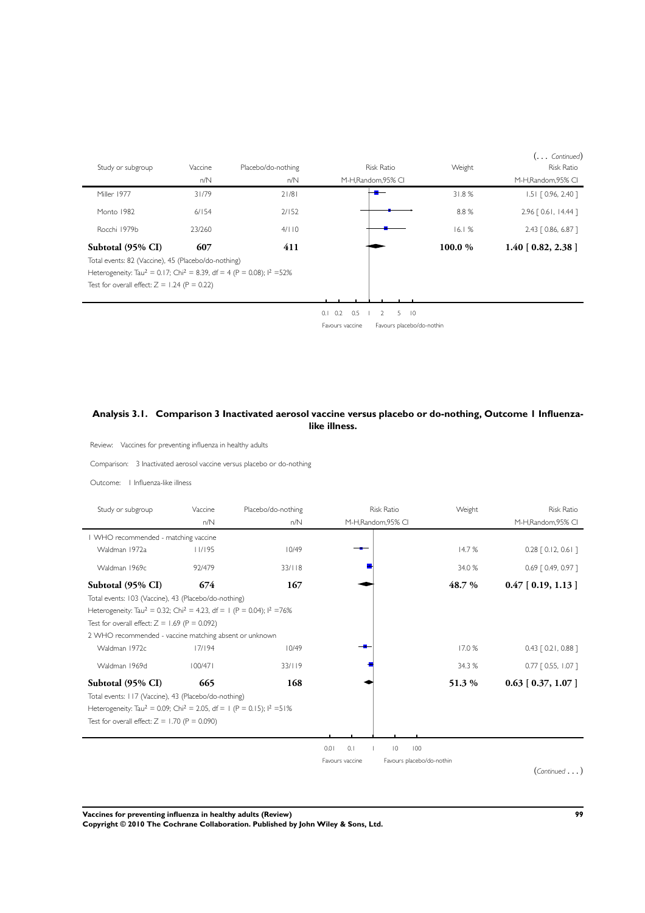|                                                                                                |         |                    |                                           |        | $(\ldots$ Continued)              |
|------------------------------------------------------------------------------------------------|---------|--------------------|-------------------------------------------|--------|-----------------------------------|
| Study or subgroup                                                                              | Vaccine | Placebo/do-nothing | <b>Risk Ratio</b>                         | Weight | <b>Risk Ratio</b>                 |
|                                                                                                | n/N     | n/N                | M-H, Random, 95% CI                       |        | M-H, Random, 95% CI               |
| Miller 1977                                                                                    | 31/79   | 21/81              |                                           | 31.8%  | $1.51$ $[0.96, 2.40]$             |
| Monto 1982                                                                                     | 6/154   | 2/152              |                                           | 8.8%   | 2.96 [ 0.61, 14.44 ]              |
| Rocchi 1979b                                                                                   | 23/260  | 4/110              |                                           | 16.1%  | 2.43 [ 0.86, 6.87 ]               |
| Subtotal (95% CI)                                                                              | 607     | 411                |                                           | 100.0% | $1.40 \; [ \; 0.82, \; 2.38 \; ]$ |
| Total events: 82 (Vaccine), 45 (Placebo/do-nothing)                                            |         |                    |                                           |        |                                   |
| Heterogeneity: Tau <sup>2</sup> = 0.17; Chi <sup>2</sup> = 8.39, df = 4 (P = 0.08); $1^2$ =52% |         |                    |                                           |        |                                   |
| Test for overall effect: $Z = 1.24$ (P = 0.22)                                                 |         |                    |                                           |        |                                   |
|                                                                                                |         |                    |                                           |        |                                   |
|                                                                                                |         |                    | 0.2<br>0.5<br>$\overline{0}$<br>0.1<br>5. |        |                                   |

Favours vaccine Favours placebo/do-nothin

#### **Analysis 3.1. Comparison 3 Inactivated aerosol vaccine versus placebo or do-nothing, Outcome 1 Influenzalike illness.**

Review: Vaccines for preventing influenza in healthy adults

Comparison: 3 Inactivated aerosol vaccine versus placebo or do-nothing

Outcome: 1 Influenza-like illness

| Study or subgroup                                                                               | Vaccine | Placebo/do-nothing |                 | <b>Risk Ratio</b>         | Weight | <b>Risk Ratio</b>     |
|-------------------------------------------------------------------------------------------------|---------|--------------------|-----------------|---------------------------|--------|-----------------------|
|                                                                                                 | n/N     | n/N                |                 | M-H, Random, 95% CI       |        | M-H, Random, 95% CI   |
| WHO recommended - matching vaccine                                                              |         |                    |                 |                           |        |                       |
| Waldman 1972a                                                                                   | 11/195  | 10/49              |                 |                           | 14.7%  | $0.28$ $[0.12, 0.61]$ |
| Waldman 1969c                                                                                   | 92/479  | 33/118             |                 |                           | 34.0 % | 0.69 [ 0.49, 0.97 ]   |
| Subtotal (95% CI)                                                                               | 674     | 167                |                 |                           | 48.7 % | $0.47$ [ 0.19, 1.13 ] |
| Total events: 103 (Vaccine), 43 (Placebo/do-nothing)                                            |         |                    |                 |                           |        |                       |
| Heterogeneity: Tau <sup>2</sup> = 0.32; Chi <sup>2</sup> = 4.23, df = 1 (P = 0.04); $1^2$ =76%  |         |                    |                 |                           |        |                       |
| Test for overall effect: $Z = 1.69$ (P = 0.092)                                                 |         |                    |                 |                           |        |                       |
| 2 WHO recommended - vaccine matching absent or unknown                                          |         |                    |                 |                           |        |                       |
| Waldman 1972c                                                                                   | 17/194  | 10/49              |                 |                           | 17.0%  | $0.43$ $[0.21, 0.88]$ |
| Waldman 1969d                                                                                   | 100/471 | 33/119             |                 |                           | 34.3 % | $0.77$ $[0.55, 1.07]$ |
| Subtotal (95% CI)                                                                               | 665     | 168                |                 |                           | 51.3%  | $0.63$ [ 0.37, 1.07 ] |
| Total events: 117 (Vaccine), 43 (Placebo/do-nothing)                                            |         |                    |                 |                           |        |                       |
| Heterogeneity: Tau <sup>2</sup> = 0.09; Chi <sup>2</sup> = 2.05, df = 1 (P = 0.15); $1^2$ = 51% |         |                    |                 |                           |        |                       |
| Test for overall effect: $Z = 1.70$ (P = 0.090)                                                 |         |                    |                 |                           |        |                       |
|                                                                                                 |         |                    |                 |                           |        |                       |
|                                                                                                 |         |                    | 0.01<br>0.1     | 100<br>10                 |        |                       |
|                                                                                                 |         |                    | Favours vaccine | Favours placebo/do-nothin |        |                       |
|                                                                                                 |         |                    |                 |                           |        | $(Continued \dots)$   |

**Vaccines for preventing influenza in healthy adults (Review) 99**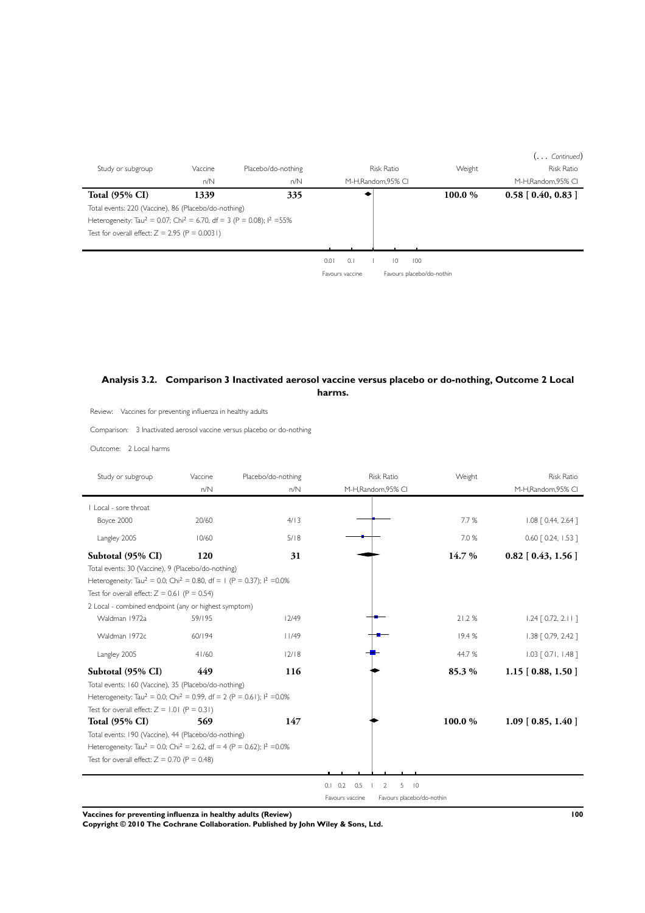<span id="page-102-0"></span>

## **Analysis 3.2. Comparison 3 Inactivated aerosol vaccine versus placebo or do-nothing, Outcome 2 Local harms.**

Review: Vaccines for preventing influenza in healthy adults

Comparison: 3 Inactivated aerosol vaccine versus placebo or do-nothing

Outcome: 2 Local harms

| Study or subgroup                                                                                        | Vaccine | Placebo/do-nothing | <b>Risk Ratio</b>                               | Weight | <b>Risk Ratio</b>     |  |
|----------------------------------------------------------------------------------------------------------|---------|--------------------|-------------------------------------------------|--------|-----------------------|--|
|                                                                                                          | n/N     | n/N                | M-H,Random,95% CI                               |        | M-H, Random, 95% CI   |  |
| Local - sore throat                                                                                      |         |                    |                                                 |        |                       |  |
| Boyce 2000                                                                                               | 20/60   | 4/13               |                                                 | 7.7%   | $1.08$ $[0.44, 2.64]$ |  |
| Langley 2005                                                                                             | 10/60   | 5/18               |                                                 | 7.0%   | $0.60$ $[0.24, 1.53]$ |  |
| Subtotal (95% CI)                                                                                        | 120     | 31                 |                                                 | 14.7 % | $0.82$ [ 0.43, 1.56 ] |  |
| Total events: 30 (Vaccine), 9 (Placebo/do-nothing)                                                       |         |                    |                                                 |        |                       |  |
| Heterogeneity: Tau <sup>2</sup> = 0.0; Chi <sup>2</sup> = 0.80, df = 1 (P = 0.37); $1^2$ = 0.0%          |         |                    |                                                 |        |                       |  |
| Test for overall effect: $Z = 0.61$ (P = 0.54)                                                           |         |                    |                                                 |        |                       |  |
| 2 Local - combined endpoint (any or highest symptom)                                                     |         |                    |                                                 |        |                       |  |
| Waldman 1972a                                                                                            | 59/195  | 12/49              |                                                 | 21.2%  | $1.24$ [ 0.72, 2.11 ] |  |
| Waldman 1972c                                                                                            | 60/194  | 11/49              |                                                 | 19.4%  | 1.38 [ 0.79, 2.42 ]   |  |
| Langley 2005                                                                                             | 41/60   | $ 2/18$            |                                                 | 44.7%  | $1.03$ $[0.71, 1.48]$ |  |
| Subtotal (95% CI)                                                                                        | 449     | 116                |                                                 | 85.3%  | $1.15$ [ 0.88, 1.50 ] |  |
| Total events: 160 (Vaccine), 35 (Placebo/do-nothing)                                                     |         |                    |                                                 |        |                       |  |
| Heterogeneity: Tau <sup>2</sup> = 0.0; Chi <sup>2</sup> = 0.99, df = 2 (P = 0.61); l <sup>2</sup> = 0.0% |         |                    |                                                 |        |                       |  |
| Test for overall effect: $Z = 1.01$ (P = 0.31)                                                           |         |                    |                                                 |        |                       |  |
| <b>Total (95% CI)</b>                                                                                    | 569     | 147                |                                                 | 100.0% | $1.09$ [ 0.85, 1.40 ] |  |
| Total events: 190 (Vaccine), 44 (Placebo/do-nothing)                                                     |         |                    |                                                 |        |                       |  |
| Heterogeneity: Tau <sup>2</sup> = 0.0; Chi <sup>2</sup> = 2.62, df = 4 (P = 0.62); $1^2$ = 0.0%          |         |                    |                                                 |        |                       |  |
| Test for overall effect: $Z = 0.70$ (P = 0.48)                                                           |         |                    |                                                 |        |                       |  |
|                                                                                                          |         |                    |                                                 |        |                       |  |
|                                                                                                          |         |                    | $0.1 \quad 0.2$<br>0.5<br>5<br>$ 0\rangle$<br>2 |        |                       |  |
|                                                                                                          |         |                    | Favours placebo/do-nothin<br>Favours vaccine    |        |                       |  |

**Vaccines for preventing influenza in healthy adults (Review) 100**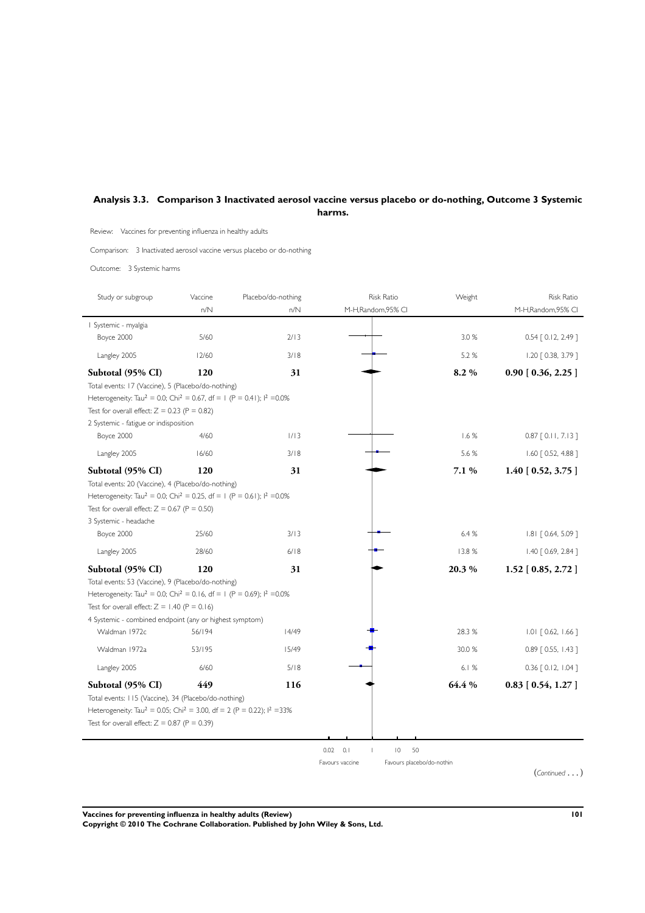## **Analysis 3.3. Comparison 3 Inactivated aerosol vaccine versus placebo or do-nothing, Outcome 3 Systemic harms.**

Review: Vaccines for preventing influenza in healthy adults

Comparison: 3 Inactivated aerosol vaccine versus placebo or do-nothing

Outcome: 3 Systemic harms

| Study or subgroup                                                                                        | Vaccine | Placebo/do-nothing |                 | <b>Risk Ratio</b>         | Weight | <b>Risk Ratio</b>          |
|----------------------------------------------------------------------------------------------------------|---------|--------------------|-----------------|---------------------------|--------|----------------------------|
|                                                                                                          | n/N     | n/N                |                 | M-H,Random,95% CI         |        | M-H,Random,95% CI          |
| I Systemic - myalgia                                                                                     |         |                    |                 |                           |        |                            |
| Boyce 2000                                                                                               | 5/60    | 2/13               |                 |                           | 3.0%   | $0.54$ $[0.12, 2.49]$      |
| Langley 2005                                                                                             | 12/60   | 3/18               |                 |                           | 5.2%   | $1.20$ $[0.38, 3.79]$      |
| Subtotal (95% CI)                                                                                        | 120     | 31                 |                 |                           | 8.2 %  | $0.90$ [ $0.36$ , 2.25 ]   |
| Total events: 17 (Vaccine), 5 (Placebo/do-nothing)                                                       |         |                    |                 |                           |        |                            |
| Heterogeneity: Tau <sup>2</sup> = 0.0; Chi <sup>2</sup> = 0.67, df = 1 (P = 0.41); $1^2$ =0.0%           |         |                    |                 |                           |        |                            |
| Test for overall effect: $Z = 0.23$ (P = 0.82)                                                           |         |                    |                 |                           |        |                            |
| 2 Systemic - fatigue or indisposition                                                                    |         |                    |                 |                           |        |                            |
| Boyce 2000                                                                                               | 4/60    | 1/13               |                 |                           | 1.6%   | $0.87$ [ 0.11, 7.13 ]      |
| Langley 2005                                                                                             | 16/60   | 3/18               |                 |                           | 5.6%   | 1.60 [ 0.52, 4.88 ]        |
| Subtotal (95% CI)                                                                                        | 120     | 31                 |                 |                           | 7.1 %  | $1.40$ [ 0.52, 3.75 ]      |
| Total events: 20 (Vaccine), 4 (Placebo/do-nothing)                                                       |         |                    |                 |                           |        |                            |
| Heterogeneity: Tau <sup>2</sup> = 0.0; Chi <sup>2</sup> = 0.25, df = 1 (P = 0.61); l <sup>2</sup> = 0.0% |         |                    |                 |                           |        |                            |
| Test for overall effect: $Z = 0.67$ (P = 0.50)                                                           |         |                    |                 |                           |        |                            |
| 3 Systemic - headache                                                                                    |         |                    |                 |                           |        |                            |
| Boyce 2000                                                                                               | 25/60   | 3/13               |                 |                           | 6.4%   | $1.81$ $[0.64, 5.09]$      |
| Langley 2005                                                                                             | 28/60   | 6/18               |                 |                           | 13.8%  | 1.40 [ 0.69, 2.84 ]        |
| Subtotal (95% CI)                                                                                        | 120     | 31                 |                 |                           | 20.3 % | 1.52 [ 0.85, 2.72 ]        |
| Total events: 53 (Vaccine), 9 (Placebo/do-nothing)                                                       |         |                    |                 |                           |        |                            |
| Heterogeneity: Tau <sup>2</sup> = 0.0; Chi <sup>2</sup> = 0.16, df = 1 (P = 0.69); l <sup>2</sup> = 0.0% |         |                    |                 |                           |        |                            |
| Test for overall effect: $Z = 1.40$ (P = 0.16)                                                           |         |                    |                 |                           |        |                            |
| 4 Systemic - combined endpoint (any or highest symptom)                                                  |         |                    |                 |                           |        |                            |
| Waldman 1972c                                                                                            | 56/194  | 14/49              |                 |                           | 28.3%  | $1.01$ $[0.62, 1.66]$      |
| Waldman 1972a                                                                                            | 53/195  | 15/49              |                 |                           | 30.0 % | $0.89$ $[0.55, 1.43]$      |
| Langley 2005                                                                                             | 6/60    | 5/18               |                 |                           | 6.1%   | $0.36$ $[0.12, 1.04]$      |
| Subtotal (95% CI)                                                                                        | 449     | 116                |                 |                           | 64.4 % | $0.83$ [ $0.54$ , $1.27$ ] |
| Total events: 115 (Vaccine), 34 (Placebo/do-nothing)                                                     |         |                    |                 |                           |        |                            |
| Heterogeneity: Tau <sup>2</sup> = 0.05; Chi <sup>2</sup> = 3.00, df = 2 (P = 0.22); l <sup>2</sup> = 33% |         |                    |                 |                           |        |                            |
| Test for overall effect: $Z = 0.87$ (P = 0.39)                                                           |         |                    |                 |                           |        |                            |
|                                                                                                          |         |                    |                 |                           |        |                            |
|                                                                                                          |         |                    | 0.02 0.1        | $\overline{0}$<br>50      |        |                            |
|                                                                                                          |         |                    | Favours vaccine | Favours placebo/do-nothin |        |                            |
|                                                                                                          |         |                    |                 |                           |        | $(Continued \dots)$        |

**Vaccines for preventing influenza in healthy adults (Review) 101**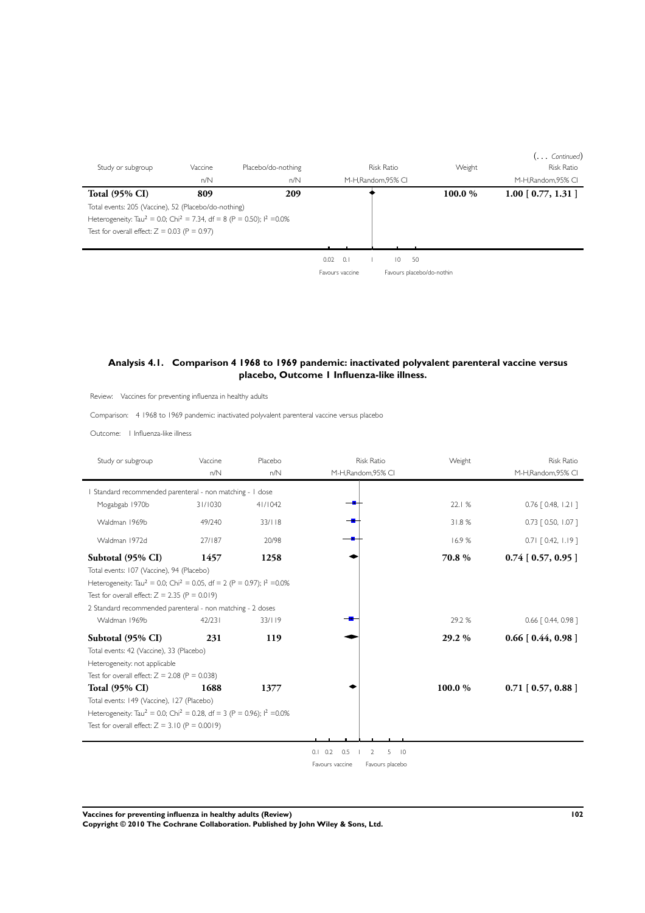<span id="page-104-0"></span>

## **Analysis 4.1. Comparison 4 1968 to 1969 pandemic: inactivated polyvalent parenteral vaccine versus placebo, Outcome 1 Influenza-like illness.**

Review: Vaccines for preventing influenza in healthy adults

Comparison: 4 1968 to 1969 pandemic: inactivated polyvalent parenteral vaccine versus placebo

Outcome: 1 Influenza-like illness

| Study or subgroup                                                                                        | Vaccine | Placebo | <b>Risk Ratio</b>                              | Weight | <b>Risk Ratio</b>          |
|----------------------------------------------------------------------------------------------------------|---------|---------|------------------------------------------------|--------|----------------------------|
|                                                                                                          | n/N     | n/N     | M-H,Random,95% CI                              |        | M-H,Random,95% CI          |
| Standard recommended parenteral - non matching - I dose                                                  |         |         |                                                |        |                            |
| Mogabgab 1970b                                                                                           | 31/1030 | 41/1042 |                                                | 22.1%  | $0.76$ $[0.48, 1.21]$      |
| Waldman 1969b                                                                                            | 49/240  | 33/118  |                                                | 31.8%  | $0.73$ $[0.50, 1.07]$      |
| Waldman 1972d                                                                                            | 27/187  | 20/98   |                                                | 16.9%  | $0.71$ $[0.42, 1.19]$      |
| Subtotal (95% CI)                                                                                        | 1457    | 1258    |                                                | 70.8%  | $0.74$ [ 0.57, 0.95 ]      |
| Total events: 107 (Vaccine), 94 (Placebo)                                                                |         |         |                                                |        |                            |
| Heterogeneity: Tau <sup>2</sup> = 0.0; Chi <sup>2</sup> = 0.05, df = 2 (P = 0.97); l <sup>2</sup> = 0.0% |         |         |                                                |        |                            |
| Test for overall effect: $Z = 2.35$ (P = 0.019)                                                          |         |         |                                                |        |                            |
| 2 Standard recommended parenteral - non matching - 2 doses                                               |         |         |                                                |        |                            |
| Waldman 1969b                                                                                            | 42/231  | 33/119  |                                                | 29.2 % | $0.66$ $[0.44, 0.98]$      |
| Subtotal (95% CI)                                                                                        | 231     | 119     |                                                | 29.2 % | $0.66$ [ $0.44$ , $0.98$ ] |
| Total events: 42 (Vaccine), 33 (Placebo)                                                                 |         |         |                                                |        |                            |
| Heterogeneity: not applicable                                                                            |         |         |                                                |        |                            |
| Test for overall effect: $Z = 2.08$ (P = 0.038)                                                          |         |         |                                                |        |                            |
| <b>Total (95% CI)</b>                                                                                    | 1688    | 1377    |                                                | 100.0% | $0.71$ [ 0.57, 0.88 ]      |
| Total events: 149 (Vaccine), 127 (Placebo)                                                               |         |         |                                                |        |                            |
| Heterogeneity: Tau <sup>2</sup> = 0.0; Chi <sup>2</sup> = 0.28, df = 3 (P = 0.96); l <sup>2</sup> = 0.0% |         |         |                                                |        |                            |
| Test for overall effect: $Z = 3.10$ (P = 0.0019)                                                         |         |         |                                                |        |                            |
|                                                                                                          |         |         |                                                |        |                            |
|                                                                                                          |         |         | $0.1 \quad 0.2$<br>0.5<br>5<br>$\overline{10}$ |        |                            |
|                                                                                                          |         |         | Favours placebo<br>Favours vaccine             |        |                            |

**Vaccines for preventing influenza in healthy adults (Review) 102**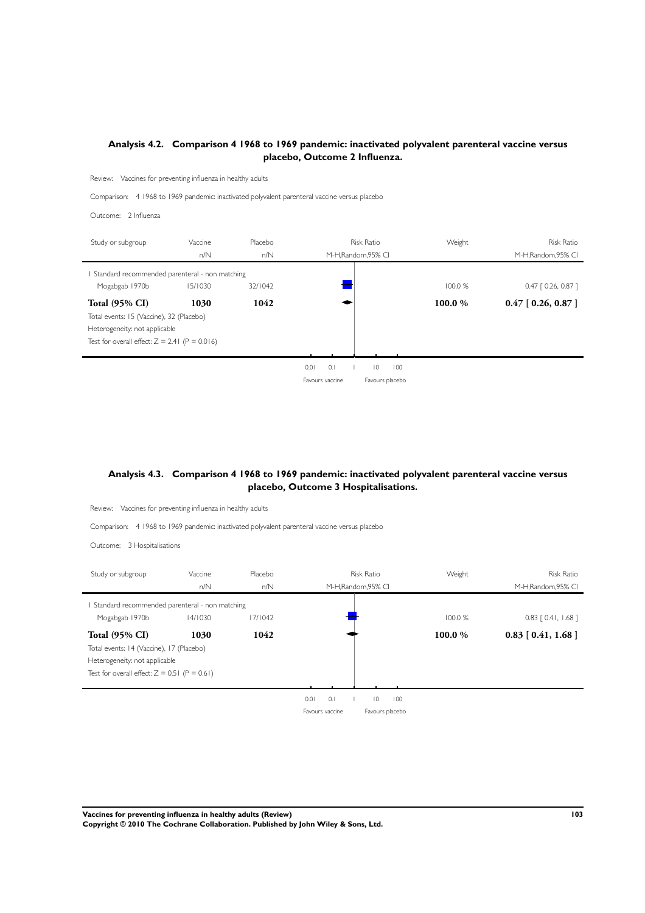### <span id="page-105-0"></span>**Analysis 4.2. Comparison 4 1968 to 1969 pandemic: inactivated polyvalent parenteral vaccine versus placebo, Outcome 2 Influenza.**

Review: Vaccines for preventing influenza in healthy adults

Comparison: 4 1968 to 1969 pandemic: inactivated polyvalent parenteral vaccine versus placebo

Outcome: 2 Influenza

| Study or subgroup                               | Vaccine | Placebo |                 | <b>Risk Ratio</b>     | Weight  | <b>Risk Ratio</b>     |
|-------------------------------------------------|---------|---------|-----------------|-----------------------|---------|-----------------------|
|                                                 | n/N     | n/N     |                 | M-H, Random, 95% CI   |         | M-H, Random, 95% CI   |
| Standard recommended parenteral - non matching  |         |         |                 |                       |         |                       |
| Mogabgab 1970b                                  | 15/1030 | 32/1042 |                 |                       | 100.0 % | $0.47$ $[0.26, 0.87]$ |
| <b>Total (95% CI)</b>                           | 1030    | 1042    |                 |                       | 100.0 % | $0.47$ [ 0.26, 0.87 ] |
| Total events: 15 (Vaccine), 32 (Placebo)        |         |         |                 |                       |         |                       |
| Heterogeneity: not applicable                   |         |         |                 |                       |         |                       |
| Test for overall effect: $Z = 2.41$ (P = 0.016) |         |         |                 |                       |         |                       |
|                                                 |         |         |                 |                       |         |                       |
|                                                 |         |         | 0.1<br>0.01     | 100<br>$\overline{0}$ |         |                       |
|                                                 |         |         | Favours vaccine | Favours placebo       |         |                       |
|                                                 |         |         |                 |                       |         |                       |
|                                                 |         |         |                 |                       |         |                       |
|                                                 |         |         |                 |                       |         |                       |
|                                                 |         |         |                 |                       |         |                       |

## **Analysis 4.3. Comparison 4 1968 to 1969 pandemic: inactivated polyvalent parenteral vaccine versus placebo, Outcome 3 Hospitalisations.**

| Review: Vaccines for preventing influenza in healthy adults                                   |         |         |                 |                        |         |                         |
|-----------------------------------------------------------------------------------------------|---------|---------|-----------------|------------------------|---------|-------------------------|
| Comparison: 4 1968 to 1969 pandemic: inactivated polyvalent parenteral vaccine versus placebo |         |         |                 |                        |         |                         |
| Outcome: 3 Hospitalisations                                                                   |         |         |                 |                        |         |                         |
| Study or subgroup                                                                             | Vaccine | Placebo |                 | <b>Risk Ratio</b>      | Weight  | <b>Risk Ratio</b>       |
|                                                                                               | n/N     | n/N     |                 | M-H,Random,95% CI      |         | M-H,Random,95% CI       |
| I Standard recommended parenteral - non matching                                              |         |         |                 |                        |         |                         |
| Mogabgab 1970b                                                                                | 14/1030 | 17/1042 |                 |                        | 100.0 % | $0.83$ $[0.41, 1.68]$   |
| <b>Total (95% CI)</b>                                                                         | 1030    | 1042    |                 |                        | 100.0 % | $0.83$ [ $0.41, 1.68$ ] |
| Total events: 14 (Vaccine), 17 (Placebo)                                                      |         |         |                 |                        |         |                         |
| Heterogeneity: not applicable                                                                 |         |         |                 |                        |         |                         |
| Test for overall effect: $Z = 0.51$ (P = 0.61)                                                |         |         |                 |                        |         |                         |
|                                                                                               |         |         |                 |                        |         |                         |
|                                                                                               |         |         | 0.1<br>0.01     | $\overline{10}$<br>100 |         |                         |
|                                                                                               |         |         | Favours vaccine | Favours placebo        |         |                         |
|                                                                                               |         |         |                 |                        |         |                         |
|                                                                                               |         |         |                 |                        |         |                         |
|                                                                                               |         |         |                 |                        |         |                         |
|                                                                                               |         |         |                 |                        |         |                         |
|                                                                                               |         |         |                 |                        |         |                         |

**Vaccines for preventing influenza in healthy adults (Review) 103**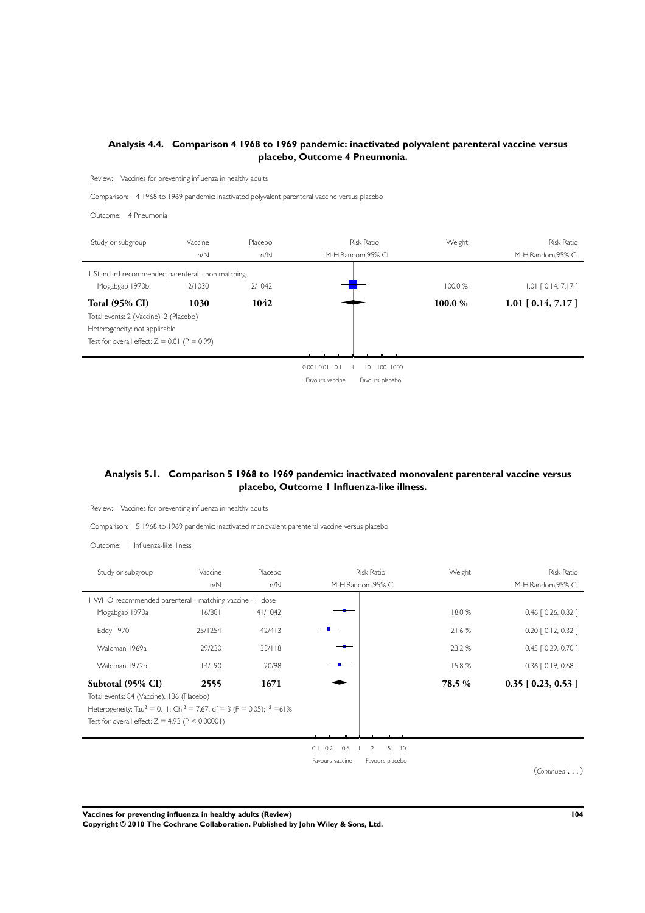#### <span id="page-106-0"></span>**Analysis 4.4. Comparison 4 1968 to 1969 pandemic: inactivated polyvalent parenteral vaccine versus placebo, Outcome 4 Pneumonia.**

Review: Vaccines for preventing influenza in healthy adults

Comparison: 4 1968 to 1969 pandemic: inactivated polyvalent parenteral vaccine versus placebo

Outcome: 4 Pneumonia

| Study or subgroup                              | Vaccine | Placebo |                 | <b>Risk Ratio</b>          | Weight  | <b>Risk Ratio</b>     |
|------------------------------------------------|---------|---------|-----------------|----------------------------|---------|-----------------------|
|                                                | n/N     | n/N     |                 | M-H, Random, 95% CI        |         | M-H, Random, 95% CI   |
| Standard recommended parenteral - non matching |         |         |                 |                            |         |                       |
| Mogabgab 1970b                                 | 2/1030  | 2/1042  |                 |                            | 100.0 % | $1.01$ $[0.14, 7.17]$ |
| <b>Total (95% CI)</b>                          | 1030    | 1042    |                 |                            | 100.0 % | $1.01$ [ 0.14, 7.17 ] |
| Total events: 2 (Vaccine), 2 (Placebo)         |         |         |                 |                            |         |                       |
| Heterogeneity: not applicable                  |         |         |                 |                            |         |                       |
| Test for overall effect: $Z = 0.01$ (P = 0.99) |         |         |                 |                            |         |                       |
|                                                |         |         |                 |                            |         |                       |
|                                                |         |         | 0.0010.010.1    | 100 1000<br>$\overline{0}$ |         |                       |
|                                                |         |         | Favours vaccine | Favours placebo            |         |                       |
|                                                |         |         |                 |                            |         |                       |
|                                                |         |         |                 |                            |         |                       |

## **Analysis 5.1. Comparison 5 1968 to 1969 pandemic: inactivated monovalent parenteral vaccine versus placebo, Outcome 1 Influenza-like illness.**

Review: Vaccines for preventing influenza in healthy adults

Comparison: 5 1968 to 1969 pandemic: inactivated monovalent parenteral vaccine versus placebo

Outcome: 1 Influenza-like illness

| Study or subgroup                                                                              | Vaccine | Placebo | <b>Risk Ratio</b>                                           | Weight | <b>Risk Ratio</b>     |
|------------------------------------------------------------------------------------------------|---------|---------|-------------------------------------------------------------|--------|-----------------------|
|                                                                                                | n/N     | n/N     | M-H, Random, 95% CI                                         |        | M-H, Random, 95% CI   |
| I WHO recommended parenteral - matching vaccine - I dose                                       |         |         |                                                             |        |                       |
| Mogabgab 1970a                                                                                 | 16/881  | 41/1042 |                                                             | 18.0%  | $0.46$ $[0.26, 0.82]$ |
| Eddy 1970                                                                                      | 25/1254 | 42/413  |                                                             | 21.6%  | $0.20$ $[0.12, 0.32]$ |
| Waldman 1969a                                                                                  | 29/230  | 33/118  |                                                             | 23.2 % | $0.45$ $[0.29, 0.70]$ |
| Waldman 1972b                                                                                  | 14/190  | 20/98   |                                                             | 15.8%  | $0.36$ $[0.19, 0.68]$ |
| Subtotal (95% CI)                                                                              | 2555    | 1671    |                                                             | 78.5 % | $0.35$ [ 0.23, 0.53 ] |
| Total events: 84 (Vaccine), 136 (Placebo)                                                      |         |         |                                                             |        |                       |
| Heterogeneity: Tau <sup>2</sup> = 0.11; Chi <sup>2</sup> = 7.67, df = 3 (P = 0.05); $1^2$ =61% |         |         |                                                             |        |                       |
| Test for overall effect: $Z = 4.93$ (P < 0.00001)                                              |         |         |                                                             |        |                       |
|                                                                                                |         |         |                                                             |        |                       |
|                                                                                                |         |         | $0.1$ $0.2$ $0.5$<br>5<br>$\overline{10}$<br>$\overline{2}$ |        |                       |
|                                                                                                |         |         | Favours vaccine<br>Favours placebo                          |        |                       |
|                                                                                                |         |         |                                                             |        | $(Continued \dots)$   |

**Vaccines for preventing influenza in healthy adults (Review) 104**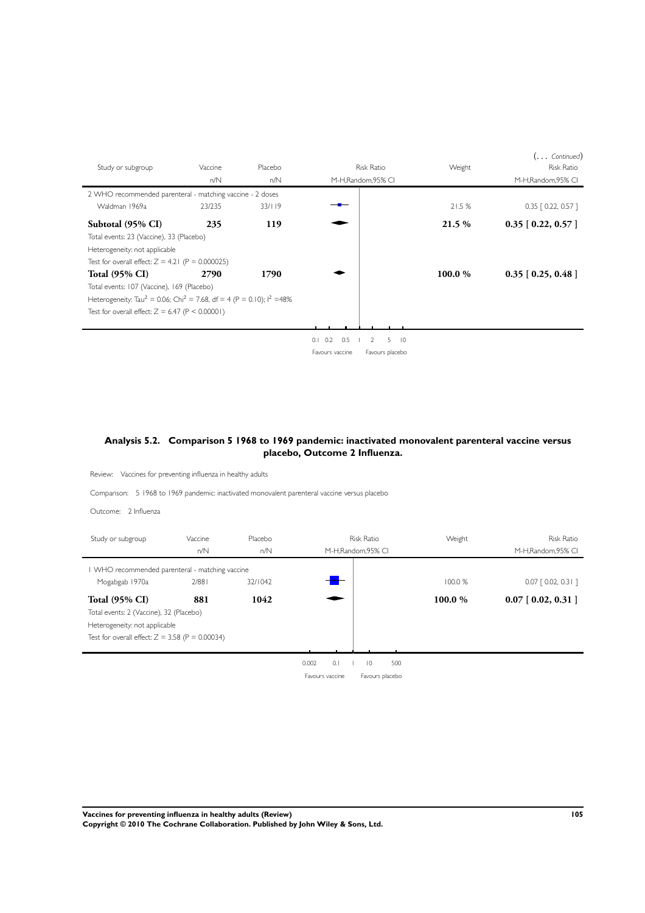<span id="page-107-0"></span>

|                                                                                                |         |         |                        |                                        |         | $(\ldots$ Continued)  |
|------------------------------------------------------------------------------------------------|---------|---------|------------------------|----------------------------------------|---------|-----------------------|
| Study or subgroup                                                                              | Vaccine | Placebo |                        | <b>Risk Ratio</b>                      | Weight  | <b>Risk Ratio</b>     |
|                                                                                                | n/N     | n/N     |                        | M-H, Random, 95% CI                    |         | M-H, Random, 95% CI   |
| 2 WHO recommended parenteral - matching vaccine - 2 doses                                      |         |         |                        |                                        |         |                       |
| Waldman 1969a                                                                                  | 23/235  | 33/119  |                        |                                        | 21.5 %  | $0.35$ $[0.22, 0.57]$ |
| Subtotal (95% CI)                                                                              | 235     | 119     |                        |                                        | 21.5%   | $0.35$ [ 0.22, 0.57 ] |
| Total events: 23 (Vaccine), 33 (Placebo)                                                       |         |         |                        |                                        |         |                       |
| Heterogeneity: not applicable                                                                  |         |         |                        |                                        |         |                       |
| Test for overall effect: $Z = 4.21$ (P = 0.000025)                                             |         |         |                        |                                        |         |                       |
| <b>Total (95% CI)</b>                                                                          | 2790    | 1790    |                        |                                        | 100.0 % | $0.35$ [ 0.25, 0.48 ] |
| Total events: 107 (Vaccine), 169 (Placebo)                                                     |         |         |                        |                                        |         |                       |
| Heterogeneity: Tau <sup>2</sup> = 0.06; Chi <sup>2</sup> = 7.68, df = 4 (P = 0.10); $1^2$ =48% |         |         |                        |                                        |         |                       |
| Test for overall effect: $Z = 6.47$ (P < 0.00001)                                              |         |         |                        |                                        |         |                       |
|                                                                                                |         |         |                        |                                        |         |                       |
|                                                                                                |         |         | $0.1 \quad 0.2$<br>0.5 | 5.<br>$\mathcal{L}$<br>$\overline{10}$ |         |                       |
|                                                                                                |         |         | Favours vaccine        | Favours placebo                        |         |                       |

# **Analysis 5.2. Comparison 5 1968 to 1969 pandemic: inactivated monovalent parenteral vaccine versus placebo, Outcome 2 Influenza.**

| Review: Vaccines for preventing influenza in healthy adults                                                                                     |                |                |                                                                                               |                        |                                          |
|-------------------------------------------------------------------------------------------------------------------------------------------------|----------------|----------------|-----------------------------------------------------------------------------------------------|------------------------|------------------------------------------|
|                                                                                                                                                 |                |                | Comparison: 5 1968 to 1969 pandemic: inactivated monovalent parenteral vaccine versus placebo |                        |                                          |
| Outcome: 2 Influenza                                                                                                                            |                |                |                                                                                               |                        |                                          |
| Study or subgroup                                                                                                                               | Vaccine<br>n/N | Placebo<br>n/N | Risk Ratio<br>M-H,Random,95% CI                                                               | Weight                 | <b>Risk Ratio</b><br>M-H, Random, 95% CI |
| I WHO recommended parenteral - matching vaccine                                                                                                 |                |                |                                                                                               |                        |                                          |
| Mogabgab 1970a                                                                                                                                  | 2/881          | 32/1042        |                                                                                               | 100.0 %                | $0.07$ $[ 0.02, 0.31 ]$                  |
| Total (95% CI)<br>Total events: 2 (Vaccine), 32 (Placebo)<br>Heterogeneity: not applicable<br>Test for overall effect: $Z = 3.58$ (P = 0.00034) | 881            | 1042           |                                                                                               | 100.0%                 | $0.07$ [ $0.02$ , $0.31$ ]               |
|                                                                                                                                                 |                |                | 0.002<br>0.1<br>$\overline{0}$<br>Favours vaccine                                             | 500<br>Favours placebo |                                          |

**Vaccines for preventing influenza in healthy adults (Review) 105**

j.

Ĭ.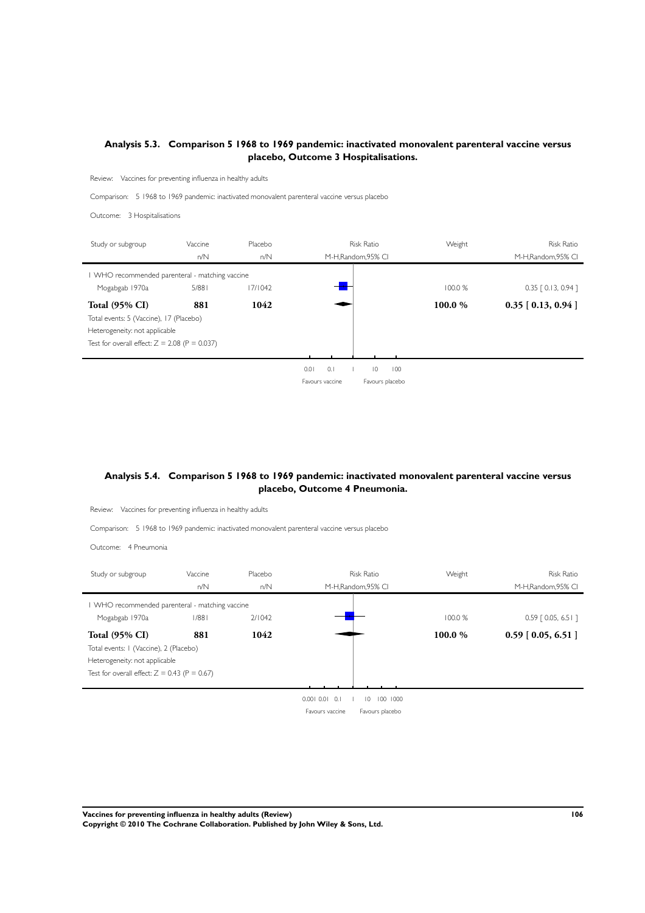### **Analysis 5.3. Comparison 5 1968 to 1969 pandemic: inactivated monovalent parenteral vaccine versus placebo, Outcome 3 Hospitalisations.**

Review: Vaccines for preventing influenza in healthy adults

Comparison: 5 1968 to 1969 pandemic: inactivated monovalent parenteral vaccine versus placebo

Outcome: 3 Hospitalisations

| Study or subgroup                                               | Vaccine | Placebo |                 | Risk Ratio            | Weight | <b>Risk Ratio</b>     |
|-----------------------------------------------------------------|---------|---------|-----------------|-----------------------|--------|-----------------------|
|                                                                 | n/N     | n/N     |                 | M-H, Random, 95% CI   |        | M-H,Random,95% CI     |
| WHO recommended parenteral - matching vaccine<br>Mogabgab 1970a | 5/881   | 17/1042 |                 |                       | 100.0% | $0.35$ $[0.13, 0.94]$ |
| <b>Total (95% CI)</b>                                           | 881     | 1042    |                 |                       | 100.0% | $0.35$ [ 0.13, 0.94 ] |
| Total events: 5 (Vaccine), 17 (Placebo)                         |         |         |                 |                       |        |                       |
| Heterogeneity: not applicable                                   |         |         |                 |                       |        |                       |
| Test for overall effect: $Z = 2.08$ (P = 0.037)                 |         |         |                 |                       |        |                       |
|                                                                 |         |         |                 |                       |        |                       |
|                                                                 |         |         | 0.01<br>0.1     | $\overline{0}$<br>100 |        |                       |
|                                                                 |         |         | Favours vaccine | Favours placebo       |        |                       |
|                                                                 |         |         |                 |                       |        |                       |
|                                                                 |         |         |                 |                       |        |                       |

# **Analysis 5.4. Comparison 5 1968 to 1969 pandemic: inactivated monovalent parenteral vaccine versus placebo, Outcome 4 Pneumonia.**

Review: Vaccines for preventing influenza in healthy adults

Comparison: 5 1968 to 1969 pandemic: inactivated monovalent parenteral vaccine versus placebo

Outcome: 4 Pneumonia

| Study or subgroup                               | Vaccine<br>n/N | Placebo<br>n/N |                 | <b>Risk Ratio</b><br>M-H, Random, 95% CI | Weight  | <b>Risk Ratio</b><br>M-H, Random, 95% CI |
|-------------------------------------------------|----------------|----------------|-----------------|------------------------------------------|---------|------------------------------------------|
| I WHO recommended parenteral - matching vaccine |                |                |                 |                                          |         |                                          |
| Mogabgab 1970a                                  | 1/88           | 2/1042         |                 |                                          | 100.0 % | $0.59$ $[0.05, 6.51]$                    |
| <b>Total (95% CI)</b>                           | 881            | 1042           |                 |                                          | 100.0 % | $0.59$ [ 0.05, 6.51 ]                    |
| Total events: I (Vaccine), 2 (Placebo)          |                |                |                 |                                          |         |                                          |
| Heterogeneity: not applicable                   |                |                |                 |                                          |         |                                          |
| Test for overall effect: $Z = 0.43$ (P = 0.67)  |                |                |                 |                                          |         |                                          |
|                                                 |                |                |                 |                                          |         |                                          |
|                                                 |                |                | 0.0010.010.1    | 10 100 1000                              |         |                                          |
|                                                 |                |                | Favours vaccine | Favours placebo                          |         |                                          |
|                                                 |                |                |                 |                                          |         |                                          |
|                                                 |                |                |                 |                                          |         |                                          |
|                                                 |                |                |                 |                                          |         |                                          |

**Vaccines for preventing influenza in healthy adults (Review) 106**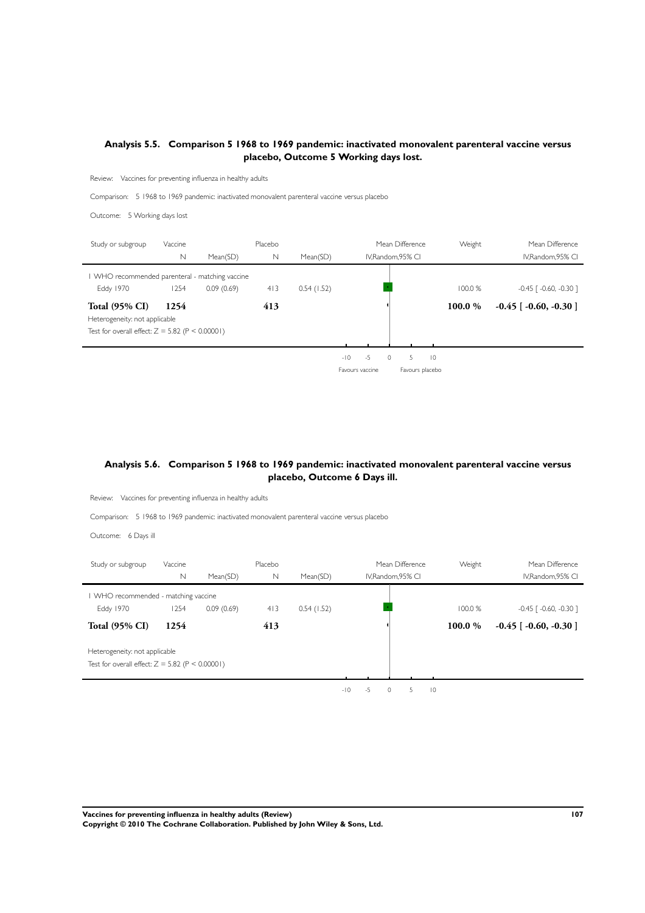### **Analysis 5.5. Comparison 5 1968 to 1969 pandemic: inactivated monovalent parenteral vaccine versus placebo, Outcome 5 Working days lost.**

Review: Vaccines for preventing influenza in healthy adults

Comparison: 5 1968 to 1969 pandemic: inactivated monovalent parenteral vaccine versus placebo

Outcome: 5 Working days lost

| Study or subgroup                                 | Vaccine     |            | Placebo     |            |                 |      | Mean Difference    |             | Weight | Mean Difference               |
|---------------------------------------------------|-------------|------------|-------------|------------|-----------------|------|--------------------|-------------|--------|-------------------------------|
|                                                   | $\mathbb N$ | Mean(SD)   | $\mathbb N$ | Mean(SD)   |                 |      | IV, Random, 95% CI |             |        | IV, Random, 95% CI            |
| I WHO recommended parenteral - matching vaccine   |             |            |             |            |                 |      |                    |             |        |                               |
| Eddy 1970                                         | 1254        | 0.09(0.69) | 413         | 0.54(1.52) |                 |      |                    |             | 100.0% | $-0.45$ [ $-0.60$ , $-0.30$ ] |
| <b>Total (95% CI)</b>                             | 1254        |            | 413         |            |                 |      |                    |             | 100.0% | $-0.45$ [ $-0.60, -0.30$ ]    |
| Heterogeneity: not applicable                     |             |            |             |            |                 |      |                    |             |        |                               |
| Test for overall effect: $Z = 5.82$ (P < 0.00001) |             |            |             |            |                 |      |                    |             |        |                               |
|                                                   |             |            |             |            |                 |      |                    |             |        |                               |
|                                                   |             |            |             |            | $-10$           | $-5$ | 5.                 | $ 0\rangle$ |        |                               |
|                                                   |             |            |             |            | Favours vaccine |      | Favours placebo    |             |        |                               |
|                                                   |             |            |             |            |                 |      |                    |             |        |                               |
|                                                   |             |            |             |            |                 |      |                    |             |        |                               |

## **Analysis 5.6. Comparison 5 1968 to 1969 pandemic: inactivated monovalent parenteral vaccine versus placebo, Outcome 6 Days ill.**

| Review: Vaccines for preventing influenza in healthy adults                                   |                        |            |                       |            |                    |                 |         |                                       |
|-----------------------------------------------------------------------------------------------|------------------------|------------|-----------------------|------------|--------------------|-----------------|---------|---------------------------------------|
| Comparison: 5 1968 to 1969 pandemic: inactivated monovalent parenteral vaccine versus placebo |                        |            |                       |            |                    |                 |         |                                       |
| Outcome: 6 Days ill                                                                           |                        |            |                       |            |                    |                 |         |                                       |
| Study or subgroup                                                                             | Vaccine<br>$\mathbb N$ | Mean(SD)   | Placebo<br>$\hbox{N}$ | Mean(SD)   | IV, Random, 95% CI | Mean Difference | Weight  | Mean Difference<br>IV, Random, 95% CI |
| I WHO recommended - matching vaccine                                                          |                        |            |                       |            |                    |                 |         |                                       |
| Eddy 1970                                                                                     | 1254                   | 0.09(0.69) | 413                   | 0.54(1.52) |                    |                 | 100.0 % | $-0.45$ [ $-0.60$ , $-0.30$ ]         |
| Total (95% CI)                                                                                | 1254                   |            | 413                   |            |                    |                 | 100.0%  | $-0.45$ [ $-0.60, -0.30$ ]            |
| Heterogeneity: not applicable<br>Test for overall effect: $Z = 5.82$ (P < 0.00001)            |                        |            |                       |            |                    |                 |         |                                       |
|                                                                                               |                        |            |                       |            | $-5$<br>$-10$<br>0 | 5<br> 0         |         |                                       |
|                                                                                               |                        |            |                       |            |                    |                 |         |                                       |
|                                                                                               |                        |            |                       |            |                    |                 |         |                                       |
|                                                                                               |                        |            |                       |            |                    |                 |         |                                       |
|                                                                                               |                        |            |                       |            |                    |                 |         |                                       |
|                                                                                               |                        |            |                       |            |                    |                 |         |                                       |

**Vaccines for preventing influenza in healthy adults (Review) 107**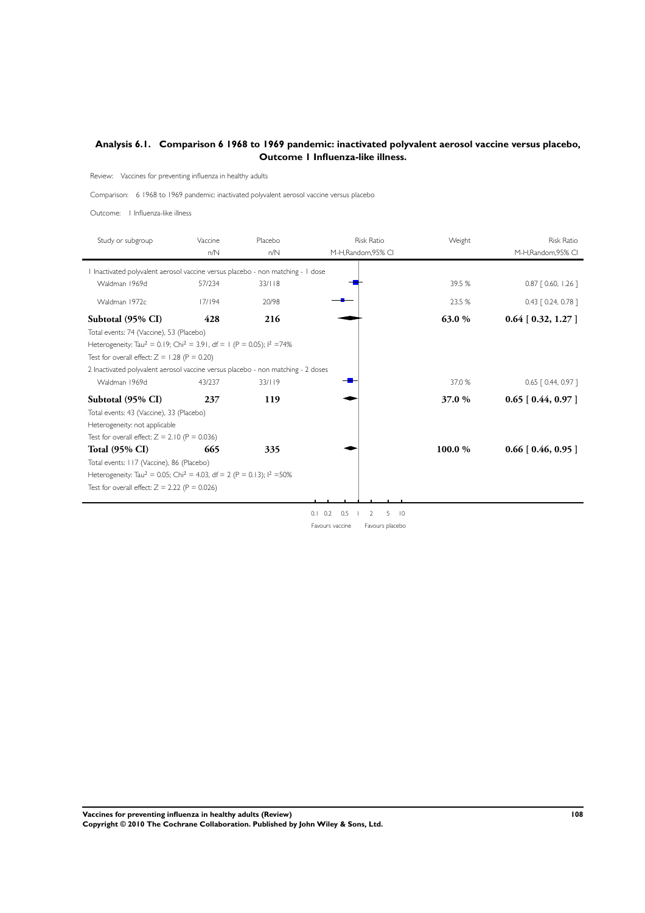### **Analysis 6.1. Comparison 6 1968 to 1969 pandemic: inactivated polyvalent aerosol vaccine versus placebo, Outcome 1 Influenza-like illness.**

Review: Vaccines for preventing influenza in healthy adults

Comparison: 6 1968 to 1969 pandemic: inactivated polyvalent aerosol vaccine versus placebo

Outcome: 1 Influenza-like illness

| Study or subgroup                                                                              | Vaccine | Placebo | <b>Risk Ratio</b>                                       | Weight | <b>Risk Ratio</b>          |
|------------------------------------------------------------------------------------------------|---------|---------|---------------------------------------------------------|--------|----------------------------|
|                                                                                                | n/N     | n/N     | M-H,Random,95% CI                                       |        | M-H,Random,95% CI          |
| Inactivated polyvalent aerosol vaccine versus placebo - non matching - I dose                  |         |         |                                                         |        |                            |
| Waldman 1969d                                                                                  | 57/234  | 33/118  |                                                         | 39.5 % | $0.87$ $[0.60, 1.26]$      |
| Waldman 1972c                                                                                  | 17/194  | 20/98   |                                                         | 23.5 % | $0.43$ $[0.24, 0.78]$      |
| Subtotal (95% CI)                                                                              | 428     | 216     |                                                         | 63.0 % | $0.64$ [ 0.32, 1.27 ]      |
| Total events: 74 (Vaccine), 53 (Placebo)                                                       |         |         |                                                         |        |                            |
| Heterogeneity: Tau <sup>2</sup> = 0.19; Chi <sup>2</sup> = 3.91, df = 1 (P = 0.05); $1^2$ =74% |         |         |                                                         |        |                            |
| Test for overall effect: $Z = 1.28$ (P = 0.20)                                                 |         |         |                                                         |        |                            |
| 2 Inactivated polyvalent aerosol vaccine versus placebo - non matching - 2 doses               |         |         |                                                         |        |                            |
| Waldman 1969d                                                                                  | 43/237  | 33/119  |                                                         | 37.0 % | $0.65$ $[0.44, 0.97]$      |
| Subtotal (95% CI)                                                                              | 237     | 119     |                                                         | 37.0 % | $0.65$ [ $0.44$ , $0.97$ ] |
| Total events: 43 (Vaccine), 33 (Placebo)                                                       |         |         |                                                         |        |                            |
| Heterogeneity: not applicable                                                                  |         |         |                                                         |        |                            |
| Test for overall effect: $Z = 2.10$ (P = 0.036)                                                |         |         |                                                         |        |                            |
| <b>Total (95% CI)</b>                                                                          | 665     | 335     |                                                         | 100.0% | $0.66$ [ $0.46$ , $0.95$ ] |
| Total events: 117 (Vaccine), 86 (Placebo)                                                      |         |         |                                                         |        |                            |
| Heterogeneity: Tau <sup>2</sup> = 0.05; Chi <sup>2</sup> = 4.03, df = 2 (P = 0.13); $1^2$ =50% |         |         |                                                         |        |                            |
| Test for overall effect: $Z = 2.22$ (P = 0.026)                                                |         |         |                                                         |        |                            |
|                                                                                                |         |         |                                                         |        |                            |
|                                                                                                |         |         | $0.1$ $0.2$ $0.5$<br>5<br>$ 0\rangle$<br>$\overline{2}$ |        |                            |
|                                                                                                |         |         | Favours vaccine<br>Favours placebo                      |        |                            |
|                                                                                                |         |         |                                                         |        |                            |
|                                                                                                |         |         |                                                         |        |                            |
|                                                                                                |         |         |                                                         |        |                            |

**Vaccines for preventing influenza in healthy adults (Review) 108**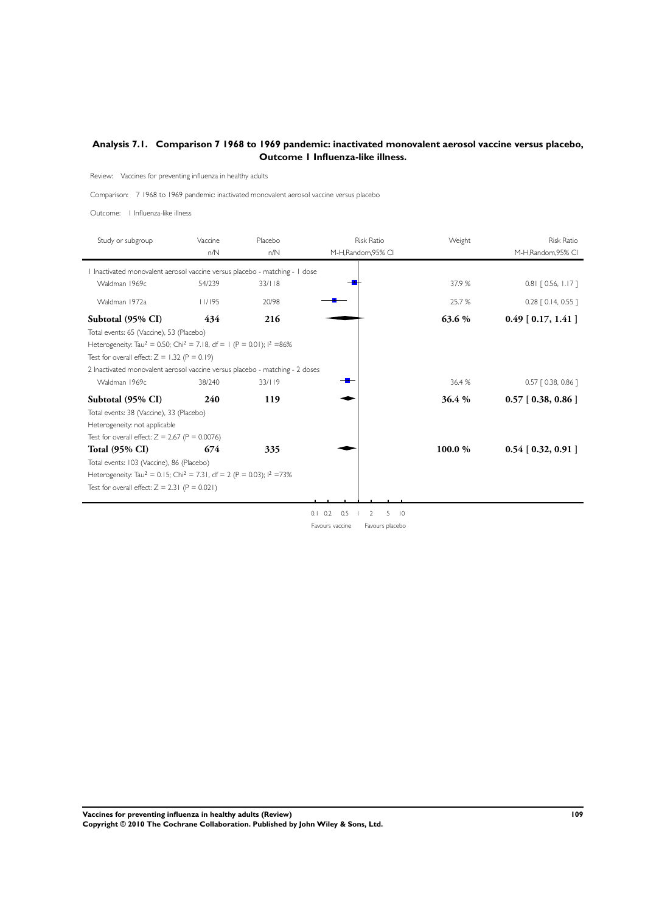# **Analysis 7.1. Comparison 7 1968 to 1969 pandemic: inactivated monovalent aerosol vaccine versus placebo, Outcome 1 Influenza-like illness.**

Review: Vaccines for preventing influenza in healthy adults

Comparison: 7 1968 to 1969 pandemic: inactivated monovalent aerosol vaccine versus placebo

Outcome: 1 Influenza-like illness

| Study or subgroup                                                                                       | Vaccine | Placebo | <b>Risk Ratio</b>                                          | Weight | Risk Ratio                 |
|---------------------------------------------------------------------------------------------------------|---------|---------|------------------------------------------------------------|--------|----------------------------|
|                                                                                                         | n/N     | n/N     | M-H,Random,95% CI                                          |        | M-H,Random,95% CI          |
| Inactivated monovalent aerosol vaccine versus placebo - matching - I dose                               |         |         |                                                            |        |                            |
| Waldman 1969c                                                                                           | 54/239  | 33/118  |                                                            | 37.9%  | $0.81$ [ 0.56, 1.17 ]      |
| Waldman 1972a                                                                                           | 11/195  | 20/98   |                                                            | 25.7%  | $0.28$ $[0.14, 0.55]$      |
| Subtotal (95% CI)                                                                                       | 434     | 216     |                                                            | 63.6 % | $0.49$ [ $0.17, 1.41$ ]    |
| Total events: 65 (Vaccine), 53 (Placebo)                                                                |         |         |                                                            |        |                            |
| Heterogeneity: Tau <sup>2</sup> = 0.50; Chi <sup>2</sup> = 7.18, df = 1 (P = 0.01); $1^2$ =86%          |         |         |                                                            |        |                            |
| Test for overall effect: $Z = 1.32$ (P = 0.19)                                                          |         |         |                                                            |        |                            |
| 2 Inactivated monovalent aerosol vaccine versus placebo - matching - 2 doses                            |         |         |                                                            |        |                            |
| Waldman 1969c                                                                                           | 38/240  | 33/119  |                                                            | 36.4%  | 0.57 [ 0.38, 0.86 ]        |
| Subtotal (95% CI)                                                                                       | 240     | 119     |                                                            | 36.4 % | $0.57$ [ 0.38, 0.86 ]      |
| Total events: 38 (Vaccine), 33 (Placebo)                                                                |         |         |                                                            |        |                            |
| Heterogeneity: not applicable                                                                           |         |         |                                                            |        |                            |
| Test for overall effect: $Z = 2.67$ (P = 0.0076)                                                        |         |         |                                                            |        |                            |
| <b>Total (95% CI)</b>                                                                                   | 674     | 335     |                                                            | 100.0% | $0.54$ [ $0.32$ , $0.91$ ] |
| Total events: 103 (Vaccine), 86 (Placebo)                                                               |         |         |                                                            |        |                            |
| Heterogeneity: Tau <sup>2</sup> = 0.15; Chi <sup>2</sup> = 7.31, df = 2 (P = 0.03); l <sup>2</sup> =73% |         |         |                                                            |        |                            |
| Test for overall effect: $Z = 2.31$ (P = 0.021)                                                         |         |         |                                                            |        |                            |
|                                                                                                         |         |         |                                                            |        |                            |
|                                                                                                         |         |         | $0.1$ $0.2$ $0.5$<br>$\overline{2}$<br>5<br>$\overline{0}$ |        |                            |
|                                                                                                         |         |         | Favours vaccine<br>Favours placebo                         |        |                            |
|                                                                                                         |         |         |                                                            |        |                            |
|                                                                                                         |         |         |                                                            |        |                            |
|                                                                                                         |         |         |                                                            |        |                            |
|                                                                                                         |         |         |                                                            |        |                            |
|                                                                                                         |         |         |                                                            |        |                            |
|                                                                                                         |         |         |                                                            |        |                            |

**Vaccines for preventing influenza in healthy adults (Review) 109**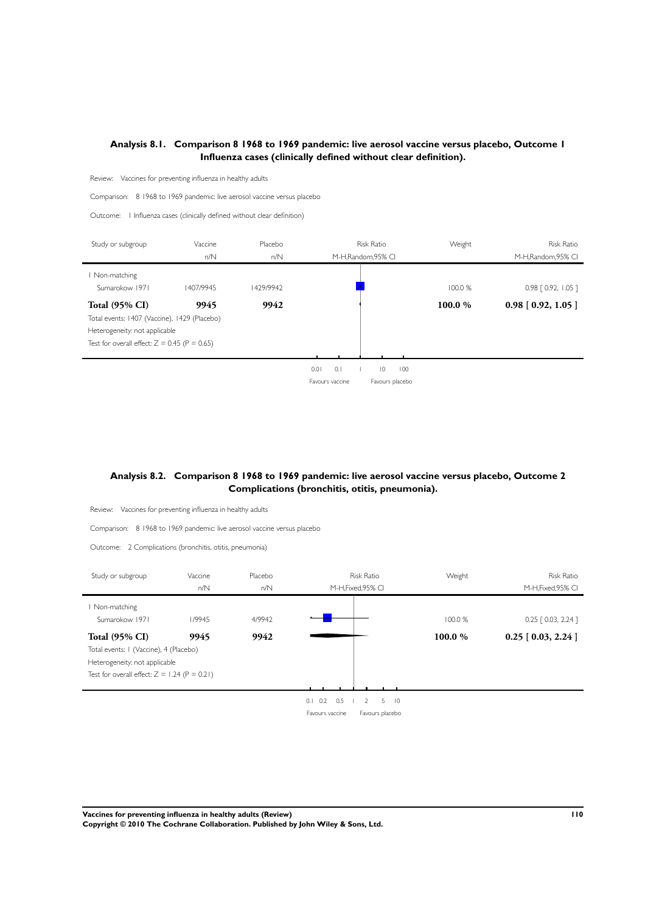### **Analysis 8.1. Comparison 8 1968 to 1969 pandemic: live aerosol vaccine versus placebo, Outcome 1 Influenza cases (clinically defined without clear definition).**

Review: Vaccines for preventing influenza in healthy adults

Comparison: 8 1968 to 1969 pandemic: live aerosol vaccine versus placebo

Outcome: 1 Influenza cases (clinically defined without clear definition)

| Vaccine                                        | Placebo   |      |     |                 |                   | Weight                                 | <b>Risk Ratio</b>     |
|------------------------------------------------|-----------|------|-----|-----------------|-------------------|----------------------------------------|-----------------------|
| n/N                                            | n/N       |      |     |                 |                   |                                        | M-H, Random, 95% CI   |
|                                                |           |      |     |                 |                   |                                        |                       |
| 1407/9945                                      | 1429/9942 |      |     |                 |                   | 100.0 %                                | $0.98$ $[0.92, 1.05]$ |
| 9945                                           | 9942      |      |     |                 |                   | 100.0%                                 | $0.98$ [ 0.92, 1.05 ] |
| Total events: 1407 (Vaccine), 1429 (Placebo)   |           |      |     |                 |                   |                                        |                       |
| Heterogeneity: not applicable                  |           |      |     |                 |                   |                                        |                       |
| Test for overall effect: $Z = 0.45$ (P = 0.65) |           |      |     |                 |                   |                                        |                       |
|                                                |           |      |     |                 |                   |                                        |                       |
|                                                |           | 0.01 | 0.1 | $ 0\rangle$     | 100               |                                        |                       |
|                                                |           |      |     |                 |                   |                                        |                       |
|                                                |           |      |     |                 |                   |                                        |                       |
|                                                |           |      |     | Favours vaccine | <b>Risk Ratio</b> | M-H, Random, 95% CI<br>Favours placebo |                       |

## **Analysis 8.2. Comparison 8 1968 to 1969 pandemic: live aerosol vaccine versus placebo, Outcome 2 Complications (bronchitis, otitis, pneumonia).**

Review: Vaccines for preventing influenza in healthy adults

Comparison: 8 1968 to 1969 pandemic: live aerosol vaccine versus placebo

Outcome: 2 Complications (bronchitis, otitis, pneumonia)

| Study or subgroup                              | Vaccine<br>n/N | Placebo<br>n/N | M-H, Fixed, 95% CI     | <b>Risk Ratio</b>                      | Weight  | <b>Risk Ratio</b><br>M-H, Fixed, 95% CI |
|------------------------------------------------|----------------|----------------|------------------------|----------------------------------------|---------|-----------------------------------------|
| Non-matching                                   |                |                |                        |                                        |         |                                         |
| Sumarokow 1971                                 | 1/9945         | 4/9942         |                        |                                        | 100.0%  | $0.25$ $[0.03, 2.24]$                   |
| <b>Total (95% CI)</b>                          | 9945           | 9942           |                        |                                        | 100.0 % | $0.25$ [ $0.03$ , 2.24 ]                |
| Total events: I (Vaccine), 4 (Placebo)         |                |                |                        |                                        |         |                                         |
| Heterogeneity: not applicable                  |                |                |                        |                                        |         |                                         |
| Test for overall effect: $Z = 1.24$ (P = 0.21) |                |                |                        |                                        |         |                                         |
|                                                |                |                |                        |                                        |         |                                         |
|                                                |                |                | $0.1 \quad 0.2$<br>0.5 | 5<br>$\overline{2}$<br>$\overline{10}$ |         |                                         |
|                                                |                |                | Favours vaccine        | Favours placebo                        |         |                                         |
|                                                |                |                |                        |                                        |         |                                         |
|                                                |                |                |                        |                                        |         |                                         |
|                                                |                |                |                        |                                        |         |                                         |
|                                                |                |                |                        |                                        |         |                                         |

**Vaccines for preventing influenza in healthy adults (Review) 110**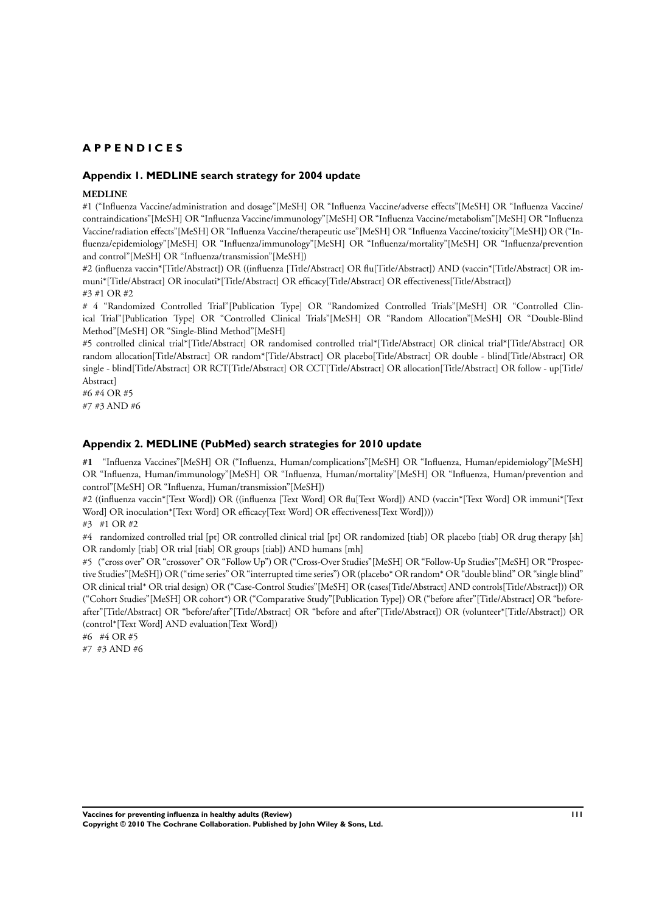# **A P P E N D I C E S**

#### **Appendix 1. MEDLINE search strategy for 2004 update**

#### **MEDLINE**

#1 ("Influenza Vaccine/administration and dosage"[MeSH] OR "Influenza Vaccine/adverse effects"[MeSH] OR "Influenza Vaccine/ contraindications"[MeSH] OR "Influenza Vaccine/immunology"[MeSH] OR "Influenza Vaccine/metabolism"[MeSH] OR "Influenza Vaccine/radiation effects"[MeSH] OR "Influenza Vaccine/therapeutic use"[MeSH] OR "Influenza Vaccine/toxicity"[MeSH]) OR ("Influenza/epidemiology"[MeSH] OR "Influenza/immunology"[MeSH] OR "Influenza/mortality"[MeSH] OR "Influenza/prevention and control"[MeSH] OR "Influenza/transmission"[MeSH])

#2 (influenza vaccin\*[Title/Abstract]) OR ((influenza [Title/Abstract] OR flu[Title/Abstract]) AND (vaccin\*[Title/Abstract] OR immuni\*[Title/Abstract] OR inoculati\*[Title/Abstract] OR efficacy[Title/Abstract] OR effectiveness[Title/Abstract]) #3 #1 OR #2

# 4 "Randomized Controlled Trial"[Publication Type] OR "Randomized Controlled Trials"[MeSH] OR "Controlled Clinical Trial"[Publication Type] OR "Controlled Clinical Trials"[MeSH] OR "Random Allocation"[MeSH] OR "Double-Blind Method"[MeSH] OR "Single-Blind Method"[MeSH]

#5 controlled clinical trial\*[Title/Abstract] OR randomised controlled trial\*[Title/Abstract] OR clinical trial\*[Title/Abstract] OR random allocation[Title/Abstract] OR random\*[Title/Abstract] OR placebo[Title/Abstract] OR double - blind[Title/Abstract] OR single - blind[Title/Abstract] OR RCT[Title/Abstract] OR CCT[Title/Abstract] OR allocation[Title/Abstract] OR follow - up[Title/ Abstract]

#6 #4 OR #5 #7 #3 AND #6

### **Appendix 2. MEDLINE (PubMed) search strategies for 2010 update**

**#1** "Influenza Vaccines"[MeSH] OR ("Influenza, Human/complications"[MeSH] OR "Influenza, Human/epidemiology"[MeSH] OR "Influenza, Human/immunology"[MeSH] OR "Influenza, Human/mortality"[MeSH] OR "Influenza, Human/prevention and control"[MeSH] OR "Influenza, Human/transmission"[MeSH])

#2 ((influenza vaccin\*[Text Word]) OR ((influenza [Text Word] OR flu[Text Word]) AND (vaccin\*[Text Word] OR immuni\*[Text Word] OR inoculation\*[Text Word] OR efficacy[Text Word] OR effectiveness[Text Word])))

#3 #1 OR #2

#4 randomized controlled trial [pt] OR controlled clinical trial [pt] OR randomized [tiab] OR placebo [tiab] OR drug therapy [sh] OR randomly [tiab] OR trial [tiab] OR groups [tiab]) AND humans [mh]

#5 ("cross over" OR "crossover" OR "Follow Up") OR ("Cross-Over Studies"[MeSH] OR "Follow-Up Studies"[MeSH] OR "Prospective Studies"[MeSH]) OR ("time series" OR "interrupted time series") OR (placebo\* OR random\* OR "double blind" OR "single blind" OR clinical trial\* OR trial design) OR ("Case-Control Studies"[MeSH] OR (cases[Title/Abstract] AND controls[Title/Abstract])) OR ("Cohort Studies"[MeSH] OR cohort\*) OR ("Comparative Study"[Publication Type]) OR ("before after"[Title/Abstract] OR "beforeafter"[Title/Abstract] OR "before/after"[Title/Abstract] OR "before and after"[Title/Abstract]) OR (volunteer\*[Title/Abstract]) OR (control\*[Text Word] AND evaluation[Text Word])

#6 #4 OR #5

#7 #3 AND #6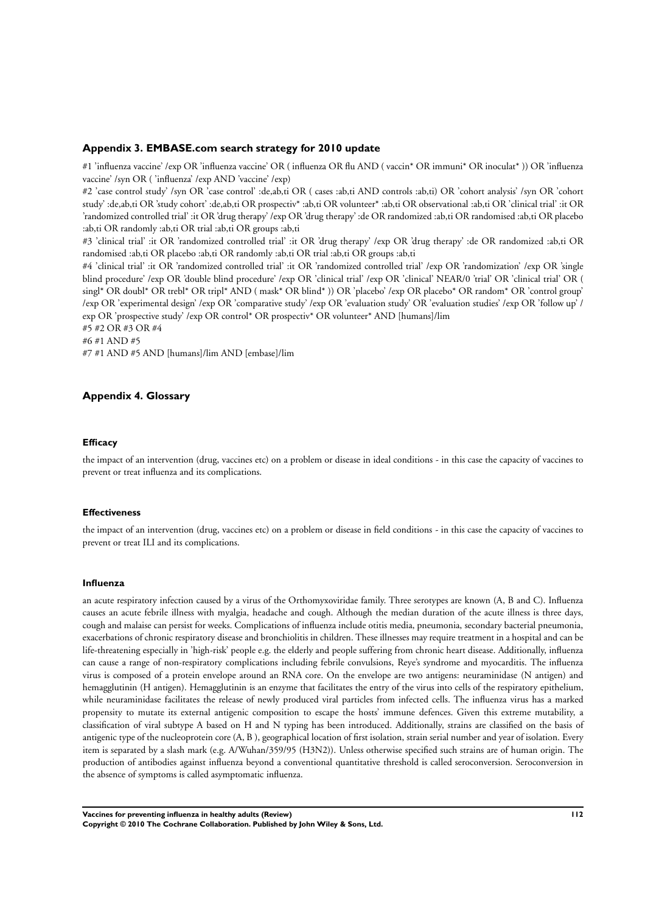### **Appendix 3. EMBASE.com search strategy for 2010 update**

#1 'influenza vaccine' /exp OR 'influenza vaccine' OR ( influenza OR flu AND ( vaccin\* OR immuni\* OR inoculat\* )) OR 'influenza vaccine' /syn OR ( 'influenza' /exp AND 'vaccine' /exp)

#2 'case control study' /syn OR 'case control' :de,ab,ti OR ( cases :ab,ti AND controls :ab,ti) OR 'cohort analysis' /syn OR 'cohort study' :de,ab,ti OR 'study cohort' :de,ab,ti OR prospectiv\* :ab,ti OR volunteer\* :ab,ti OR observational :ab,ti OR 'clinical trial' :it OR 'randomized controlled trial' :it OR 'drug therapy' /exp OR 'drug therapy' :de OR randomized :ab,ti OR randomised :ab,ti OR placebo :ab,ti OR randomly :ab,ti OR trial :ab,ti OR groups :ab,ti

#3 'clinical trial' :it OR 'randomized controlled trial' :it OR 'drug therapy' /exp OR 'drug therapy' :de OR randomized :ab,ti OR randomised :ab,ti OR placebo :ab,ti OR randomly :ab,ti OR trial :ab,ti OR groups :ab,ti

#4 'clinical trial' :it OR 'randomized controlled trial' :it OR 'randomized controlled trial' /exp OR 'randomization' /exp OR 'single blind procedure' /exp OR 'double blind procedure' /exp OR 'clinical trial' /exp OR 'clinical' NEAR/0 'trial' OR 'clinical trial' OR ( singl\* OR doubl\* OR trebl\* OR tripl\* AND ( mask\* OR blind\* )) OR 'placebo' /exp OR placebo\* OR random\* OR 'control group' /exp OR 'experimental design' /exp OR 'comparative study' /exp OR 'evaluation study' OR 'evaluation studies' /exp OR 'follow up' / exp OR 'prospective study' /exp OR control\* OR prospectiv\* OR volunteer\* AND [humans]/lim

#5 #2 OR #3 OR #4

#6 #1 AND #5

#7 #1 AND #5 AND [humans]/lim AND [embase]/lim

### **Appendix 4. Glossary**

#### **Efficacy**

the impact of an intervention (drug, vaccines etc) on a problem or disease in ideal conditions - in this case the capacity of vaccines to prevent or treat influenza and its complications.

#### **Effectiveness**

the impact of an intervention (drug, vaccines etc) on a problem or disease in field conditions - in this case the capacity of vaccines to prevent or treat ILI and its complications.

#### **Influenza**

an acute respiratory infection caused by a virus of the Orthomyxoviridae family. Three serotypes are known (A, B and C). Influenza causes an acute febrile illness with myalgia, headache and cough. Although the median duration of the acute illness is three days, cough and malaise can persist for weeks. Complications of influenza include otitis media, pneumonia, secondary bacterial pneumonia, exacerbations of chronic respiratory disease and bronchiolitis in children. These illnesses may require treatment in a hospital and can be life-threatening especially in 'high-risk' people e.g. the elderly and people suffering from chronic heart disease. Additionally, influenza can cause a range of non-respiratory complications including febrile convulsions, Reye's syndrome and myocarditis. The influenza virus is composed of a protein envelope around an RNA core. On the envelope are two antigens: neuraminidase (N antigen) and hemagglutinin (H antigen). Hemagglutinin is an enzyme that facilitates the entry of the virus into cells of the respiratory epithelium, while neuraminidase facilitates the release of newly produced viral particles from infected cells. The influenza virus has a marked propensity to mutate its external antigenic composition to escape the hosts' immune defences. Given this extreme mutability, a classification of viral subtype A based on H and N typing has been introduced. Additionally, strains are classified on the basis of antigenic type of the nucleoprotein core (A, B ), geographical location of first isolation, strain serial number and year of isolation. Every item is separated by a slash mark (e.g. A/Wuhan/359/95 (H3N2)). Unless otherwise specified such strains are of human origin. The production of antibodies against influenza beyond a conventional quantitative threshold is called seroconversion. Seroconversion in the absence of symptoms is called asymptomatic influenza.

**Vaccines for preventing influenza in healthy adults (Review) 112 Copyright © 2010 The Cochrane Collaboration. Published by John Wiley & Sons, Ltd.**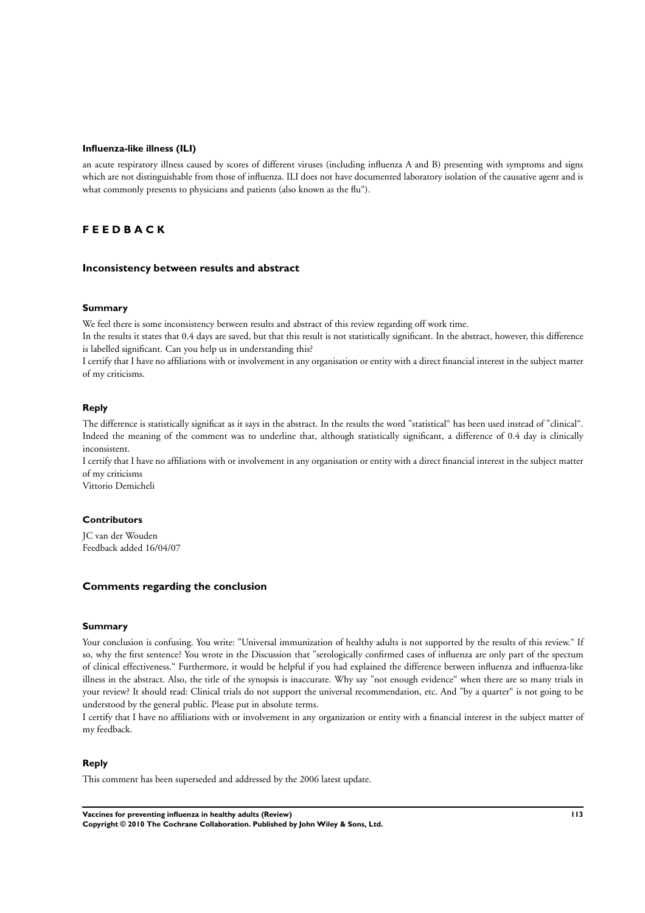### **Influenza-like illness (ILI)**

an acute respiratory illness caused by scores of different viruses (including influenza A and B) presenting with symptoms and signs which are not distinguishable from those of influenza. ILI does not have documented laboratory isolation of the causative agent and is what commonly presents to physicians and patients (also known as the flu").

# **F E E D B A C K**

#### **Inconsistency between results and abstract**

#### **Summary**

We feel there is some inconsistency between results and abstract of this review regarding off work time.

In the results it states that 0.4 days are saved, but that this result is not statistically significant. In the abstract, however, this difference is labelled significant. Can you help us in understanding this?

I certify that I have no affiliations with or involvement in any organisation or entity with a direct financial interest in the subject matter of my criticisms.

#### **Reply**

The difference is statistically significat as it says in the abstract. In the results the word "statistical" has been used instead of "clinical". Indeed the meaning of the comment was to underline that, although statistically significant, a difference of 0.4 day is clinically inconsistent.

I certify that I have no affiliations with or involvement in any organisation or entity with a direct financial interest in the subject matter of my criticisms

Vittorio Demicheli

#### **Contributors**

JC van der Wouden Feedback added 16/04/07

#### **Comments regarding the conclusion**

#### **Summary**

Your conclusion is confusing. You write: "Universal immunization of healthy adults is not supported by the results of this review." If so, why the first sentence? You wrote in the Discussion that "serologically confirmed cases of influenza are only part of the spectum of clinical effectiveness." Furthermore, it would be helpful if you had explained the difference between influenza and influenza-like illness in the abstract. Also, the title of the synopsis is inaccurate. Why say "not enough evidence" when there are so many trials in your review? It should read: Clinical trials do not support the universal recommendation, etc. And "by a quarter" is not going to be understood by the general public. Please put in absolute terms.

I certify that I have no affiliations with or involvement in any organization or entity with a financial interest in the subject matter of my feedback.

### **Reply**

This comment has been superseded and addressed by the 2006 latest update.

**Vaccines for preventing influenza in healthy adults (Review) 113**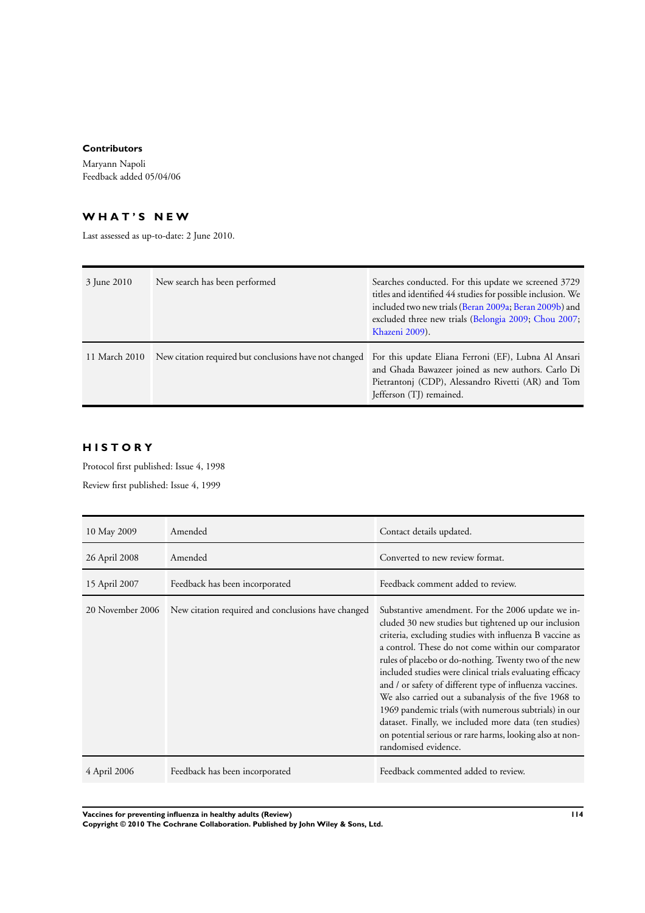# **Contributors**

Maryann Napoli Feedback added 05/04/06

# **W H A T ' S N E W**

Last assessed as up-to-date: 2 June 2010.

| 3 June 2010   | New search has been performed | Searches conducted. For this update we screened 3729<br>titles and identified 44 studies for possible inclusion. We<br>included two new trials (Beran 2009a; Beran 2009b) and<br>excluded three new trials (Belongia 2009; Chou 2007;<br>Khazeni 2009). |
|---------------|-------------------------------|---------------------------------------------------------------------------------------------------------------------------------------------------------------------------------------------------------------------------------------------------------|
| 11 March 2010 |                               | New citation required but conclusions have not changed For this update Eliana Ferroni (EF), Lubna Al Ansari<br>and Ghada Bawazeer joined as new authors. Carlo Di<br>Pietrantonj (CDP), Alessandro Rivetti (AR) and Tom<br>Jefferson (TJ) remained.     |

# **H I S T O R Y**

Protocol first published: Issue 4, 1998 Review first published: Issue 4, 1999

| 10 May 2009      | Amended                                            | Contact details updated.                                                                                                                                                                                                                                                                                                                                                                                                                                                                                                                                                                                                                                                    |
|------------------|----------------------------------------------------|-----------------------------------------------------------------------------------------------------------------------------------------------------------------------------------------------------------------------------------------------------------------------------------------------------------------------------------------------------------------------------------------------------------------------------------------------------------------------------------------------------------------------------------------------------------------------------------------------------------------------------------------------------------------------------|
| 26 April 2008    | Amended                                            | Converted to new review format.                                                                                                                                                                                                                                                                                                                                                                                                                                                                                                                                                                                                                                             |
| 15 April 2007    | Feedback has been incorporated                     | Feedback comment added to review.                                                                                                                                                                                                                                                                                                                                                                                                                                                                                                                                                                                                                                           |
| 20 November 2006 | New citation required and conclusions have changed | Substantive amendment. For the 2006 update we in-<br>cluded 30 new studies but tightened up our inclusion<br>criteria, excluding studies with influenza B vaccine as<br>a control. These do not come within our comparator<br>rules of placebo or do-nothing. Twenty two of the new<br>included studies were clinical trials evaluating efficacy<br>and / or safety of different type of influenza vaccines.<br>We also carried out a subanalysis of the five 1968 to<br>1969 pandemic trials (with numerous subtrials) in our<br>dataset. Finally, we included more data (ten studies)<br>on potential serious or rare harms, looking also at non-<br>randomised evidence. |
| 4 April 2006     | Feedback has been incorporated                     | Feedback commented added to review.                                                                                                                                                                                                                                                                                                                                                                                                                                                                                                                                                                                                                                         |

**Vaccines for preventing influenza in healthy adults (Review) 114**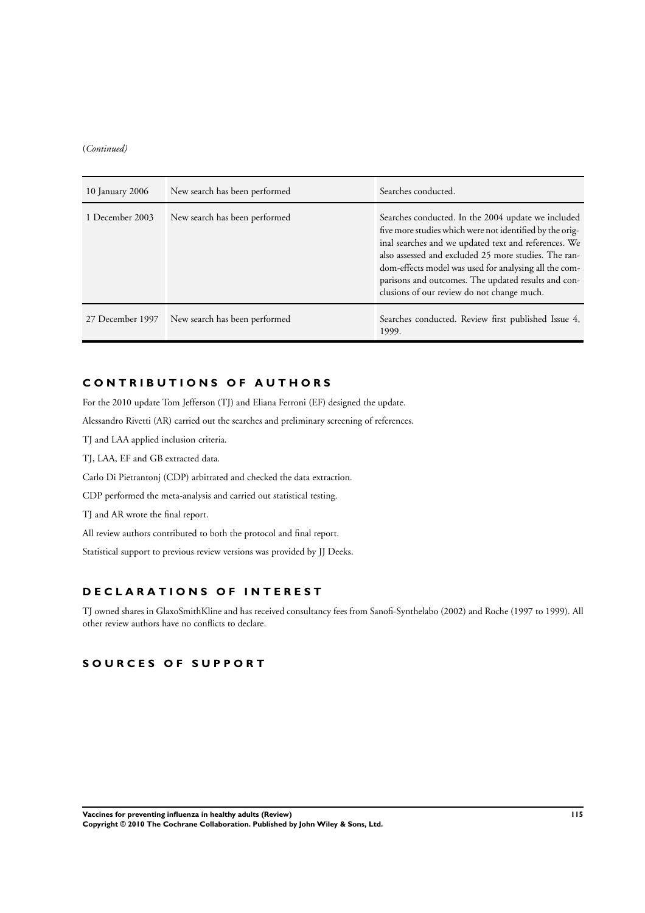### (*Continued)*

| 10 January 2006  | New search has been performed | Searches conducted.                                                                                                                                                                                                                                                                                                                                                                          |
|------------------|-------------------------------|----------------------------------------------------------------------------------------------------------------------------------------------------------------------------------------------------------------------------------------------------------------------------------------------------------------------------------------------------------------------------------------------|
| 1 December 2003  | New search has been performed | Searches conducted. In the 2004 update we included<br>five more studies which were not identified by the orig-<br>inal searches and we updated text and references. We<br>also assessed and excluded 25 more studies. The ran-<br>dom-effects model was used for analysing all the com-<br>parisons and outcomes. The updated results and con-<br>clusions of our review do not change much. |
| 27 December 1997 | New search has been performed | Searches conducted. Review first published Issue 4,<br>1999.                                                                                                                                                                                                                                                                                                                                 |

# **C O N T R I B U T I O N S O F A U T H O R S**

For the 2010 update Tom Jefferson (TJ) and Eliana Ferroni (EF) designed the update.

Alessandro Rivetti (AR) carried out the searches and preliminary screening of references.

TJ and LAA applied inclusion criteria.

TJ, LAA, EF and GB extracted data.

Carlo Di Pietrantonj (CDP) arbitrated and checked the data extraction.

CDP performed the meta-analysis and carried out statistical testing.

TJ and AR wrote the final report.

All review authors contributed to both the protocol and final report.

Statistical support to previous review versions was provided by JJ Deeks.

# **D E C L A R A T I O N S O F I N T E R E S T**

TJ owned shares in GlaxoSmithKline and has received consultancy fees from Sanofi-Synthelabo (2002) and Roche (1997 to 1999). All other review authors have no conflicts to declare.

# **S O U R C E S O F S U P P O R T**